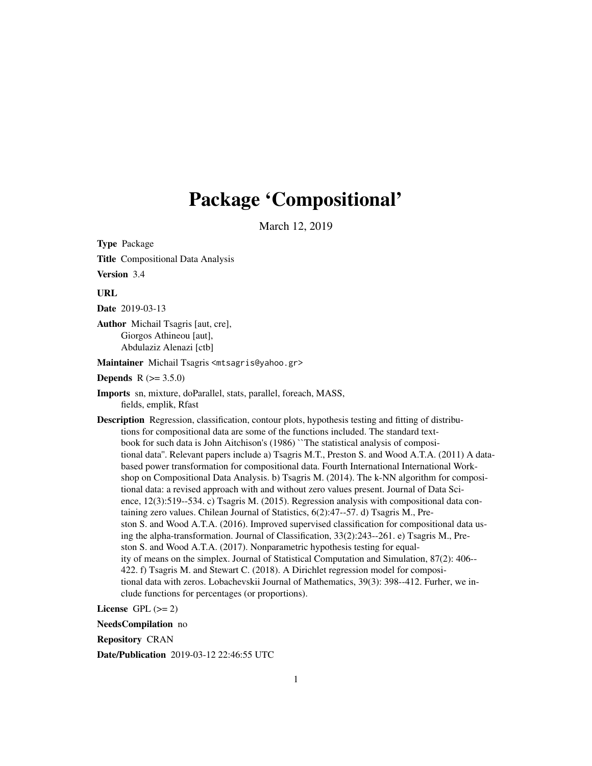# Package 'Compositional'

March 12, 2019

<span id="page-0-0"></span>Type Package Title Compositional Data Analysis Version 3.4 URL Date 2019-03-13 Author Michail Tsagris [aut, cre], Giorgos Athineou [aut], Abdulaziz Alenazi [ctb] Maintainer Michail Tsagris <mtsagris@yahoo.gr> **Depends**  $R (= 3.5.0)$ Imports sn, mixture, doParallel, stats, parallel, foreach, MASS, fields, emplik, Rfast Description Regression, classification, contour plots, hypothesis testing and fitting of distributions for compositional data are some of the functions included. The standard textbook for such data is John Aitchison's (1986) ``The statistical analysis of compositional data''. Relevant papers include a) Tsagris M.T., Preston S. and Wood A.T.A. (2011) A databased power transformation for compositional data. Fourth International International Workshop on Compositional Data Analysis. b) Tsagris M. (2014). The k-NN algorithm for compositional data: a revised approach with and without zero values present. Journal of Data Science, 12(3):519--534. c) Tsagris M. (2015). Regression analysis with compositional data containing zero values. Chilean Journal of Statistics, 6(2):47--57. d) Tsagris M., Preston S. and Wood A.T.A. (2016). Improved supervised classification for compositional data using the alpha-transformation. Journal of Classification, 33(2):243--261. e) Tsagris M., Preston S. and Wood A.T.A. (2017). Nonparametric hypothesis testing for equality of means on the simplex. Journal of Statistical Computation and Simulation, 87(2): 406-- 422. f) Tsagris M. and Stewart C. (2018). A Dirichlet regression model for compositional data with zeros. Lobachevskii Journal of Mathematics, 39(3): 398--412. Furher, we in-

clude functions for percentages (or proportions).

License  $GPL \, (= 2)$ 

NeedsCompilation no

Repository CRAN

Date/Publication 2019-03-12 22:46:55 UTC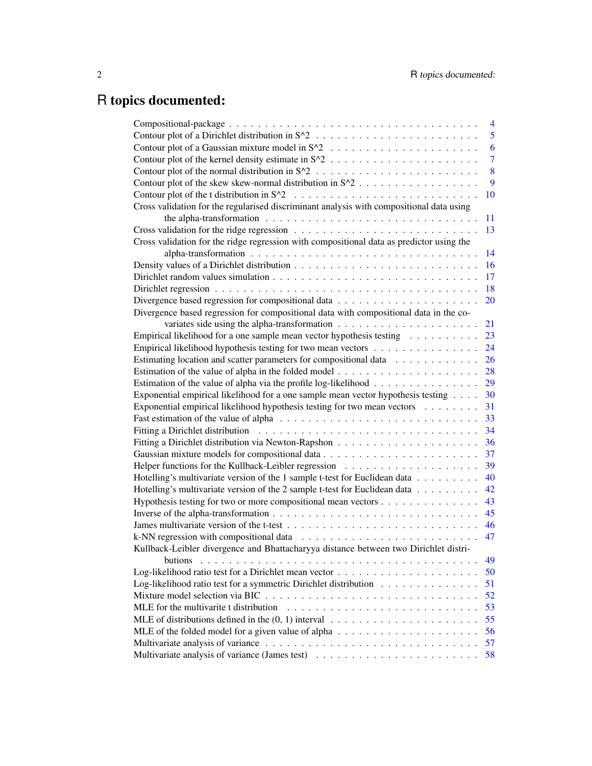# R topics documented:

|                                                                                                          | 4              |
|----------------------------------------------------------------------------------------------------------|----------------|
|                                                                                                          | 5              |
|                                                                                                          | 6              |
|                                                                                                          | $\overline{7}$ |
|                                                                                                          | 8              |
| Contour plot of the skew skew-normal distribution in S^2                                                 | 9              |
|                                                                                                          | 10             |
| Cross validation for the regularised discriminant analysis with compositional data using                 |                |
| the alpha-transformation $\ldots \ldots \ldots \ldots \ldots \ldots \ldots \ldots \ldots \ldots$         | 11             |
|                                                                                                          | 13             |
| Cross validation for the ridge regression with compositional data as predictor using the                 |                |
|                                                                                                          | 14             |
|                                                                                                          | 16             |
|                                                                                                          | 17             |
|                                                                                                          | 18             |
|                                                                                                          | 20             |
| Divergence based regression for compositional data with compositional data in the co-                    |                |
|                                                                                                          | 21             |
| Empirical likelihood for a one sample mean vector hypothesis testing $\dots \dots \dots$                 | 23             |
| Empirical likelihood hypothesis testing for two mean vectors                                             | 24             |
| Estimating location and scatter parameters for compositional data                                        | 26             |
|                                                                                                          | 28             |
| Estimation of the value of alpha via the profile log-likelihood                                          | 29             |
| Exponential empirical likelihood for a one sample mean vector hypothesis testing                         | 30             |
| Exponential empirical likelihood hypothesis testing for two mean vectors                                 | 31             |
|                                                                                                          | 33             |
|                                                                                                          | 34             |
|                                                                                                          | 36             |
|                                                                                                          | 37             |
|                                                                                                          | 39             |
| Hotelling's multivariate version of the 1 sample t-test for Euclidean data                               | 40             |
| Hotelling's multivariate version of the 2 sample t-test for Euclidean data                               | 42             |
| Hypothesis testing for two or more compositional mean vectors                                            | 43             |
|                                                                                                          | 45             |
|                                                                                                          | 46             |
| k-NN regression with compositional data $\ldots \ldots \ldots \ldots \ldots \ldots \ldots \ldots$        | 47             |
| Kullback-Leibler divergence and Bhattacharyya distance between two Dirichlet distri-                     |                |
| butions                                                                                                  | 49             |
|                                                                                                          | 50             |
| Log-likelihood ratio test for a symmetric Dirichlet distribution                                         | 51             |
|                                                                                                          | 52             |
|                                                                                                          | 53             |
| MLE of distributions defined in the $(0, 1)$ interval $\ldots \ldots \ldots \ldots \ldots \ldots \ldots$ | 55             |
|                                                                                                          | 56             |
|                                                                                                          | 57             |
|                                                                                                          | 58             |
|                                                                                                          |                |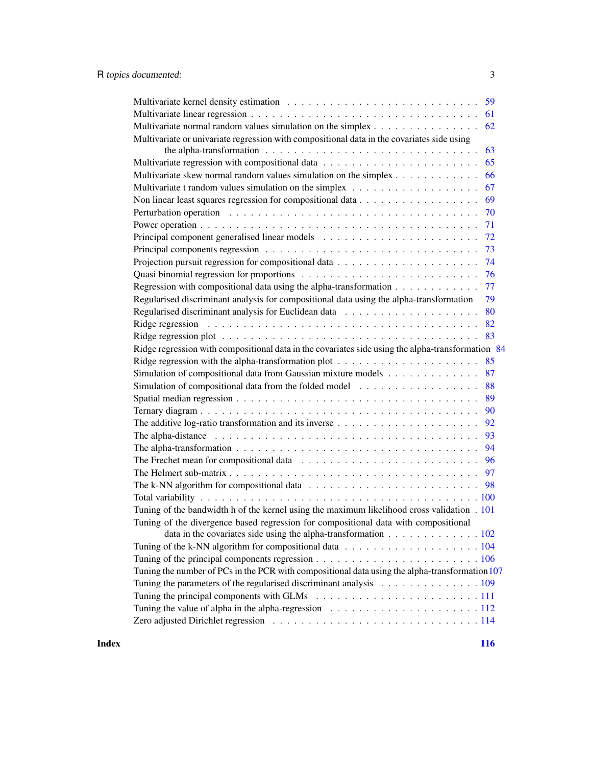| Multivariate normal random values simulation on the simplex<br>62                                                  |
|--------------------------------------------------------------------------------------------------------------------|
| Multivariate or univariate regression with compositional data in the covariates side using                         |
| the alpha-transformation $\ldots \ldots \ldots \ldots \ldots \ldots \ldots \ldots \ldots \ldots$<br>63             |
| 65                                                                                                                 |
| Multivariate skew normal random values simulation on the simplex                                                   |
| 66<br>67                                                                                                           |
| Multivariate t random values simulation on the simplex $\dots \dots \dots \dots \dots \dots \dots$<br>69           |
| Non linear least squares regression for compositional data $\dots \dots \dots \dots \dots \dots$<br>70             |
| 71                                                                                                                 |
| 72                                                                                                                 |
| 73                                                                                                                 |
| 74                                                                                                                 |
|                                                                                                                    |
| 76                                                                                                                 |
| Regression with compositional data using the alpha-transformation<br>77                                            |
| Regularised discriminant analysis for compositional data using the alpha-transformation<br>79                      |
| 80                                                                                                                 |
| 82                                                                                                                 |
| 83                                                                                                                 |
| Ridge regression with compositional data in the covariates side using the alpha-transformation 84                  |
| Ridge regression with the alpha-transformation plot $\dots \dots \dots \dots \dots \dots \dots$<br>85              |
| Simulation of compositional data from Gaussian mixture models<br>87                                                |
| Simulation of compositional data from the folded model $\dots \dots \dots \dots \dots$<br>88                       |
| 89                                                                                                                 |
| 90                                                                                                                 |
|                                                                                                                    |
|                                                                                                                    |
| The alpha-transformation $\ldots \ldots \ldots \ldots \ldots \ldots \ldots \ldots \ldots \ldots \ldots$            |
| The Frechet mean for compositional data $\ldots \ldots \ldots \ldots \ldots \ldots \ldots \ldots \ldots$<br>96     |
| 97                                                                                                                 |
| The k-NN algorithm for compositional data $\ldots \ldots \ldots \ldots \ldots \ldots \ldots \ldots \ldots$ . 98    |
|                                                                                                                    |
| Tuning of the bandwidth h of the kernel using the maximum likelihood cross validation . 101                        |
| Tuning of the divergence based regression for compositional data with compositional                                |
| data in the covariates side using the alpha-transformation 102                                                     |
|                                                                                                                    |
| Tuning of the principal components regression $\ldots \ldots \ldots \ldots \ldots \ldots \ldots \ldots \ldots 106$ |
| Tuning the number of PCs in the PCR with compositional data using the alpha-transformation 107                     |
| Tuning the parameters of the regularised discriminant analysis 109                                                 |
|                                                                                                                    |
| Tuning the value of alpha in the alpha-regression $\ldots \ldots \ldots \ldots \ldots \ldots \ldots \ldots 112$    |
|                                                                                                                    |
|                                                                                                                    |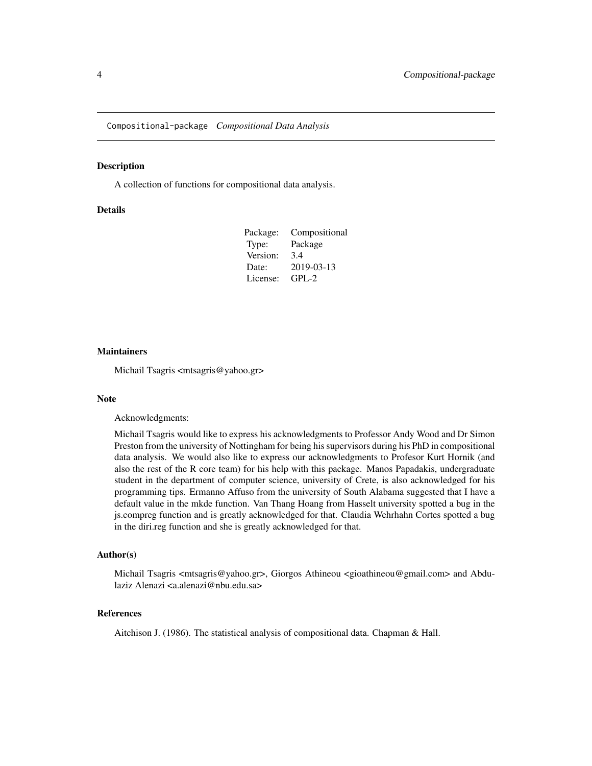<span id="page-3-0"></span>Compositional-package *Compositional Data Analysis*

#### Description

A collection of functions for compositional data analysis.

# **Details**

| Package: | Compositional |
|----------|---------------|
| Type:    | Package       |
| Version: | 3.4           |
| Date:    | 2019-03-13    |
| License: | GPL-2         |

#### **Maintainers**

Michail Tsagris <mtsagris@yahoo.gr>

# Note

Acknowledgments:

Michail Tsagris would like to express his acknowledgments to Professor Andy Wood and Dr Simon Preston from the university of Nottingham for being his supervisors during his PhD in compositional data analysis. We would also like to express our acknowledgments to Profesor Kurt Hornik (and also the rest of the R core team) for his help with this package. Manos Papadakis, undergraduate student in the department of computer science, university of Crete, is also acknowledged for his programming tips. Ermanno Affuso from the university of South Alabama suggested that I have a default value in the mkde function. Van Thang Hoang from Hasselt university spotted a bug in the js.compreg function and is greatly acknowledged for that. Claudia Wehrhahn Cortes spotted a bug in the diri.reg function and she is greatly acknowledged for that.

#### Author(s)

Michail Tsagris <mtsagris@yahoo.gr>, Giorgos Athineou <gioathineou@gmail.com> and Abdulaziz Alenazi <a.alenazi@nbu.edu.sa>

# References

Aitchison J. (1986). The statistical analysis of compositional data. Chapman & Hall.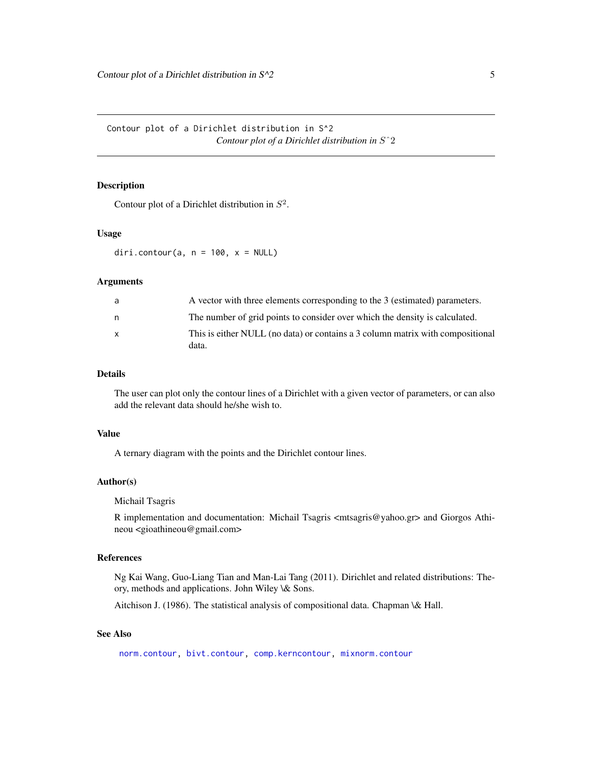<span id="page-4-0"></span>Contour plot of a Dirichlet distribution in S^2 *Contour plot of a Dirichlet distribution in* Sˆ2

# <span id="page-4-1"></span>Description

Contour plot of a Dirichlet distribution in  $S^2$ .

# Usage

diri.contour(a,  $n = 100$ ,  $x = NULL$ )

# Arguments

| a            | A vector with three elements corresponding to the 3 (estimated) parameters.    |
|--------------|--------------------------------------------------------------------------------|
| n            | The number of grid points to consider over which the density is calculated.    |
| $\mathsf{x}$ | This is either NULL (no data) or contains a 3 column matrix with compositional |
|              | data.                                                                          |

# Details

The user can plot only the contour lines of a Dirichlet with a given vector of parameters, or can also add the relevant data should he/she wish to.

#### Value

A ternary diagram with the points and the Dirichlet contour lines.

#### Author(s)

Michail Tsagris

R implementation and documentation: Michail Tsagris <mtsagris@yahoo.gr> and Giorgos Athineou <gioathineou@gmail.com>

# References

Ng Kai Wang, Guo-Liang Tian and Man-Lai Tang (2011). Dirichlet and related distributions: Theory, methods and applications. John Wiley \& Sons.

Aitchison J. (1986). The statistical analysis of compositional data. Chapman \& Hall.

# See Also

[norm.contour,](#page-7-1) [bivt.contour,](#page-9-1) [comp.kerncontour,](#page-6-1) [mixnorm.contour](#page-5-1)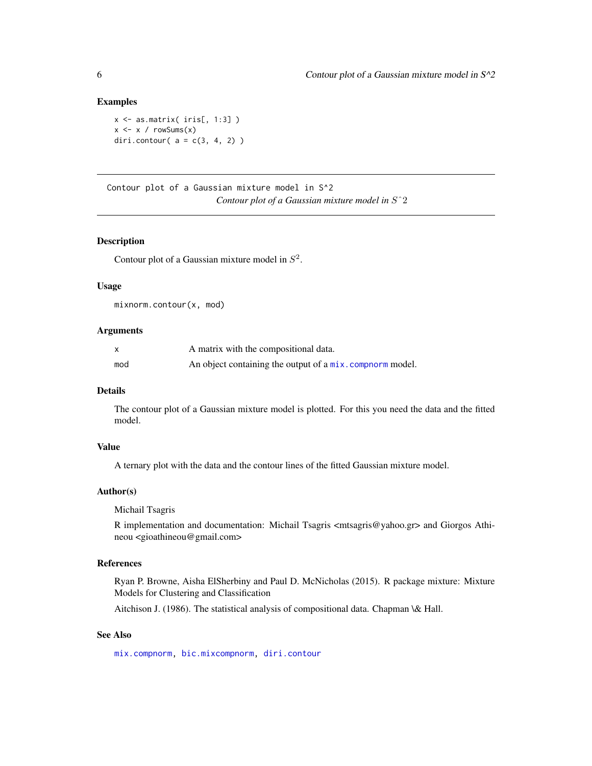#### Examples

```
x \leftarrow as_matrix(iris[, 1:3])
x \le -x / \text{rowsums}(x)diri.contour( a = c(3, 4, 2) )
```
Contour plot of a Gaussian mixture model in S^2 *Contour plot of a Gaussian mixture model in* Sˆ2

# <span id="page-5-1"></span>Description

Contour plot of a Gaussian mixture model in  $S^2$ .

#### Usage

mixnorm.contour(x, mod)

### Arguments

| x   | A matrix with the compositional data.                     |
|-----|-----------------------------------------------------------|
| mod | An object containing the output of a mix. compnorm model. |

## Details

The contour plot of a Gaussian mixture model is plotted. For this you need the data and the fitted model.

# Value

A ternary plot with the data and the contour lines of the fitted Gaussian mixture model.

#### Author(s)

Michail Tsagris

R implementation and documentation: Michail Tsagris <mtsagris@yahoo.gr> and Giorgos Athineou <gioathineou@gmail.com>

#### References

Ryan P. Browne, Aisha ElSherbiny and Paul D. McNicholas (2015). R package mixture: Mixture Models for Clustering and Classification

Aitchison J. (1986). The statistical analysis of compositional data. Chapman \& Hall.

# See Also

[mix.compnorm,](#page-36-1) [bic.mixcompnorm,](#page-51-1) [diri.contour](#page-4-1)

<span id="page-5-0"></span>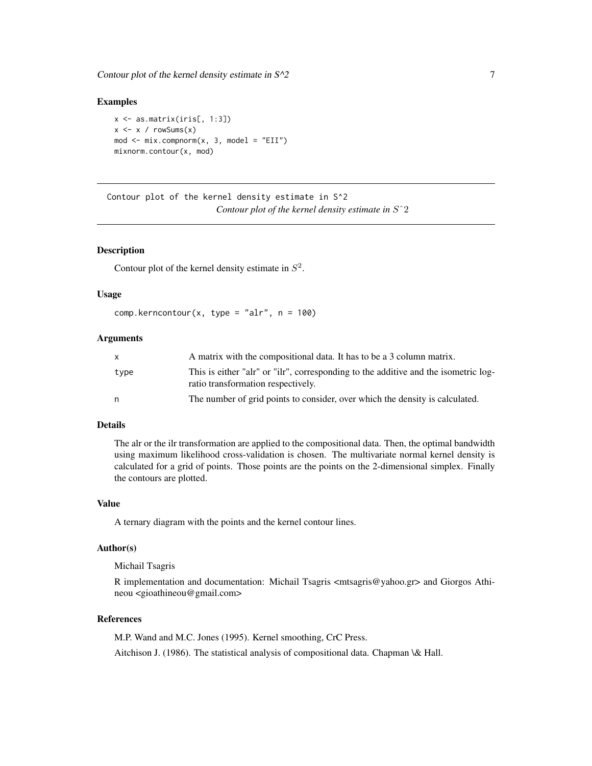<span id="page-6-0"></span>Contour plot of the kernel density estimate in  $S^2$  7 7

#### Examples

```
x \leftarrow as_matrix(iris[, 1:3])x \le -x / \text{rowsums}(x)mod \le - mix.compnorm(x, 3, model = "EII")
mixnorm.contour(x, mod)
```
Contour plot of the kernel density estimate in S^2 *Contour plot of the kernel density estimate in* Sˆ2

# <span id="page-6-1"></span>Description

Contour plot of the kernel density estimate in  $S^2$ .

# Usage

```
comp.kerncontour(x, type = "alr", n = 100)
```
#### Arguments

| $\mathsf{x}$ | A matrix with the compositional data. It has to be a 3 column matrix.                                                     |
|--------------|---------------------------------------------------------------------------------------------------------------------------|
| type         | This is either "alr" or "ilr", corresponding to the additive and the isometric log-<br>ratio transformation respectively. |
| n            | The number of grid points to consider, over which the density is calculated.                                              |

# Details

The alr or the ilr transformation are applied to the compositional data. Then, the optimal bandwidth using maximum likelihood cross-validation is chosen. The multivariate normal kernel density is calculated for a grid of points. Those points are the points on the 2-dimensional simplex. Finally the contours are plotted.

#### Value

A ternary diagram with the points and the kernel contour lines.

#### Author(s)

Michail Tsagris

R implementation and documentation: Michail Tsagris <mtsagris@yahoo.gr> and Giorgos Athineou <gioathineou@gmail.com>

# References

M.P. Wand and M.C. Jones (1995). Kernel smoothing, CrC Press.

Aitchison J. (1986). The statistical analysis of compositional data. Chapman \& Hall.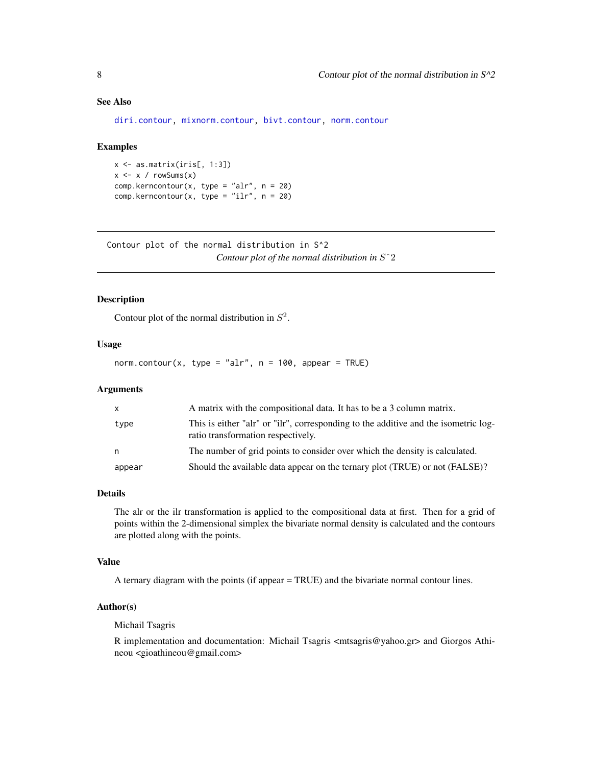# <span id="page-7-0"></span>See Also

[diri.contour,](#page-4-1) [mixnorm.contour,](#page-5-1) [bivt.contour,](#page-9-1) [norm.contour](#page-7-1)

#### Examples

```
x <- as.matrix(iris[, 1:3])
x \leftarrow x / rowsums(x)comp.kerncontour(x, type = "alr", n = 20)
comp.kerncontour(x, type = "ilr", n = 20)
```
Contour plot of the normal distribution in S^2 *Contour plot of the normal distribution in* Sˆ2

# <span id="page-7-1"></span>Description

Contour plot of the normal distribution in  $S^2$ .

#### Usage

norm.contour(x, type = "alr",  $n = 100$ , appear = TRUE)

#### Arguments

| X      | A matrix with the compositional data. It has to be a 3 column matrix.                                                     |
|--------|---------------------------------------------------------------------------------------------------------------------------|
| type   | This is either "alr" or "ilr", corresponding to the additive and the isometric log-<br>ratio transformation respectively. |
| n      | The number of grid points to consider over which the density is calculated.                                               |
| appear | Should the available data appear on the ternary plot (TRUE) or not (FALSE)?                                               |

# Details

The alr or the ilr transformation is applied to the compositional data at first. Then for a grid of points within the 2-dimensional simplex the bivariate normal density is calculated and the contours are plotted along with the points.

#### Value

A ternary diagram with the points (if appear = TRUE) and the bivariate normal contour lines.

#### Author(s)

Michail Tsagris

R implementation and documentation: Michail Tsagris <mtsagris@yahoo.gr> and Giorgos Athineou <gioathineou@gmail.com>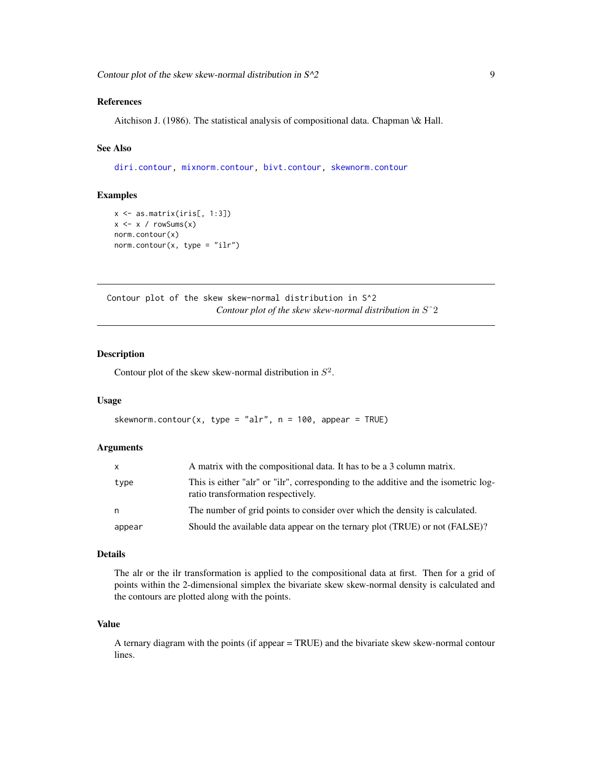# <span id="page-8-0"></span>References

Aitchison J. (1986). The statistical analysis of compositional data. Chapman \& Hall.

# See Also

[diri.contour,](#page-4-1) [mixnorm.contour,](#page-5-1) [bivt.contour,](#page-9-1) [skewnorm.contour](#page-8-1)

# Examples

```
x \leftarrow as.matrix(iris[, 1:3])x \leftarrow x / rowsums(x)norm.contour(x)
norm.contour(x, type = "ilr")
```
Contour plot of the skew skew-normal distribution in S^2 *Contour plot of the skew skew-normal distribution in* Sˆ2

# <span id="page-8-1"></span>Description

Contour plot of the skew skew-normal distribution in  $S^2$ .

#### Usage

```
skewnorm.contour(x, type = "alr", n = 100, appear = TRUE)
```
#### Arguments

| X      | A matrix with the compositional data. It has to be a 3 column matrix.                                                     |
|--------|---------------------------------------------------------------------------------------------------------------------------|
| type   | This is either "alr" or "ilr", corresponding to the additive and the isometric log-<br>ratio transformation respectively. |
| n      | The number of grid points to consider over which the density is calculated.                                               |
| appear | Should the available data appear on the ternary plot (TRUE) or not (FALSE)?                                               |

#### Details

The alr or the ilr transformation is applied to the compositional data at first. Then for a grid of points within the 2-dimensional simplex the bivariate skew skew-normal density is calculated and the contours are plotted along with the points.

#### Value

A ternary diagram with the points (if appear = TRUE) and the bivariate skew skew-normal contour lines.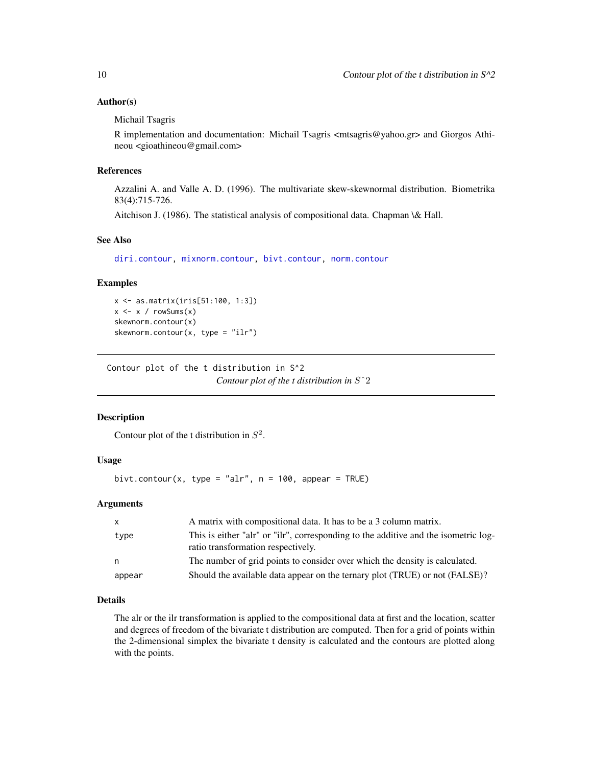# <span id="page-9-0"></span>Author(s)

Michail Tsagris

R implementation and documentation: Michail Tsagris <mtsagris@yahoo.gr> and Giorgos Athineou <gioathineou@gmail.com>

#### References

Azzalini A. and Valle A. D. (1996). The multivariate skew-skewnormal distribution. Biometrika 83(4):715-726.

Aitchison J. (1986). The statistical analysis of compositional data. Chapman \& Hall.

#### See Also

[diri.contour,](#page-4-1) [mixnorm.contour,](#page-5-1) [bivt.contour,](#page-9-1) [norm.contour](#page-7-1)

#### Examples

x <- as.matrix(iris[51:100, 1:3])  $x \le -x / \text{rowsums}(x)$ skewnorm.contour(x) skewnorm.contour(x, type = "ilr")

Contour plot of the t distribution in S^2 *Contour plot of the t distribution in* Sˆ2

# <span id="page-9-1"></span>Description

Contour plot of the t distribution in  $S^2$ .

#### Usage

bivt.contour(x, type = "alr",  $n = 100$ , appear = TRUE)

# Arguments

| X      | A matrix with compositional data. It has to be a 3 column matrix.                                                         |
|--------|---------------------------------------------------------------------------------------------------------------------------|
| type   | This is either "alr" or "ilr", corresponding to the additive and the isometric log-<br>ratio transformation respectively. |
| n      | The number of grid points to consider over which the density is calculated.                                               |
| appear | Should the available data appear on the ternary plot (TRUE) or not (FALSE)?                                               |

#### Details

The alr or the ilr transformation is applied to the compositional data at first and the location, scatter and degrees of freedom of the bivariate t distribution are computed. Then for a grid of points within the 2-dimensional simplex the bivariate t density is calculated and the contours are plotted along with the points.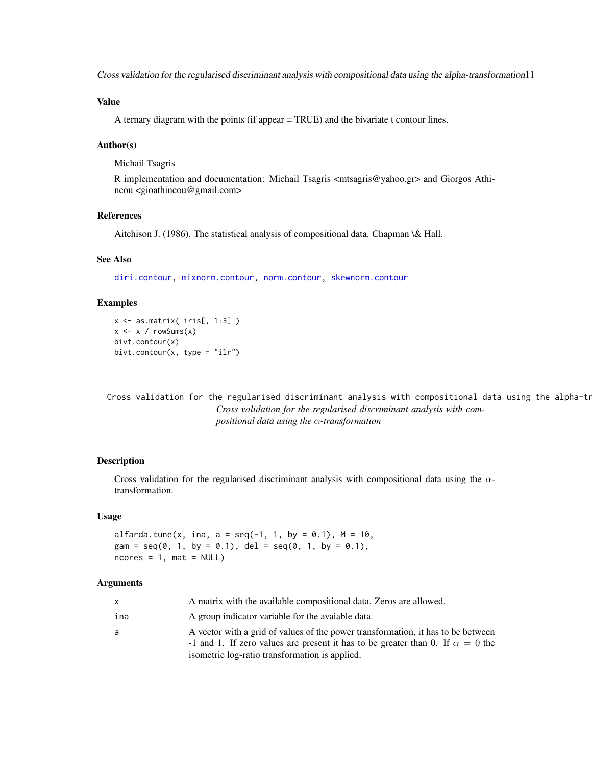<span id="page-10-0"></span>Cross validation for the regularised discriminant analysis with compositional data using the alpha-transformation11

# Value

A ternary diagram with the points (if appear = TRUE) and the bivariate t contour lines.

# Author(s)

Michail Tsagris

R implementation and documentation: Michail Tsagris <mtsagris@yahoo.gr> and Giorgos Athineou <gioathineou@gmail.com>

# References

Aitchison J. (1986). The statistical analysis of compositional data. Chapman \& Hall.

# See Also

[diri.contour,](#page-4-1) [mixnorm.contour,](#page-5-1) [norm.contour,](#page-7-1) [skewnorm.contour](#page-8-1)

# Examples

```
x \leftarrow as.matrix(ints[, 1:3])x \leq x / \text{rowsums}(x)bivt.contour(x)
bivt.contour(x, type = "ilr")
```
Cross validation for the regularised discriminant analysis with compositional data using the alpha-tr *Cross validation for the regularised discriminant analysis with compositional data using the* α*-transformation*

# Description

Cross validation for the regularised discriminant analysis with compositional data using the  $\alpha$ transformation.

# Usage

```
alfarda.tune(x, ina, a = \text{seq}(-1, 1, \text{ by } = 0.1), M = 10,
gam = seq(0, 1, by = 0.1), del = seq(0, 1, by = 0.1),
ncores = 1, mat = NULL
```
#### Arguments

| $\mathsf{X}$ | A matrix with the available compositional data. Zeros are allowed.                                                                                                                                                          |
|--------------|-----------------------------------------------------------------------------------------------------------------------------------------------------------------------------------------------------------------------------|
| ina          | A group indicator variable for the avaiable data.                                                                                                                                                                           |
| a            | A vector with a grid of values of the power transformation, it has to be between<br>-1 and 1. If zero values are present it has to be greater than 0. If $\alpha = 0$ the<br>isometric log-ratio transformation is applied. |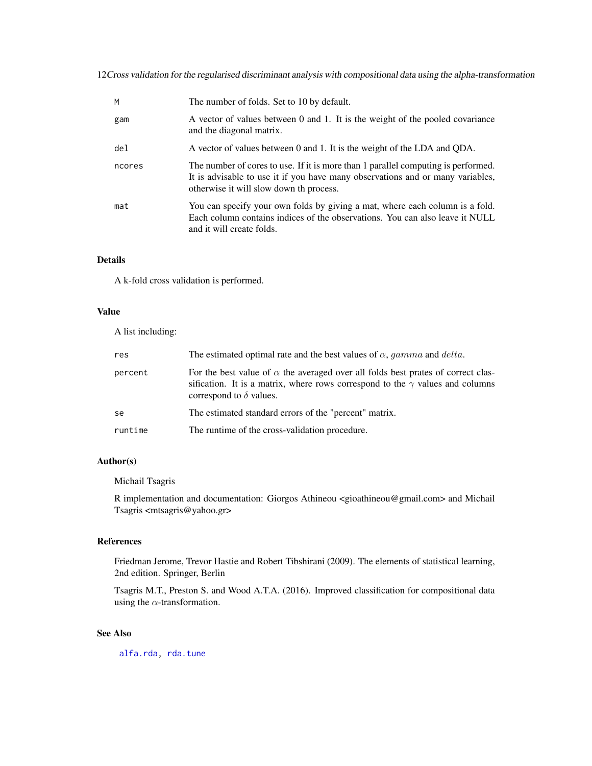12Cross validation for the regularised discriminant analysis with compositional data using the alpha-transformation

| M      | The number of folds. Set to 10 by default.                                                                                                                                                                     |
|--------|----------------------------------------------------------------------------------------------------------------------------------------------------------------------------------------------------------------|
| gam    | A vector of values between 0 and 1. It is the weight of the pooled covariance<br>and the diagonal matrix.                                                                                                      |
| del    | A vector of values between 0 and 1. It is the weight of the LDA and QDA.                                                                                                                                       |
| ncores | The number of cores to use. If it is more than 1 parallel computing is performed.<br>It is advisable to use it if you have many observations and or many variables,<br>otherwise it will slow down th process. |
| mat    | You can specify your own folds by giving a mat, where each column is a fold.<br>Each column contains indices of the observations. You can also leave it NULL<br>and it will create folds.                      |

# Details

A k-fold cross validation is performed.

#### Value

A list including:

| res     | The estimated optimal rate and the best values of $\alpha$ , gamma and delta.                                                                                                                                     |
|---------|-------------------------------------------------------------------------------------------------------------------------------------------------------------------------------------------------------------------|
| percent | For the best value of $\alpha$ the averaged over all folds best prates of correct clas-<br>sification. It is a matrix, where rows correspond to the $\gamma$ values and columns<br>correspond to $\delta$ values. |
| se      | The estimated standard errors of the "percent" matrix.                                                                                                                                                            |
| runtime | The runtime of the cross-validation procedure.                                                                                                                                                                    |

#### Author(s)

Michail Tsagris

R implementation and documentation: Giorgos Athineou <gioathineou@gmail.com> and Michail Tsagris <mtsagris@yahoo.gr>

# References

Friedman Jerome, Trevor Hastie and Robert Tibshirani (2009). The elements of statistical learning, 2nd edition. Springer, Berlin

Tsagris M.T., Preston S. and Wood A.T.A. (2016). Improved classification for compositional data using the  $\alpha$ -transformation.

# See Also

[alfa.rda,](#page-78-1) [rda.tune](#page-108-1)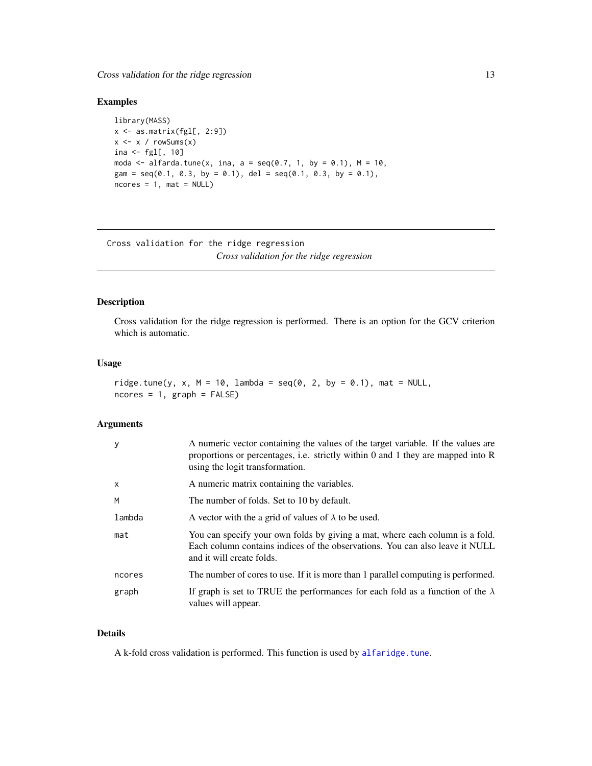<span id="page-12-0"></span>Cross validation for the ridge regression 13

# Examples

```
library(MASS)
x <- as.matrix(fgl[, 2:9])
x \leftarrow x / rowsums(x)ina \leftarrow fgl[, 10]
moda <- alfarda.tune(x, ina, a = seq(0.7, 1, by = 0.1), M = 10,
gam = seq(0.1, 0.3, by = 0.1), del = seq(0.1, 0.3, by = 0.1),
ncores = 1, mat = NULL
```
Cross validation for the ridge regression *Cross validation for the ridge regression*

# <span id="page-12-1"></span>Description

Cross validation for the ridge regression is performed. There is an option for the GCV criterion which is automatic.

# Usage

```
ridge.tune(y, x, M = 10, lambda = seq(0, 2, by = 0.1), mat = NULL,
ncores = 1, graph = FALSE)
```
#### Arguments

| <b>V</b>     | A numeric vector containing the values of the target variable. If the values are<br>proportions or percentages, i.e. strictly within 0 and 1 they are mapped into $R$<br>using the logit transformation. |
|--------------|----------------------------------------------------------------------------------------------------------------------------------------------------------------------------------------------------------|
| $\mathsf{x}$ | A numeric matrix containing the variables.                                                                                                                                                               |
| M            | The number of folds. Set to 10 by default.                                                                                                                                                               |
| lambda       | A vector with the a grid of values of $\lambda$ to be used.                                                                                                                                              |
| mat          | You can specify your own folds by giving a mat, where each column is a fold.<br>Each column contains indices of the observations. You can also leave it NULL<br>and it will create folds.                |
| ncores       | The number of cores to use. If it is more than 1 parallel computing is performed.                                                                                                                        |
| graph        | If graph is set to TRUE the performances for each fold as a function of the $\lambda$<br>values will appear.                                                                                             |

# Details

A k-fold cross validation is performed. This function is used by [alfaridge.tune](#page-13-1).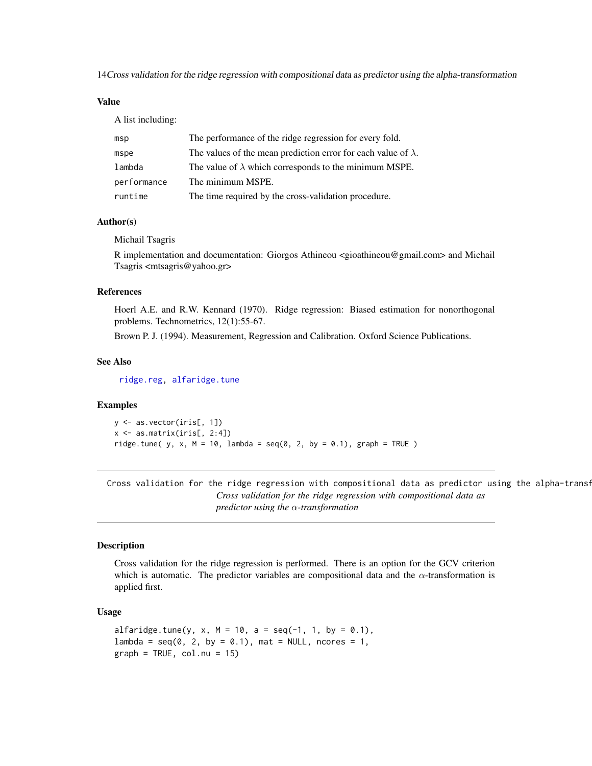<span id="page-13-0"></span>14Cross validation for the ridge regression with compositional data as predictor using the alpha-transformation

# Value

A list including:

| msp         | The performance of the ridge regression for every fold.               |
|-------------|-----------------------------------------------------------------------|
| mspe        | The values of the mean prediction error for each value of $\lambda$ . |
| lambda      | The value of $\lambda$ which corresponds to the minimum MSPE.         |
| performance | The minimum MSPE.                                                     |
| runtime     | The time required by the cross-validation procedure.                  |

# Author(s)

Michail Tsagris

R implementation and documentation: Giorgos Athineou <gioathineou@gmail.com> and Michail Tsagris <mtsagris@yahoo.gr>

#### References

Hoerl A.E. and R.W. Kennard (1970). Ridge regression: Biased estimation for nonorthogonal problems. Technometrics, 12(1):55-67.

Brown P. J. (1994). Measurement, Regression and Calibration. Oxford Science Publications.

#### See Also

[ridge.reg,](#page-81-1) [alfaridge.tune](#page-13-1)

# Examples

```
y <- as.vector(iris[, 1])
x \leftarrow as.matrix(iris[, 2:4])ridge.tune( y, x, M = 10, lambda = seq(0, 2, by = 0.1), graph = TRUE )
```
Cross validation for the ridge regression with compositional data as predictor using the alpha-transf *Cross validation for the ridge regression with compositional data as predictor using the* α*-transformation*

#### <span id="page-13-1"></span>Description

Cross validation for the ridge regression is performed. There is an option for the GCV criterion which is automatic. The predictor variables are compositional data and the  $\alpha$ -transformation is applied first.

# Usage

```
alfaridge.tune(y, x, M = 10, a = seq(-1, 1, by = 0.1),
lambda = seq(0, 2, by = 0.1), mat = NULL, ncores = 1,
graph = TRUE, col.nu = 15)
```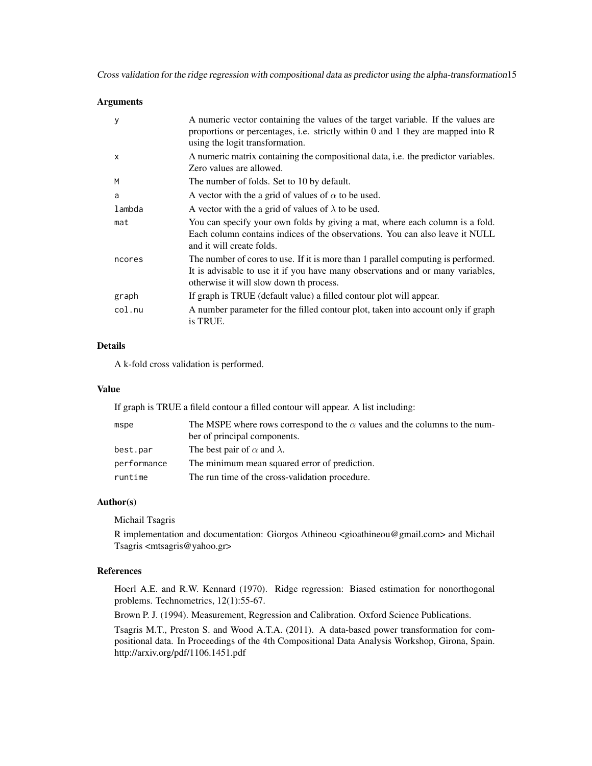Cross validation for the ridge regression with compositional data as predictor using the alpha-transformation15

#### **Arguments**

| У            | A numeric vector containing the values of the target variable. If the values are<br>proportions or percentages, i.e. strictly within 0 and 1 they are mapped into R<br>using the logit transformation.         |
|--------------|----------------------------------------------------------------------------------------------------------------------------------------------------------------------------------------------------------------|
| $\mathsf{x}$ | A numeric matrix containing the compositional data, i.e. the predictor variables.<br>Zero values are allowed.                                                                                                  |
| M            | The number of folds. Set to 10 by default.                                                                                                                                                                     |
| a            | A vector with the a grid of values of $\alpha$ to be used.                                                                                                                                                     |
| lambda       | A vector with the a grid of values of $\lambda$ to be used.                                                                                                                                                    |
| mat          | You can specify your own folds by giving a mat, where each column is a fold.<br>Each column contains indices of the observations. You can also leave it NULL<br>and it will create folds.                      |
| ncores       | The number of cores to use. If it is more than 1 parallel computing is performed.<br>It is advisable to use it if you have many observations and or many variables,<br>otherwise it will slow down th process. |
| graph        | If graph is TRUE (default value) a filled contour plot will appear.                                                                                                                                            |
| col.nu       | A number parameter for the filled contour plot, taken into account only if graph<br>is TRUE.                                                                                                                   |

# Details

A k-fold cross validation is performed.

# Value

If graph is TRUE a fileld contour a filled contour will appear. A list including:

| mspe        | The MSPE where rows correspond to the $\alpha$ values and the columns to the num- |
|-------------|-----------------------------------------------------------------------------------|
|             | ber of principal components.                                                      |
| best.par    | The best pair of $\alpha$ and $\lambda$ .                                         |
| performance | The minimum mean squared error of prediction.                                     |
| runtime     | The run time of the cross-validation procedure.                                   |

#### Author(s)

Michail Tsagris

R implementation and documentation: Giorgos Athineou <gioathineou@gmail.com> and Michail Tsagris <mtsagris@yahoo.gr>

# References

Hoerl A.E. and R.W. Kennard (1970). Ridge regression: Biased estimation for nonorthogonal problems. Technometrics, 12(1):55-67.

Brown P. J. (1994). Measurement, Regression and Calibration. Oxford Science Publications.

Tsagris M.T., Preston S. and Wood A.T.A. (2011). A data-based power transformation for compositional data. In Proceedings of the 4th Compositional Data Analysis Workshop, Girona, Spain. http://arxiv.org/pdf/1106.1451.pdf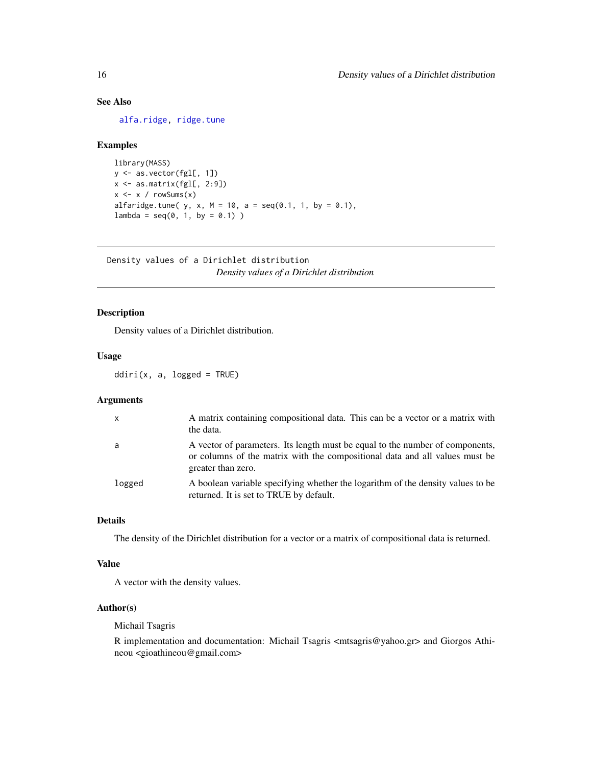# <span id="page-15-0"></span>See Also

[alfa.ridge,](#page-83-1) [ridge.tune](#page-12-1)

# Examples

```
library(MASS)
y <- as.vector(fgl[, 1])
x <- as.matrix(fgl[, 2:9])
x \leq x / \text{rowsums}(x)alfaridge.tune( y, x, M = 10, a = seq(0.1, 1, by = 0.1),
lambda = seq(0, 1, by = 0.1))
```
Density values of a Dirichlet distribution *Density values of a Dirichlet distribution*

# <span id="page-15-1"></span>Description

Density values of a Dirichlet distribution.

# Usage

 $ddiri(x, a, logged = TRUE)$ 

#### Arguments

| $\mathsf{X}$ | A matrix containing compositional data. This can be a vector or a matrix with<br>the data.                                                                                         |
|--------------|------------------------------------------------------------------------------------------------------------------------------------------------------------------------------------|
| a            | A vector of parameters. Its length must be equal to the number of components,<br>or columns of the matrix with the compositional data and all values must be<br>greater than zero. |
| logged       | A boolean variable specifying whether the logarithm of the density values to be<br>returned. It is set to TRUE by default.                                                         |

# Details

The density of the Dirichlet distribution for a vector or a matrix of compositional data is returned.

#### Value

A vector with the density values.

# Author(s)

Michail Tsagris

R implementation and documentation: Michail Tsagris <mtsagris@yahoo.gr> and Giorgos Athineou <gioathineou@gmail.com>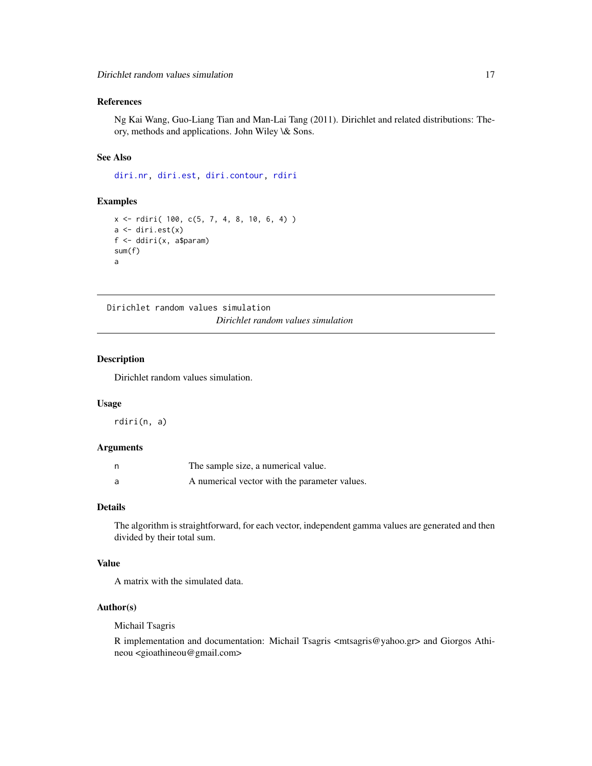# <span id="page-16-0"></span>References

Ng Kai Wang, Guo-Liang Tian and Man-Lai Tang (2011). Dirichlet and related distributions: Theory, methods and applications. John Wiley \& Sons.

## See Also

[diri.nr,](#page-35-1) [diri.est,](#page-33-1) [diri.contour,](#page-4-1) [rdiri](#page-16-1)

# Examples

```
x <- rdiri( 100, c(5, 7, 4, 8, 10, 6, 4) )
a \leftarrow \text{diri.est}(x)f <- ddiri(x, a$param)
sum(f)
a
```
Dirichlet random values simulation *Dirichlet random values simulation*

#### <span id="page-16-1"></span>Description

Dirichlet random values simulation.

# Usage

rdiri(n, a)

# Arguments

| The sample size, a numerical value.           |
|-----------------------------------------------|
| A numerical vector with the parameter values. |

#### Details

The algorithm is straightforward, for each vector, independent gamma values are generated and then divided by their total sum.

# Value

A matrix with the simulated data.

# Author(s)

Michail Tsagris

R implementation and documentation: Michail Tsagris <mtsagris@yahoo.gr> and Giorgos Athineou <gioathineou@gmail.com>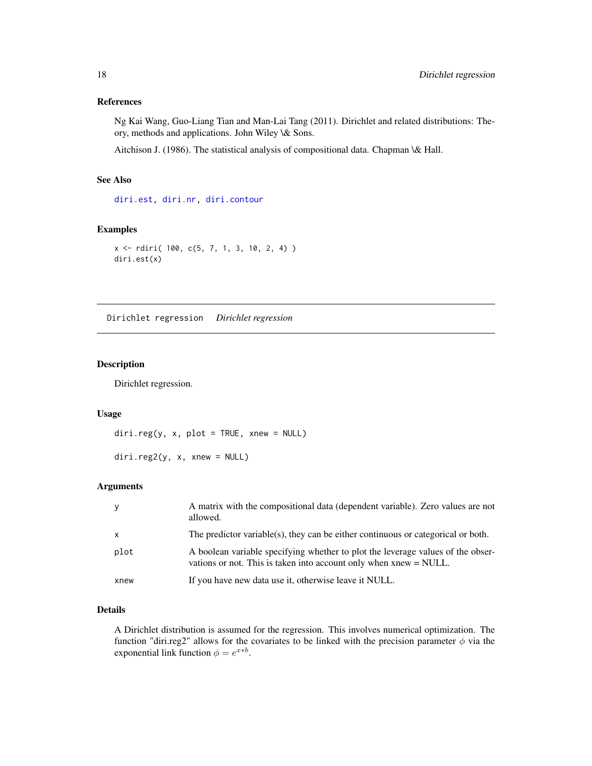#### <span id="page-17-0"></span>References

Ng Kai Wang, Guo-Liang Tian and Man-Lai Tang (2011). Dirichlet and related distributions: Theory, methods and applications. John Wiley \& Sons.

Aitchison J. (1986). The statistical analysis of compositional data. Chapman \& Hall.

# See Also

[diri.est,](#page-33-1) [diri.nr,](#page-35-1) [diri.contour](#page-4-1)

# Examples

```
x <- rdiri( 100, c(5, 7, 1, 3, 10, 2, 4) )
diri.est(x)
```
Dirichlet regression *Dirichlet regression*

# <span id="page-17-1"></span>Description

Dirichlet regression.

# Usage

```
diri.reg(y, x, plot = TRUE, xnew = NULL)
```
diri.reg2(y, x, xnew = NULL)

#### Arguments

|              | A matrix with the compositional data (dependent variable). Zero values are not<br>allowed.                                                              |
|--------------|---------------------------------------------------------------------------------------------------------------------------------------------------------|
| $\mathsf{x}$ | The predictor variable(s), they can be either continuous or categorical or both.                                                                        |
| plot         | A boolean variable specifying whether to plot the leverage values of the obser-<br>vations or not. This is taken into account only when $xnew = NULL$ . |
| xnew         | If you have new data use it, otherwise leave it NULL.                                                                                                   |

#### Details

A Dirichlet distribution is assumed for the regression. This involves numerical optimization. The function "diri.reg2" allows for the covariates to be linked with the precision parameter  $\phi$  via the exponential link function  $\phi = e^{x*b}$ .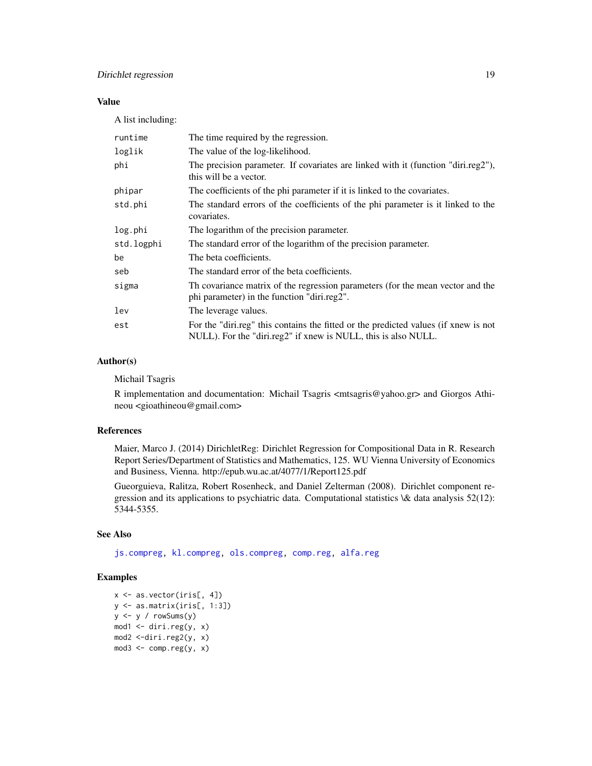# Value

A list including:

| runtime    | The time required by the regression.                                                                                                                  |
|------------|-------------------------------------------------------------------------------------------------------------------------------------------------------|
| loglik     | The value of the log-likelihood.                                                                                                                      |
| phi        | The precision parameter. If covariates are linked with it (function "diri.reg2"),<br>this will be a vector.                                           |
| phipar     | The coefficients of the phi parameter if it is linked to the covariates.                                                                              |
| std.phi    | The standard errors of the coefficients of the phi parameter is it linked to the<br>covariates.                                                       |
| log.phi    | The logarithm of the precision parameter.                                                                                                             |
| std.logphi | The standard error of the logarithm of the precision parameter.                                                                                       |
| be         | The beta coefficients.                                                                                                                                |
| seb        | The standard error of the beta coefficients.                                                                                                          |
| sigma      | The covariance matrix of the regression parameters (for the mean vector and the<br>phi parameter) in the function "diri.reg2".                        |
| lev        | The leverage values.                                                                                                                                  |
| est        | For the "diri.reg" this contains the fitted or the predicted values (if xnew is not<br>NULL). For the "diri.reg2" if xnew is NULL, this is also NULL. |

# Author(s)

Michail Tsagris

R implementation and documentation: Michail Tsagris <mtsagris@yahoo.gr> and Giorgos Athineou <gioathineou@gmail.com>

# References

Maier, Marco J. (2014) DirichletReg: Dirichlet Regression for Compositional Data in R. Research Report Series/Department of Statistics and Mathematics, 125. WU Vienna University of Economics and Business, Vienna. http://epub.wu.ac.at/4077/1/Report125.pdf

Gueorguieva, Ralitza, Robert Rosenheck, and Daniel Zelterman (2008). Dirichlet component regression and its applications to psychiatric data. Computational statistics \& data analysis 52(12): 5344-5355.

# See Also

[js.compreg,](#page-19-1) [kl.compreg,](#page-19-1) [ols.compreg,](#page-68-1) [comp.reg,](#page-64-1) [alfa.reg](#page-76-1)

#### Examples

```
x <- as.vector(iris[, 4])
y <- as.matrix(iris[, 1:3])
y <- y / rowSums(y)
mod1 <- diri.reg(y, x)
mod2 <-diri.reg2(y, x)
mod3 \leq \text{comp} \, \text{reg}(y, x)
```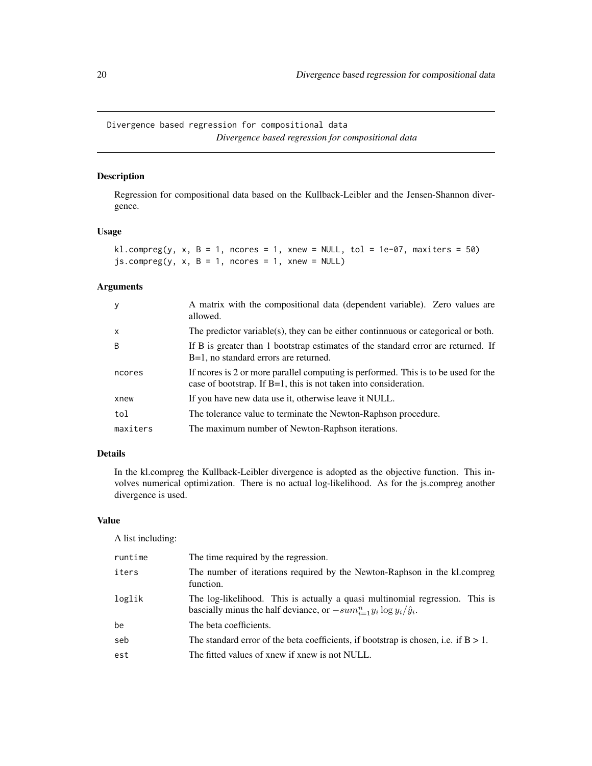<span id="page-19-0"></span>Divergence based regression for compositional data *Divergence based regression for compositional data*

# <span id="page-19-1"></span>Description

Regression for compositional data based on the Kullback-Leibler and the Jensen-Shannon divergence.

# Usage

```
kl.compreg(y, x, B = 1, ncores = 1, xnew = NULL, tol = 1e-07, maxiters = 50)
js.compreg(y, x, B = 1, nocres = 1, xnew = NULL)
```
# Arguments

| y            | A matrix with the compositional data (dependent variable). Zero values are<br>allowed.                                                                    |
|--------------|-----------------------------------------------------------------------------------------------------------------------------------------------------------|
| $\mathsf{x}$ | The predictor variable(s), they can be either continuous or categorical or both.                                                                          |
| B            | If B is greater than 1 bootstrap estimates of the standard error are returned. If<br>B=1, no standard errors are returned.                                |
| ncores       | If neores is 2 or more parallel computing is performed. This is to be used for the<br>case of bootstrap. If $B=1$ , this is not taken into consideration. |
| xnew         | If you have new data use it, otherwise leave it NULL.                                                                                                     |
| tol          | The tolerance value to terminate the Newton-Raphson procedure.                                                                                            |
| maxiters     | The maximum number of Newton-Raphson iterations.                                                                                                          |

# Details

In the kl.compreg the Kullback-Leibler divergence is adopted as the objective function. This involves numerical optimization. There is no actual log-likelihood. As for the js.compreg another divergence is used.

#### Value

A list including:

| runtime | The time required by the regression.                                                                                                                          |
|---------|---------------------------------------------------------------------------------------------------------------------------------------------------------------|
| iters   | The number of iterations required by the Newton-Raphson in the kl.compreg<br>function.                                                                        |
| loglik  | The log-likelihood. This is actually a quasi multinomial regression. This is<br>bascially minus the half deviance, or $-sum_{i=1}^n y_i \log y_i/\hat{y}_i$ . |
| be      | The beta coefficients.                                                                                                                                        |
| seb     | The standard error of the beta coefficients, if bootstrap is chosen, i.e. if $B > 1$ .                                                                        |
| est     | The fitted values of xnew if xnew is not NULL.                                                                                                                |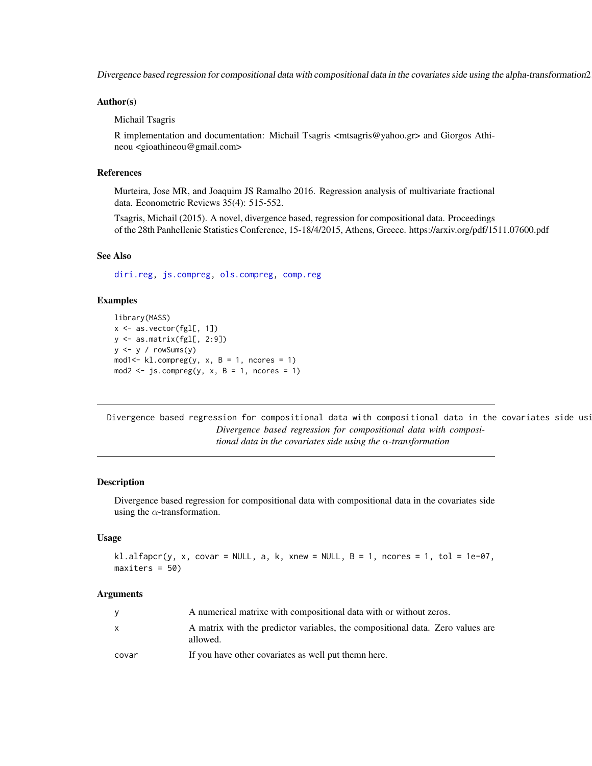<span id="page-20-0"></span>Divergence based regression for compositional data with compositional data in the covariates side using the alpha-transformation21

#### Author(s)

Michail Tsagris

R implementation and documentation: Michail Tsagris <mtsagris@yahoo.gr> and Giorgos Athineou <gioathineou@gmail.com>

#### References

Murteira, Jose MR, and Joaquim JS Ramalho 2016. Regression analysis of multivariate fractional data. Econometric Reviews 35(4): 515-552.

Tsagris, Michail (2015). A novel, divergence based, regression for compositional data. Proceedings of the 28th Panhellenic Statistics Conference, 15-18/4/2015, Athens, Greece. https://arxiv.org/pdf/1511.07600.pdf

# See Also

[diri.reg,](#page-17-1) [js.compreg,](#page-19-1) [ols.compreg,](#page-68-1) [comp.reg](#page-64-1)

#### Examples

```
library(MASS)
x <- as.vector(fgl[, 1])
y <- as.matrix(fgl[, 2:9])
y \leftarrow y / \text{rowsums}(y)mod1 <- kl.compreg(y, x, B = 1, ncores = 1)
mod2 <- js.compreg(y, x, B = 1, ncores = 1)
```
Divergence based regression for compositional data with compositional data in the covariates side usi *Divergence based regression for compositional data with compositional data in the covariates side using the* α*-transformation*

#### Description

Divergence based regression for compositional data with compositional data in the covariates side using the  $\alpha$ -transformation.

#### Usage

```
kl.alfapcr(y, x, covar = NULL, a, k, xnew = NULL, B = 1, ncores = 1, tol = 1e-07,
maxiters = 50)
```
#### Arguments

|       | A numerical matrixe with compositional data with or without zeros.                         |
|-------|--------------------------------------------------------------------------------------------|
| X     | A matrix with the predictor variables, the compositional data. Zero values are<br>allowed. |
| covar | If you have other covariates as well put them here.                                        |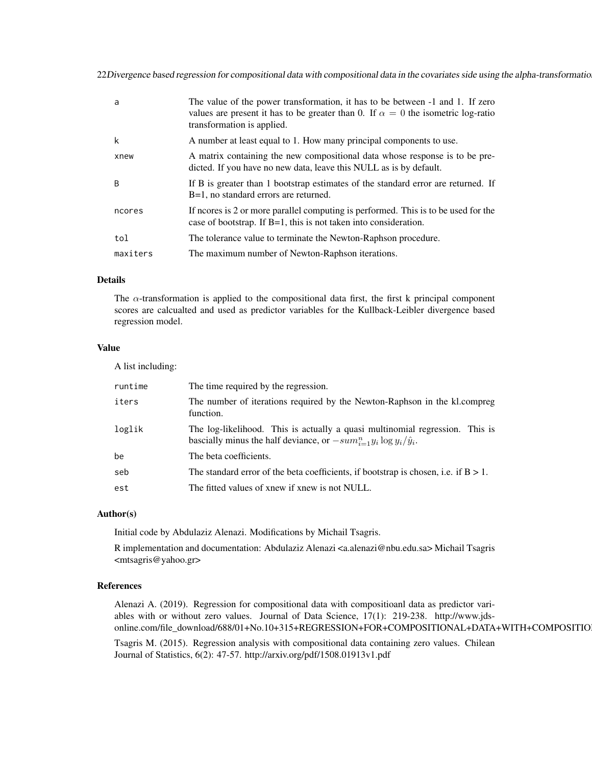22Divergence based regression for compositional data with compositional data in the covariates side using the alpha-transformatio

| a        | The value of the power transformation, it has to be between -1 and 1. If zero<br>values are present it has to be greater than 0. If $\alpha = 0$ the isometric log-ratio<br>transformation is applied. |
|----------|--------------------------------------------------------------------------------------------------------------------------------------------------------------------------------------------------------|
| k        | A number at least equal to 1. How many principal components to use.                                                                                                                                    |
| xnew     | A matrix containing the new compositional data whose response is to be pre-<br>dicted. If you have no new data, leave this NULL as is by default.                                                      |
| B        | If B is greater than 1 bootstrap estimates of the standard error are returned. If<br>B=1, no standard errors are returned.                                                                             |
| ncores   | If neores is 2 or more parallel computing is performed. This is to be used for the<br>case of bootstrap. If $B=1$ , this is not taken into consideration.                                              |
| tol      | The tolerance value to terminate the Newton-Raphson procedure.                                                                                                                                         |
| maxiters | The maximum number of Newton-Raphson iterations.                                                                                                                                                       |

# Details

The  $\alpha$ -transformation is applied to the compositional data first, the first k principal component scores are calcualted and used as predictor variables for the Kullback-Leibler divergence based regression model.

# Value

A list including:

| runtime | The time required by the regression.                                                                                                                          |
|---------|---------------------------------------------------------------------------------------------------------------------------------------------------------------|
| iters   | The number of iterations required by the Newton-Raphson in the kl.compreg<br>function.                                                                        |
| loglik  | The log-likelihood. This is actually a quasi multinomial regression. This is<br>bascially minus the half deviance, or $-sum_{i=1}^n y_i \log y_i/\hat{y}_i$ . |
| be      | The beta coefficients.                                                                                                                                        |
| seb     | The standard error of the beta coefficients, if bootstrap is chosen, i.e. if $B > 1$ .                                                                        |
| est     | The fitted values of xnew if xnew is not NULL.                                                                                                                |

# Author(s)

Initial code by Abdulaziz Alenazi. Modifications by Michail Tsagris.

R implementation and documentation: Abdulaziz Alenazi <a.alenazi@nbu.edu.sa> Michail Tsagris <mtsagris@yahoo.gr>

#### References

Alenazi A. (2019). Regression for compositional data with compositioanl data as predictor variables with or without zero values. Journal of Data Science, 17(1): 219-238. http://www.jdsonline.com/file\_download/688/01+No.10+315+REGRESSION+FOR+COMPOSITIONAL+DATA+WITH+COMPOSITIO

Tsagris M. (2015). Regression analysis with compositional data containing zero values. Chilean Journal of Statistics, 6(2): 47-57. http://arxiv.org/pdf/1508.01913v1.pdf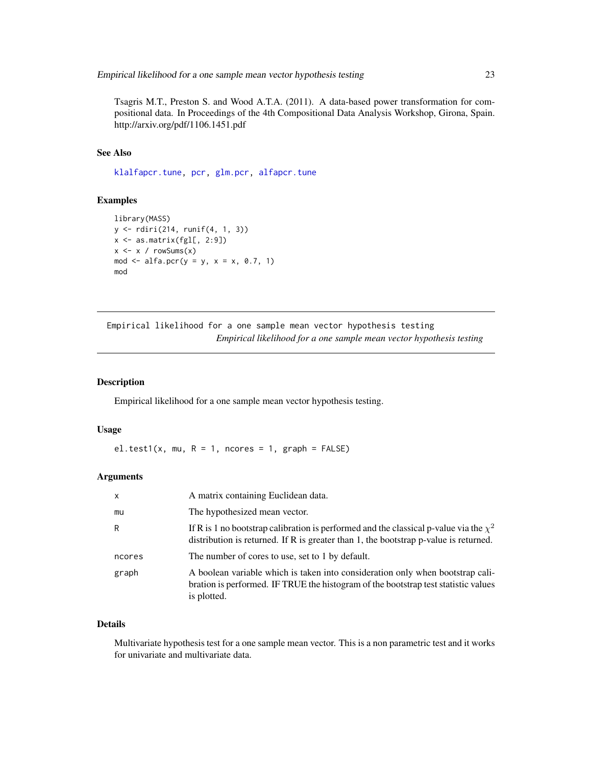<span id="page-22-0"></span>Tsagris M.T., Preston S. and Wood A.T.A. (2011). A data-based power transformation for compositional data. In Proceedings of the 4th Compositional Data Analysis Workshop, Girona, Spain. http://arxiv.org/pdf/1106.1451.pdf

# See Also

[klalfapcr.tune,](#page-101-1) [pcr,](#page-72-1) [glm.pcr,](#page-71-1) [alfapcr.tune](#page-106-1)

#### Examples

```
library(MASS)
y <- rdiri(214, runif(4, 1, 3))
x \leftarrow as.matrix(fgl[, 2:9])x \leftarrow x / \text{rowsums}(x)mod <- alfa.pcr(y = y, x = x, 0.7, 1)
mod
```
Empirical likelihood for a one sample mean vector hypothesis testing *Empirical likelihood for a one sample mean vector hypothesis testing*

# <span id="page-22-1"></span>Description

Empirical likelihood for a one sample mean vector hypothesis testing.

#### Usage

el.test1(x, mu,  $R = 1$ , ncores = 1, graph = FALSE)

#### Arguments

| $\mathsf{x}$ | A matrix containing Euclidean data.                                                                                                                                                     |
|--------------|-----------------------------------------------------------------------------------------------------------------------------------------------------------------------------------------|
| mu           | The hypothesized mean vector.                                                                                                                                                           |
| R            | If R is 1 no bootstrap calibration is performed and the classical p-value via the $\chi^2$<br>distribution is returned. If $R$ is greater than 1, the bootstrap $p$ -value is returned. |
| ncores       | The number of cores to use, set to 1 by default.                                                                                                                                        |
| graph        | A boolean variable which is taken into consideration only when bootstrap cali-<br>bration is performed. IF TRUE the histogram of the bootstrap test statistic values<br>is plotted.     |

# Details

Multivariate hypothesis test for a one sample mean vector. This is a non parametric test and it works for univariate and multivariate data.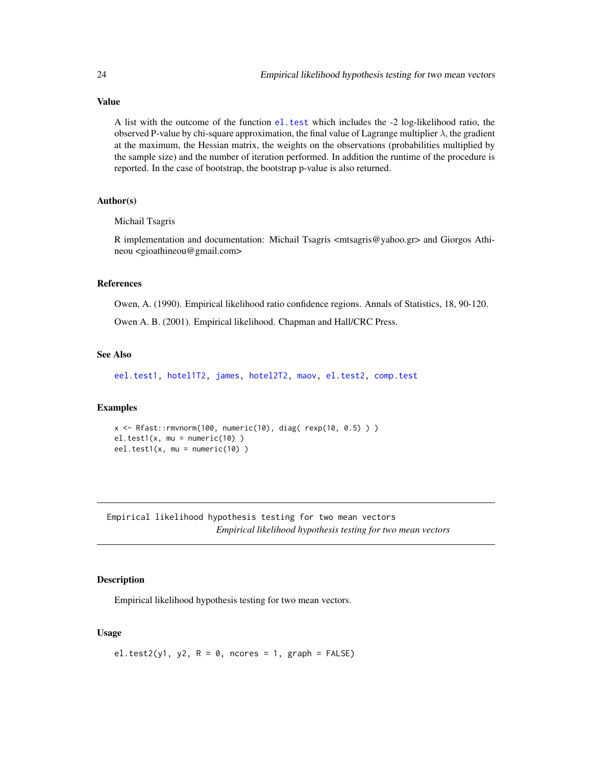# Value

A list with the outcome of the function [el.test](#page-0-0) which includes the -2 log-likelihood ratio, the observed P-value by chi-square approximation, the final value of Lagrange multiplier  $\lambda$ , the gradient at the maximum, the Hessian matrix, the weights on the observations (probabilities multiplied by the sample size) and the number of iteration performed. In addition the runtime of the procedure is reported. In the case of bootstrap, the bootstrap p-value is also returned.

# Author(s)

#### Michail Tsagris

R implementation and documentation: Michail Tsagris <mtsagris@yahoo.gr> and Giorgos Athineou <gioathineou@gmail.com>

#### References

Owen, A. (1990). Empirical likelihood ratio confidence regions. Annals of Statistics, 18, 90-120.

Owen A. B. (2001). Empirical likelihood. Chapman and Hall/CRC Press.

#### See Also

[eel.test1,](#page-29-1) [hotel1T2,](#page-39-1) [james,](#page-45-1) [hotel2T2,](#page-41-1) [maov,](#page-56-1) [el.test2,](#page-23-1) [comp.test](#page-42-1)

#### Examples

```
x <- Rfast::rmvnorm(100, numeric(10), diag( rexp(10, 0.5) ) )
el.test1(x, mu = numeric(10))eel.test1(x, mu = numeric(10))
```
Empirical likelihood hypothesis testing for two mean vectors *Empirical likelihood hypothesis testing for two mean vectors*

# <span id="page-23-1"></span>Description

Empirical likelihood hypothesis testing for two mean vectors.

#### Usage

el.test2(y1, y2,  $R = 0$ , ncores = 1, graph = FALSE)

<span id="page-23-0"></span>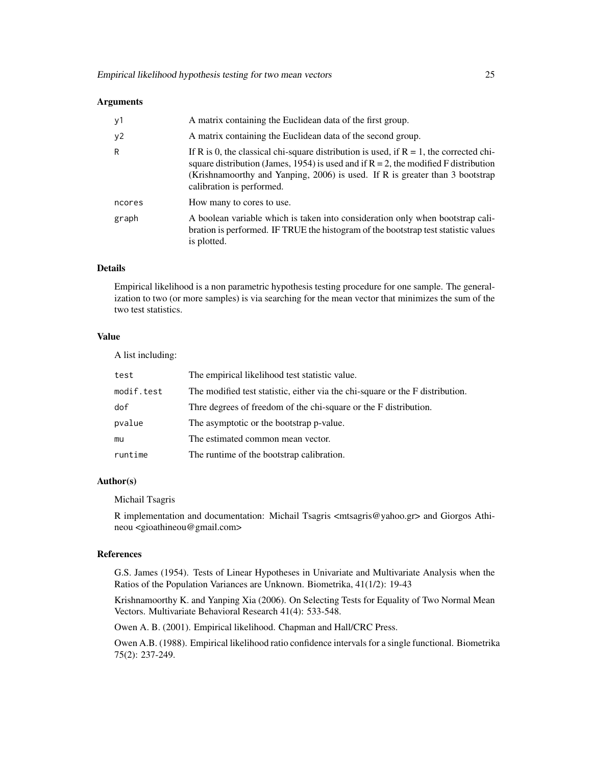#### **Arguments**

| y1     | A matrix containing the Euclidean data of the first group.                                                                                                                                                                                                                                       |
|--------|--------------------------------------------------------------------------------------------------------------------------------------------------------------------------------------------------------------------------------------------------------------------------------------------------|
| y2     | A matrix containing the Euclidean data of the second group.                                                                                                                                                                                                                                      |
| R      | If R is 0, the classical chi-square distribution is used, if $R = 1$ , the corrected chi-<br>square distribution (James, 1954) is used and if $R = 2$ , the modified F distribution<br>(Krishnamoorthy and Yanping, 2006) is used. If R is greater than 3 bootstrap<br>calibration is performed. |
| ncores | How many to cores to use.                                                                                                                                                                                                                                                                        |
| graph  | A boolean variable which is taken into consideration only when bootstrap cali-<br>bration is performed. IF TRUE the histogram of the bootstrap test statistic values<br>is plotted.                                                                                                              |

#### Details

Empirical likelihood is a non parametric hypothesis testing procedure for one sample. The generalization to two (or more samples) is via searching for the mean vector that minimizes the sum of the two test statistics.

# Value

A list including:

| test       | The empirical likelihood test statistic value.                                |
|------------|-------------------------------------------------------------------------------|
| modif.test | The modified test statistic, either via the chi-square or the F distribution. |
| dof        | Thre degrees of freedom of the chi-square or the F distribution.              |
| pvalue     | The asymptotic or the bootstrap p-value.                                      |
| mu         | The estimated common mean vector.                                             |
| runtime    | The runtime of the bootstrap calibration.                                     |

#### Author(s)

Michail Tsagris

R implementation and documentation: Michail Tsagris  $\langle$ mtsagris@yahoo.gr> and Giorgos Athineou <gioathineou@gmail.com>

#### References

G.S. James (1954). Tests of Linear Hypotheses in Univariate and Multivariate Analysis when the Ratios of the Population Variances are Unknown. Biometrika, 41(1/2): 19-43

Krishnamoorthy K. and Yanping Xia (2006). On Selecting Tests for Equality of Two Normal Mean Vectors. Multivariate Behavioral Research 41(4): 533-548.

Owen A. B. (2001). Empirical likelihood. Chapman and Hall/CRC Press.

Owen A.B. (1988). Empirical likelihood ratio confidence intervals for a single functional. Biometrika 75(2): 237-249.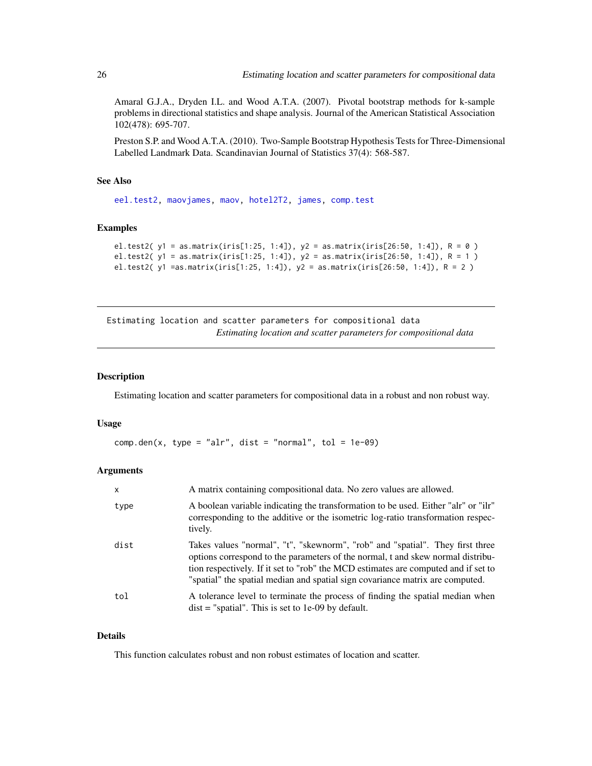<span id="page-25-0"></span>Amaral G.J.A., Dryden I.L. and Wood A.T.A. (2007). Pivotal bootstrap methods for k-sample problems in directional statistics and shape analysis. Journal of the American Statistical Association 102(478): 695-707.

Preston S.P. and Wood A.T.A. (2010). Two-Sample Bootstrap Hypothesis Tests for Three-Dimensional Labelled Landmark Data. Scandinavian Journal of Statistics 37(4): 568-587.

# See Also

[eel.test2,](#page-30-1) [maovjames,](#page-57-1) [maov,](#page-56-1) [hotel2T2,](#page-41-1) [james,](#page-45-1) [comp.test](#page-42-1)

# Examples

```
el.test2( y1 = as.matrix(iris[1:25, 1:4]), y2 = as.matrix(iris[26:50, 1:4]), R = 0 )
el.test2( y1 = as.matrix(iris[1:25, 1:4]), y2 = as.matrix(iris[26:50, 1:4]), R = 1 )
el.test2( y1 =as.matrix(iris[1:25, 1:4]), y2 = as.matrix(iris[26:50, 1:4]), R = 2 )
```
Estimating location and scatter parameters for compositional data *Estimating location and scatter parameters for compositional data*

#### Description

Estimating location and scatter parameters for compositional data in a robust and non robust way.

#### Usage

 $comp.den(x, type = "alr", dist = "normal", tol = 1e-09)$ 

#### Arguments

| $\mathsf{x}$ | A matrix containing compositional data. No zero values are allowed.                                                                                                                                                                                                                                                                     |
|--------------|-----------------------------------------------------------------------------------------------------------------------------------------------------------------------------------------------------------------------------------------------------------------------------------------------------------------------------------------|
| type         | A boolean variable indicating the transformation to be used. Either "alr" or "ilr"<br>corresponding to the additive or the isometric log-ratio transformation respec-<br>tively.                                                                                                                                                        |
| dist         | Takes values "normal", "t", "skewnorm", "rob" and "spatial". They first three<br>options correspond to the parameters of the normal, t and skew normal distribu-<br>tion respectively. If it set to "rob" the MCD estimates are computed and if set to<br>"spatial" the spatial median and spatial sign covariance matrix are computed. |
| tol          | A tolerance level to terminate the process of finding the spatial median when<br>$dist =$ "spatial". This is set to 1e-09 by default.                                                                                                                                                                                                   |

#### Details

This function calculates robust and non robust estimates of location and scatter.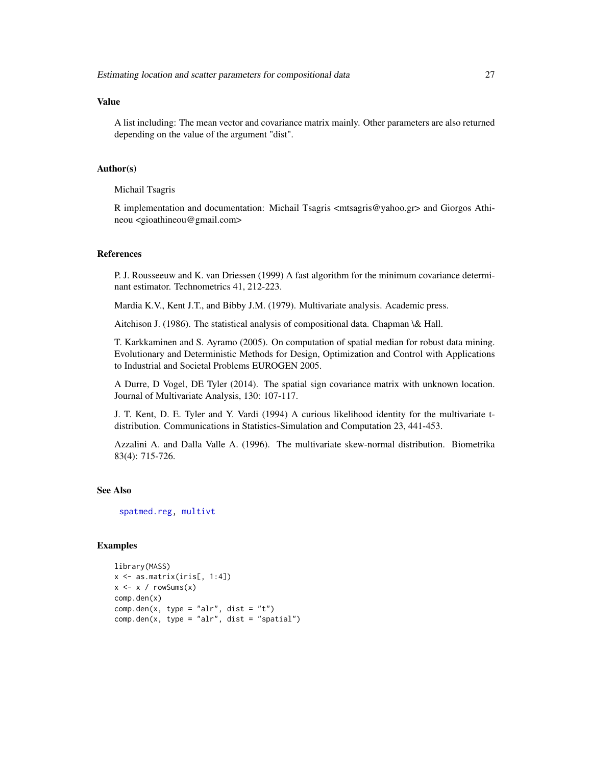# Value

A list including: The mean vector and covariance matrix mainly. Other parameters are also returned depending on the value of the argument "dist".

### Author(s)

Michail Tsagris

R implementation and documentation: Michail Tsagris  $\langle$ mtsagris@yahoo.gr> and Giorgos Athineou <gioathineou@gmail.com>

# References

P. J. Rousseeuw and K. van Driessen (1999) A fast algorithm for the minimum covariance determinant estimator. Technometrics 41, 212-223.

Mardia K.V., Kent J.T., and Bibby J.M. (1979). Multivariate analysis. Academic press.

Aitchison J. (1986). The statistical analysis of compositional data. Chapman \& Hall.

T. Karkkaminen and S. Ayramo (2005). On computation of spatial median for robust data mining. Evolutionary and Deterministic Methods for Design, Optimization and Control with Applications to Industrial and Societal Problems EUROGEN 2005.

A Durre, D Vogel, DE Tyler (2014). The spatial sign covariance matrix with unknown location. Journal of Multivariate Analysis, 130: 107-117.

J. T. Kent, D. E. Tyler and Y. Vardi (1994) A curious likelihood identity for the multivariate tdistribution. Communications in Statistics-Simulation and Computation 23, 441-453.

Azzalini A. and Dalla Valle A. (1996). The multivariate skew-normal distribution. Biometrika 83(4): 715-726.

# See Also

[spatmed.reg,](#page-88-1) [multivt](#page-52-1)

### Examples

```
library(MASS)
x \leftarrow as_matrix(iris[, 1:4])x \leftarrow x / rowsums(x)comp.den(x)
comp.den(x, type = "alr", dist = "t")comp.den(x, type = "alr", dist = "spatial")
```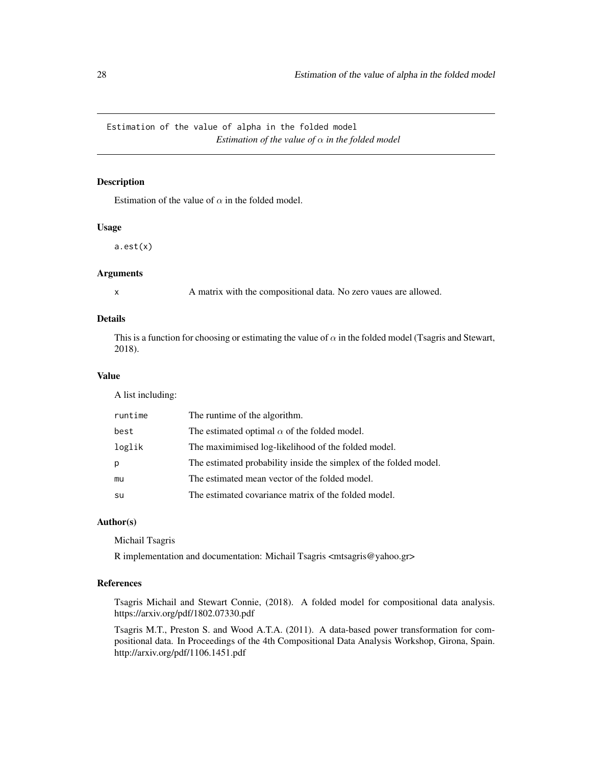<span id="page-27-0"></span>Estimation of the value of alpha in the folded model *Estimation of the value of*  $\alpha$  *in the folded model* 

# Description

Estimation of the value of  $\alpha$  in the folded model.

#### Usage

a.est(x)

# Arguments

x A matrix with the compositional data. No zero vaues are allowed.

# Details

This is a function for choosing or estimating the value of  $\alpha$  in the folded model (Tsagris and Stewart, 2018).

# Value

A list including:

| runtime | The runtime of the algorithm.                                     |
|---------|-------------------------------------------------------------------|
| best    | The estimated optimal $\alpha$ of the folded model.               |
| loglik  | The maximimised log-likelihood of the folded model.               |
| р       | The estimated probability inside the simplex of the folded model. |
| mu      | The estimated mean vector of the folded model.                    |
| su      | The estimated covariance matrix of the folded model.              |

# Author(s)

Michail Tsagris

R implementation and documentation: Michail Tsagris <mtsagris@yahoo.gr>

# References

Tsagris Michail and Stewart Connie, (2018). A folded model for compositional data analysis. https://arxiv.org/pdf/1802.07330.pdf

Tsagris M.T., Preston S. and Wood A.T.A. (2011). A data-based power transformation for compositional data. In Proceedings of the 4th Compositional Data Analysis Workshop, Girona, Spain. http://arxiv.org/pdf/1106.1451.pdf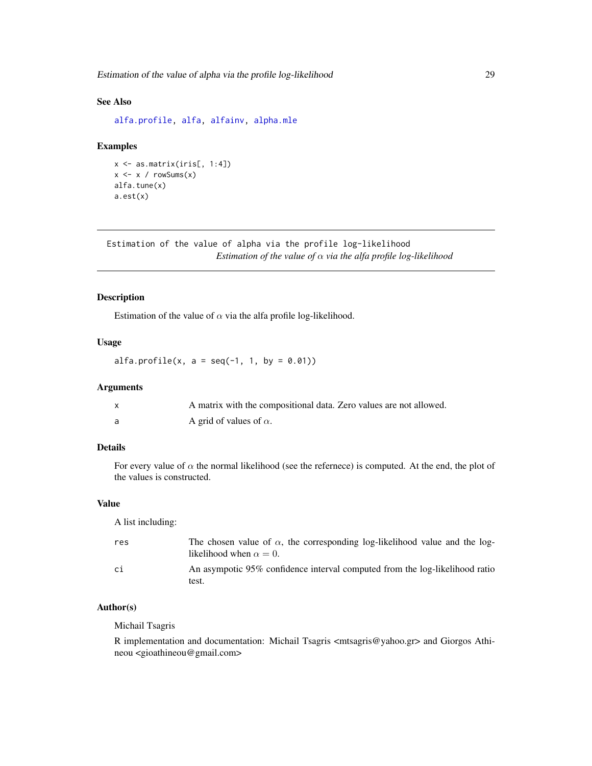# <span id="page-28-0"></span>See Also

[alfa.profile,](#page-28-1) [alfa,](#page-93-1) [alfainv,](#page-44-1) [alpha.mle](#page-55-1)

#### Examples

```
x <- as.matrix(iris[, 1:4])
x \leftarrow x / rowsums(x)alfa.tune(x)
a.est(x)
```
Estimation of the value of alpha via the profile log-likelihood *Estimation of the value of* α *via the alfa profile log-likelihood*

# <span id="page-28-1"></span>Description

Estimation of the value of  $\alpha$  via the alfa profile log-likelihood.

#### Usage

 $alfa.profile(x, a = seq(-1, 1, by = 0.01))$ 

#### Arguments

| X | A matrix with the compositional data. Zero values are not allowed. |
|---|--------------------------------------------------------------------|
|   | A grid of values of $\alpha$ .                                     |

# Details

For every value of  $\alpha$  the normal likelihood (see the refernece) is computed. At the end, the plot of the values is constructed.

# Value

A list including:

| res | The chosen value of $\alpha$ , the corresponding log-likelihood value and the log-<br>likelihood when $\alpha = 0$ . |
|-----|----------------------------------------------------------------------------------------------------------------------|
| ci  | An asympotic 95% confidence interval computed from the log-likelihood ratio<br>test.                                 |

# Author(s)

Michail Tsagris

R implementation and documentation: Michail Tsagris <mtsagris@yahoo.gr> and Giorgos Athineou <gioathineou@gmail.com>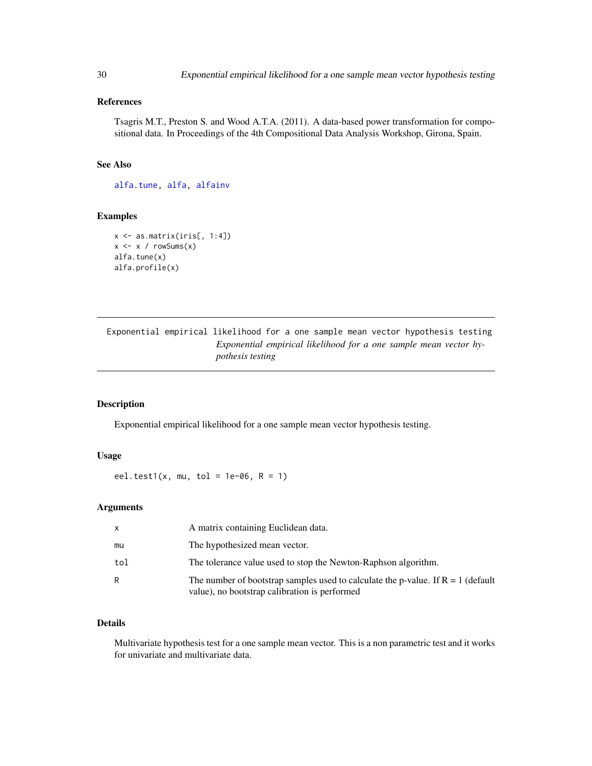# <span id="page-29-0"></span>References

Tsagris M.T., Preston S. and Wood A.T.A. (2011). A data-based power transformation for compositional data. In Proceedings of the 4th Compositional Data Analysis Workshop, Girona, Spain.

# See Also

[alfa.tune,](#page-32-1) [alfa,](#page-93-1) [alfainv](#page-44-1)

#### Examples

```
x \leftarrow as.matrix(iris[, 1:4])x \le -x / \text{rowsums}(x)alfa.tune(x)
alfa.profile(x)
```
Exponential empirical likelihood for a one sample mean vector hypothesis testing *Exponential empirical likelihood for a one sample mean vector hypothesis testing*

# <span id="page-29-1"></span>Description

Exponential empirical likelihood for a one sample mean vector hypothesis testing.

#### Usage

eel.test1(x, mu, tol = 1e-06,  $R = 1$ )

#### Arguments

|     | A matrix containing Euclidean data.                                                                                                 |
|-----|-------------------------------------------------------------------------------------------------------------------------------------|
| mu  | The hypothesized mean vector.                                                                                                       |
| tol | The tolerance value used to stop the Newton-Raphson algorithm.                                                                      |
| R.  | The number of bootstrap samples used to calculate the p-value. If $R = 1$ (default<br>value), no bootstrap calibration is performed |

# Details

Multivariate hypothesis test for a one sample mean vector. This is a non parametric test and it works for univariate and multivariate data.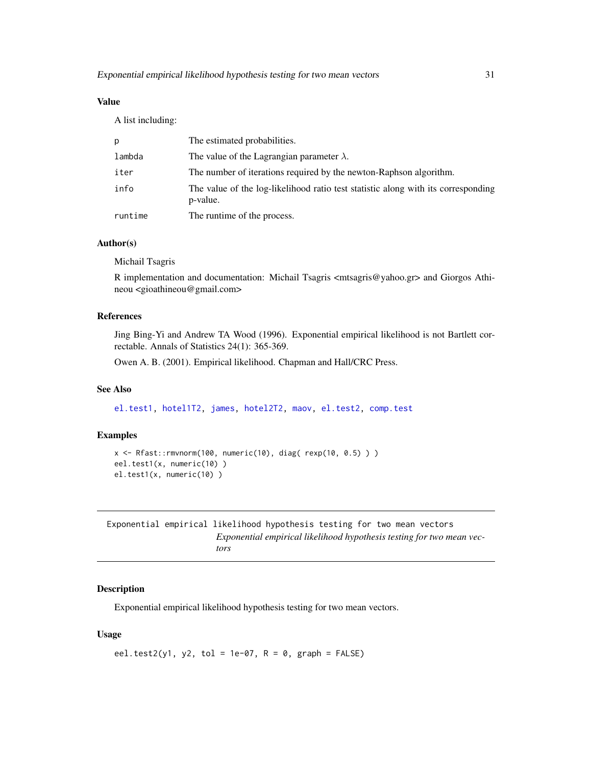# <span id="page-30-0"></span>Value

A list including:

| p       | The estimated probabilities.                                                                  |
|---------|-----------------------------------------------------------------------------------------------|
| lambda  | The value of the Lagrangian parameter $\lambda$ .                                             |
| iter    | The number of iterations required by the newton-Raphson algorithm.                            |
| info    | The value of the log-likelihood ratio test statistic along with its corresponding<br>p-value. |
| runtime | The runtime of the process.                                                                   |

# Author(s)

Michail Tsagris

R implementation and documentation: Michail Tsagris <mtsagris@yahoo.gr> and Giorgos Athineou <gioathineou@gmail.com>

# References

Jing Bing-Yi and Andrew TA Wood (1996). Exponential empirical likelihood is not Bartlett correctable. Annals of Statistics 24(1): 365-369.

Owen A. B. (2001). Empirical likelihood. Chapman and Hall/CRC Press.

# See Also

[el.test1,](#page-22-1) [hotel1T2,](#page-39-1) [james,](#page-45-1) [hotel2T2,](#page-41-1) [maov,](#page-56-1) [el.test2,](#page-23-1) [comp.test](#page-42-1)

#### Examples

```
x \leq R fast:: rmvnorm(100, numeric(10), diag( rexp(10, 0.5)))
eel.test1(x, numeric(10) )
el.test1(x, numeric(10) )
```
Exponential empirical likelihood hypothesis testing for two mean vectors *Exponential empirical likelihood hypothesis testing for two mean vectors*

#### <span id="page-30-1"></span>Description

Exponential empirical likelihood hypothesis testing for two mean vectors.

#### Usage

```
eel.test2(y1, y2, tol = 1e-07, R = 0, graph = FALSE)
```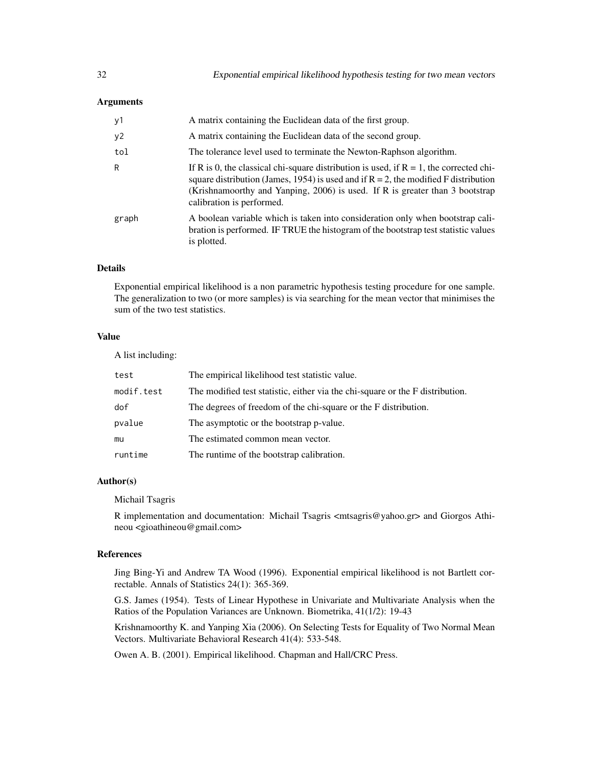#### **Arguments**

| y1    | A matrix containing the Euclidean data of the first group.                                                                                                                                                                                                                                       |
|-------|--------------------------------------------------------------------------------------------------------------------------------------------------------------------------------------------------------------------------------------------------------------------------------------------------|
| y2    | A matrix containing the Euclidean data of the second group.                                                                                                                                                                                                                                      |
| tol   | The tolerance level used to terminate the Newton-Raphson algorithm.                                                                                                                                                                                                                              |
| R     | If R is 0, the classical chi-square distribution is used, if $R = 1$ , the corrected chi-<br>square distribution (James, 1954) is used and if $R = 2$ , the modified F distribution<br>(Krishnamoorthy and Yanping, 2006) is used. If R is greater than 3 bootstrap<br>calibration is performed. |
| graph | A boolean variable which is taken into consideration only when bootstrap cali-<br>bration is performed. IF TRUE the histogram of the bootstrap test statistic values<br>is plotted.                                                                                                              |

#### Details

Exponential empirical likelihood is a non parametric hypothesis testing procedure for one sample. The generalization to two (or more samples) is via searching for the mean vector that minimises the sum of the two test statistics.

# Value

A list including:

| test       | The empirical likelihood test statistic value.                                |
|------------|-------------------------------------------------------------------------------|
| modif.test | The modified test statistic, either via the chi-square or the F distribution. |
| dof        | The degrees of freedom of the chi-square or the F distribution.               |
| pvalue     | The asymptotic or the bootstrap p-value.                                      |
| mu         | The estimated common mean vector.                                             |
| runtime    | The runtime of the bootstrap calibration.                                     |

#### Author(s)

Michail Tsagris

R implementation and documentation: Michail Tsagris  $\langle$ mtsagris@yahoo.gr> and Giorgos Athineou <gioathineou@gmail.com>

#### References

Jing Bing-Yi and Andrew TA Wood (1996). Exponential empirical likelihood is not Bartlett correctable. Annals of Statistics 24(1): 365-369.

G.S. James (1954). Tests of Linear Hypothese in Univariate and Multivariate Analysis when the Ratios of the Population Variances are Unknown. Biometrika, 41(1/2): 19-43

Krishnamoorthy K. and Yanping Xia (2006). On Selecting Tests for Equality of Two Normal Mean Vectors. Multivariate Behavioral Research 41(4): 533-548.

Owen A. B. (2001). Empirical likelihood. Chapman and Hall/CRC Press.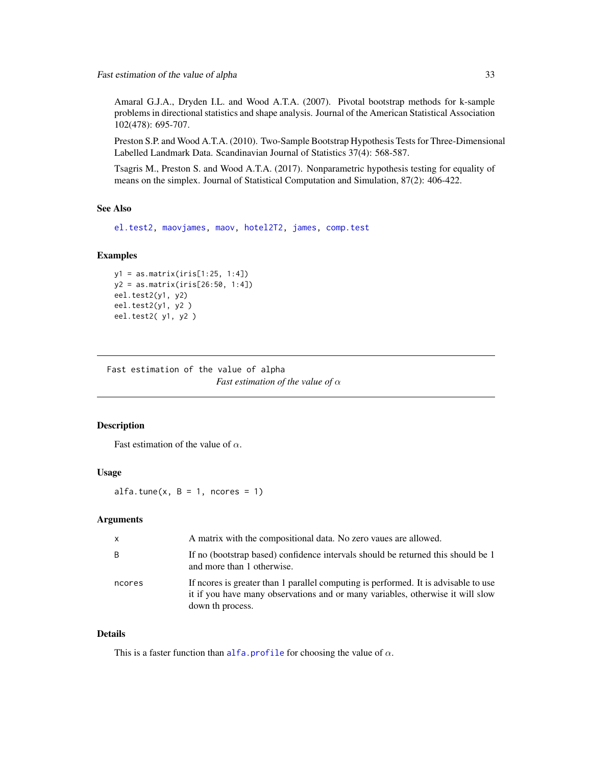<span id="page-32-0"></span>Amaral G.J.A., Dryden I.L. and Wood A.T.A. (2007). Pivotal bootstrap methods for k-sample problems in directional statistics and shape analysis. Journal of the American Statistical Association 102(478): 695-707.

Preston S.P. and Wood A.T.A. (2010). Two-Sample Bootstrap Hypothesis Tests for Three-Dimensional Labelled Landmark Data. Scandinavian Journal of Statistics 37(4): 568-587.

Tsagris M., Preston S. and Wood A.T.A. (2017). Nonparametric hypothesis testing for equality of means on the simplex. Journal of Statistical Computation and Simulation, 87(2): 406-422.

#### See Also

[el.test2,](#page-23-1) [maovjames,](#page-57-1) [maov,](#page-56-1) [hotel2T2,](#page-41-1) [james,](#page-45-1) [comp.test](#page-42-1)

# Examples

```
y1 = as.matrix(iris[1:25, 1:4])
y2 = as.matrix(iris[26:50, 1:4])
eel.test2(y1, y2)
eel.test2(y1, y2 )
eel.test2( y1, y2 )
```
Fast estimation of the value of alpha *Fast estimation of the value of* α

#### <span id="page-32-1"></span>Description

Fast estimation of the value of  $\alpha$ .

# Usage

alfa.tune $(x, B = 1,$  ncores = 1)

#### Arguments

| $\mathsf{x}$ | A matrix with the compositional data. No zero vaues are allowed.                                                                                                                          |
|--------------|-------------------------------------------------------------------------------------------------------------------------------------------------------------------------------------------|
| B            | If no (bootstrap based) confidence intervals should be returned this should be 1<br>and more than 1 otherwise.                                                                            |
| ncores       | If neores is greater than 1 parallel computing is performed. It is advisable to use<br>it if you have many observations and or many variables, otherwise it will slow<br>down th process. |

# Details

This is a faster function than [alfa.profile](#page-28-1) for choosing the value of  $\alpha$ .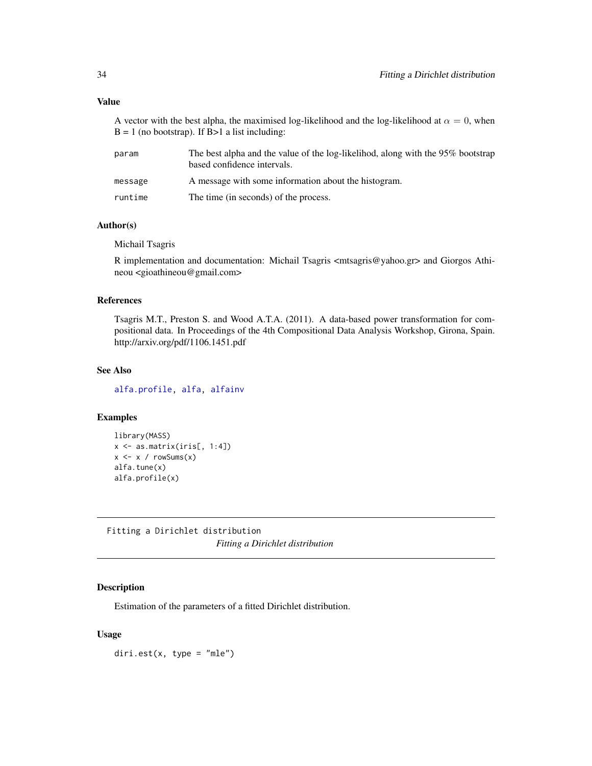#### <span id="page-33-0"></span>Value

A vector with the best alpha, the maximised log-likelihood and the log-likelihood at  $\alpha = 0$ , when  $B = 1$  (no bootstrap). If  $B > 1$  a list including:

| param   | The best alpha and the value of the log-likelihod, along with the 95% bootstrap<br>based confidence intervals. |
|---------|----------------------------------------------------------------------------------------------------------------|
| message | A message with some information about the histogram.                                                           |
| runtime | The time (in seconds) of the process.                                                                          |

# Author(s)

Michail Tsagris

R implementation and documentation: Michail Tsagris <mtsagris@yahoo.gr> and Giorgos Athineou <gioathineou@gmail.com>

# References

Tsagris M.T., Preston S. and Wood A.T.A. (2011). A data-based power transformation for compositional data. In Proceedings of the 4th Compositional Data Analysis Workshop, Girona, Spain. http://arxiv.org/pdf/1106.1451.pdf

#### See Also

[alfa.profile,](#page-28-1) [alfa,](#page-93-1) [alfainv](#page-44-1)

#### Examples

```
library(MASS)
x \leftarrow as.matrix(iris[, 1:4])x \leq x / \text{rowsums}(x)alfa.tune(x)
alfa.profile(x)
```
Fitting a Dirichlet distribution *Fitting a Dirichlet distribution*

#### <span id="page-33-1"></span>Description

Estimation of the parameters of a fitted Dirichlet distribution.

# Usage

 $diri.est(x, type = "mle")$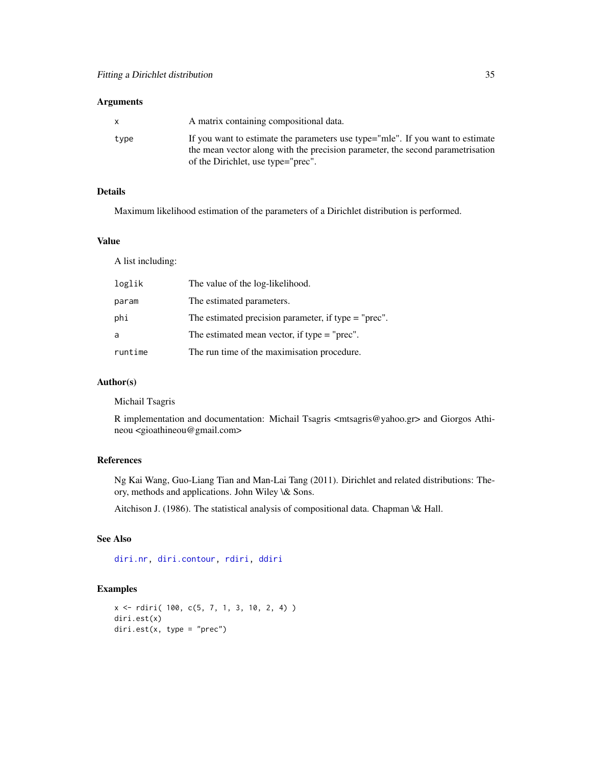# Arguments

| X    | A matrix containing compositional data.                                                                                                                          |
|------|------------------------------------------------------------------------------------------------------------------------------------------------------------------|
| type | If you want to estimate the parameters use type="mle". If you want to estimate<br>the mean vector along with the precision parameter, the second parametrisation |
|      | of the Dirichlet, use type="prec".                                                                                                                               |

# Details

Maximum likelihood estimation of the parameters of a Dirichlet distribution is performed.

# Value

A list including:

| loglik  | The value of the log-likelihood.                       |
|---------|--------------------------------------------------------|
| param   | The estimated parameters.                              |
| phi     | The estimated precision parameter, if type $=$ "prec". |
| a       | The estimated mean vector, if type $=$ "prec".         |
| runtime | The run time of the maximisation procedure.            |

# Author(s)

Michail Tsagris

R implementation and documentation: Michail Tsagris <mtsagris@yahoo.gr> and Giorgos Athineou <gioathineou@gmail.com>

# References

Ng Kai Wang, Guo-Liang Tian and Man-Lai Tang (2011). Dirichlet and related distributions: Theory, methods and applications. John Wiley \& Sons.

Aitchison J. (1986). The statistical analysis of compositional data. Chapman \& Hall.

# See Also

[diri.nr,](#page-35-1) [diri.contour,](#page-4-1) [rdiri,](#page-16-1) [ddiri](#page-15-1)

# Examples

```
x <- rdiri( 100, c(5, 7, 1, 3, 10, 2, 4) )
diri.est(x)
diri.est(x, type = "prec")
```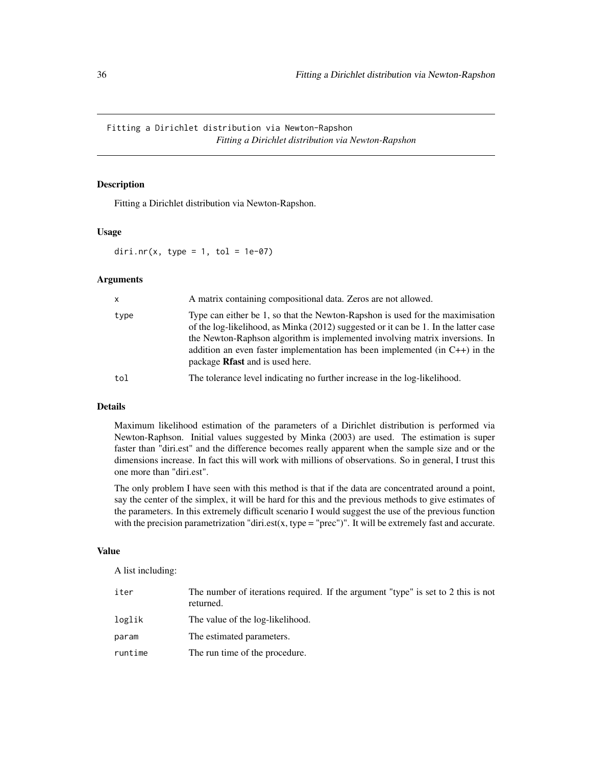<span id="page-35-0"></span>Fitting a Dirichlet distribution via Newton-Rapshon *Fitting a Dirichlet distribution via Newton-Rapshon*

# <span id="page-35-1"></span>Description

Fitting a Dirichlet distribution via Newton-Rapshon.

#### Usage

diri.nr(x, type = 1, tol = 1e-07)

#### Arguments

| $\mathsf{x}$ | A matrix containing compositional data. Zeros are not allowed.                                                                                                                                                                                                                                                                                                                  |
|--------------|---------------------------------------------------------------------------------------------------------------------------------------------------------------------------------------------------------------------------------------------------------------------------------------------------------------------------------------------------------------------------------|
| type         | Type can either be 1, so that the Newton-Rapshon is used for the maximisation<br>of the log-likelihood, as Minka (2012) suggested or it can be 1. In the latter case<br>the Newton-Raphson algorithm is implemented involving matrix inversions. In<br>addition an even faster implementation has been implemented (in $C++$ ) in the<br>package <b>Rfast</b> and is used here. |
| tol          | The tolerance level indicating no further increase in the log-likelihood.                                                                                                                                                                                                                                                                                                       |

# Details

Maximum likelihood estimation of the parameters of a Dirichlet distribution is performed via Newton-Raphson. Initial values suggested by Minka (2003) are used. The estimation is super faster than "diri.est" and the difference becomes really apparent when the sample size and or the dimensions increase. In fact this will work with millions of observations. So in general, I trust this one more than "diri.est".

The only problem I have seen with this method is that if the data are concentrated around a point, say the center of the simplex, it will be hard for this and the previous methods to give estimates of the parameters. In this extremely difficult scenario I would suggest the use of the previous function with the precision parametrization "diri.est(x, type = "prec")". It will be extremely fast and accurate.

#### Value

A list including:

| iter    | The number of iterations required. If the argument "type" is set to 2 this is not<br>returned. |
|---------|------------------------------------------------------------------------------------------------|
| loglik  | The value of the log-likelihood.                                                               |
| param   | The estimated parameters.                                                                      |
| runtime | The run time of the procedure.                                                                 |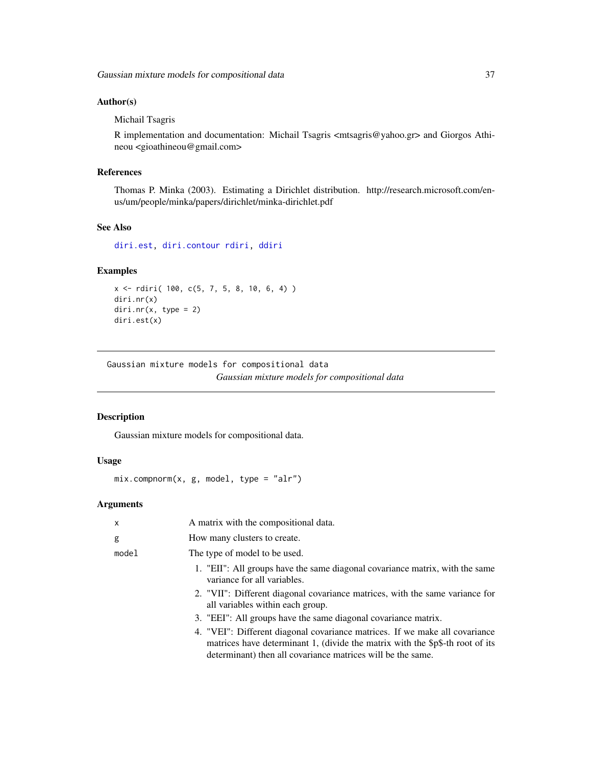# Author(s)

Michail Tsagris

R implementation and documentation: Michail Tsagris <mtsagris@yahoo.gr> and Giorgos Athineou <gioathineou@gmail.com>

## References

Thomas P. Minka (2003). Estimating a Dirichlet distribution. http://research.microsoft.com/enus/um/people/minka/papers/dirichlet/minka-dirichlet.pdf

### See Also

[diri.est,](#page-33-0) [diri.contour](#page-4-0) [rdiri,](#page-16-0) [ddiri](#page-15-0)

# Examples

```
x <- rdiri( 100, c(5, 7, 5, 8, 10, 6, 4) )
diri.nr(x)
diri.nr(x, type = 2)diri.est(x)
```
Gaussian mixture models for compositional data *Gaussian mixture models for compositional data*

## <span id="page-36-0"></span>Description

Gaussian mixture models for compositional data.

#### Usage

```
mix.compnorm(x, g, model, type = "alr")
```
## Arguments

| x     | A matrix with the compositional data.                                                                                                                                                                                       |
|-------|-----------------------------------------------------------------------------------------------------------------------------------------------------------------------------------------------------------------------------|
| g     | How many clusters to create.                                                                                                                                                                                                |
| mode1 | The type of model to be used.                                                                                                                                                                                               |
|       | 1. "EII": All groups have the same diagonal covariance matrix, with the same<br>variance for all variables.                                                                                                                 |
|       | 2. "VII": Different diagonal covariance matrices, with the same variance for<br>all variables within each group.                                                                                                            |
|       | 3. "EEI": All groups have the same diagonal covariance matrix.                                                                                                                                                              |
|       | 4. "VEI": Different diagonal covariance matrices. If we make all covariance<br>matrices have determinant 1, (divide the matrix with the \$p\$-th root of its<br>determinant) then all covariance matrices will be the same. |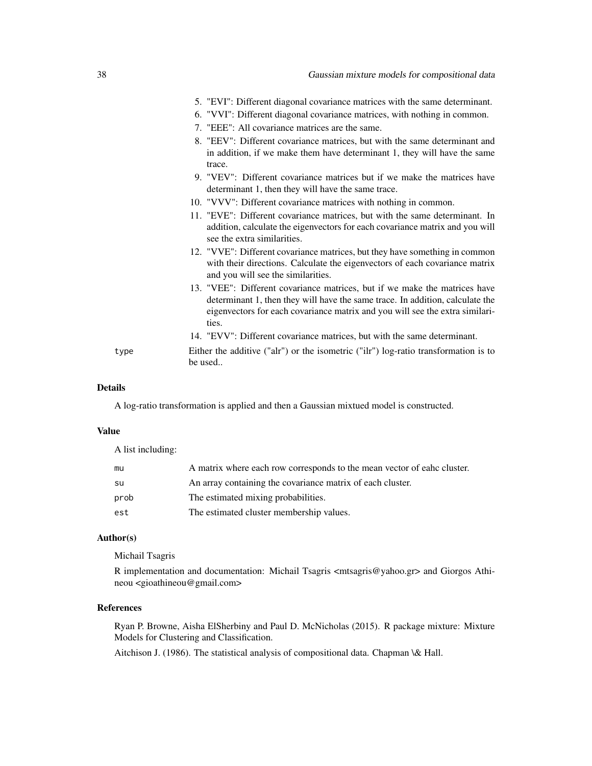| 38   | Gaussian mixture models for compositional data                                                                                                                                                                                                       |
|------|------------------------------------------------------------------------------------------------------------------------------------------------------------------------------------------------------------------------------------------------------|
|      | 5. "EVI": Different diagonal covariance matrices with the same determinant.                                                                                                                                                                          |
|      | 6. "VVI": Different diagonal covariance matrices, with nothing in common.                                                                                                                                                                            |
|      | 7. "EEE": All covariance matrices are the same.                                                                                                                                                                                                      |
|      | 8. "EEV": Different covariance matrices, but with the same determinant and<br>in addition, if we make them have determinant 1, they will have the same<br>trace.                                                                                     |
|      | 9. "VEV": Different covariance matrices but if we make the matrices have<br>determinant 1, then they will have the same trace.                                                                                                                       |
|      | 10. "VVV": Different covariance matrices with nothing in common.                                                                                                                                                                                     |
|      | 11. "EVE": Different covariance matrices, but with the same determinant. In<br>addition, calculate the eigenvectors for each covariance matrix and you will<br>see the extra similarities.                                                           |
|      | 12. "VVE": Different covariance matrices, but they have something in common<br>with their directions. Calculate the eigenvectors of each covariance matrix<br>and you will see the similarities.                                                     |
|      | 13. "VEE": Different covariance matrices, but if we make the matrices have<br>determinant 1, then they will have the same trace. In addition, calculate the<br>eigenvectors for each covariance matrix and you will see the extra similari-<br>ties. |
|      | 14. "EVV": Different covariance matrices, but with the same determinant.                                                                                                                                                                             |
| type | Either the additive ("alr") or the isometric ("ilr") log-ratio transformation is to<br>be used                                                                                                                                                       |

# Details

A log-ratio transformation is applied and then a Gaussian mixtued model is constructed.

# Value

A list including:

| mu   | A matrix where each row corresponds to the mean vector of eahc cluster. |
|------|-------------------------------------------------------------------------|
| su   | An array containing the covariance matrix of each cluster.              |
| prob | The estimated mixing probabilities.                                     |
| est  | The estimated cluster membership values.                                |

# Author(s)

Michail Tsagris

R implementation and documentation: Michail Tsagris <mtsagris@yahoo.gr> and Giorgos Athineou <gioathineou@gmail.com>

# References

Ryan P. Browne, Aisha ElSherbiny and Paul D. McNicholas (2015). R package mixture: Mixture Models for Clustering and Classification.

Aitchison J. (1986). The statistical analysis of compositional data. Chapman \& Hall.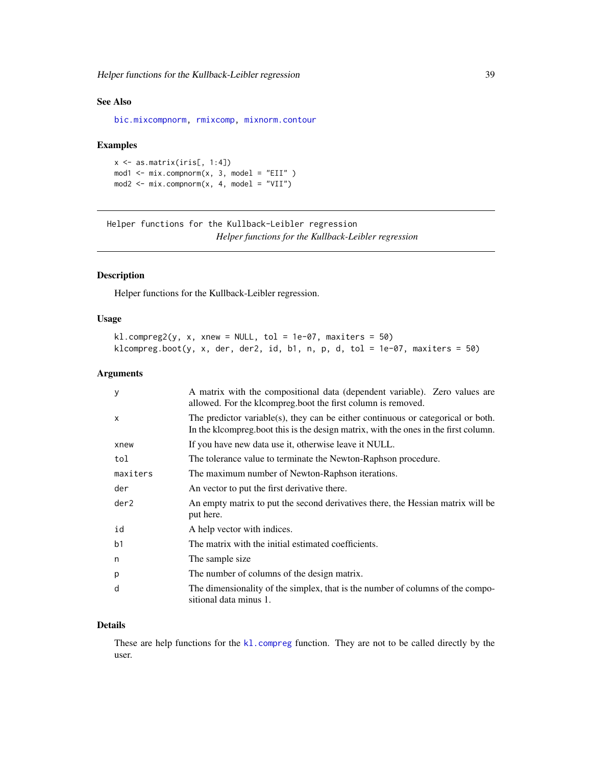# See Also

[bic.mixcompnorm,](#page-51-0) [rmixcomp,](#page-86-0) [mixnorm.contour](#page-5-0)

#### Examples

```
x \leftarrow as.matrix(iris[, 1:4])mod1 \le -mix.comprompt(x, 3, model = "EII" )mod2 \le -mix.compnorm(x, 4, model = "VII")
```
Helper functions for the Kullback-Leibler regression *Helper functions for the Kullback-Leibler regression*

## Description

Helper functions for the Kullback-Leibler regression.

# Usage

```
kl.compile(y, x, xnew = NULL, tol = 1e-07, maxiters = 50)klcompreg.boot(y, x, der, der2, id, b1, n, p, d, tol = 1e-07, maxiters = 50)
```
# Arguments

| У              | A matrix with the compositional data (dependent variable). Zero values are<br>allowed. For the klcompreg.boot the first column is removed.                              |
|----------------|-------------------------------------------------------------------------------------------------------------------------------------------------------------------------|
| X              | The predictor variable(s), they can be either continuous or categorical or both.<br>In the kloompreg boot this is the design matrix, with the ones in the first column. |
| xnew           | If you have new data use it, otherwise leave it NULL.                                                                                                                   |
| tol            | The tolerance value to terminate the Newton-Raphson procedure.                                                                                                          |
| maxiters       | The maximum number of Newton-Raphson iterations.                                                                                                                        |
| der            | An vector to put the first derivative there.                                                                                                                            |
| der2           | An empty matrix to put the second derivatives there, the Hessian matrix will be<br>put here.                                                                            |
| id             | A help vector with indices.                                                                                                                                             |
| b <sub>1</sub> | The matrix with the initial estimated coefficients.                                                                                                                     |
| n              | The sample size.                                                                                                                                                        |
| p              | The number of columns of the design matrix.                                                                                                                             |
| d              | The dimensionality of the simplex, that is the number of columns of the compo-<br>sitional data minus 1.                                                                |

#### Details

These are help functions for the [kl.compreg](#page-19-0) function. They are not to be called directly by the user.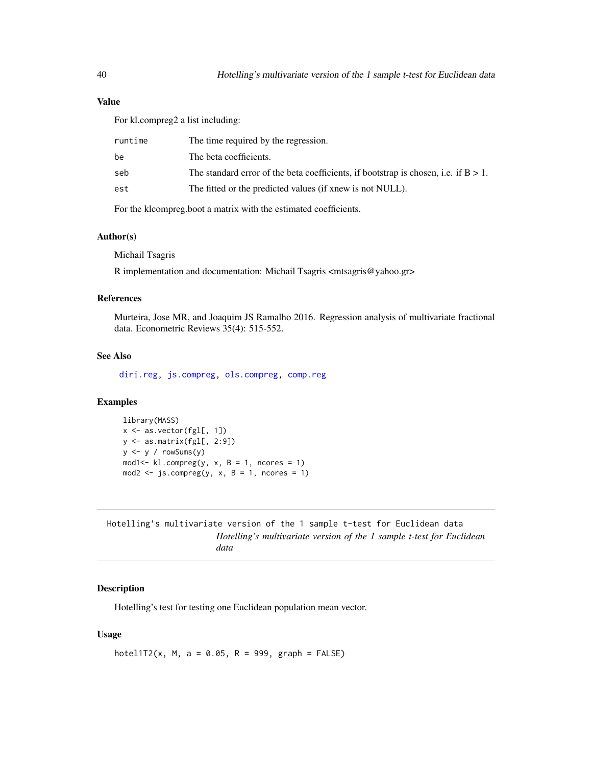# Value

For kl.compreg2 a list including:

| runtime | The time required by the regression.                                                   |
|---------|----------------------------------------------------------------------------------------|
| be      | The beta coefficients.                                                                 |
| seb     | The standard error of the beta coefficients, if bootstrap is chosen, i.e. if $B > 1$ . |
| est     | The fitted or the predicted values (if xnew is not NULL).                              |
|         |                                                                                        |

For the klcompreg.boot a matrix with the estimated coefficients.

# Author(s)

Michail Tsagris

R implementation and documentation: Michail Tsagris <mtsagris@yahoo.gr>

# References

Murteira, Jose MR, and Joaquim JS Ramalho 2016. Regression analysis of multivariate fractional data. Econometric Reviews 35(4): 515-552.

# See Also

[diri.reg,](#page-17-0) [js.compreg,](#page-19-0) [ols.compreg,](#page-68-0) [comp.reg](#page-64-0)

# Examples

```
library(MASS)
x <- as.vector(fgl[, 1])
y <- as.matrix(fgl[, 2:9])
y <- y / rowSums(y)
mod1 <- kl.compreg(y, x, B = 1, ncores = 1)
mod2 <- js.compreg(y, x, B = 1, ncores = 1)
```

| Hotelling's multivariate version of the 1 sample t-test for Euclidean data |      |  |  |  |                                                                       |  |
|----------------------------------------------------------------------------|------|--|--|--|-----------------------------------------------------------------------|--|
|                                                                            |      |  |  |  | Hotelling's multivariate version of the 1 sample t-test for Euclidean |  |
|                                                                            | data |  |  |  |                                                                       |  |

# Description

Hotelling's test for testing one Euclidean population mean vector.

# Usage

hotel1T2(x, M, a = 0.05, R = 999, graph =  $FALSE$ )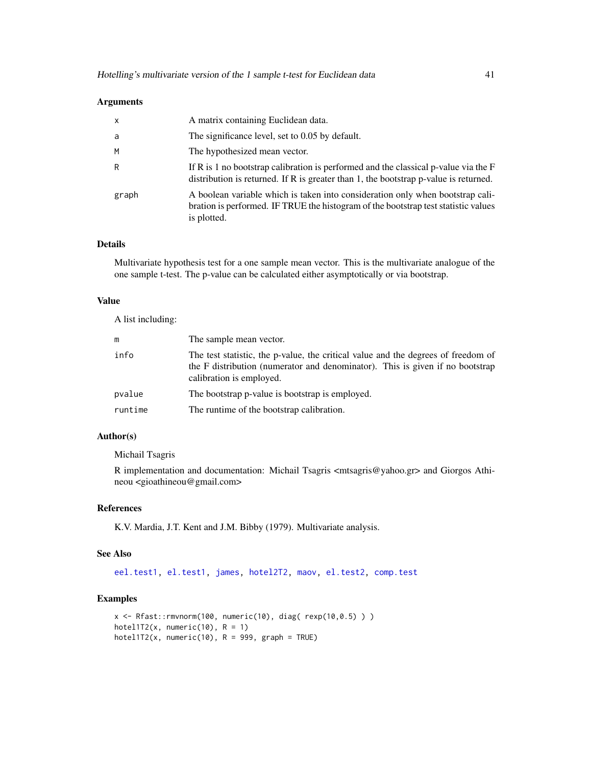#### Arguments

| $\mathsf{x}$ | A matrix containing Euclidean data.                                                                                                                                                 |
|--------------|-------------------------------------------------------------------------------------------------------------------------------------------------------------------------------------|
| a            | The significance level, set to 0.05 by default.                                                                                                                                     |
| M            | The hypothesized mean vector.                                                                                                                                                       |
| R            | If R is 1 no bootstrap calibration is performed and the classical p-value via the $F$<br>distribution is returned. If R is greater than 1, the bootstrap $p$ -value is returned.    |
| graph        | A boolean variable which is taken into consideration only when bootstrap cali-<br>bration is performed. IF TRUE the histogram of the bootstrap test statistic values<br>is plotted. |

# Details

Multivariate hypothesis test for a one sample mean vector. This is the multivariate analogue of the one sample t-test. The p-value can be calculated either asymptotically or via bootstrap.

#### Value

A list including:

|         | The sample mean vector.                                                                                                                                                                        |
|---------|------------------------------------------------------------------------------------------------------------------------------------------------------------------------------------------------|
| info    | The test statistic, the p-value, the critical value and the degrees of freedom of<br>the F distribution (numerator and denominator). This is given if no bootstrap<br>calibration is employed. |
| pvalue  | The bootstrap p-value is bootstrap is employed.                                                                                                                                                |
| runtime | The runtime of the bootstrap calibration.                                                                                                                                                      |

# Author(s)

Michail Tsagris

R implementation and documentation: Michail Tsagris <mtsagris@yahoo.gr> and Giorgos Athineou <gioathineou@gmail.com>

## References

K.V. Mardia, J.T. Kent and J.M. Bibby (1979). Multivariate analysis.

# See Also

[eel.test1,](#page-29-0) [el.test1,](#page-22-0) [james,](#page-45-0) [hotel2T2,](#page-41-0) [maov,](#page-56-0) [el.test2,](#page-23-0) [comp.test](#page-42-0)

# Examples

```
x <- Rfast::rmvnorm(100, numeric(10), diag( rexp(10,0.5) ) )
hotel1T2(x, numeric(10), R = 1)
hotel1T2(x, numeric(10), R = 999, graph = TRUE)
```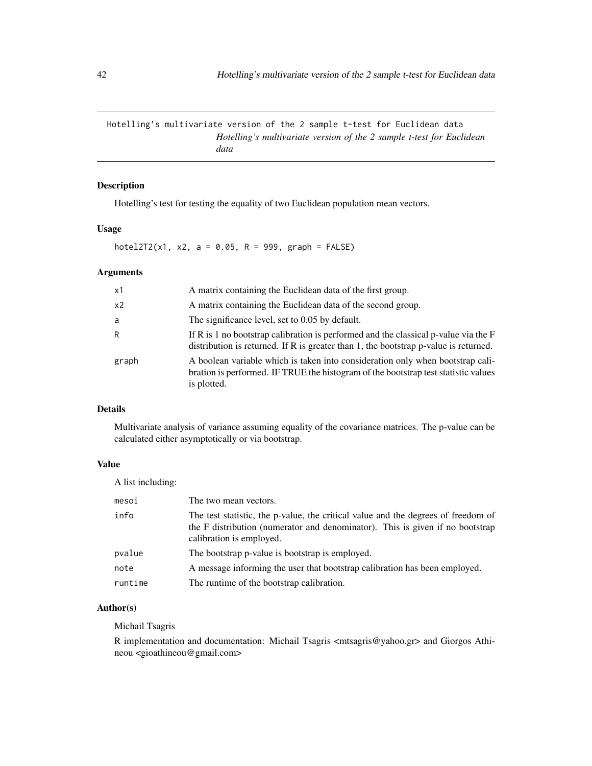Hotelling's multivariate version of the 2 sample t-test for Euclidean data *Hotelling's multivariate version of the 2 sample t-test for Euclidean data*

# <span id="page-41-0"></span>Description

Hotelling's test for testing the equality of two Euclidean population mean vectors.

# Usage

hotel2T2(x1, x2, a = 0.05, R = 999, graph =  $FALSE)$ 

# Arguments

| x1             | A matrix containing the Euclidean data of the first group.                                                                                                                          |
|----------------|-------------------------------------------------------------------------------------------------------------------------------------------------------------------------------------|
| x <sub>2</sub> | A matrix containing the Euclidean data of the second group.                                                                                                                         |
| a              | The significance level, set to 0.05 by default.                                                                                                                                     |
| R              | If R is 1 no bootstrap calibration is performed and the classical p-value via the $F$<br>distribution is returned. If $R$ is greater than 1, the bootstrap $p$ -value is returned.  |
| graph          | A boolean variable which is taken into consideration only when bootstrap cali-<br>bration is performed. IF TRUE the histogram of the bootstrap test statistic values<br>is plotted. |

# Details

Multivariate analysis of variance assuming equality of the covariance matrices. The p-value can be calculated either asymptotically or via bootstrap.

# Value

A list including:

| mesoi   | The two mean vectors.                                                                                                                                                                          |
|---------|------------------------------------------------------------------------------------------------------------------------------------------------------------------------------------------------|
| info    | The test statistic, the p-value, the critical value and the degrees of freedom of<br>the F distribution (numerator and denominator). This is given if no bootstrap<br>calibration is employed. |
| pvalue  | The bootstrap p-value is bootstrap is employed.                                                                                                                                                |
| note    | A message informing the user that bootstrap calibration has been employed.                                                                                                                     |
| runtime | The runtime of the bootstrap calibration.                                                                                                                                                      |

# Author(s)

## Michail Tsagris

R implementation and documentation: Michail Tsagris <mtsagris@yahoo.gr> and Giorgos Athineou <gioathineou@gmail.com>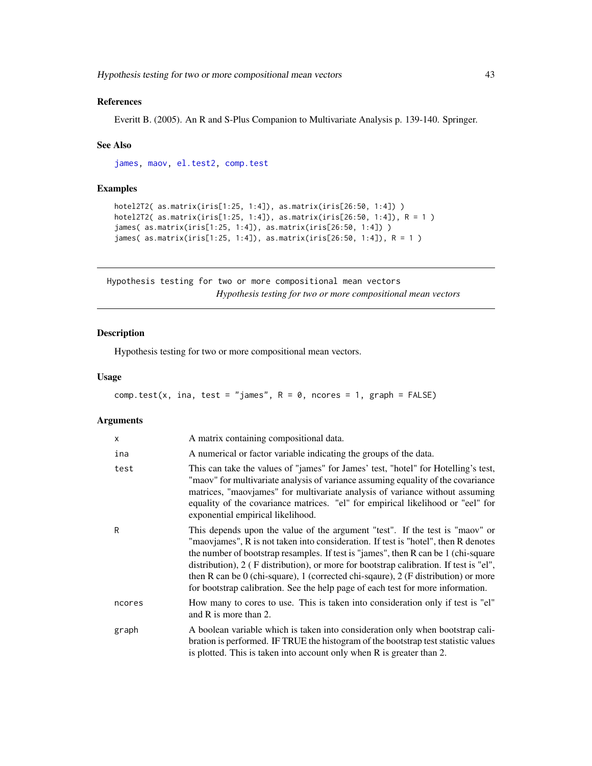# References

Everitt B. (2005). An R and S-Plus Companion to Multivariate Analysis p. 139-140. Springer.

#### See Also

[james,](#page-45-0) [maov,](#page-56-0) [el.test2,](#page-23-0) [comp.test](#page-42-0)

## Examples

```
hotel2T2( as.matrix(iris[1:25, 1:4]), as.matrix(iris[26:50, 1:4]) )
hotel2T2( as.matrix(iris[1:25, 1:4]), as.matrix(iris[26:50, 1:4]), R = 1 )
james( as.matrix(iris[1:25, 1:4]), as.matrix(iris[26:50, 1:4]) )
james( as.matrix(iris[1:25, 1:4]), as.matrix(iris[26:50, 1:4]), R = 1 )
```
Hypothesis testing for two or more compositional mean vectors *Hypothesis testing for two or more compositional mean vectors*

# <span id="page-42-0"></span>Description

Hypothesis testing for two or more compositional mean vectors.

## Usage

```
comp.test(x, ina, test = "james", R = 0, ncores = 1, graph = FALSE)
```
## Arguments

| X      | A matrix containing compositional data.                                                                                                                                                                                                                                                                                                                                                                                                                                                                                       |
|--------|-------------------------------------------------------------------------------------------------------------------------------------------------------------------------------------------------------------------------------------------------------------------------------------------------------------------------------------------------------------------------------------------------------------------------------------------------------------------------------------------------------------------------------|
| ina    | A numerical or factor variable indicating the groups of the data.                                                                                                                                                                                                                                                                                                                                                                                                                                                             |
| test   | This can take the values of "james" for James' test, "hotel" for Hotelling's test,<br>"maov" for multivariate analysis of variance assuming equality of the covariance<br>matrices, "maovjames" for multivariate analysis of variance without assuming<br>equality of the covariance matrices. "el" for empirical likelihood or "eel" for<br>exponential empirical likelihood.                                                                                                                                                |
| R      | This depends upon the value of the argument "test". If the test is "maov" or<br>"maoviames", R is not taken into consideration. If test is "hotel", then R denotes<br>the number of bootstrap resamples. If test is "james", then R can be 1 (chi-square<br>distribution), 2 (F distribution), or more for bootstrap calibration. If test is "el",<br>then R can be $0$ (chi-square), 1 (corrected chi-square), 2 (F distribution) or more<br>for bootstrap calibration. See the help page of each test for more information. |
| ncores | How many to cores to use. This is taken into consideration only if test is "el"<br>and R is more than 2.                                                                                                                                                                                                                                                                                                                                                                                                                      |
| graph  | A boolean variable which is taken into consideration only when bootstrap cali-<br>bration is performed. IF TRUE the histogram of the bootstrap test statistic values<br>is plotted. This is taken into account only when R is greater than 2.                                                                                                                                                                                                                                                                                 |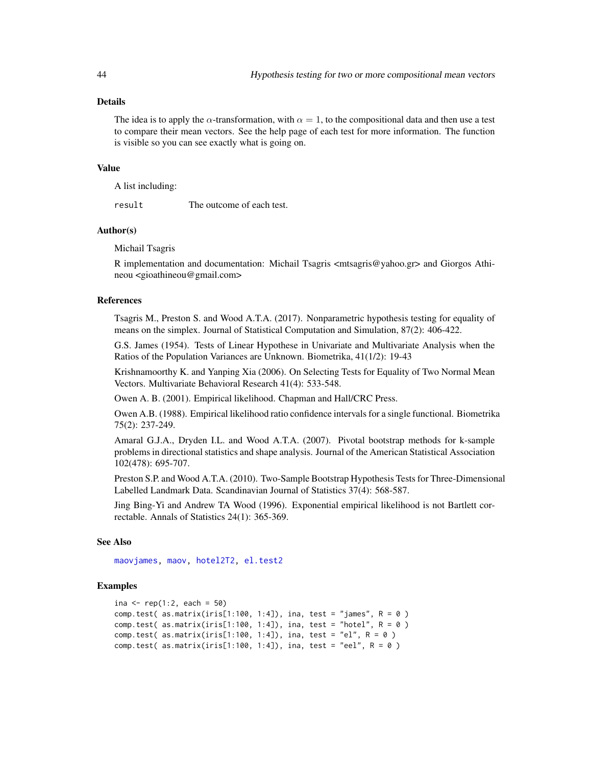## Details

The idea is to apply the  $\alpha$ -transformation, with  $\alpha = 1$ , to the compositional data and then use a test to compare their mean vectors. See the help page of each test for more information. The function is visible so you can see exactly what is going on.

#### Value

A list including:

result The outcome of each test.

## Author(s)

Michail Tsagris

R implementation and documentation: Michail Tsagris <mtsagris@yahoo.gr> and Giorgos Athineou <gioathineou@gmail.com>

#### References

Tsagris M., Preston S. and Wood A.T.A. (2017). Nonparametric hypothesis testing for equality of means on the simplex. Journal of Statistical Computation and Simulation, 87(2): 406-422.

G.S. James (1954). Tests of Linear Hypothese in Univariate and Multivariate Analysis when the Ratios of the Population Variances are Unknown. Biometrika, 41(1/2): 19-43

Krishnamoorthy K. and Yanping Xia (2006). On Selecting Tests for Equality of Two Normal Mean Vectors. Multivariate Behavioral Research 41(4): 533-548.

Owen A. B. (2001). Empirical likelihood. Chapman and Hall/CRC Press.

Owen A.B. (1988). Empirical likelihood ratio confidence intervals for a single functional. Biometrika 75(2): 237-249.

Amaral G.J.A., Dryden I.L. and Wood A.T.A. (2007). Pivotal bootstrap methods for k-sample problems in directional statistics and shape analysis. Journal of the American Statistical Association 102(478): 695-707.

Preston S.P. and Wood A.T.A. (2010). Two-Sample Bootstrap Hypothesis Tests for Three-Dimensional Labelled Landmark Data. Scandinavian Journal of Statistics 37(4): 568-587.

Jing Bing-Yi and Andrew TA Wood (1996). Exponential empirical likelihood is not Bartlett correctable. Annals of Statistics 24(1): 365-369.

## See Also

[maovjames,](#page-57-0) [maov,](#page-56-0) [hotel2T2,](#page-41-0) [el.test2](#page-23-0)

### Examples

```
ina <- rep(1:2, each = 50)comp.test( as.matrix(iris[1:100, 1:4]), ina, test = "james", R = 0 )
comp.test( as.matrix(iris[1:100, 1:4]), ina, test = "hotel", R = 0 )
comp.test( as.matrix(iris[1:100, 1:4]), ina, test = "el", R = 0 )
comp.test( as.matrix(iris[1:100, 1:4]), ina, test = "eel", R = 0)
```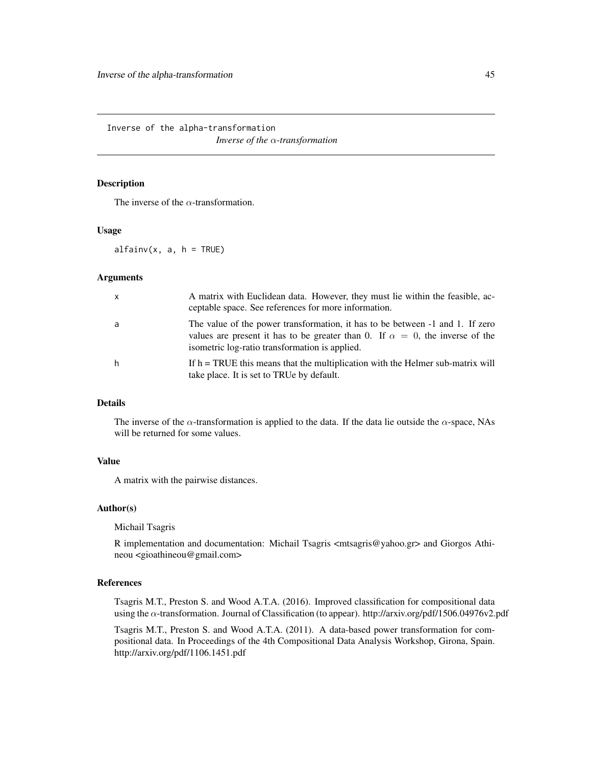Inverse of the alpha-transformation

*Inverse of the* α*-transformation*

## <span id="page-44-0"></span>Description

The inverse of the  $\alpha$ -transformation.

#### Usage

 $alfainv(x, a, h = TRUE)$ 

# **Arguments**

| $\mathsf{x}$ | A matrix with Euclidean data. However, they must lie within the feasible, ac-<br>ceptable space. See references for more information.                                                                                     |
|--------------|---------------------------------------------------------------------------------------------------------------------------------------------------------------------------------------------------------------------------|
| a            | The value of the power transformation, it has to be between $-1$ and 1. If zero<br>values are present it has to be greater than 0. If $\alpha = 0$ , the inverse of the<br>isometric log-ratio transformation is applied. |
| h            | If $h = TRUE$ this means that the multiplication with the Helmer sub-matrix will<br>take place. It is set to TRUe by default.                                                                                             |

#### Details

The inverse of the  $\alpha$ -transformation is applied to the data. If the data lie outside the  $\alpha$ -space, NAs will be returned for some values.

## Value

A matrix with the pairwise distances.

## Author(s)

Michail Tsagris

R implementation and documentation: Michail Tsagris <mtsagris@yahoo.gr> and Giorgos Athineou <gioathineou@gmail.com>

# References

Tsagris M.T., Preston S. and Wood A.T.A. (2016). Improved classification for compositional data using the α-transformation. Journal of Classification (to appear). http://arxiv.org/pdf/1506.04976v2.pdf

Tsagris M.T., Preston S. and Wood A.T.A. (2011). A data-based power transformation for compositional data. In Proceedings of the 4th Compositional Data Analysis Workshop, Girona, Spain. http://arxiv.org/pdf/1106.1451.pdf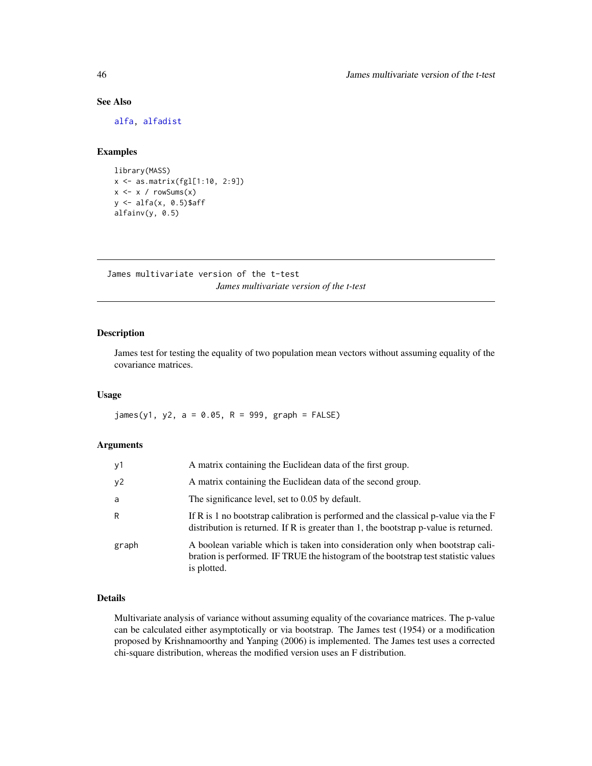# See Also

[alfa,](#page-93-0) [alfadist](#page-92-0)

# Examples

```
library(MASS)
x <- as.matrix(fgl[1:10, 2:9])
x \leftarrow x / rowsums(x)y <- alfa(x, 0.5)$aff
alfainv(y, 0.5)
```
James multivariate version of the t-test *James multivariate version of the t-test*

# <span id="page-45-0"></span>Description

James test for testing the equality of two population mean vectors without assuming equality of the covariance matrices.

## Usage

 $james(y1, y2, a = 0.05, R = 999, graph = FALSE)$ 

# Arguments

| y1    | A matrix containing the Euclidean data of the first group.                                                                                                                          |
|-------|-------------------------------------------------------------------------------------------------------------------------------------------------------------------------------------|
| y2    | A matrix containing the Euclidean data of the second group.                                                                                                                         |
| a     | The significance level, set to 0.05 by default.                                                                                                                                     |
| R     | If R is 1 no bootstrap calibration is performed and the classical p-value via the F<br>distribution is returned. If R is greater than 1, the bootstrap $p$ -value is returned.      |
| graph | A boolean variable which is taken into consideration only when bootstrap cali-<br>bration is performed. IF TRUE the histogram of the bootstrap test statistic values<br>is plotted. |

# Details

Multivariate analysis of variance without assuming equality of the covariance matrices. The p-value can be calculated either asymptotically or via bootstrap. The James test (1954) or a modification proposed by Krishnamoorthy and Yanping (2006) is implemented. The James test uses a corrected chi-square distribution, whereas the modified version uses an F distribution.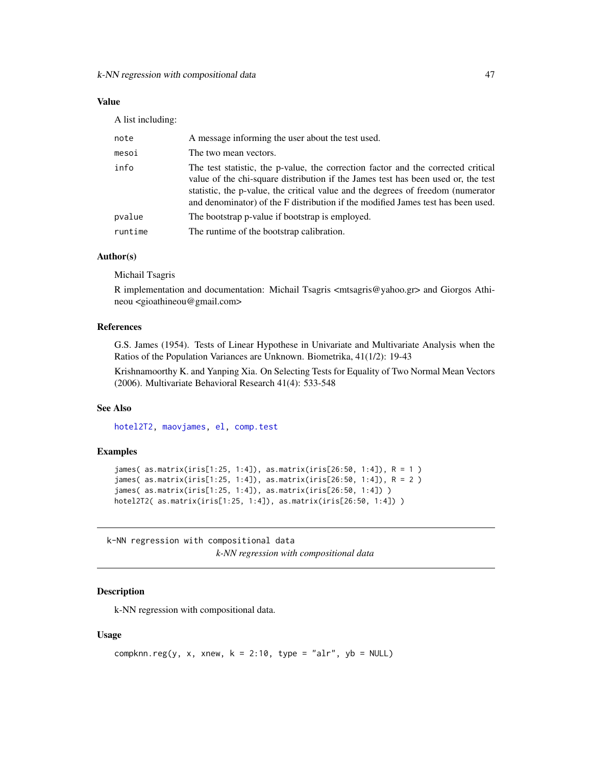# Value

A list including:

| note    | A message informing the user about the test used.                                                                                                                                                                                                                                                                                              |
|---------|------------------------------------------------------------------------------------------------------------------------------------------------------------------------------------------------------------------------------------------------------------------------------------------------------------------------------------------------|
| mesoi   | The two mean vectors.                                                                                                                                                                                                                                                                                                                          |
| info    | The test statistic, the p-value, the correction factor and the corrected critical<br>value of the chi-square distribution if the James test has been used or, the test<br>statistic, the p-value, the critical value and the degrees of freedom (numerator<br>and denominator) of the F distribution if the modified James test has been used. |
| pvalue  | The bootstrap p-value if bootstrap is employed.                                                                                                                                                                                                                                                                                                |
| runtime | The runtime of the bootstrap calibration.                                                                                                                                                                                                                                                                                                      |
|         |                                                                                                                                                                                                                                                                                                                                                |

# Author(s)

Michail Tsagris

R implementation and documentation: Michail Tsagris <mtsagris@yahoo.gr> and Giorgos Athineou <gioathineou@gmail.com>

## References

G.S. James (1954). Tests of Linear Hypothese in Univariate and Multivariate Analysis when the Ratios of the Population Variances are Unknown. Biometrika, 41(1/2): 19-43

Krishnamoorthy K. and Yanping Xia. On Selecting Tests for Equality of Two Normal Mean Vectors (2006). Multivariate Behavioral Research 41(4): 533-548

# See Also

[hotel2T2,](#page-41-0) [maovjames,](#page-57-0) [el,](#page-0-0) [comp.test](#page-42-0)

## Examples

```
james( as.matrix(iris[1:25, 1:4]), as.matrix(iris[26:50, 1:4]), R = 1 )
james( as.matrix(iris[1:25, 1:4]), as.matrix(iris[26:50, 1:4]), R = 2 )
james( as.matrix(iris[1:25, 1:4]), as.matrix(iris[26:50, 1:4]) )
hotel2T2( as.matrix(iris[1:25, 1:4]), as.matrix(iris[26:50, 1:4]) )
```
k-NN regression with compositional data *k-NN regression with compositional data*

## **Description**

k-NN regression with compositional data.

#### Usage

```
compknn.reg(y, x, xnew, k = 2:10, type = "alr", yb = NULL)
```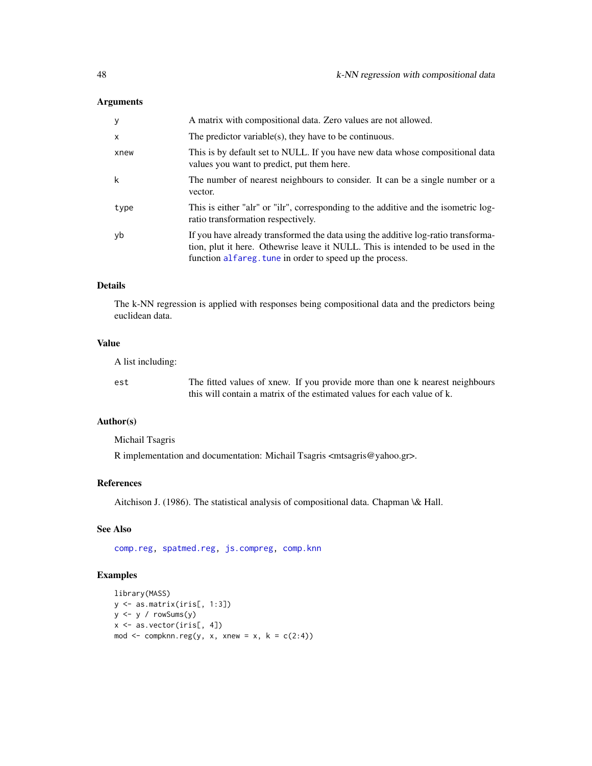# Arguments

| y            | A matrix with compositional data. Zero values are not allowed.                                                                                                                                                                   |
|--------------|----------------------------------------------------------------------------------------------------------------------------------------------------------------------------------------------------------------------------------|
| $\mathsf{x}$ | The predictor variable(s), they have to be continuous.                                                                                                                                                                           |
| xnew         | This is by default set to NULL. If you have new data whose compositional data<br>values you want to predict, put them here.                                                                                                      |
| k            | The number of nearest neighbours to consider. It can be a single number or a<br>vector.                                                                                                                                          |
| type         | This is either "alr" or "ilr", corresponding to the additive and the isometric log-<br>ratio transformation respectively.                                                                                                        |
| yb           | If you have already transformed the data using the additive log-ratio transforma-<br>tion, plut it here. Othewrise leave it NULL. This is intended to be used in the<br>function alfareg. tune in order to speed up the process. |

#### Details

The k-NN regression is applied with responses being compositional data and the predictors being euclidean data.

# Value

A list including:

est The fitted values of xnew. If you provide more than one k nearest neighbours this will contain a matrix of the estimated values for each value of k.

# Author(s)

Michail Tsagris

R implementation and documentation: Michail Tsagris <mtsagris@yahoo.gr>.

# References

Aitchison J. (1986). The statistical analysis of compositional data. Chapman \& Hall.

# See Also

[comp.reg,](#page-64-0) [spatmed.reg,](#page-88-0) [js.compreg,](#page-19-0) [comp.knn](#page-97-0)

# Examples

```
library(MASS)
y <- as.matrix(iris[, 1:3])
y <- y / rowSums(y)
x \leftarrow as-vector(iris[, 4])mod \leq compknn.reg(y, x, xnew = x, k = c(2:4))
```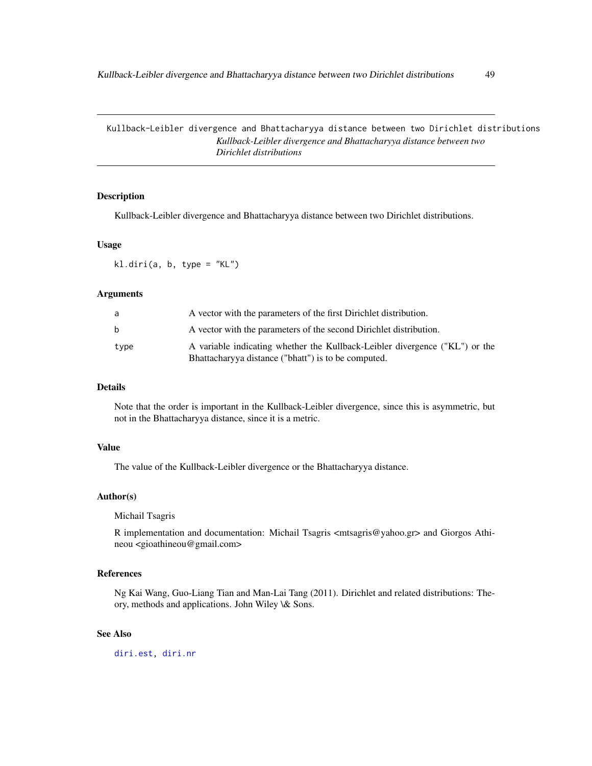Kullback-Leibler divergence and Bhattacharyya distance between two Dirichlet distributions *Kullback-Leibler divergence and Bhattacharyya distance between two Dirichlet distributions*

# Description

Kullback-Leibler divergence and Bhattacharyya distance between two Dirichlet distributions.

#### Usage

kl.diri(a, b, type = "KL")

### Arguments

| a            | A vector with the parameters of the first Dirichlet distribution.                                                                  |
|--------------|------------------------------------------------------------------------------------------------------------------------------------|
| <sub>b</sub> | A vector with the parameters of the second Dirichlet distribution.                                                                 |
| type         | A variable indicating whether the Kullback-Leibler divergence ("KL") or the<br>Bhattacharyya distance ("bhatt") is to be computed. |

# Details

Note that the order is important in the Kullback-Leibler divergence, since this is asymmetric, but not in the Bhattacharyya distance, since it is a metric.

## Value

The value of the Kullback-Leibler divergence or the Bhattacharyya distance.

## Author(s)

Michail Tsagris

R implementation and documentation: Michail Tsagris <mtsagris@yahoo.gr> and Giorgos Athineou <gioathineou@gmail.com>

# References

Ng Kai Wang, Guo-Liang Tian and Man-Lai Tang (2011). Dirichlet and related distributions: Theory, methods and applications. John Wiley \& Sons.

# See Also

[diri.est,](#page-33-0) [diri.nr](#page-35-0)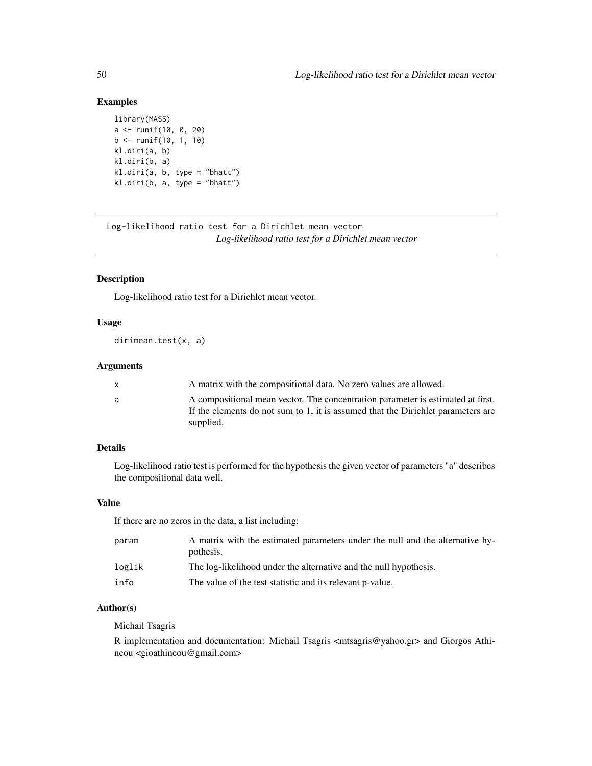# Examples

```
library(MASS)
a <- runif(10, 0, 20)
b <- runif(10, 1, 10)
kl.diri(a, b)
kl.diri(b, a)
kl.diri(a, b, type = "bhatt")
kl.diri(b, a, type = "bhatt")
```
Log-likelihood ratio test for a Dirichlet mean vector *Log-likelihood ratio test for a Dirichlet mean vector*

# <span id="page-49-0"></span>Description

Log-likelihood ratio test for a Dirichlet mean vector.

## Usage

dirimean.test(x, a)

# Arguments

| A compositional mean vector. The concentration parameter is estimated at first.<br>a.<br>If the elements do not sum to 1, it is assumed that the Dirichlet parameters are<br>supplied. |  |
|----------------------------------------------------------------------------------------------------------------------------------------------------------------------------------------|--|

# Details

Log-likelihood ratio test is performed for the hypothesis the given vector of parameters "a" describes the compositional data well.

#### Value

If there are no zeros in the data, a list including:

| param  | A matrix with the estimated parameters under the null and the alternative hy-<br>pothesis. |
|--------|--------------------------------------------------------------------------------------------|
| loglik | The log-likelihood under the alternative and the null hypothesis.                          |
| info   | The value of the test statistic and its relevant p-value.                                  |

## Author(s)

Michail Tsagris

R implementation and documentation: Michail Tsagris <mtsagris@yahoo.gr> and Giorgos Athineou <gioathineou@gmail.com>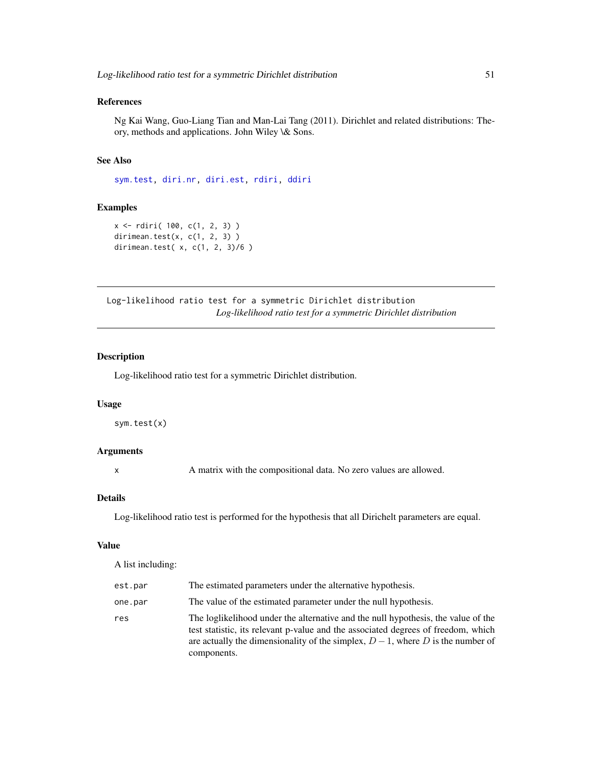# References

Ng Kai Wang, Guo-Liang Tian and Man-Lai Tang (2011). Dirichlet and related distributions: Theory, methods and applications. John Wiley \& Sons.

## See Also

[sym.test,](#page-50-0) [diri.nr,](#page-35-0) [diri.est,](#page-33-0) [rdiri,](#page-16-0) [ddiri](#page-15-0)

# Examples

```
x <- rdiri( 100, c(1, 2, 3) )
dirimean.test(x, c(1, 2, 3) )
dirimean.test( x, c(1, 2, 3)/6 )
```
Log-likelihood ratio test for a symmetric Dirichlet distribution *Log-likelihood ratio test for a symmetric Dirichlet distribution*

# <span id="page-50-0"></span>Description

Log-likelihood ratio test for a symmetric Dirichlet distribution.

## Usage

sym.test(x)

#### Arguments

x A matrix with the compositional data. No zero values are allowed.

#### Details

Log-likelihood ratio test is performed for the hypothesis that all Dirichelt parameters are equal.

#### Value

A list including:

| est.par | The estimated parameters under the alternative hypothesis.                                                                                                                                                                                                                |
|---------|---------------------------------------------------------------------------------------------------------------------------------------------------------------------------------------------------------------------------------------------------------------------------|
| one.par | The value of the estimated parameter under the null hypothesis.                                                                                                                                                                                                           |
| res     | The loglikelihood under the alternative and the null hypothesis, the value of the<br>test statistic, its relevant p-value and the associated degrees of freedom, which<br>are actually the dimensionality of the simplex, $D-1$ , where D is the number of<br>components. |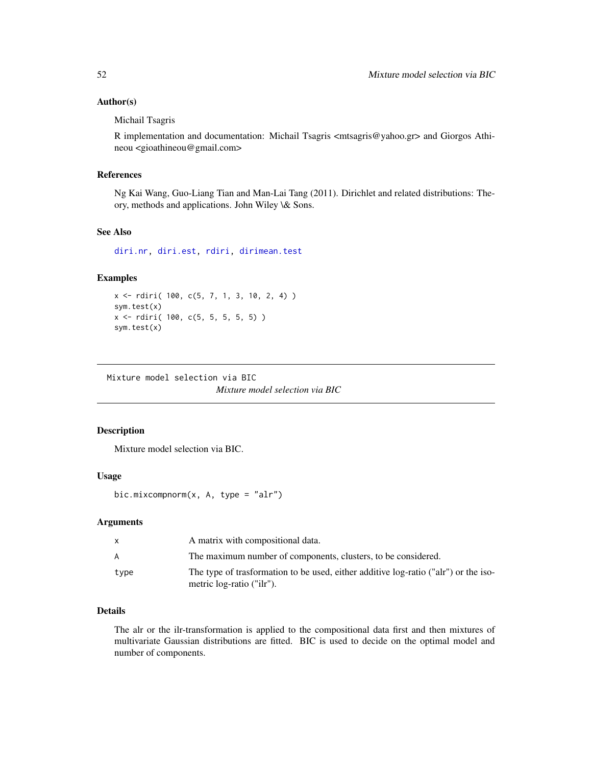## Author(s)

Michail Tsagris

R implementation and documentation: Michail Tsagris <mtsagris@yahoo.gr> and Giorgos Athineou <gioathineou@gmail.com>

## References

Ng Kai Wang, Guo-Liang Tian and Man-Lai Tang (2011). Dirichlet and related distributions: Theory, methods and applications. John Wiley \& Sons.

## See Also

[diri.nr,](#page-35-0) [diri.est,](#page-33-0) [rdiri,](#page-16-0) [dirimean.test](#page-49-0)

# Examples

```
x <- rdiri( 100, c(5, 7, 1, 3, 10, 2, 4) )
sym.test(x)
x <- rdiri( 100, c(5, 5, 5, 5, 5) )
sym.test(x)
```
Mixture model selection via BIC

*Mixture model selection via BIC*

# <span id="page-51-0"></span>Description

Mixture model selection via BIC.

## Usage

bic.mixcompnorm $(x, A, type = "alr")$ 

## Arguments

|      | A matrix with compositional data.                                                                                |
|------|------------------------------------------------------------------------------------------------------------------|
| A    | The maximum number of components, clusters, to be considered.                                                    |
| type | The type of trasformation to be used, either additive log-ratio ("alr") or the iso-<br>metric log-ratio ("ilr"). |

# Details

The alr or the ilr-transformation is applied to the compositional data first and then mixtures of multivariate Gaussian distributions are fitted. BIC is used to decide on the optimal model and number of components.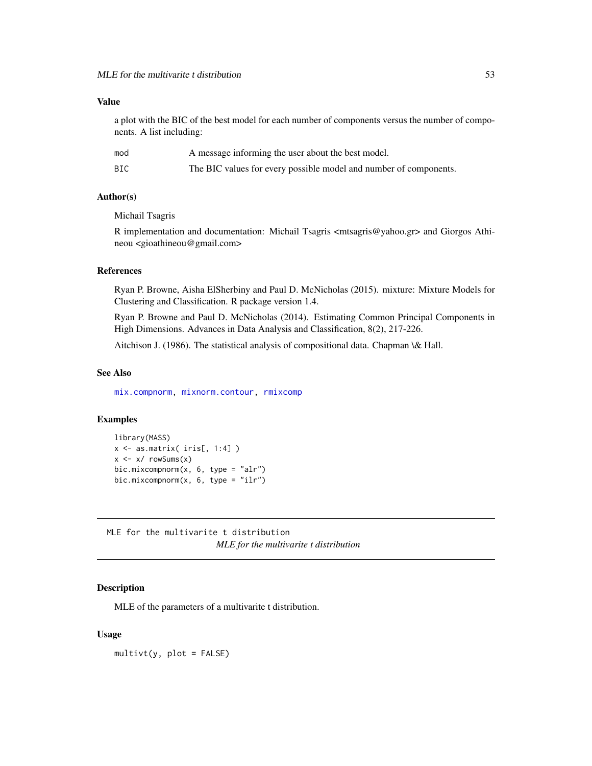## Value

a plot with the BIC of the best model for each number of components versus the number of components. A list including:

| mod | A message informing the user about the best model.                |
|-----|-------------------------------------------------------------------|
| BIC | The BIC values for every possible model and number of components. |

## Author(s)

Michail Tsagris

R implementation and documentation: Michail Tsagris <mtsagris@yahoo.gr> and Giorgos Athineou <gioathineou@gmail.com>

## References

Ryan P. Browne, Aisha ElSherbiny and Paul D. McNicholas (2015). mixture: Mixture Models for Clustering and Classification. R package version 1.4.

Ryan P. Browne and Paul D. McNicholas (2014). Estimating Common Principal Components in High Dimensions. Advances in Data Analysis and Classification, 8(2), 217-226.

Aitchison J. (1986). The statistical analysis of compositional data. Chapman \& Hall.

#### See Also

[mix.compnorm,](#page-36-0) [mixnorm.contour,](#page-5-0) [rmixcomp](#page-86-0)

## Examples

```
library(MASS)
x \leftarrow as.matrix(ints[, 1:4])x \le -x / \text{rowsums}(x)bic.mixcompnorm(x, 6, type = "alr")bic.mixcompnorm(x, 6, type = "ilr")
```
MLE for the multivarite t distribution *MLE for the multivarite t distribution*

## Description

MLE of the parameters of a multivarite t distribution.

### Usage

 $multiplet(y, plot = FALSE)$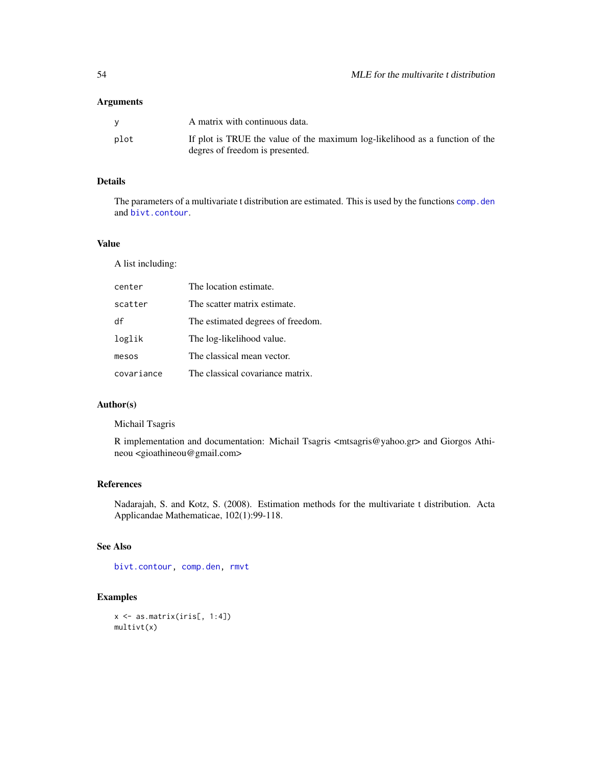## Arguments

|      | A matrix with continuous data.                                                                                  |
|------|-----------------------------------------------------------------------------------------------------------------|
| plot | If plot is TRUE the value of the maximum log-likelihood as a function of the<br>degres of freedom is presented. |

# Details

The parameters of a multivariate t distribution are estimated. This is used by the functions [comp.den](#page-25-0) and [bivt.contour](#page-9-0).

## Value

A list including:

| center     | The location estimate.            |
|------------|-----------------------------------|
| scatter    | The scatter matrix estimate.      |
| df         | The estimated degrees of freedom. |
| loglik     | The log-likelihood value.         |
| mesos      | The classical mean vector.        |
| covariance | The classical covariance matrix.  |

# Author(s)

Michail Tsagris

R implementation and documentation: Michail Tsagris <mtsagris@yahoo.gr> and Giorgos Athineou <gioathineou@gmail.com>

# References

Nadarajah, S. and Kotz, S. (2008). Estimation methods for the multivariate t distribution. Acta Applicandae Mathematicae, 102(1):99-118.

#### See Also

[bivt.contour,](#page-9-0) [comp.den,](#page-25-0) [rmvt](#page-0-0)

# Examples

x <- as.matrix(iris[, 1:4]) multivt(x)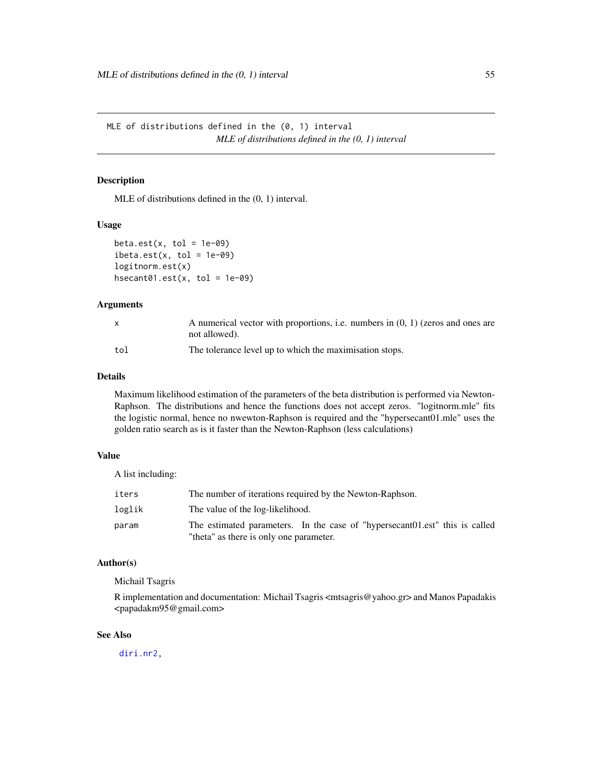MLE of distributions defined in the (0, 1) interval *MLE of distributions defined in the (0, 1) interval*

# Description

MLE of distributions defined in the (0, 1) interval.

#### Usage

```
beta.get(x, tol = 1e-09)ibeta.set(x, tol = 1e-09)logitnorm.est(x)
hsecant@1.est(x, tol = 1e-@9)
```
# Arguments

|     | A numerical vector with proportions, i.e. numbers in $(0, 1)$ (zeros and ones are<br>not allowed). |
|-----|----------------------------------------------------------------------------------------------------|
| tol | The tolerance level up to which the maximisation stops.                                            |

## Details

Maximum likelihood estimation of the parameters of the beta distribution is performed via Newton-Raphson. The distributions and hence the functions does not accept zeros. "logitnorm.mle" fits the logistic normal, hence no nwewton-Raphson is required and the "hypersecant01.mle" uses the golden ratio search as is it faster than the Newton-Raphson (less calculations)

## Value

A list including:

| iters  | The number of iterations required by the Newton-Raphson.                      |
|--------|-------------------------------------------------------------------------------|
| loglik | The value of the log-likelihood.                                              |
| param  | The estimated parameters. In the case of "hypersecant 01. est" this is called |
|        | "theta" as there is only one parameter.                                       |

### Author(s)

Michail Tsagris

R implementation and documentation: Michail Tsagris <mtsagris@yahoo.gr> and Manos Papadakis <papadakm95@gmail.com>

# See Also

[diri.nr2,](#page-0-0)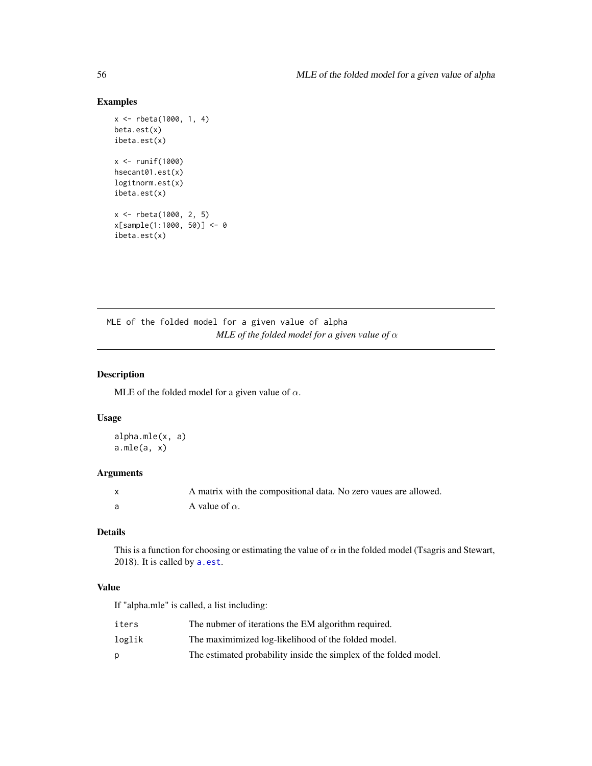# Examples

```
x <- rbeta(1000, 1, 4)
beta.est(x)
ibeta.est(x)
x < - runif(1000)
hsecant01.est(x)
logitnorm.est(x)
ibeta.est(x)
x <- rbeta(1000, 2, 5)
x[sample(1:1000, 50)] <- 0
ibeta.est(x)
```
MLE of the folded model for a given value of alpha *MLE of the folded model for a given value of* α

# Description

MLE of the folded model for a given value of  $\alpha$ .

#### Usage

alpha.mle(x, a)  $a.mle(a, x)$ 

# Arguments

| A matrix with the compositional data. No zero vaues are allowed. |
|------------------------------------------------------------------|
| A value of $\alpha$ .                                            |

# Details

This is a function for choosing or estimating the value of  $\alpha$  in the folded model (Tsagris and Stewart, 2018). It is called by [a.est](#page-27-0).

### Value

If "alpha.mle" is called, a list including:

| iters  | The nubmer of iterations the EM algorithm required.               |
|--------|-------------------------------------------------------------------|
| loglik | The maximimized log-likelihood of the folded model.               |
| D      | The estimated probability inside the simplex of the folded model. |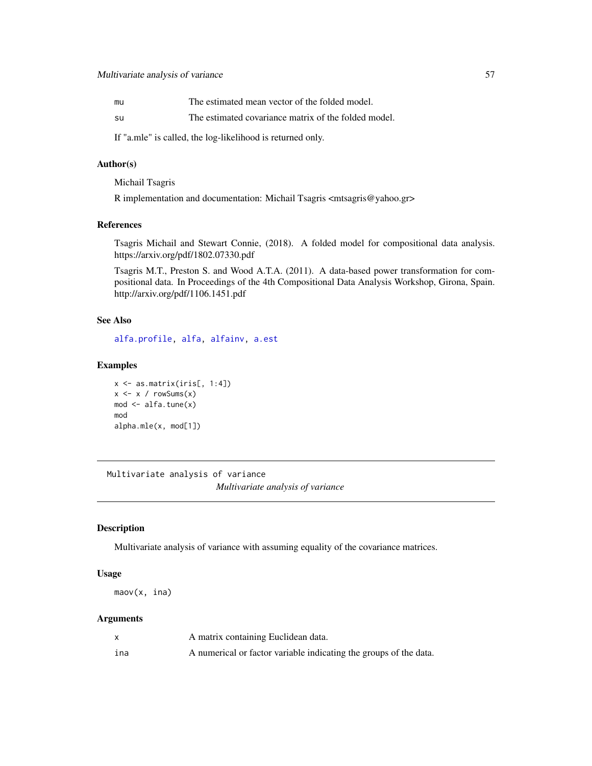| mu | The estimated mean vector of the folded model.       |
|----|------------------------------------------------------|
| su | The estimated covariance matrix of the folded model. |

If "a.mle" is called, the log-likelihood is returned only.

# Author(s)

Michail Tsagris

R implementation and documentation: Michail Tsagris <mtsagris@yahoo.gr>

#### References

Tsagris Michail and Stewart Connie, (2018). A folded model for compositional data analysis. https://arxiv.org/pdf/1802.07330.pdf

Tsagris M.T., Preston S. and Wood A.T.A. (2011). A data-based power transformation for compositional data. In Proceedings of the 4th Compositional Data Analysis Workshop, Girona, Spain. http://arxiv.org/pdf/1106.1451.pdf

# See Also

[alfa.profile,](#page-28-0) [alfa,](#page-93-0) [alfainv,](#page-44-0) [a.est](#page-27-0)

## Examples

```
x \leftarrow as_matrix(iris[, 1:4])x \leftarrow x / rowsums(x)mod <- alfa.tune(x)
mod
alpha.mle(x, mod[1])
```
Multivariate analysis of variance *Multivariate analysis of variance*

#### <span id="page-56-0"></span>Description

Multivariate analysis of variance with assuming equality of the covariance matrices.

#### Usage

maov(x, ina)

## Arguments

|     | A matrix containing Euclidean data.                               |
|-----|-------------------------------------------------------------------|
| ina | A numerical or factor variable indicating the groups of the data. |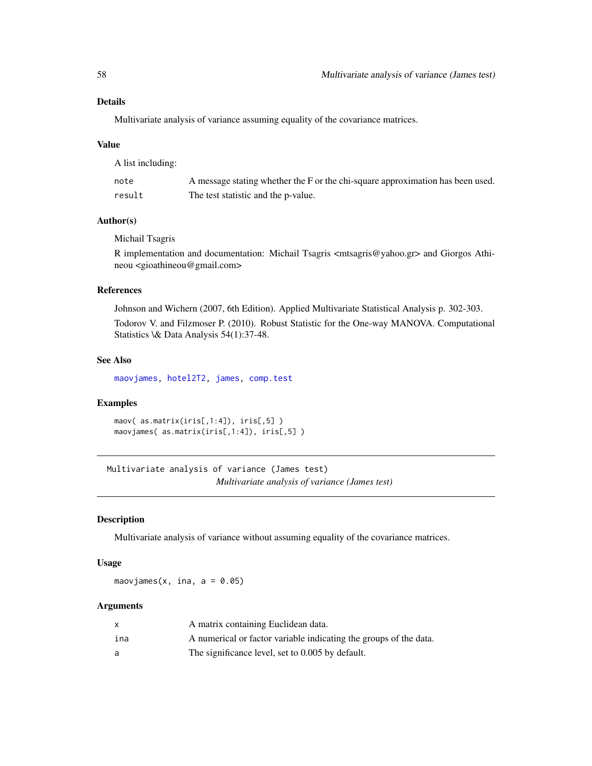## Details

Multivariate analysis of variance assuming equality of the covariance matrices.

#### Value

A list including:

| note   | A message stating whether the F or the chi-square approximation has been used. |
|--------|--------------------------------------------------------------------------------|
| result | The test statistic and the p-value.                                            |

# Author(s)

Michail Tsagris

R implementation and documentation: Michail Tsagris <mtsagris@yahoo.gr> and Giorgos Athineou <gioathineou@gmail.com>

#### References

Johnson and Wichern (2007, 6th Edition). Applied Multivariate Statistical Analysis p. 302-303.

Todorov V. and Filzmoser P. (2010). Robust Statistic for the One-way MANOVA. Computational Statistics \& Data Analysis 54(1):37-48.

#### See Also

[maovjames,](#page-57-0) [hotel2T2,](#page-41-0) [james,](#page-45-0) [comp.test](#page-42-0)

## Examples

maov( as.matrix(iris[,1:4]), iris[,5] ) maovjames( as.matrix(iris[,1:4]), iris[,5] )

Multivariate analysis of variance (James test) *Multivariate analysis of variance (James test)*

#### <span id="page-57-0"></span>Description

Multivariate analysis of variance without assuming equality of the covariance matrices.

### Usage

maovjames(x, ina,  $a = 0.05$ )

## Arguments

|     | A matrix containing Euclidean data.                               |
|-----|-------------------------------------------------------------------|
| ina | A numerical or factor variable indicating the groups of the data. |
| a   | The significance level, set to 0.005 by default.                  |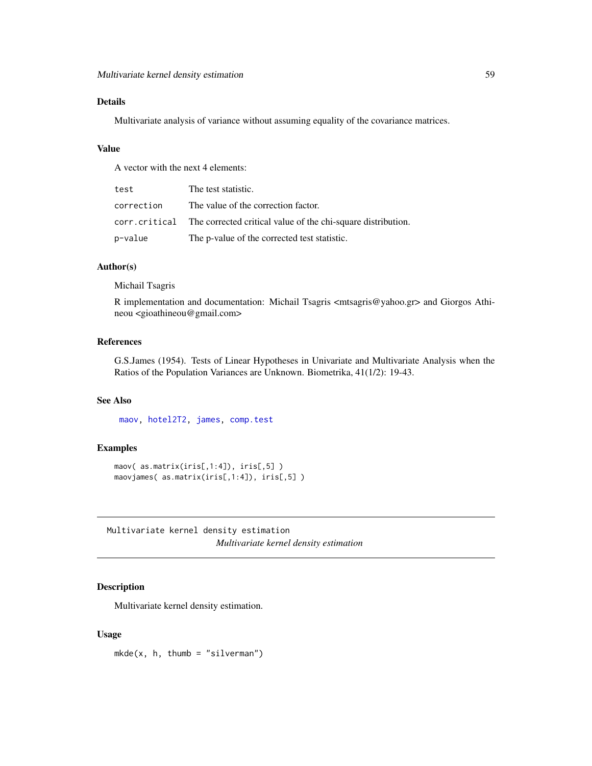# Details

Multivariate analysis of variance without assuming equality of the covariance matrices.

# Value

A vector with the next 4 elements:

| test       | The test statistic.                                                         |
|------------|-----------------------------------------------------------------------------|
| correction | The value of the correction factor.                                         |
|            | corr. critical The corrected critical value of the chi-square distribution. |
| p-value    | The p-value of the corrected test statistic.                                |

# Author(s)

Michail Tsagris

R implementation and documentation: Michail Tsagris <mtsagris@yahoo.gr> and Giorgos Athineou <gioathineou@gmail.com>

## References

G.S.James (1954). Tests of Linear Hypotheses in Univariate and Multivariate Analysis when the Ratios of the Population Variances are Unknown. Biometrika, 41(1/2): 19-43.

#### See Also

[maov,](#page-56-0) [hotel2T2,](#page-41-0) [james,](#page-45-0) [comp.test](#page-42-0)

## Examples

```
maov( as.matrix(iris[,1:4]), iris[,5] )
maovjames( as.matrix(iris[,1:4]), iris[,5] )
```
Multivariate kernel density estimation *Multivariate kernel density estimation*

## Description

Multivariate kernel density estimation.

#### Usage

 $mkde(x, h, thumb = "silverman")$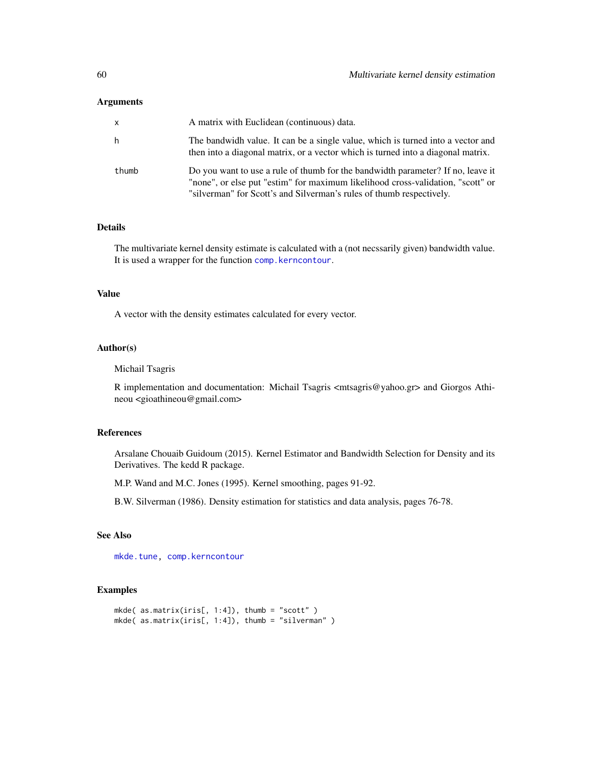### Arguments

| X     | A matrix with Euclidean (continuous) data.                                                                                                                                                                                                 |
|-------|--------------------------------------------------------------------------------------------------------------------------------------------------------------------------------------------------------------------------------------------|
| h     | The bandwidh value. It can be a single value, which is turned into a vector and<br>then into a diagonal matrix, or a vector which is turned into a diagonal matrix.                                                                        |
| thumb | Do you want to use a rule of thumb for the bandwidth parameter? If no, leave it<br>"none", or else put "estim" for maximum likelihood cross-validation, "scott" or<br>"silverman" for Scott's and Silverman's rules of thumb respectively. |

### Details

The multivariate kernel density estimate is calculated with a (not necssarily given) bandwidth value. It is used a wrapper for the function [comp.kerncontour](#page-6-0).

# Value

A vector with the density estimates calculated for every vector.

# Author(s)

Michail Tsagris

R implementation and documentation: Michail Tsagris <mtsagris@yahoo.gr> and Giorgos Athineou <gioathineou@gmail.com>

## References

Arsalane Chouaib Guidoum (2015). Kernel Estimator and Bandwidth Selection for Density and its Derivatives. The kedd R package.

M.P. Wand and M.C. Jones (1995). Kernel smoothing, pages 91-92.

B.W. Silverman (1986). Density estimation for statistics and data analysis, pages 76-78.

# See Also

[mkde.tune,](#page-100-0) [comp.kerncontour](#page-6-0)

# Examples

```
mkde( as.matrix(iris[, 1:4]), thumb = "scott" )
mkde( as.matrix(iris[, 1:4]), thumb = "silverman" )
```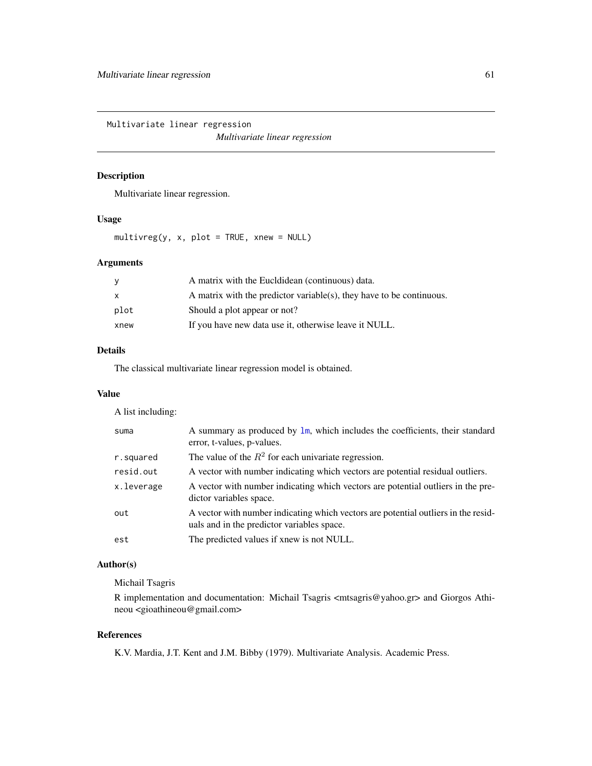Multivariate linear regression *Multivariate linear regression*

# <span id="page-60-0"></span>Description

Multivariate linear regression.

#### Usage

 $multiplying (y, x, plot = TRUE, xnew = NULL)$ 

# Arguments

| A matrix with the Eucloidean (continuous) data.                      |
|----------------------------------------------------------------------|
| A matrix with the predictor variable(s), they have to be continuous. |
| Should a plot appear or not?                                         |
| If you have new data use it, otherwise leave it NULL.                |
|                                                                      |

# Details

The classical multivariate linear regression model is obtained.

## Value

A list including:

| suma       | A summary as produced by $\text{lm}$ , which includes the coefficients, their standard<br>error, t-values, p-values.             |
|------------|----------------------------------------------------------------------------------------------------------------------------------|
| r.squared  | The value of the $R^2$ for each univariate regression.                                                                           |
| resid.out  | A vector with number indicating which vectors are potential residual outliers.                                                   |
| x.leverage | A vector with number indicating which vectors are potential outliers in the pre-<br>dictor variables space.                      |
| out        | A vector with number indicating which vectors are potential outliers in the resid-<br>uals and in the predictor variables space. |
| est        | The predicted values if xnew is not NULL.                                                                                        |

# Author(s)

Michail Tsagris

R implementation and documentation: Michail Tsagris <mtsagris@yahoo.gr> and Giorgos Athineou <gioathineou@gmail.com>

# References

K.V. Mardia, J.T. Kent and J.M. Bibby (1979). Multivariate Analysis. Academic Press.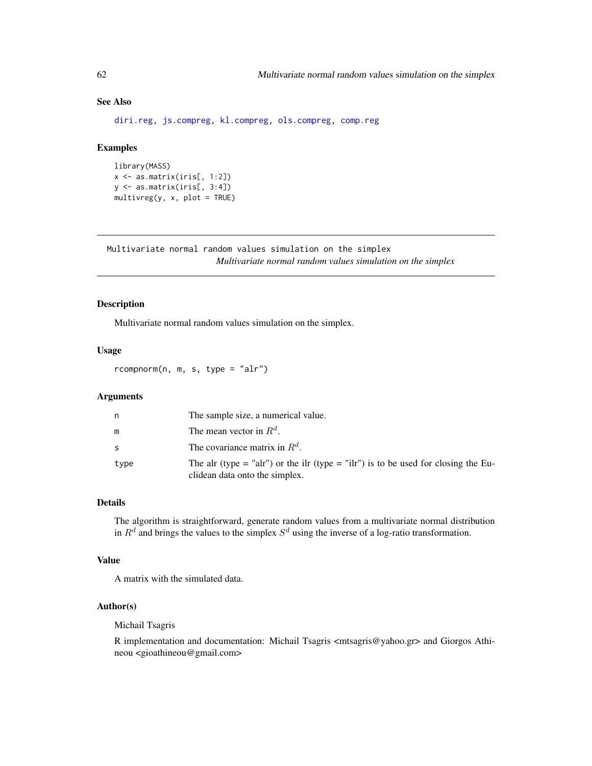# See Also

[diri.reg,](#page-17-0) [js.compreg,](#page-19-0) [kl.compreg,](#page-19-0) [ols.compreg,](#page-68-0) [comp.reg](#page-64-0)

#### Examples

```
library(MASS)
x <- as.matrix(iris[, 1:2])
y <- as.matrix(iris[, 3:4])
multipkey(x, x, plot = TRUE)
```
Multivariate normal random values simulation on the simplex *Multivariate normal random values simulation on the simplex*

## <span id="page-61-0"></span>Description

Multivariate normal random values simulation on the simplex.

# Usage

rcompnorm(n, m, s, type = "alr")

# Arguments

| n    | The sample size, a numerical value.                                                                                  |
|------|----------------------------------------------------------------------------------------------------------------------|
| m    | The mean vector in $R^d$ .                                                                                           |
| S    | The covariance matrix in $R^d$ .                                                                                     |
| type | The alr (type = "alr") or the ilr (type = "ilr") is to be used for closing the Eu-<br>clidean data onto the simplex. |

#### Details

The algorithm is straightforward, generate random values from a multivariate normal distribution in  $R^d$  and brings the values to the simplex  $S^d$  using the inverse of a log-ratio transformation.

# Value

A matrix with the simulated data.

# Author(s)

Michail Tsagris

R implementation and documentation: Michail Tsagris <mtsagris@yahoo.gr> and Giorgos Athineou <gioathineou@gmail.com>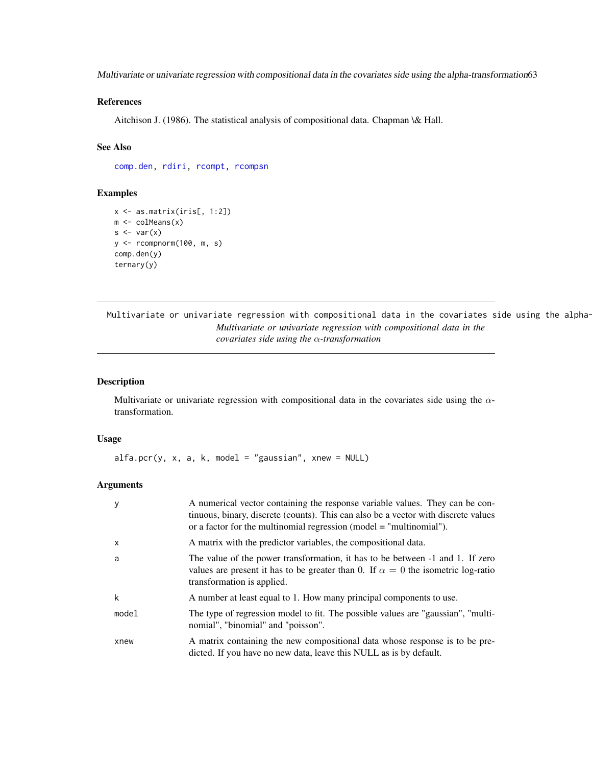Multivariate or univariate regression with compositional data in the covariates side using the alpha-transformation63

## References

Aitchison J. (1986). The statistical analysis of compositional data. Chapman \& Hall.

# See Also

[comp.den,](#page-25-0) [rdiri,](#page-16-0) [rcompt,](#page-66-0) [rcompsn](#page-65-0)

## Examples

```
x <- as.matrix(iris[, 1:2])
m \leftarrow \text{colMeans}(x)s \leftarrow \text{var}(x)y <- rcompnorm(100, m, s)
comp.den(y)
ternary(y)
```
Multivariate or univariate regression with compositional data in the covariates side using the alpha-*Multivariate or univariate regression with compositional data in the covariates side using the* α*-transformation*

## Description

Multivariate or univariate regression with compositional data in the covariates side using the  $\alpha$ transformation.

#### Usage

 $alfa.pcr(y, x, a, k, model = "gaussian", xnew = NULL)$ 

#### Arguments

| y        | A numerical vector containing the response variable values. They can be con-<br>tinuous, binary, discrete (counts). This can also be a vector with discrete values<br>or a factor for the multinomial regression (model $=$ "multinomial"). |
|----------|---------------------------------------------------------------------------------------------------------------------------------------------------------------------------------------------------------------------------------------------|
| $\times$ | A matrix with the predictor variables, the compositional data.                                                                                                                                                                              |
| a        | The value of the power transformation, it has to be between -1 and 1. If zero<br>values are present it has to be greater than 0. If $\alpha = 0$ the isometric log-ratio<br>transformation is applied.                                      |
| k        | A number at least equal to 1. How many principal components to use.                                                                                                                                                                         |
| model    | The type of regression model to fit. The possible values are "gaussian", "multi-<br>nomial", "binomial" and "poisson".                                                                                                                      |
| xnew     | A matrix containing the new compositional data whose response is to be pre-<br>dicted. If you have no new data, leave this NULL as is by default.                                                                                           |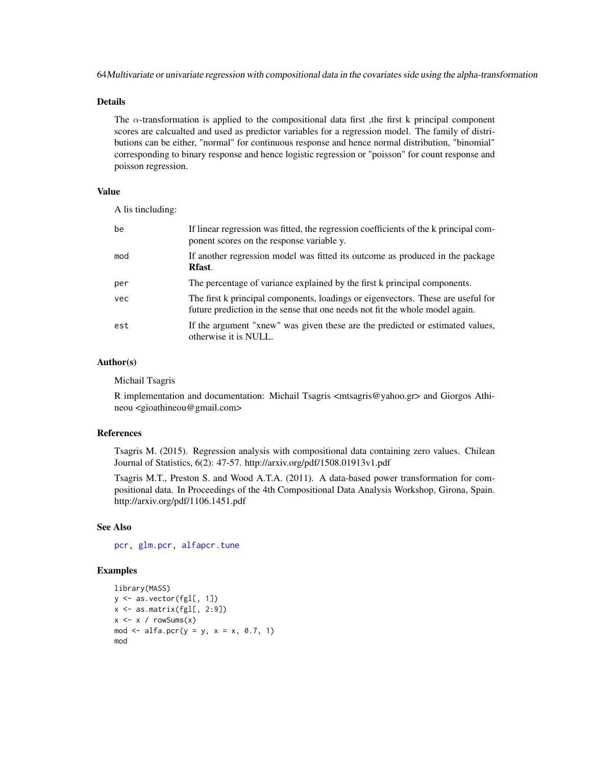64Multivariate or univariate regression with compositional data in the covariates side using the alpha-transformation

#### Details

The  $\alpha$ -transformation is applied to the compositional data first, the first k principal component scores are calcualted and used as predictor variables for a regression model. The family of distributions can be either, "normal" for continuous response and hence normal distribution, "binomial" corresponding to binary response and hence logistic regression or "poisson" for count response and poisson regression.

# Value

A lis tincluding:

| be  | If linear regression was fitted, the regression coefficients of the k principal com-<br>ponent scores on the response variable y.                                |
|-----|------------------------------------------------------------------------------------------------------------------------------------------------------------------|
| mod | If another regression model was fitted its outcome as produced in the package<br>Rfast.                                                                          |
| per | The percentage of variance explained by the first k principal components.                                                                                        |
| vec | The first k principal components, loadings or eigenvectors. These are useful for<br>future prediction in the sense that one needs not fit the whole model again. |
| est | If the argument "xnew" was given these are the predicted or estimated values,<br>otherwise it is NULL.                                                           |

## Author(s)

Michail Tsagris

R implementation and documentation: Michail Tsagris <mtsagris@yahoo.gr> and Giorgos Athineou <gioathineou@gmail.com>

## References

Tsagris M. (2015). Regression analysis with compositional data containing zero values. Chilean Journal of Statistics, 6(2): 47-57. http://arxiv.org/pdf/1508.01913v1.pdf

Tsagris M.T., Preston S. and Wood A.T.A. (2011). A data-based power transformation for compositional data. In Proceedings of the 4th Compositional Data Analysis Workshop, Girona, Spain. http://arxiv.org/pdf/1106.1451.pdf

# See Also

[pcr,](#page-72-0) [glm.pcr,](#page-71-0) [alfapcr.tune](#page-106-0)

## Examples

```
library(MASS)
y <- as.vector(fgl[, 1])
x \leftarrow as.matrix(fgl[, 2:9])
x \leq x / \text{rowsums}(x)mod <- alfa.pcr(y = y, x = x, 0.7, 1)
mod
```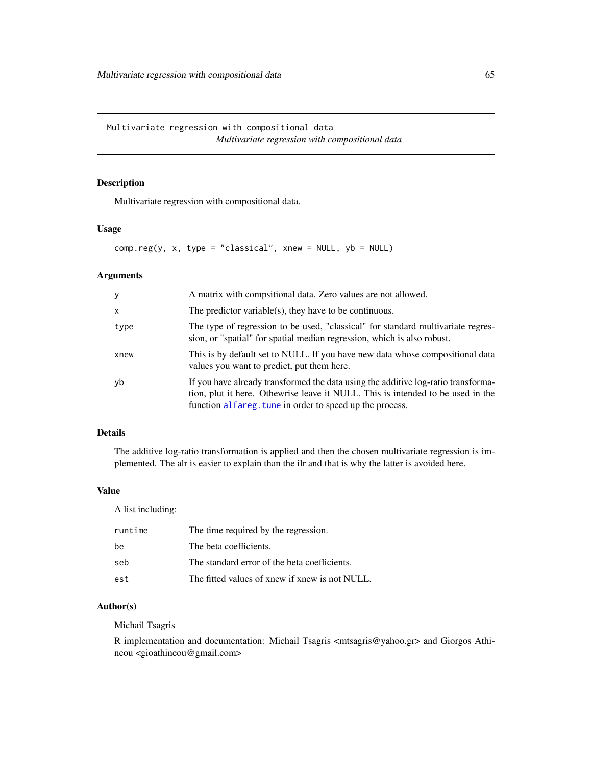Multivariate regression with compositional data *Multivariate regression with compositional data*

# <span id="page-64-0"></span>Description

Multivariate regression with compositional data.

## Usage

```
comp.reg(y, x, type = "classical", xnew = NULL, yb = NULL)
```
#### Arguments

| y            | A matrix with compsitional data. Zero values are not allowed.                                                                                                                                                                    |
|--------------|----------------------------------------------------------------------------------------------------------------------------------------------------------------------------------------------------------------------------------|
| $\mathsf{x}$ | The predictor variable(s), they have to be continuous.                                                                                                                                                                           |
| type         | The type of regression to be used, "classical" for standard multivariate regres-<br>sion, or "spatial" for spatial median regression, which is also robust.                                                                      |
| xnew         | This is by default set to NULL. If you have new data whose compositional data<br>values you want to predict, put them here.                                                                                                      |
| yb           | If you have already transformed the data using the additive log-ratio transforma-<br>tion, plut it here. Othewrise leave it NULL. This is intended to be used in the<br>function alfareg. tune in order to speed up the process. |

# Details

The additive log-ratio transformation is applied and then the chosen multivariate regression is implemented. The alr is easier to explain than the ilr and that is why the latter is avoided here.

## Value

A list including:

| runtime | The time required by the regression.           |
|---------|------------------------------------------------|
| be      | The beta coefficients.                         |
| seb     | The standard error of the beta coefficients.   |
| est     | The fitted values of xnew if xnew is not NULL. |

# Author(s)

Michail Tsagris

R implementation and documentation: Michail Tsagris <mtsagris@yahoo.gr> and Giorgos Athineou <gioathineou@gmail.com>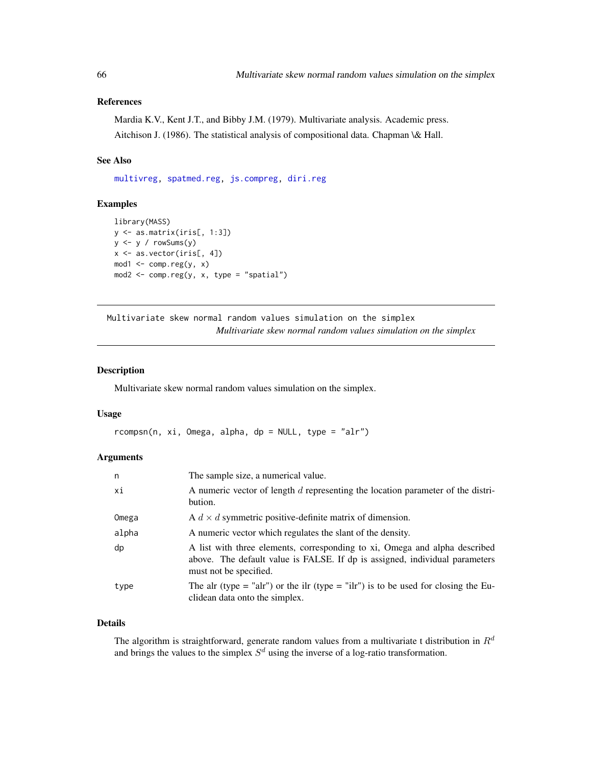# References

Mardia K.V., Kent J.T., and Bibby J.M. (1979). Multivariate analysis. Academic press. Aitchison J. (1986). The statistical analysis of compositional data. Chapman \& Hall.

#### See Also

[multivreg,](#page-60-0) [spatmed.reg,](#page-88-0) [js.compreg,](#page-19-0) [diri.reg](#page-17-0)

## Examples

```
library(MASS)
y <- as.matrix(iris[, 1:3])
y <- y / rowSums(y)
x <- as.vector(iris[, 4])
mod1 <- comp.read(y, x)mod2 <- comp.reg(y, x, type = "spatial")
```
Multivariate skew normal random values simulation on the simplex *Multivariate skew normal random values simulation on the simplex*

### <span id="page-65-0"></span>Description

Multivariate skew normal random values simulation on the simplex.

## Usage

 $rcompsn(n, xi, Omega, alpha, dp = NULL, type = "alr")$ 

## Arguments

| n     | The sample size, a numerical value.                                                                                                                                                 |
|-------|-------------------------------------------------------------------------------------------------------------------------------------------------------------------------------------|
| хi    | A numeric vector of length d representing the location parameter of the distri-<br>bution.                                                                                          |
| Omega | A $d \times d$ symmetric positive-definite matrix of dimension.                                                                                                                     |
| alpha | A numeric vector which regulates the slant of the density.                                                                                                                          |
| dp    | A list with three elements, corresponding to xi, Omega and alpha described<br>above. The default value is FALSE. If dp is assigned, individual parameters<br>must not be specified. |
| type  | The alr (type = "alr") or the ilr (type = "ilr") is to be used for closing the Eu-<br>clidean data onto the simplex.                                                                |

# Details

The algorithm is straightforward, generate random values from a multivariate t distribution in  $R^d$ and brings the values to the simplex  $S<sup>d</sup>$  using the inverse of a log-ratio transformation.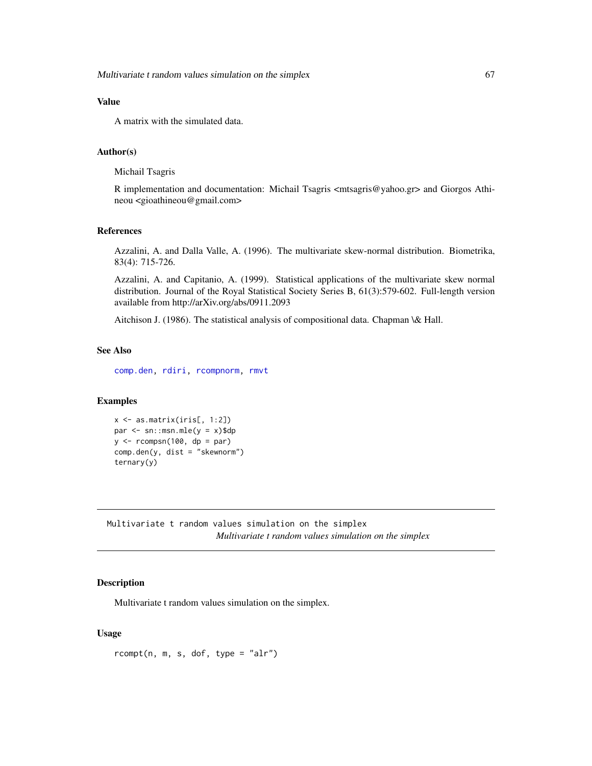# Value

A matrix with the simulated data.

## Author(s)

Michail Tsagris

R implementation and documentation: Michail Tsagris <mtsagris@yahoo.gr> and Giorgos Athineou <gioathineou@gmail.com>

# References

Azzalini, A. and Dalla Valle, A. (1996). The multivariate skew-normal distribution. Biometrika, 83(4): 715-726.

Azzalini, A. and Capitanio, A. (1999). Statistical applications of the multivariate skew normal distribution. Journal of the Royal Statistical Society Series B, 61(3):579-602. Full-length version available from http://arXiv.org/abs/0911.2093

Aitchison J. (1986). The statistical analysis of compositional data. Chapman \& Hall.

# See Also

[comp.den,](#page-25-0) [rdiri,](#page-16-0) [rcompnorm,](#page-61-0) [rmvt](#page-0-0)

## Examples

```
x <- as.matrix(iris[, 1:2])
par < - sn:msn.mle(y = x)$dp
y \le -r \text{compsn}(100, dp = par)comp.den(y, dist = "skewnorm")
ternary(y)
```
Multivariate t random values simulation on the simplex *Multivariate t random values simulation on the simplex*

#### <span id="page-66-0"></span>Description

Multivariate t random values simulation on the simplex.

### Usage

 $r \text{compt}(n, m, s, \text{dof}, \text{type} = "alr")$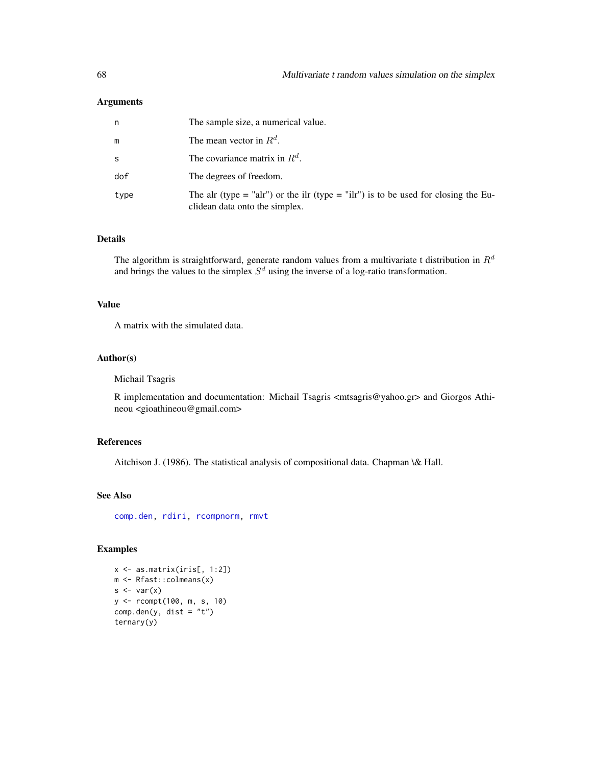### Arguments

| n    | The sample size, a numerical value.                                                                                  |
|------|----------------------------------------------------------------------------------------------------------------------|
| m    | The mean vector in $R^d$ .                                                                                           |
| S    | The covariance matrix in $R^d$ .                                                                                     |
| dof  | The degrees of freedom.                                                                                              |
| type | The alr (type = "alr") or the ilr (type = "ilr") is to be used for closing the Eu-<br>clidean data onto the simplex. |

## Details

The algorithm is straightforward, generate random values from a multivariate t distribution in  $R^d$ and brings the values to the simplex  $S<sup>d</sup>$  using the inverse of a log-ratio transformation.

## Value

A matrix with the simulated data.

# Author(s)

Michail Tsagris

R implementation and documentation: Michail Tsagris <mtsagris@yahoo.gr> and Giorgos Athineou <gioathineou@gmail.com>

## References

Aitchison J. (1986). The statistical analysis of compositional data. Chapman \& Hall.

# See Also

[comp.den,](#page-25-0) [rdiri,](#page-16-0) [rcompnorm,](#page-61-0) [rmvt](#page-0-0)

# Examples

```
x <- as.matrix(iris[, 1:2])
m <- Rfast::colmeans(x)
s \leftarrow \text{var}(x)y <- rcompt(100, m, s, 10)
comp.den(y, dist = "t")
ternary(y)
```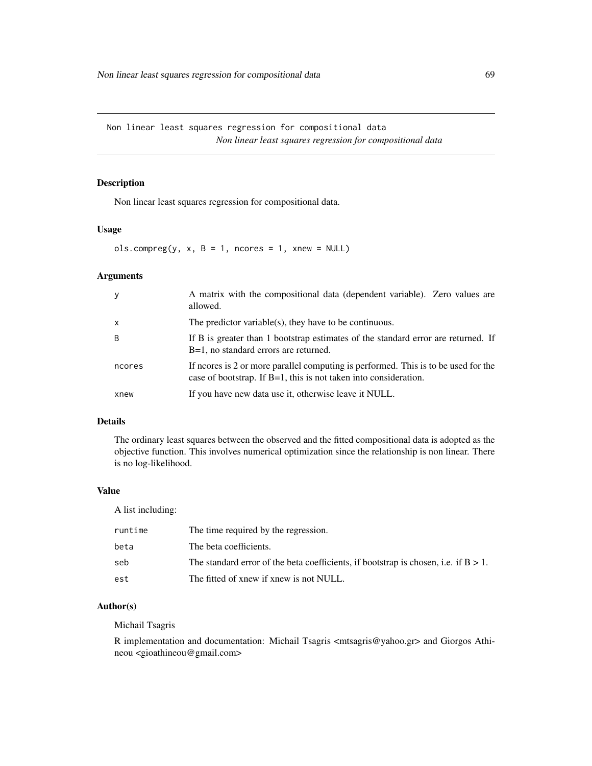Non linear least squares regression for compositional data *Non linear least squares regression for compositional data*

#### <span id="page-68-0"></span>Description

Non linear least squares regression for compositional data.

#### Usage

 $ols.compile(y, x, B = 1, nocres = 1, xnew = NULL)$ 

### Arguments

| y            | A matrix with the compositional data (dependent variable). Zero values are<br>allowed.                                                                    |
|--------------|-----------------------------------------------------------------------------------------------------------------------------------------------------------|
| $\mathsf{x}$ | The predictor variable(s), they have to be continuous.                                                                                                    |
| B            | If B is greater than 1 bootstrap estimates of the standard error are returned. If<br>B=1, no standard errors are returned.                                |
| ncores       | If neores is 2 or more parallel computing is performed. This is to be used for the<br>case of bootstrap. If $B=1$ , this is not taken into consideration. |
| xnew         | If you have new data use it, otherwise leave it NULL.                                                                                                     |

# Details

The ordinary least squares between the observed and the fitted compositional data is adopted as the objective function. This involves numerical optimization since the relationship is non linear. There is no log-likelihood.

## Value

A list including:

| runtime | The time required by the regression.                                                   |
|---------|----------------------------------------------------------------------------------------|
| beta    | The beta coefficients.                                                                 |
| seb     | The standard error of the beta coefficients, if bootstrap is chosen, i.e. if $B > 1$ . |
| est     | The fitted of xnew if xnew is not NULL.                                                |

# Author(s)

Michail Tsagris

R implementation and documentation: Michail Tsagris <mtsagris@yahoo.gr> and Giorgos Athineou <gioathineou@gmail.com>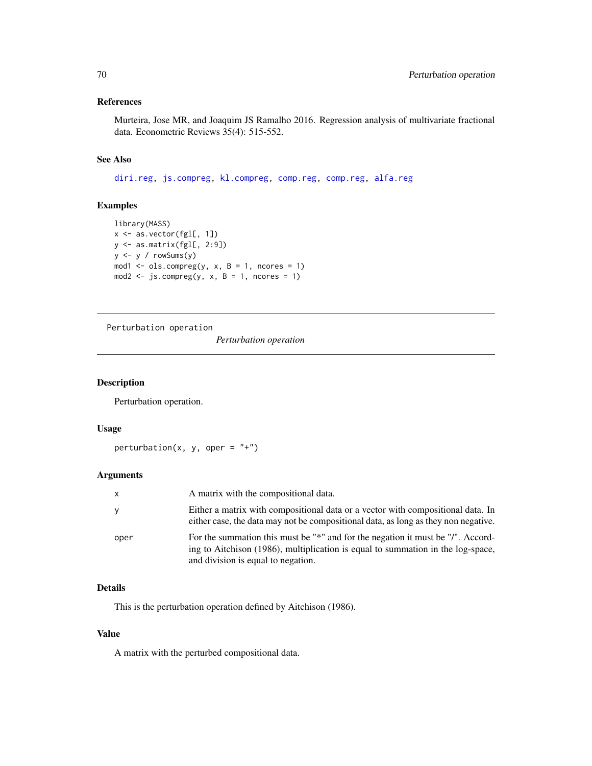# References

Murteira, Jose MR, and Joaquim JS Ramalho 2016. Regression analysis of multivariate fractional data. Econometric Reviews 35(4): 515-552.

# See Also

[diri.reg,](#page-17-0) [js.compreg,](#page-19-0) [kl.compreg,](#page-19-0) [comp.reg,](#page-64-0) [comp.reg,](#page-64-0) [alfa.reg](#page-76-0)

## Examples

```
library(MASS)
x <- as.vector(fgl[, 1])
y <- as.matrix(fgl[, 2:9])
y \leftarrow y / rowsums(y)mod1 <- ols.compreg(y, x, B = 1, ncores = 1)
mod2 <- js.compreg(y, x, B = 1, ncores = 1)
```
Perturbation operation

*Perturbation operation*

## <span id="page-69-0"></span>Description

Perturbation operation.

#### Usage

perturbation(x, y, oper =  $"$ +")

# Arguments

| X    | A matrix with the compositional data.                                                                                                                                                                    |
|------|----------------------------------------------------------------------------------------------------------------------------------------------------------------------------------------------------------|
| V    | Either a matrix with compositional data or a vector with compositional data. In<br>either case, the data may not be compositional data, as long as they non negative.                                    |
| oper | For the summation this must be "*" and for the negation it must be "/". Accord-<br>ing to Aitchison (1986), multiplication is equal to summation in the log-space,<br>and division is equal to negation. |

## Details

This is the perturbation operation defined by Aitchison (1986).

# Value

A matrix with the perturbed compositional data.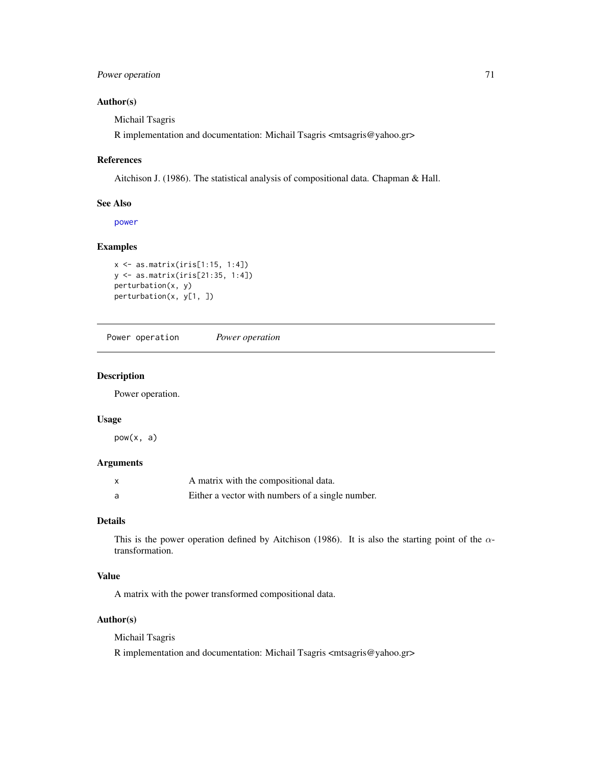# Power operation 71

# Author(s)

Michail Tsagris

R implementation and documentation: Michail Tsagris <mtsagris@yahoo.gr>

## References

Aitchison J. (1986). The statistical analysis of compositional data. Chapman & Hall.

## See Also

[power](#page-0-0)

#### Examples

```
x <- as.matrix(iris[1:15, 1:4])
y <- as.matrix(iris[21:35, 1:4])
perturbation(x, y)
perturbation(x, y[1, ])
```
Power operation *Power operation*

# Description

Power operation.

## Usage

 $pow(x, a)$ 

# Arguments

| X | A matrix with the compositional data.            |
|---|--------------------------------------------------|
| a | Either a vector with numbers of a single number. |

# Details

This is the power operation defined by Aitchison (1986). It is also the starting point of the  $\alpha$ transformation.

# Value

A matrix with the power transformed compositional data.

# Author(s)

Michail Tsagris

R implementation and documentation: Michail Tsagris <mtsagris@yahoo.gr>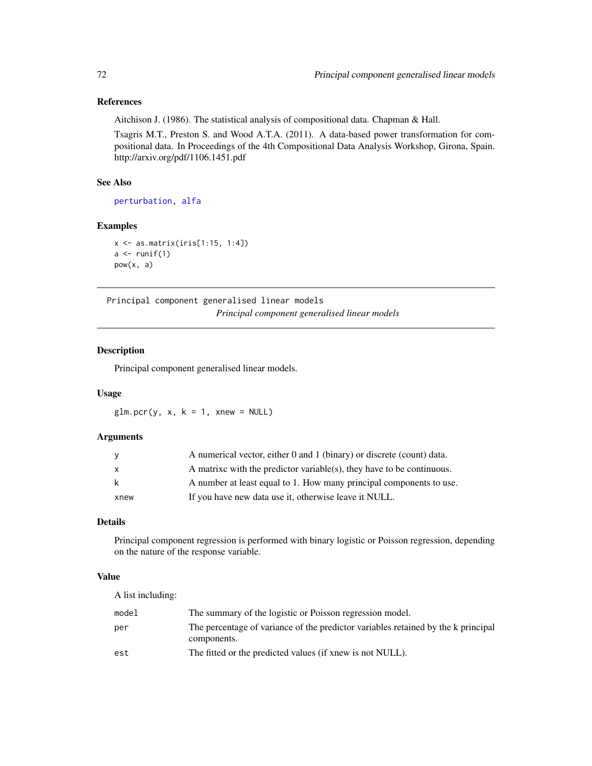## References

Aitchison J. (1986). The statistical analysis of compositional data. Chapman & Hall.

Tsagris M.T., Preston S. and Wood A.T.A. (2011). A data-based power transformation for compositional data. In Proceedings of the 4th Compositional Data Analysis Workshop, Girona, Spain. http://arxiv.org/pdf/1106.1451.pdf

# See Also

[perturbation,](#page-69-0) [alfa](#page-93-0)

## Examples

```
x <- as.matrix(iris[1:15, 1:4])
a \leftarrow runif(1)pow(x, a)
```
Principal component generalised linear models *Principal component generalised linear models*

# <span id="page-71-0"></span>Description

Principal component generalised linear models.

## Usage

 $glm.pcr(y, x, k = 1, xnew = NULL)$ 

# Arguments

| <b>V</b>     | A numerical vector, either 0 and 1 (binary) or discrete (count) data. |
|--------------|-----------------------------------------------------------------------|
| $\mathsf{x}$ | A matrixe with the predictor variable(s), they have to be continuous. |
| k            | A number at least equal to 1. How many principal components to use.   |
| xnew         | If you have new data use it, otherwise leave it NULL.                 |

# Details

Principal component regression is performed with binary logistic or Poisson regression, depending on the nature of the response variable.

## Value

A list including:

| model | The summary of the logistic or Poisson regression model.                                         |
|-------|--------------------------------------------------------------------------------------------------|
| per   | The percentage of variance of the predictor variables retained by the k principal<br>components. |
| est   | The fitted or the predicted values (if xnew is not NULL).                                        |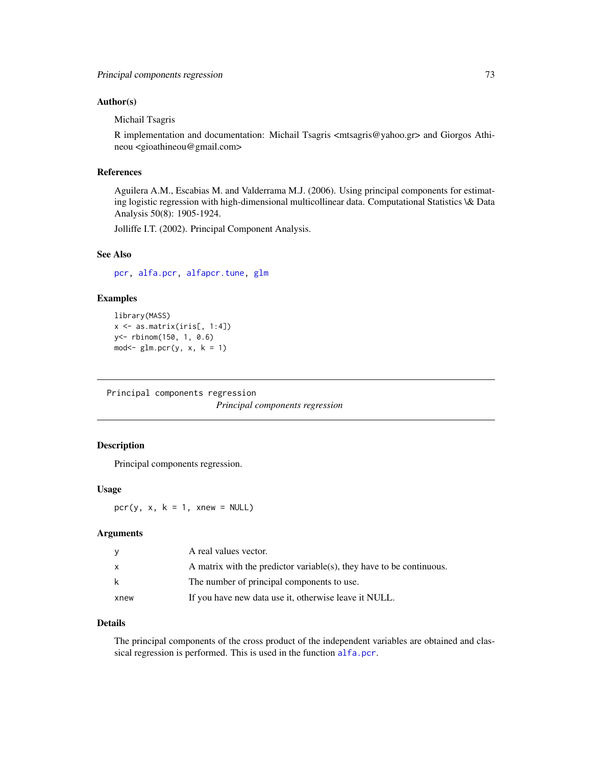### Author(s)

Michail Tsagris

R implementation and documentation: Michail Tsagris <mtsagris@yahoo.gr> and Giorgos Athineou <gioathineou@gmail.com>

# References

Aguilera A.M., Escabias M. and Valderrama M.J. (2006). Using principal components for estimating logistic regression with high-dimensional multicollinear data. Computational Statistics \& Data Analysis 50(8): 1905-1924.

Jolliffe I.T. (2002). Principal Component Analysis.

# See Also

[pcr,](#page-72-0) [alfa.pcr,](#page-62-0) [alfapcr.tune,](#page-106-0) [glm](#page-0-0)

### Examples

```
library(MASS)
x \leftarrow as_matrix(iris[, 1:4])y<- rbinom(150, 1, 0.6)
mod < -glm.pcr(y, x, k = 1)
```
Principal components regression

*Principal components regression*

# <span id="page-72-0"></span>Description

Principal components regression.

#### Usage

pcr(y, x,  $k = 1$ , xnew = NULL)

#### Arguments

|      | A real values vector.                                                |
|------|----------------------------------------------------------------------|
| X    | A matrix with the predictor variable(s), they have to be continuous. |
| k    | The number of principal components to use.                           |
| xnew | If you have new data use it, otherwise leave it NULL.                |

### Details

The principal components of the cross product of the independent variables are obtained and classical regression is performed. This is used in the function [alfa.pcr](#page-62-0).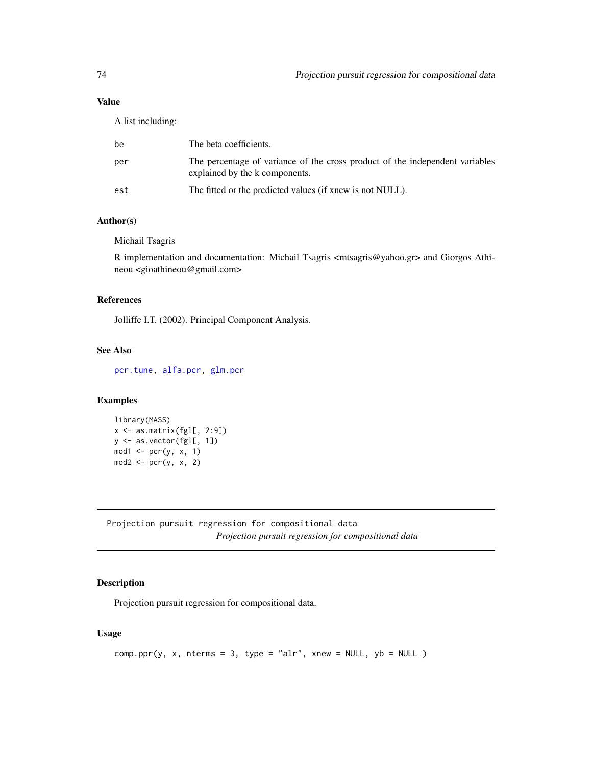# Value

A list including:

| be  | The beta coefficients.                                                                                         |
|-----|----------------------------------------------------------------------------------------------------------------|
| per | The percentage of variance of the cross product of the independent variables<br>explained by the k components. |
| est | The fitted or the predicted values (if xnew is not NULL).                                                      |

# Author(s)

Michail Tsagris

R implementation and documentation: Michail Tsagris <mtsagris@yahoo.gr> and Giorgos Athineou <gioathineou@gmail.com>

# References

Jolliffe I.T. (2002). Principal Component Analysis.

# See Also

[pcr.tune,](#page-105-0) [alfa.pcr,](#page-62-0) [glm.pcr](#page-71-0)

# Examples

```
library(MASS)
x <- as.matrix(fgl[, 2:9])
y <- as.vector(fgl[, 1])
mod1 <- per(y, x, 1)mod2 \leq pcr(y, x, 2)
```
Projection pursuit regression for compositional data *Projection pursuit regression for compositional data*

# Description

Projection pursuit regression for compositional data.

# Usage

```
comp.ppr(y, x, nterms = 3, type = "alr", xnew = NULL, yb = NULL)
```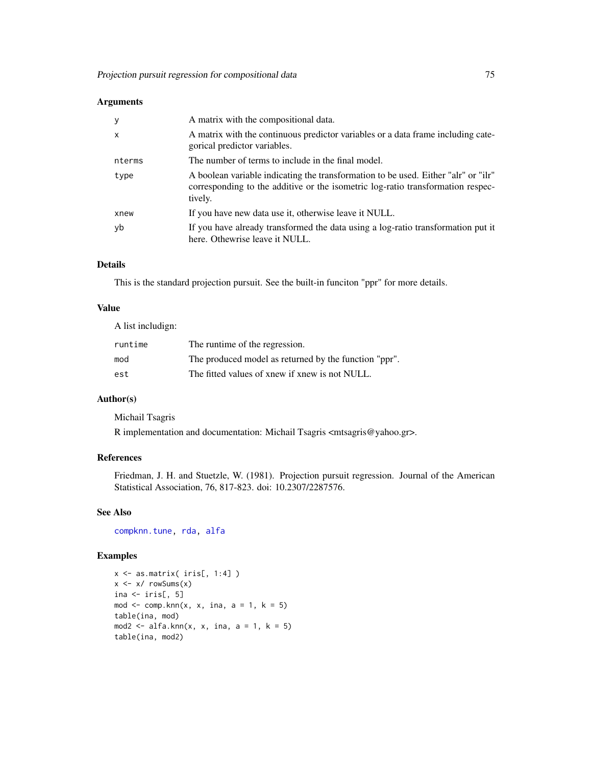# Arguments

| у      | A matrix with the compositional data.                                                                                                                                            |
|--------|----------------------------------------------------------------------------------------------------------------------------------------------------------------------------------|
| X      | A matrix with the continuous predictor variables or a data frame including cate-<br>gorical predictor variables.                                                                 |
| nterms | The number of terms to include in the final model.                                                                                                                               |
| type   | A boolean variable indicating the transformation to be used. Either "alr" or "ilr"<br>corresponding to the additive or the isometric log-ratio transformation respec-<br>tively. |
| xnew   | If you have new data use it, otherwise leave it NULL.                                                                                                                            |
| yb     | If you have already transformed the data using a log-ratio transformation put it<br>here. Othewrise leave it NULL.                                                               |

# Details

This is the standard projection pursuit. See the built-in funciton "ppr" for more details.

## Value

A list includign:

| runtime | The runtime of the regression.                        |
|---------|-------------------------------------------------------|
| mod     | The produced model as returned by the function "ppr". |
| est     | The fitted values of xnew if xnew is not NULL.        |

# Author(s)

Michail Tsagris

R implementation and documentation: Michail Tsagris <mtsagris@yahoo.gr>.

# References

Friedman, J. H. and Stuetzle, W. (1981). Projection pursuit regression. Journal of the American Statistical Association, 76, 817-823. doi: 10.2307/2287576.

#### See Also

[compknn.tune,](#page-103-0) [rda,](#page-79-0) [alfa](#page-93-0)

```
x <- as.matrix( iris[, 1:4] )
x \leftarrow x / \text{rowsums}(x)ina \leftarrow iris[, 5]
mod \leq comp.knn(x, x, ina, a = 1, k = 5)table(ina, mod)
mod2 <- alfa.knn(x, x, ina, a = 1, k = 5)table(ina, mod2)
```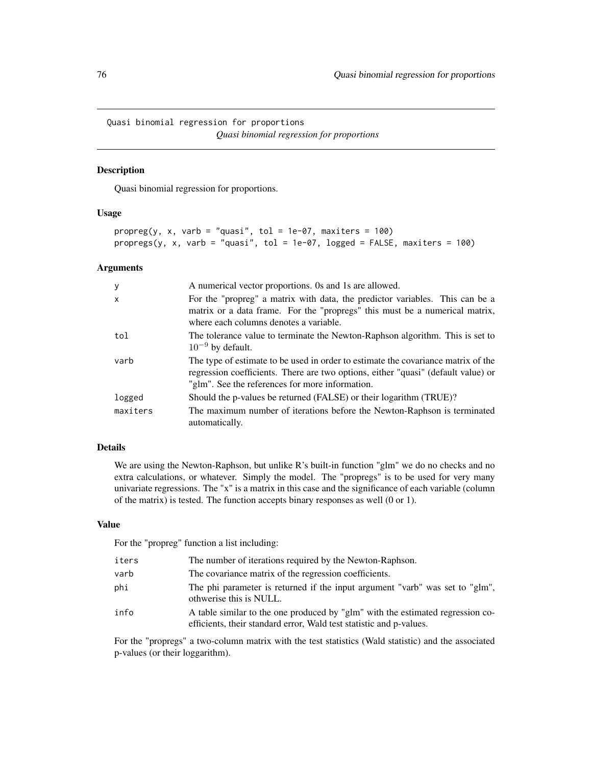Quasi binomial regression for proportions *Quasi binomial regression for proportions*

# Description

Quasi binomial regression for proportions.

# Usage

```
proper(g, x, varb = "quasi", tol = 1e-07, maxiters = 100)propregs(y, x, varb = "quasi", tol = 1e-07, logged = FALSE, maxiters = 100)
```
#### Arguments

| y            | A numerical vector proportions. Os and 1s are allowed.                                                                                                                                                                    |
|--------------|---------------------------------------------------------------------------------------------------------------------------------------------------------------------------------------------------------------------------|
| $\mathsf{x}$ | For the "propreg" a matrix with data, the predictor variables. This can be a<br>matrix or a data frame. For the "propregs" this must be a numerical matrix,<br>where each columns denotes a variable.                     |
| tol          | The tolerance value to terminate the Newton-Raphson algorithm. This is set to<br>$10^{-9}$ by default.                                                                                                                    |
| varb         | The type of estimate to be used in order to estimate the covariance matrix of the<br>regression coefficients. There are two options, either "quasi" (default value) or<br>"glm". See the references for more information. |
| logged       | Should the p-values be returned (FALSE) or their logarithm (TRUE)?                                                                                                                                                        |
| maxiters     | The maximum number of iterations before the Newton-Raphson is terminated<br>automatically.                                                                                                                                |

# Details

We are using the Newton-Raphson, but unlike R's built-in function "glm" we do no checks and no extra calculations, or whatever. Simply the model. The "propregs" is to be used for very many univariate regressions. The "x" is a matrix in this case and the significance of each variable (column of the matrix) is tested. The function accepts binary responses as well (0 or 1).

#### Value

For the "propreg" function a list including:

| iters | The number of iterations required by the Newton-Raphson.                                                                                              |
|-------|-------------------------------------------------------------------------------------------------------------------------------------------------------|
| varb  | The covariance matrix of the regression coefficients.                                                                                                 |
| phi   | The phi parameter is returned if the input argument "varb" was set to "glm",<br>othwerise this is NULL.                                               |
| info  | A table similar to the one produced by "glm" with the estimated regression co-<br>efficients, their standard error, Wald test statistic and p-values. |

For the "propregs" a two-column matrix with the test statistics (Wald statistic) and the associated p-values (or their loggarithm).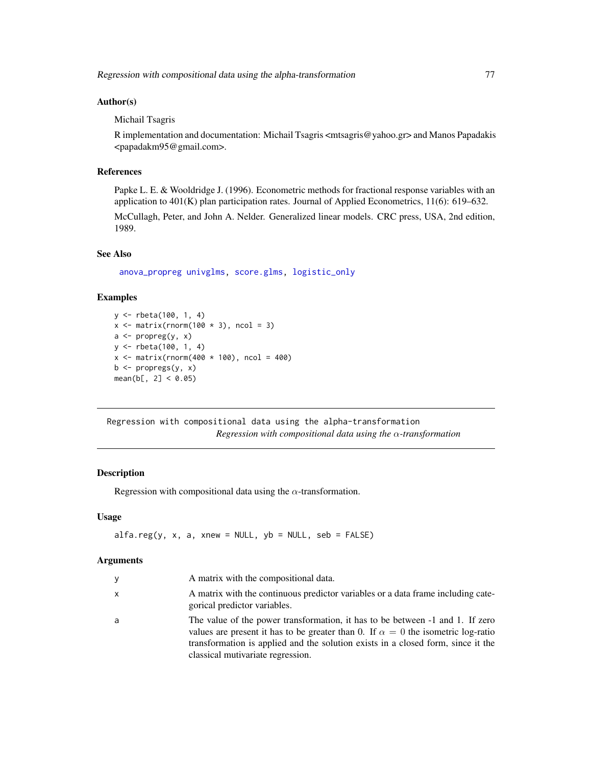#### Author(s)

Michail Tsagris

R implementation and documentation: Michail Tsagris <mtsagris@yahoo.gr> and Manos Papadakis <papadakm95@gmail.com>.

# References

Papke L. E. & Wooldridge J. (1996). Econometric methods for fractional response variables with an application to  $401(K)$  plan participation rates. Journal of Applied Econometrics, 11(6): 619–632.

McCullagh, Peter, and John A. Nelder. Generalized linear models. CRC press, USA, 2nd edition, 1989.

# See Also

[anova\\_propreg](#page-0-0) [univglms,](#page-0-0) [score.glms,](#page-0-0) [logistic\\_only](#page-0-0)

# Examples

```
y <- rbeta(100, 1, 4)
x \le matrix(rnorm(100 \star 3), ncol = 3)
a \leftarrow propreg(y, x)
y <- rbeta(100, 1, 4)
x \le - matrix(rnorm(400 * 100), ncol = 400)
b \leftarrow propregs(y, x)
mean(b[, 2] < 0.05)
```
Regression with compositional data using the alpha-transformation *Regression with compositional data using the* α*-transformation*

# <span id="page-76-0"></span>Description

Regression with compositional data using the  $\alpha$ -transformation.

# Usage

```
alfa.reg(y, x, a, xnew = NULL, yb = NULL, seb = FALSE)
```
#### Arguments

| y | A matrix with the compositional data.                                                                                                                                                                                                                                                             |
|---|---------------------------------------------------------------------------------------------------------------------------------------------------------------------------------------------------------------------------------------------------------------------------------------------------|
| X | A matrix with the continuous predictor variables or a data frame including cate-<br>gorical predictor variables.                                                                                                                                                                                  |
| a | The value of the power transformation, it has to be between -1 and 1. If zero<br>values are present it has to be greater than 0. If $\alpha = 0$ the isometric log-ratio<br>transformation is applied and the solution exists in a closed form, since it the<br>classical mutivariate regression. |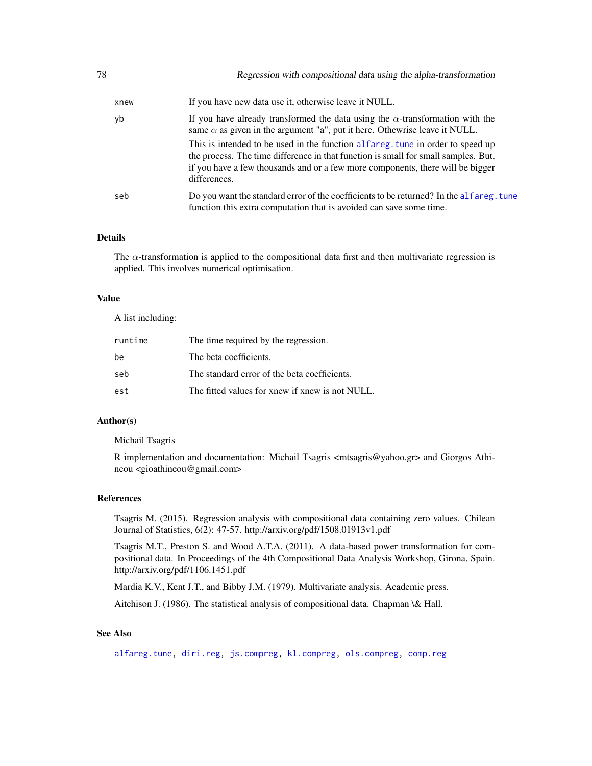| xnew | If you have new data use it, otherwise leave it NULL.                                                                                                                                                                                                                  |
|------|------------------------------------------------------------------------------------------------------------------------------------------------------------------------------------------------------------------------------------------------------------------------|
| yb   | If you have already transformed the data using the $\alpha$ -transformation with the<br>same $\alpha$ as given in the argument "a", put it here. Otherwise leave it NULL.                                                                                              |
|      | This is intended to be used in the function alfareg. tune in order to speed up<br>the process. The time difference in that function is small for small samples. But,<br>if you have a few thousands and or a few more components, there will be bigger<br>differences. |
| seb  | Do you want the standard error of the coefficients to be returned? In the alfareg. tune<br>function this extra computation that is avoided can save some time.                                                                                                         |

#### Details

The  $\alpha$ -transformation is applied to the compositional data first and then multivariate regression is applied. This involves numerical optimisation.

#### Value

A list including:

| runtime | The time required by the regression.            |
|---------|-------------------------------------------------|
| be      | The beta coefficients.                          |
| seb     | The standard error of the beta coefficients.    |
| est     | The fitted values for xnew if xnew is not NULL. |

### Author(s)

Michail Tsagris

R implementation and documentation: Michail Tsagris <mtsagris@yahoo.gr> and Giorgos Athineou <gioathineou@gmail.com>

#### References

Tsagris M. (2015). Regression analysis with compositional data containing zero values. Chilean Journal of Statistics, 6(2): 47-57. http://arxiv.org/pdf/1508.01913v1.pdf

Tsagris M.T., Preston S. and Wood A.T.A. (2011). A data-based power transformation for compositional data. In Proceedings of the 4th Compositional Data Analysis Workshop, Girona, Spain. http://arxiv.org/pdf/1106.1451.pdf

Mardia K.V., Kent J.T., and Bibby J.M. (1979). Multivariate analysis. Academic press.

Aitchison J. (1986). The statistical analysis of compositional data. Chapman \& Hall.

# See Also

[alfareg.tune,](#page-111-0) [diri.reg,](#page-17-0) [js.compreg,](#page-19-0) [kl.compreg,](#page-19-0) [ols.compreg,](#page-68-0) [comp.reg](#page-64-0)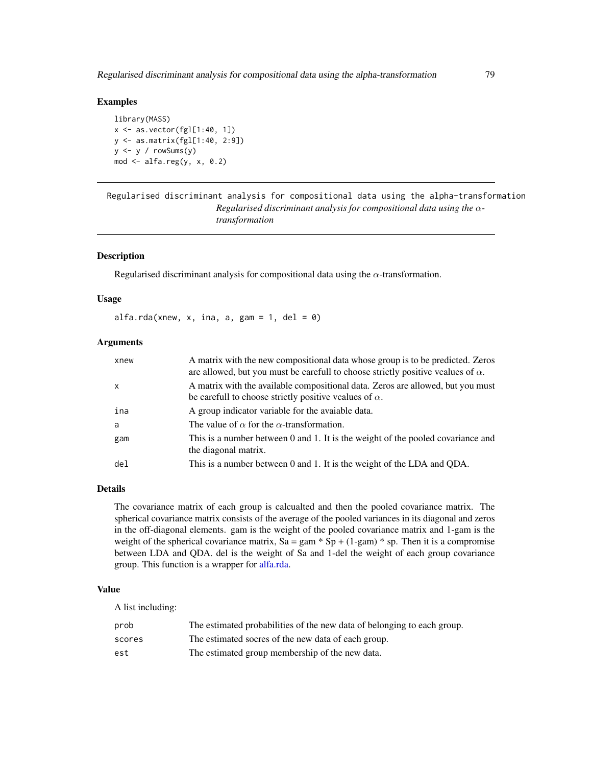### Examples

library(MASS)  $x \leftarrow as\cdot vector(fgl[1:40, 1])$ y <- as.matrix(fgl[1:40, 2:9])  $y \le y / \text{rowsums}(y)$  $mod \leftarrow alfa.reg(y, x, 0.2)$ 

Regularised discriminant analysis for compositional data using the alpha-transformation *Regularised discriminant analysis for compositional data using the* α*transformation*

# <span id="page-78-0"></span>Description

Regularised discriminant analysis for compositional data using the  $\alpha$ -transformation.

### Usage

alfa.rda(xnew, x, ina, a, gam = 1, del = 0)

### **Arguments**

| xnew            | A matrix with the new compositional data whose group is to be predicted. Zeros<br>are allowed, but you must be carefull to choose strictly positive vcalues of $\alpha$ . |
|-----------------|---------------------------------------------------------------------------------------------------------------------------------------------------------------------------|
| $\mathsf{x}$    | A matrix with the available compositional data. Zeros are allowed, but you must<br>be carefull to choose strictly positive vcalues of $\alpha$ .                          |
| ina             | A group indicator variable for the avaiable data.                                                                                                                         |
| a               | The value of $\alpha$ for the $\alpha$ -transformation.                                                                                                                   |
| gam             | This is a number between 0 and 1. It is the weight of the pooled covariance and<br>the diagonal matrix.                                                                   |
| de <sub>1</sub> | This is a number between 0 and 1. It is the weight of the LDA and QDA.                                                                                                    |

### Details

The covariance matrix of each group is calcualted and then the pooled covariance matrix. The spherical covariance matrix consists of the average of the pooled variances in its diagonal and zeros in the off-diagonal elements. gam is the weight of the pooled covariance matrix and 1-gam is the weight of the spherical covariance matrix,  $Sa = gam * Sp + (1-gam) * sp$ . Then it is a compromise between LDA and QDA. del is the weight of Sa and 1-del the weight of each group covariance group. This function is a wrapper for [alfa.rda.](#page-78-0)

#### Value

A list including:

| prob   | The estimated probabilities of the new data of belonging to each group. |
|--------|-------------------------------------------------------------------------|
| scores | The estimated socres of the new data of each group.                     |
| est    | The estimated group membership of the new data.                         |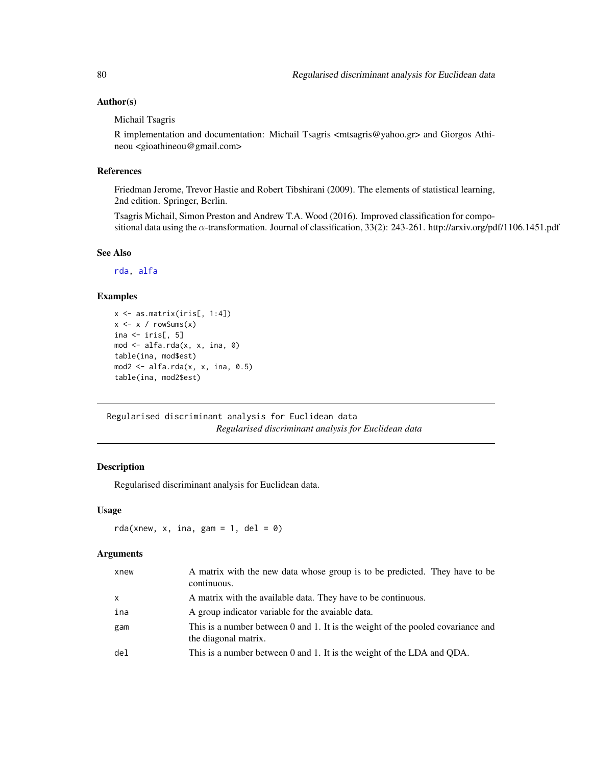# Author(s)

### Michail Tsagris

R implementation and documentation: Michail Tsagris <mtsagris@yahoo.gr> and Giorgos Athineou <gioathineou@gmail.com>

# References

Friedman Jerome, Trevor Hastie and Robert Tibshirani (2009). The elements of statistical learning, 2nd edition. Springer, Berlin.

Tsagris Michail, Simon Preston and Andrew T.A. Wood (2016). Improved classification for compositional data using the  $\alpha$ -transformation. Journal of classification, 33(2): 243-261. http://arxiv.org/pdf/1106.1451.pdf

### See Also

[rda,](#page-79-0) [alfa](#page-93-0)

# Examples

```
x \leftarrow as.matrix(iris[, 1:4])x \leftarrow x / rowsums(x)ina \leftarrow iris[, 5]
mod <- alfa.rda(x, x, ina, 0)
table(ina, mod$est)
mod2 \leq -alfa.rda(x, x, ina, 0.5)table(ina, mod2$est)
```
Regularised discriminant analysis for Euclidean data *Regularised discriminant analysis for Euclidean data*

### <span id="page-79-0"></span>Description

Regularised discriminant analysis for Euclidean data.

### Usage

```
rda(xnew, x, ina, gam = 1, del = 0)
```
#### Arguments

| xnew         | A matrix with the new data whose group is to be predicted. They have to be<br>continuous.               |
|--------------|---------------------------------------------------------------------------------------------------------|
| $\mathsf{x}$ | A matrix with the available data. They have to be continuous.                                           |
| ina          | A group indicator variable for the avaiable data.                                                       |
| gam          | This is a number between 0 and 1. It is the weight of the pooled covariance and<br>the diagonal matrix. |
| del          | This is a number between 0 and 1. It is the weight of the LDA and QDA.                                  |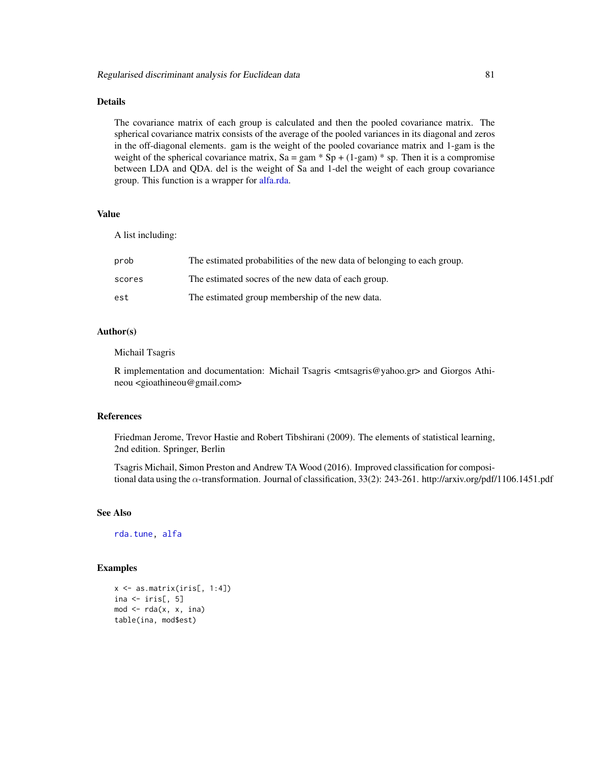# Details

The covariance matrix of each group is calculated and then the pooled covariance matrix. The spherical covariance matrix consists of the average of the pooled variances in its diagonal and zeros in the off-diagonal elements. gam is the weight of the pooled covariance matrix and 1-gam is the weight of the spherical covariance matrix,  $Sa = gam * Sp + (1-gam) * sp$ . Then it is a compromise between LDA and QDA. del is the weight of Sa and 1-del the weight of each group covariance group. This function is a wrapper for [alfa.rda.](#page-78-0)

#### Value

A list including:

| prob   | The estimated probabilities of the new data of belonging to each group. |
|--------|-------------------------------------------------------------------------|
| scores | The estimated socres of the new data of each group.                     |
| est    | The estimated group membership of the new data.                         |

## Author(s)

#### Michail Tsagris

R implementation and documentation: Michail Tsagris <mtsagris@yahoo.gr> and Giorgos Athineou <gioathineou@gmail.com>

#### References

Friedman Jerome, Trevor Hastie and Robert Tibshirani (2009). The elements of statistical learning, 2nd edition. Springer, Berlin

Tsagris Michail, Simon Preston and Andrew TA Wood (2016). Improved classification for compositional data using the α-transformation. Journal of classification, 33(2): 243-261. http://arxiv.org/pdf/1106.1451.pdf

#### See Also

[rda.tune,](#page-108-0) [alfa](#page-93-0)

```
x \leftarrow as.matrix(iris[, 1:4])ina \leftarrow iris[, 5]
mod < -rda(x, x, ina)table(ina, mod$est)
```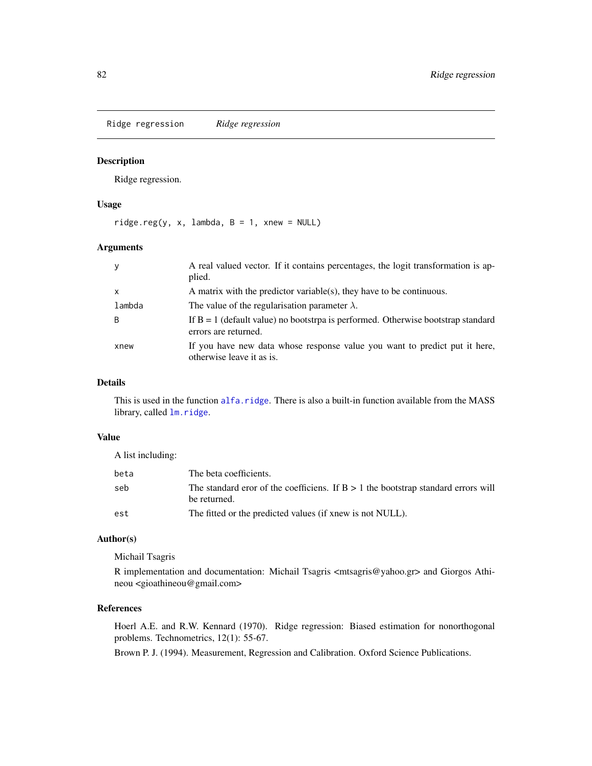Ridge regression *Ridge regression*

# <span id="page-81-0"></span>Description

Ridge regression.

#### Usage

 $ridge.reg(y, x, lambda, B = 1, xnew = NULL)$ 

### Arguments

| y                         | A real valued vector. If it contains percentages, the logit transformation is ap-<br>plied.                |
|---------------------------|------------------------------------------------------------------------------------------------------------|
| $\boldsymbol{\mathsf{x}}$ | A matrix with the predictor variable(s), they have to be continuous.                                       |
| lambda                    | The value of the regularisation parameter $\lambda$ .                                                      |
| B                         | If $B = 1$ (default value) no bootstrpa is performed. Otherwise bootstrap standard<br>errors are returned. |
| xnew                      | If you have new data whose response value you want to predict put it here,<br>otherwise leave it as is.    |

# Details

This is used in the function [alfa.ridge](#page-83-0). There is also a built-in function available from the MASS library, called  $lm.ridge.$  $lm.ridge.$ 

# Value

A list including:

| beta | The beta coefficients.                                                                              |
|------|-----------------------------------------------------------------------------------------------------|
| seb  | The standard eror of the coefficiens. If $B > 1$ the bootstrap standard errors will<br>be returned. |
| est  | The fitted or the predicted values (if xnew is not NULL).                                           |

# Author(s)

Michail Tsagris

R implementation and documentation: Michail Tsagris  $\langle$ mtsagris@yahoo.gr> and Giorgos Athineou <gioathineou@gmail.com>

### References

Hoerl A.E. and R.W. Kennard (1970). Ridge regression: Biased estimation for nonorthogonal problems. Technometrics, 12(1): 55-67.

Brown P. J. (1994). Measurement, Regression and Calibration. Oxford Science Publications.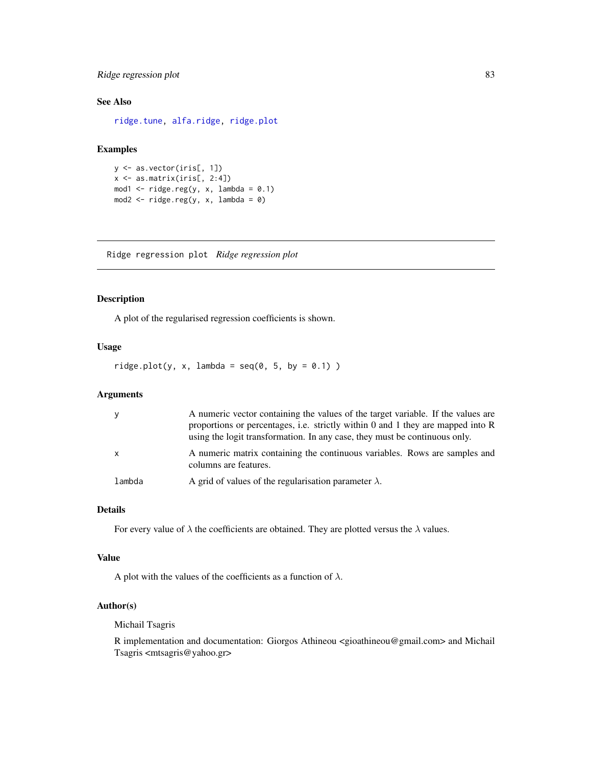# Ridge regression plot 83

# See Also

[ridge.tune,](#page-12-0) [alfa.ridge,](#page-83-0) [ridge.plot](#page-82-0)

# Examples

```
y <- as.vector(iris[, 1])
x \leftarrow as.matrix(iris[, 2:4])mod1 \le ridge.reg(y, x, lambda = 0.1)
mod2 \le ridge.reg(y, x, lambda = 0)
```
Ridge regression plot *Ridge regression plot*

# <span id="page-82-0"></span>Description

A plot of the regularised regression coefficients is shown.

#### Usage

 $ridge.plot(y, x, lambda = seq(0, 5, by = 0.1))$ 

# Arguments

| <b>V</b>     | A numeric vector containing the values of the target variable. If the values are<br>proportions or percentages, i.e. strictly within 0 and 1 they are mapped into $\overline{R}$<br>using the logit transformation. In any case, they must be continuous only. |
|--------------|----------------------------------------------------------------------------------------------------------------------------------------------------------------------------------------------------------------------------------------------------------------|
| $\mathsf{X}$ | A numeric matrix containing the continuous variables. Rows are samples and<br>columns are features.                                                                                                                                                            |
| lambda       | A grid of values of the regularisation parameter $\lambda$ .                                                                                                                                                                                                   |

# Details

For every value of  $\lambda$  the coefficients are obtained. They are plotted versus the  $\lambda$  values.

#### Value

A plot with the values of the coefficients as a function of  $\lambda$ .

# Author(s)

Michail Tsagris

R implementation and documentation: Giorgos Athineou <gioathineou@gmail.com> and Michail Tsagris <mtsagris@yahoo.gr>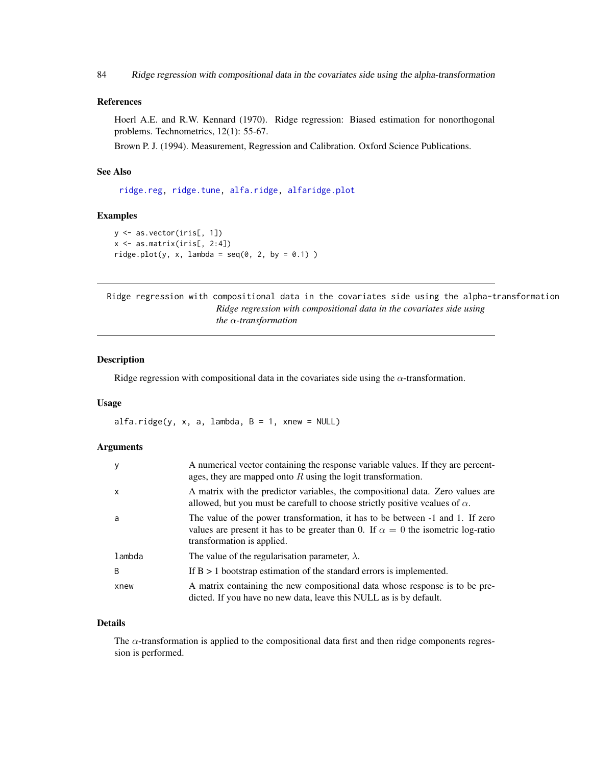84 Ridge regression with compositional data in the covariates side using the alpha-transformation

### References

Hoerl A.E. and R.W. Kennard (1970). Ridge regression: Biased estimation for nonorthogonal problems. Technometrics, 12(1): 55-67.

Brown P. J. (1994). Measurement, Regression and Calibration. Oxford Science Publications.

# See Also

[ridge.reg,](#page-81-0) [ridge.tune,](#page-12-0) [alfa.ridge,](#page-83-0) [alfaridge.plot](#page-84-0)

### Examples

```
y <- as.vector(iris[, 1])
x <- as.matrix(iris[, 2:4])
ridge.plot(y, x, lambda = seq(0, 2, by = 0.1))
```
Ridge regression with compositional data in the covariates side using the alpha-transformation *Ridge regression with compositional data in the covariates side using the* α*-transformation*

#### <span id="page-83-0"></span>Description

Ridge regression with compositional data in the covariates side using the  $\alpha$ -transformation.

#### Usage

 $alfa.ridge(y, x, a, lambda, B = 1, xnew = NULL)$ 

# Arguments

| y            | A numerical vector containing the response variable values. If they are percent-<br>ages, they are mapped onto $R$ using the logit transformation.                                                     |
|--------------|--------------------------------------------------------------------------------------------------------------------------------------------------------------------------------------------------------|
| $\mathsf{x}$ | A matrix with the predictor variables, the compositional data. Zero values are<br>allowed, but you must be carefull to choose strictly positive vcalues of $\alpha$ .                                  |
| a            | The value of the power transformation, it has to be between -1 and 1. If zero<br>values are present it has to be greater than 0. If $\alpha = 0$ the isometric log-ratio<br>transformation is applied. |
| lambda       | The value of the regularisation parameter, $\lambda$ .                                                                                                                                                 |
| B            | If $B > 1$ bootstrap estimation of the standard errors is implemented.                                                                                                                                 |
| xnew         | A matrix containing the new compositional data whose response is to be pre-<br>dicted. If you have no new data, leave this NULL as is by default.                                                      |

### Details

The  $\alpha$ -transformation is applied to the compositional data first and then ridge components regression is performed.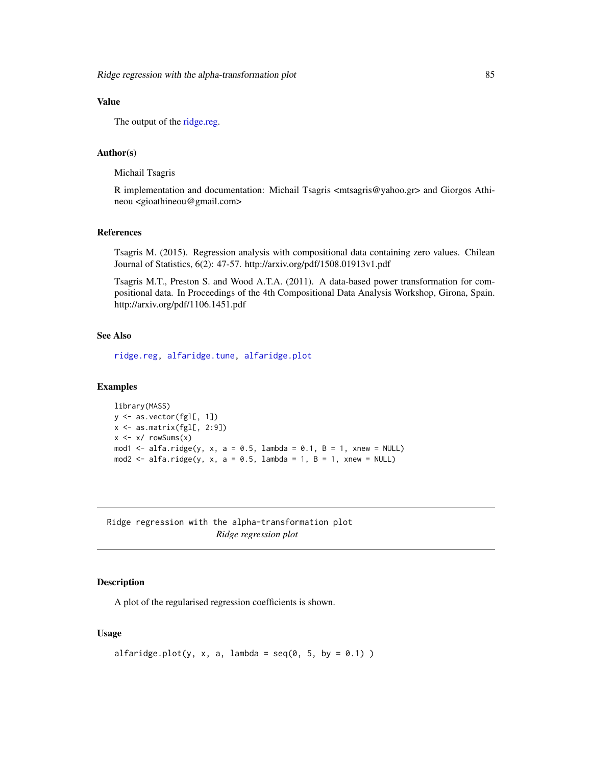# Value

The output of the [ridge.reg.](#page-81-0)

### Author(s)

Michail Tsagris

R implementation and documentation: Michail Tsagris <mtsagris@yahoo.gr> and Giorgos Athineou <gioathineou@gmail.com>

### References

Tsagris M. (2015). Regression analysis with compositional data containing zero values. Chilean Journal of Statistics, 6(2): 47-57. http://arxiv.org/pdf/1508.01913v1.pdf

Tsagris M.T., Preston S. and Wood A.T.A. (2011). A data-based power transformation for compositional data. In Proceedings of the 4th Compositional Data Analysis Workshop, Girona, Spain. http://arxiv.org/pdf/1106.1451.pdf

# See Also

[ridge.reg,](#page-81-0) [alfaridge.tune,](#page-13-0) [alfaridge.plot](#page-84-0)

# Examples

```
library(MASS)
y <- as.vector(fgl[, 1])
x \leftarrow as.matrix(fgl[, 2:9])x \leftarrow x / \text{rowsums}(x)mod1 <- alfa.ridge(y, x, a = 0.5, lambda = 0.1, B = 1, xnew = NULL)
mod2 <- alfa.ridge(y, x, a = 0.5, lambda = 1, B = 1, xnew = NULL)
```
Ridge regression with the alpha-transformation plot *Ridge regression plot*

### <span id="page-84-0"></span>Description

A plot of the regularised regression coefficients is shown.

#### Usage

```
alfaridge.plot(y, x, a, lambda = seq(0, 5, by = 0.1))
```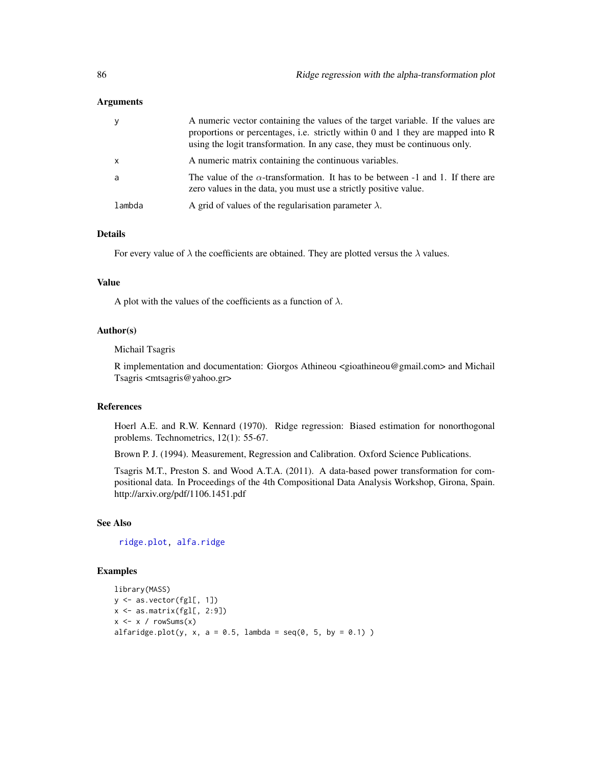### Arguments

| y            | A numeric vector containing the values of the target variable. If the values are<br>proportions or percentages, i.e. strictly within 0 and 1 they are mapped into $R$<br>using the logit transformation. In any case, they must be continuous only. |
|--------------|-----------------------------------------------------------------------------------------------------------------------------------------------------------------------------------------------------------------------------------------------------|
| $\mathsf{x}$ | A numeric matrix containing the continuous variables.                                                                                                                                                                                               |
| a            | The value of the $\alpha$ -transformation. It has to be between -1 and 1. If there are<br>zero values in the data, you must use a strictly positive value.                                                                                          |
| lambda       | A grid of values of the regularisation parameter $\lambda$ .                                                                                                                                                                                        |

# Details

For every value of  $\lambda$  the coefficients are obtained. They are plotted versus the  $\lambda$  values.

### Value

A plot with the values of the coefficients as a function of  $\lambda$ .

# Author(s)

#### Michail Tsagris

R implementation and documentation: Giorgos Athineou <gioathineou@gmail.com> and Michail Tsagris <mtsagris@yahoo.gr>

# References

Hoerl A.E. and R.W. Kennard (1970). Ridge regression: Biased estimation for nonorthogonal problems. Technometrics, 12(1): 55-67.

Brown P. J. (1994). Measurement, Regression and Calibration. Oxford Science Publications.

Tsagris M.T., Preston S. and Wood A.T.A. (2011). A data-based power transformation for compositional data. In Proceedings of the 4th Compositional Data Analysis Workshop, Girona, Spain. http://arxiv.org/pdf/1106.1451.pdf

### See Also

[ridge.plot,](#page-82-0) [alfa.ridge](#page-83-0)

```
library(MASS)
y <- as.vector(fgl[, 1])
x \leftarrow as.matrix(fgl[, 2:9])x \le -x / \text{rowsums}(x)alfaridge.plot(y, x, a = 0.5, lambda = seq(0, 5, by = 0.1))
```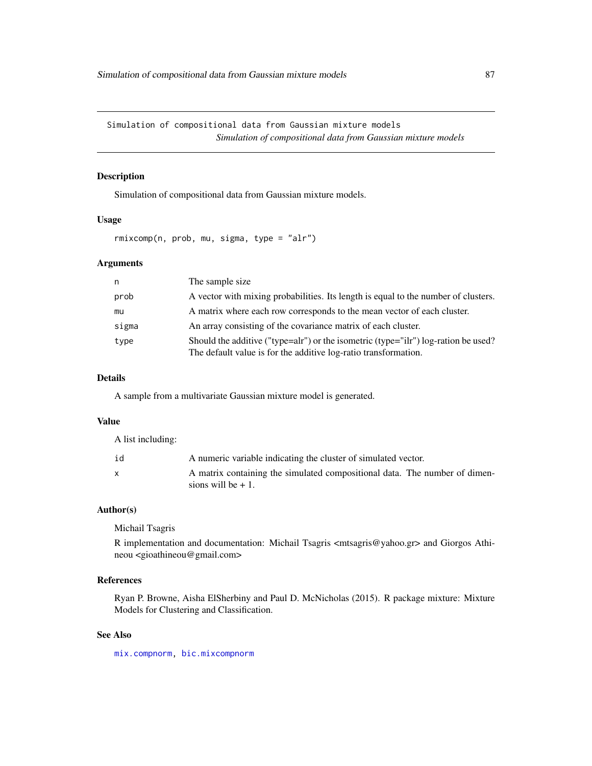Simulation of compositional data from Gaussian mixture models *Simulation of compositional data from Gaussian mixture models*

# Description

Simulation of compositional data from Gaussian mixture models.

### Usage

rmixcomp(n, prob, mu, sigma, type = "alr")

# Arguments

| n     | The sample size                                                                                                                                       |
|-------|-------------------------------------------------------------------------------------------------------------------------------------------------------|
| prob  | A vector with mixing probabilities. Its length is equal to the number of clusters.                                                                    |
| mu    | A matrix where each row corresponds to the mean vector of each cluster.                                                                               |
| sigma | An array consisting of the covariance matrix of each cluster.                                                                                         |
| type  | Should the additive ("type=alr") or the isometric (type="ilr") log-ration be used?<br>The default value is for the additive log-ratio transformation. |

# Details

A sample from a multivariate Gaussian mixture model is generated.

### Value

A list including:

| id | A numeric variable indicating the cluster of simulated vector.                                     |
|----|----------------------------------------------------------------------------------------------------|
| X  | A matrix containing the simulated compositional data. The number of dimen-<br>sions will be $+1$ . |

# Author(s)

Michail Tsagris

R implementation and documentation: Michail Tsagris  $\langle \text{mtsagris}\,\text{@yahoo.gr}\rangle$  and Giorgos Athineou <gioathineou@gmail.com>

# References

Ryan P. Browne, Aisha ElSherbiny and Paul D. McNicholas (2015). R package mixture: Mixture Models for Clustering and Classification.

### See Also

[mix.compnorm,](#page-36-0) [bic.mixcompnorm](#page-51-0)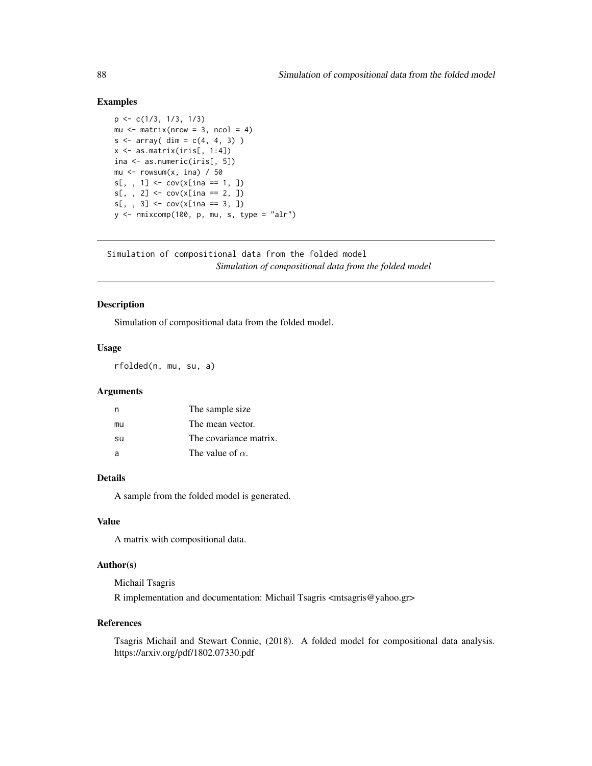### Examples

```
p <- c(1/3, 1/3, 1/3)
mu \leq matrix(nrow = 3, ncol = 4)
s \leq \arctan(\dim = c(4, 4, 3))x \leq - as.matrix(iris[, 1:4])
ina <- as.numeric(iris[, 5])
mu \leq rowsum(x, \text{ ina}) / 50
s[,, 1] <- cov(x[ina == 1, ])s[, , 2] < -\text{cov}(x[\text{ina} == 2, ])s[,, 3] <- cov(x[ina == 3, ])y <- rmixcomp(100, p, mu, s, type = "alr")
```
Simulation of compositional data from the folded model *Simulation of compositional data from the folded model*

# Description

Simulation of compositional data from the folded model.

### Usage

rfolded(n, mu, su, a)

### Arguments

|    | The sample size         |
|----|-------------------------|
| mu | The mean vector.        |
| su | The covariance matrix.  |
| a  | The value of $\alpha$ . |

# Details

A sample from the folded model is generated.

# Value

A matrix with compositional data.

# Author(s)

Michail Tsagris R implementation and documentation: Michail Tsagris <mtsagris@yahoo.gr>

#### References

Tsagris Michail and Stewart Connie, (2018). A folded model for compositional data analysis. https://arxiv.org/pdf/1802.07330.pdf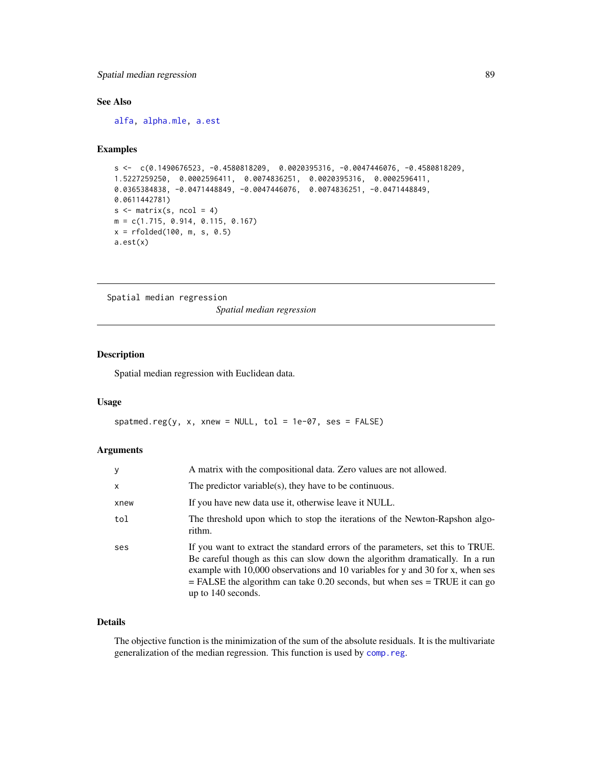# Spatial median regression 89

# See Also

[alfa,](#page-93-0) [alpha.mle,](#page-55-0) [a.est](#page-27-0)

# Examples

```
s \leq c(0.1490676523, -0.4580818209, 0.0020395316, -0.0047446076, -0.4580818209,1.5227259250, 0.0002596411, 0.0074836251, 0.0020395316, 0.0002596411,
0.0365384838, -0.0471448849, -0.0047446076, 0.0074836251, -0.0471448849,
0.0611442781)
s \leftarrow matrix(s, \text{ ncol} = 4)m = c(1.715, 0.914, 0.115, 0.167)
x = rfolded(100, m, s, 0.5)a.est(x)
```
Spatial median regression

*Spatial median regression*

### Description

Spatial median regression with Euclidean data.

### Usage

spatmed.reg(y, x, xnew = NULL, tol = 1e-07, ses = FALSE)

#### Arguments

| y            | A matrix with the compositional data. Zero values are not allowed.                                                                                                                                                                                                                                                                                        |
|--------------|-----------------------------------------------------------------------------------------------------------------------------------------------------------------------------------------------------------------------------------------------------------------------------------------------------------------------------------------------------------|
| $\mathsf{x}$ | The predictor variable(s), they have to be continuous.                                                                                                                                                                                                                                                                                                    |
| xnew         | If you have new data use it, otherwise leave it NULL.                                                                                                                                                                                                                                                                                                     |
| tol          | The threshold upon which to stop the iterations of the Newton-Rapshon algo-<br>rithm.                                                                                                                                                                                                                                                                     |
| ses          | If you want to extract the standard errors of the parameters, set this to TRUE.<br>Be careful though as this can slow down the algorithm dramatically. In a run<br>example with 10,000 observations and 10 variables for y and 30 for x, when ses<br>$=$ FALSE the algorithm can take 0.20 seconds, but when ses $=$ TRUE it can go<br>up to 140 seconds. |

# Details

The objective function is the minimization of the sum of the absolute residuals. It is the multivariate generalization of the median regression. This function is used by [comp.reg](#page-64-0).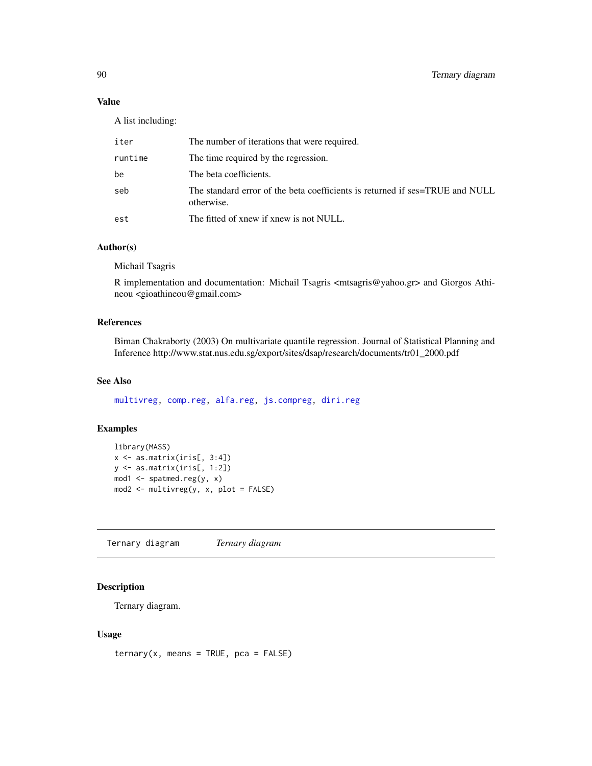# Value

A list including:

| iter    | The number of iterations that were required.                                               |
|---------|--------------------------------------------------------------------------------------------|
| runtime | The time required by the regression.                                                       |
| be      | The beta coefficients.                                                                     |
| seb     | The standard error of the beta coefficients is returned if ses=TRUE and NULL<br>otherwise. |
| est     | The fitted of xnew if xnew is not NULL.                                                    |

### Author(s)

Michail Tsagris

R implementation and documentation: Michail Tsagris  $\langle \text{mtsagris}\,\text{@yahoo.gr}\rangle$  and Giorgos Athineou <gioathineou@gmail.com>

# References

Biman Chakraborty (2003) On multivariate quantile regression. Journal of Statistical Planning and Inference http://www.stat.nus.edu.sg/export/sites/dsap/research/documents/tr01\_2000.pdf

# See Also

[multivreg,](#page-60-0) [comp.reg,](#page-64-0) [alfa.reg,](#page-76-0) [js.compreg,](#page-19-0) [diri.reg](#page-17-0)

### Examples

```
library(MASS)
x \leftarrow as_matrix(iris[, 3:4])y <- as.matrix(iris[, 1:2])
mod1 <- spatmed.reg(y, x)
mod2 <- multivreg(y, x, plot = FALSE)
```
Ternary diagram *Ternary diagram*

### Description

Ternary diagram.

### Usage

 $ternary(x, means = TRUE, pca = FALSE)$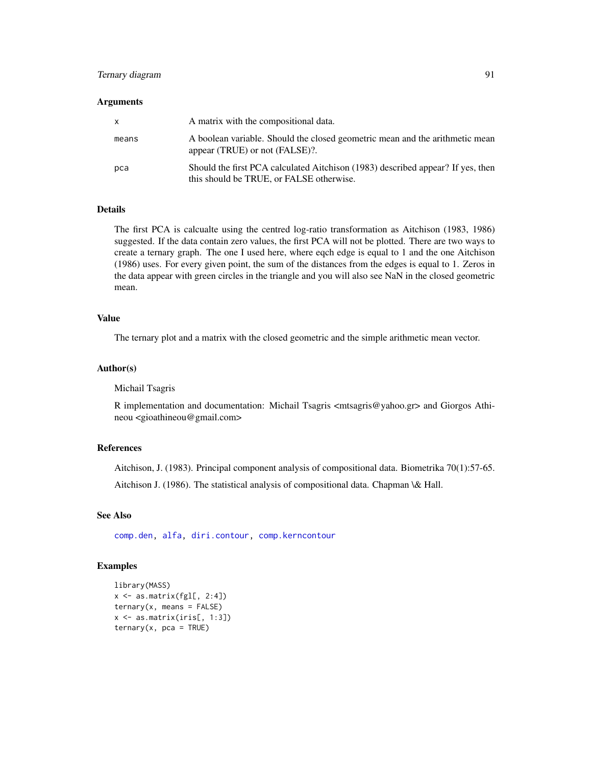# Ternary diagram 91

#### **Arguments**

| X     | A matrix with the compositional data.                                                                                       |
|-------|-----------------------------------------------------------------------------------------------------------------------------|
| means | A boolean variable. Should the closed geometric mean and the arithmetic mean<br>appear (TRUE) or not (FALSE)?.              |
| pca   | Should the first PCA calculated Aitchison (1983) described appear? If yes, then<br>this should be TRUE, or FALSE otherwise. |

### Details

The first PCA is calcualte using the centred log-ratio transformation as Aitchison (1983, 1986) suggested. If the data contain zero values, the first PCA will not be plotted. There are two ways to create a ternary graph. The one I used here, where eqch edge is equal to 1 and the one Aitchison (1986) uses. For every given point, the sum of the distances from the edges is equal to 1. Zeros in the data appear with green circles in the triangle and you will also see NaN in the closed geometric mean.

# Value

The ternary plot and a matrix with the closed geometric and the simple arithmetic mean vector.

#### Author(s)

Michail Tsagris

R implementation and documentation: Michail Tsagris <mtsagris@yahoo.gr> and Giorgos Athineou <gioathineou@gmail.com>

# References

Aitchison, J. (1983). Principal component analysis of compositional data. Biometrika 70(1):57-65.

Aitchison J. (1986). The statistical analysis of compositional data. Chapman \& Hall.

# See Also

[comp.den,](#page-25-0) [alfa,](#page-93-0) [diri.contour,](#page-4-0) [comp.kerncontour](#page-6-0)

```
library(MASS)
x \leftarrow as.matrix(fgl[, 2:4])ternary(x, means = FALSE)x <- as.matrix(iris[, 1:3])
ternary(x, pca = TRUE)
```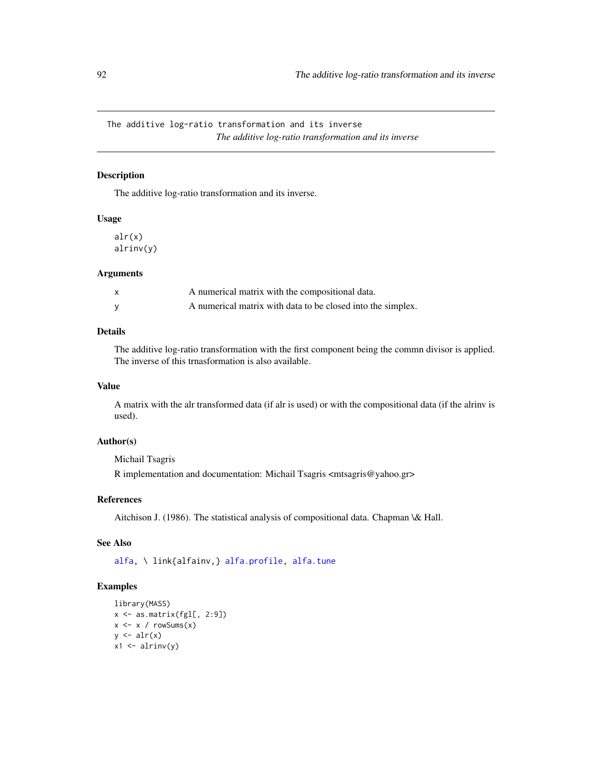The additive log-ratio transformation and its inverse *The additive log-ratio transformation and its inverse*

# Description

The additive log-ratio transformation and its inverse.

### Usage

alr(x) alrinv(y)

#### Arguments

| A numerical matrix with the compositional data.             |
|-------------------------------------------------------------|
| A numerical matrix with data to be closed into the simplex. |

# Details

The additive log-ratio transformation with the first component being the commn divisor is applied. The inverse of this trnasformation is also available.

# Value

A matrix with the alr transformed data (if alr is used) or with the compositional data (if the alrinv is used).

# Author(s)

Michail Tsagris

R implementation and documentation: Michail Tsagris <mtsagris@yahoo.gr>

# References

Aitchison J. (1986). The statistical analysis of compositional data. Chapman \& Hall.

#### See Also

[alfa,](#page-93-0) \ link{alfainv,} [alfa.profile,](#page-28-0) [alfa.tune](#page-32-0)

```
library(MASS)
x \leftarrow as_matrix(fgl[, 2:9])x \le -x / \text{rowsums}(x)y \leftarrow \text{alr}(x)x1 \leftarrow \text{alrinv}(y)
```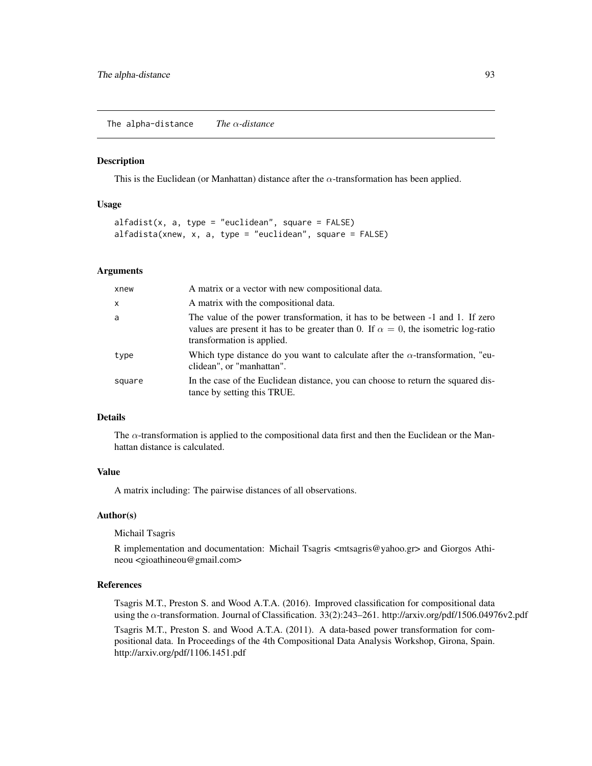The alpha-distance *The* α*-distance*

#### **Description**

This is the Euclidean (or Manhattan) distance after the  $\alpha$ -transformation has been applied.

### Usage

```
alfadist(x, a, type = "euclidean", square = FALSE)alfadista(xnew, x, a, type = "euclidean", square = FALSE)
```
#### Arguments

| xnew         | A matrix or a vector with new compositional data.                                                                                                                                                        |
|--------------|----------------------------------------------------------------------------------------------------------------------------------------------------------------------------------------------------------|
| $\mathsf{x}$ | A matrix with the compositional data.                                                                                                                                                                    |
| a            | The value of the power transformation, it has to be between -1 and 1. If zero<br>values are present it has to be greater than 0. If $\alpha = 0$ , the isometric log-ratio<br>transformation is applied. |
| type         | Which type distance do you want to calculate after the $\alpha$ -transformation, "eu-<br>clidean", or "manhattan".                                                                                       |
| square       | In the case of the Euclidean distance, you can choose to return the squared dis-<br>tance by setting this TRUE.                                                                                          |

### Details

The  $\alpha$ -transformation is applied to the compositional data first and then the Euclidean or the Manhattan distance is calculated.

#### Value

A matrix including: The pairwise distances of all observations.

#### Author(s)

Michail Tsagris

R implementation and documentation: Michail Tsagris  $\langle$ mtsagris@yahoo.gr> and Giorgos Athineou <gioathineou@gmail.com>

### References

Tsagris M.T., Preston S. and Wood A.T.A. (2016). Improved classification for compositional data using the α-transformation. Journal of Classification. 33(2):243–261. http://arxiv.org/pdf/1506.04976v2.pdf

Tsagris M.T., Preston S. and Wood A.T.A. (2011). A data-based power transformation for compositional data. In Proceedings of the 4th Compositional Data Analysis Workshop, Girona, Spain. http://arxiv.org/pdf/1106.1451.pdf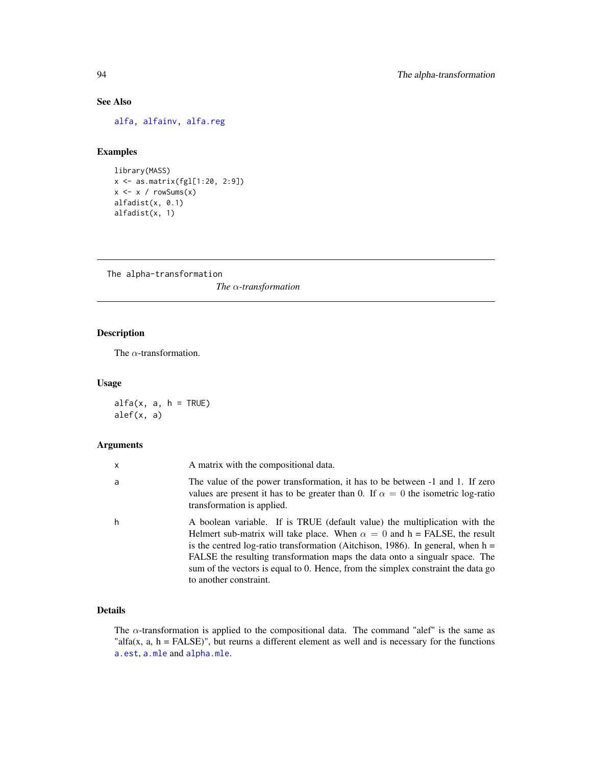# See Also

[alfa,](#page-93-0) [alfainv,](#page-44-0) [alfa.reg](#page-76-0)

# Examples

```
library(MASS)
x <- as.matrix(fgl[1:20, 2:9])
x \leftarrow x / rowsums(x)alfadist(x, 0.1)
alfadist(x, 1)
```
The alpha-transformation *The* α*-transformation*

# <span id="page-93-0"></span>Description

The  $\alpha$ -transformation.

### Usage

 $alfa(x, a, h = TRUE)$ alef(x, a)

# Arguments

| x | A matrix with the compositional data.                                                                                                                                                                                                                                                                                                                                                                                                           |
|---|-------------------------------------------------------------------------------------------------------------------------------------------------------------------------------------------------------------------------------------------------------------------------------------------------------------------------------------------------------------------------------------------------------------------------------------------------|
| a | The value of the power transformation, it has to be between -1 and 1. If zero<br>values are present it has to be greater than 0. If $\alpha = 0$ the isometric log-ratio<br>transformation is applied.                                                                                                                                                                                                                                          |
| h | A boolean variable. If is TRUE (default value) the multiplication with the<br>Helmert sub-matrix will take place. When $\alpha = 0$ and h = FALSE, the result<br>is the centred log-ratio transformation (Aitchison, 1986). In general, when $h =$<br>FALSE the resulting transformation maps the data onto a singualr space. The<br>sum of the vectors is equal to 0. Hence, from the simplex constraint the data go<br>to another constraint. |

# Details

The  $\alpha$ -transformation is applied to the compositional data. The command "alef" is the same as "alfa(x,  $a$ ,  $h =$  FALSE)", but reurns a different element as well and is necessary for the functions [a.est](#page-27-0), [a.mle](#page-55-0) and [alpha.mle](#page-55-0).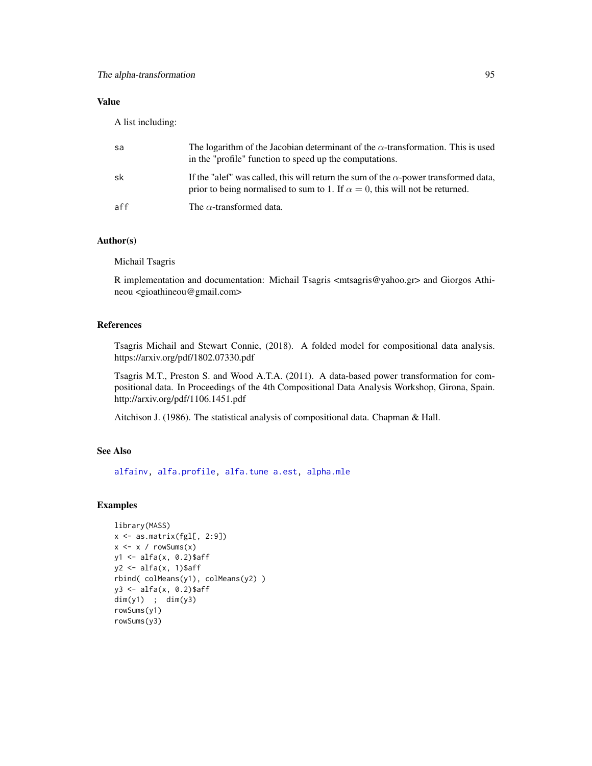# Value

A list including:

| sa  | The logarithm of the Jacobian determinant of the $\alpha$ -transformation. This is used<br>in the "profile" function to speed up the computations.                                 |
|-----|------------------------------------------------------------------------------------------------------------------------------------------------------------------------------------|
| sk  | If the "alef" was called, this will return the sum of the $\alpha$ -power transformed data,<br>prior to being normalised to sum to 1. If $\alpha = 0$ , this will not be returned. |
| aff | The $\alpha$ -transformed data.                                                                                                                                                    |

# Author(s)

Michail Tsagris

R implementation and documentation: Michail Tsagris <mtsagris@yahoo.gr> and Giorgos Athineou <gioathineou@gmail.com>

# References

Tsagris Michail and Stewart Connie, (2018). A folded model for compositional data analysis. https://arxiv.org/pdf/1802.07330.pdf

Tsagris M.T., Preston S. and Wood A.T.A. (2011). A data-based power transformation for compositional data. In Proceedings of the 4th Compositional Data Analysis Workshop, Girona, Spain. http://arxiv.org/pdf/1106.1451.pdf

Aitchison J. (1986). The statistical analysis of compositional data. Chapman & Hall.

# See Also

[alfainv,](#page-44-0) [alfa.profile,](#page-28-0) [alfa.tune](#page-32-0) [a.est,](#page-27-0) [alpha.mle](#page-55-0)

```
library(MASS)
x <- as.matrix(fgl[, 2:9])
x \leq x / \text{rowsums}(x)y1 <- alfa(x, 0.2)$aff
y2 \leftarrow alfa(x, 1)$aff
rbind( colMeans(y1), colMeans(y2) )
y3 <- alfa(x, 0.2)$aff
dim(y1) ; dim(y3)
rowSums(y1)
rowSums(y3)
```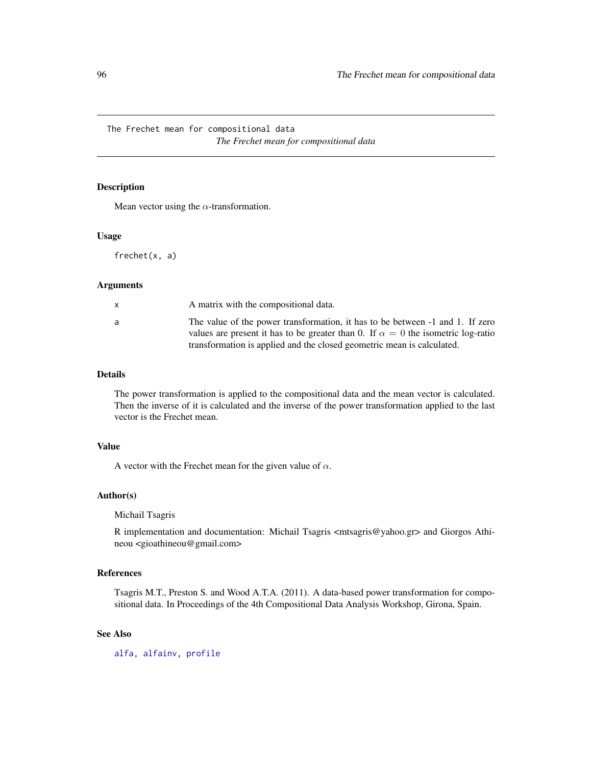The Frechet mean for compositional data *The Frechet mean for compositional data*

# Description

Mean vector using the  $\alpha$ -transformation.

#### Usage

frechet(x, a)

#### Arguments

|   | A matrix with the compositional data.                                                                                                                                    |
|---|--------------------------------------------------------------------------------------------------------------------------------------------------------------------------|
| a | The value of the power transformation, it has to be between -1 and 1. If zero<br>values are present it has to be greater than 0. If $\alpha = 0$ the isometric log-ratio |
|   | transformation is applied and the closed geometric mean is calculated.                                                                                                   |

# Details

The power transformation is applied to the compositional data and the mean vector is calculated. Then the inverse of it is calculated and the inverse of the power transformation applied to the last vector is the Frechet mean.

# Value

A vector with the Frechet mean for the given value of  $\alpha$ .

# Author(s)

Michail Tsagris

R implementation and documentation: Michail Tsagris <mtsagris@yahoo.gr> and Giorgos Athineou <gioathineou@gmail.com>

# References

Tsagris M.T., Preston S. and Wood A.T.A. (2011). A data-based power transformation for compositional data. In Proceedings of the 4th Compositional Data Analysis Workshop, Girona, Spain.

# See Also

[alfa,](#page-93-0) [alfainv,](#page-44-0) [profile](#page-0-0)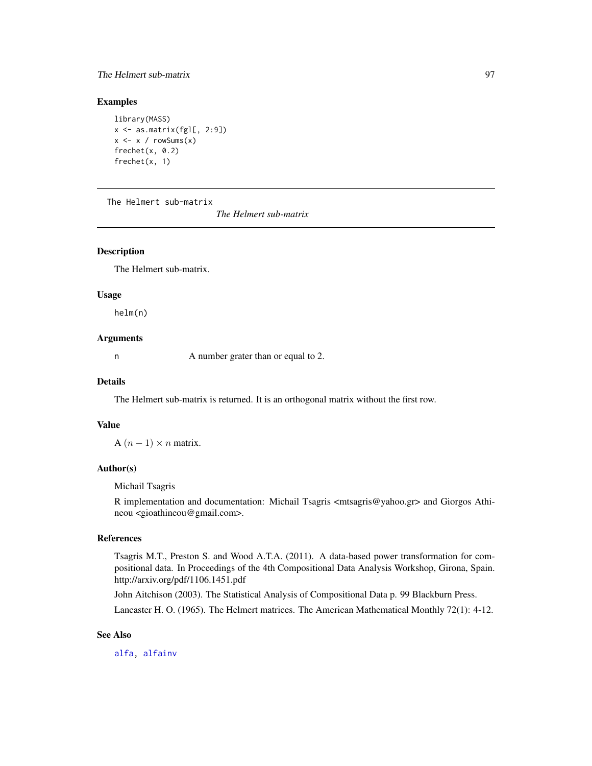# The Helmert sub-matrix 97

# Examples

```
library(MASS)
x \leftarrow as_matrix(fgl[, 2:9])x \leq x / \text{rowsums}(x)frechet(x, 0.2)
frechet(x, 1)
```
The Helmert sub-matrix

*The Helmert sub-matrix*

# Description

The Helmert sub-matrix.

#### Usage

helm(n)

# Arguments

n A number grater than or equal to 2.

#### Details

The Helmert sub-matrix is returned. It is an orthogonal matrix without the first row.

### Value

A  $(n - 1) \times n$  matrix.

# Author(s)

Michail Tsagris

R implementation and documentation: Michail Tsagris <mtsagris@yahoo.gr> and Giorgos Athineou <gioathineou@gmail.com>.

#### References

Tsagris M.T., Preston S. and Wood A.T.A. (2011). A data-based power transformation for compositional data. In Proceedings of the 4th Compositional Data Analysis Workshop, Girona, Spain. http://arxiv.org/pdf/1106.1451.pdf

John Aitchison (2003). The Statistical Analysis of Compositional Data p. 99 Blackburn Press.

Lancaster H. O. (1965). The Helmert matrices. The American Mathematical Monthly 72(1): 4-12.

#### See Also

[alfa,](#page-93-0) [alfainv](#page-44-0)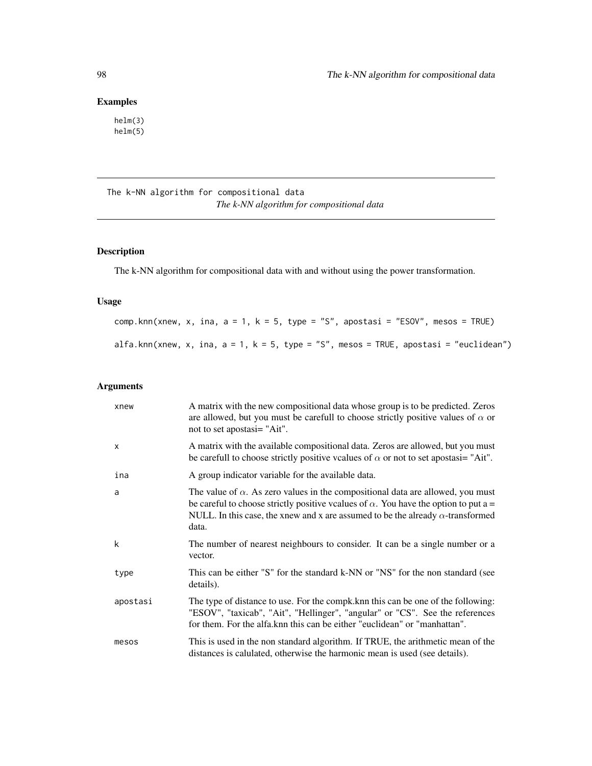# Examples

helm(3) helm(5)

The k-NN algorithm for compositional data *The k-NN algorithm for compositional data*

# <span id="page-97-0"></span>Description

The k-NN algorithm for compositional data with and without using the power transformation.

### Usage

comp.knn(xnew, x, ina,  $a = 1$ ,  $k = 5$ , type = "S", apostasi = "ESOV", mesos = TRUE) alfa.knn(xnew, x, ina,  $a = 1$ ,  $k = 5$ , type = "S", mesos = TRUE, apostasi = "euclidean")

# Arguments

| xnew         | A matrix with the new compositional data whose group is to be predicted. Zeros<br>are allowed, but you must be carefull to choose strictly positive values of $\alpha$ or<br>not to set apostasi= "Ait".                                                                                 |
|--------------|------------------------------------------------------------------------------------------------------------------------------------------------------------------------------------------------------------------------------------------------------------------------------------------|
| $\mathsf{x}$ | A matrix with the available compositional data. Zeros are allowed, but you must<br>be carefull to choose strictly positive vcalues of $\alpha$ or not to set apostasi= "Ait".                                                                                                            |
| ina          | A group indicator variable for the available data.                                                                                                                                                                                                                                       |
| a            | The value of $\alpha$ . As zero values in the compositional data are allowed, you must<br>be careful to choose strictly positive vcalues of $\alpha$ . You have the option to put a =<br>NULL. In this case, the xnew and x are assumed to be the already $\alpha$ -transformed<br>data. |
| k            | The number of nearest neighbours to consider. It can be a single number or a<br>vector.                                                                                                                                                                                                  |
| type         | This can be either "S" for the standard k-NN or "NS" for the non standard (see<br>details).                                                                                                                                                                                              |
| apostasi     | The type of distance to use. For the compk. knn this can be one of the following:<br>"ESOV", "taxicab", "Ait", "Hellinger", "angular" or "CS". See the references<br>for them. For the alfa. knn this can be either "euclidean" or "manhattan".                                          |
| mesos        | This is used in the non standard algorithm. If TRUE, the arithmetic mean of the<br>distances is calulated, otherwise the harmonic mean is used (see details).                                                                                                                            |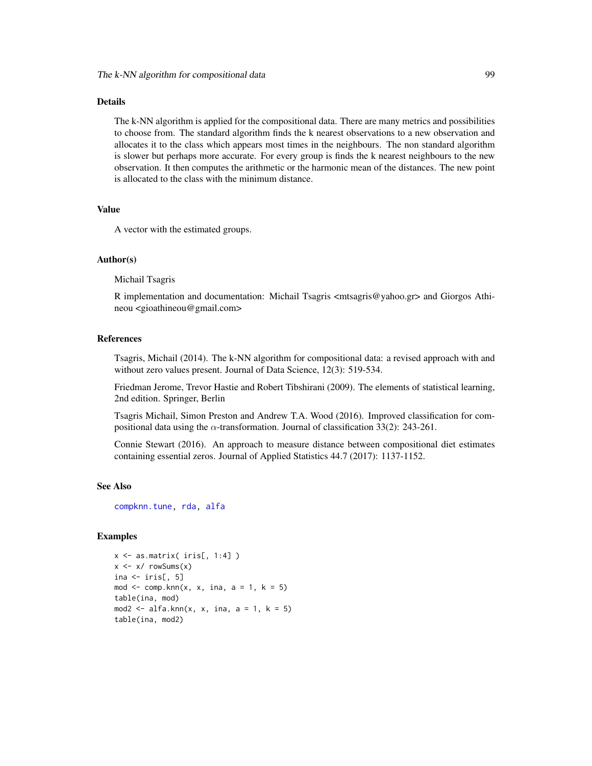#### Details

The k-NN algorithm is applied for the compositional data. There are many metrics and possibilities to choose from. The standard algorithm finds the k nearest observations to a new observation and allocates it to the class which appears most times in the neighbours. The non standard algorithm is slower but perhaps more accurate. For every group is finds the k nearest neighbours to the new observation. It then computes the arithmetic or the harmonic mean of the distances. The new point is allocated to the class with the minimum distance.

### Value

A vector with the estimated groups.

### Author(s)

Michail Tsagris

R implementation and documentation: Michail Tsagris <mtsagris@yahoo.gr> and Giorgos Athineou <gioathineou@gmail.com>

#### References

Tsagris, Michail (2014). The k-NN algorithm for compositional data: a revised approach with and without zero values present. Journal of Data Science, 12(3): 519-534.

Friedman Jerome, Trevor Hastie and Robert Tibshirani (2009). The elements of statistical learning, 2nd edition. Springer, Berlin

Tsagris Michail, Simon Preston and Andrew T.A. Wood (2016). Improved classification for compositional data using the  $\alpha$ -transformation. Journal of classification 33(2): 243-261.

Connie Stewart (2016). An approach to measure distance between compositional diet estimates containing essential zeros. Journal of Applied Statistics 44.7 (2017): 1137-1152.

#### See Also

[compknn.tune,](#page-103-0) [rda,](#page-79-0) [alfa](#page-93-0)

```
x \leftarrow as.matrix(ints[, 1:4])x \le -x/ rowSums(x)ina \leftarrow iris[, 5]
mod \leq comp.knn(x, x, ina, a = 1, k = 5)table(ina, mod)
mod2 \leq alfa.knn(x, x, ina, a = 1, k = 5)
table(ina, mod2)
```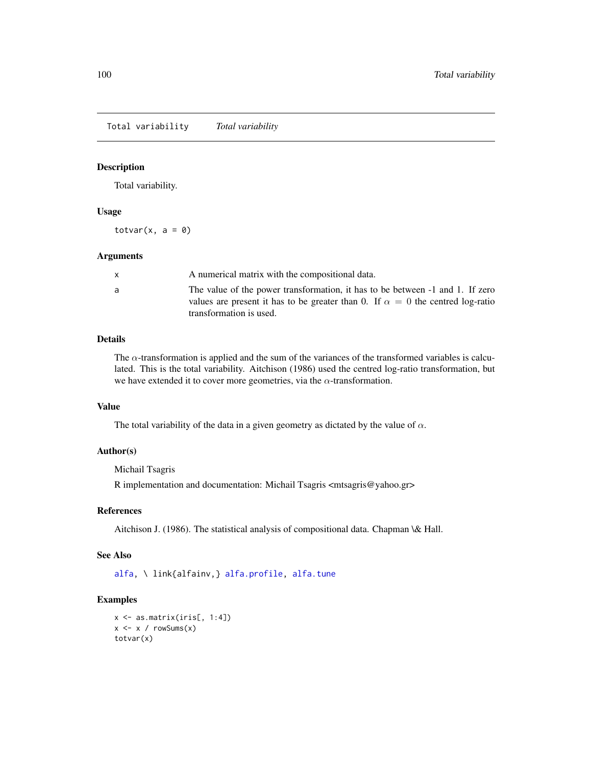Total variability *Total variability*

### Description

Total variability.

### Usage

totvar $(x, a = 0)$ 

### Arguments

| a<br>transformation is used. | A numerical matrix with the compositional data.                                                                                                                        |
|------------------------------|------------------------------------------------------------------------------------------------------------------------------------------------------------------------|
|                              | The value of the power transformation, it has to be between -1 and 1. If zero<br>values are present it has to be greater than 0. If $\alpha = 0$ the centred log-ratio |

### Details

The  $\alpha$ -transformation is applied and the sum of the variances of the transformed variables is calculated. This is the total variability. Aitchison (1986) used the centred log-ratio transformation, but we have extended it to cover more geometries, via the  $\alpha$ -transformation.

# Value

The total variability of the data in a given geometry as dictated by the value of  $\alpha$ .

#### Author(s)

Michail Tsagris

R implementation and documentation: Michail Tsagris <mtsagris@yahoo.gr>

# References

Aitchison J. (1986). The statistical analysis of compositional data. Chapman \& Hall.

# See Also

[alfa,](#page-93-0) \ link{alfainv,} [alfa.profile,](#page-28-0) [alfa.tune](#page-32-0)

```
x \leftarrow as.matrix(iris[, 1:4])x \leftarrow x / \text{rowsums}(x)totvar(x)
```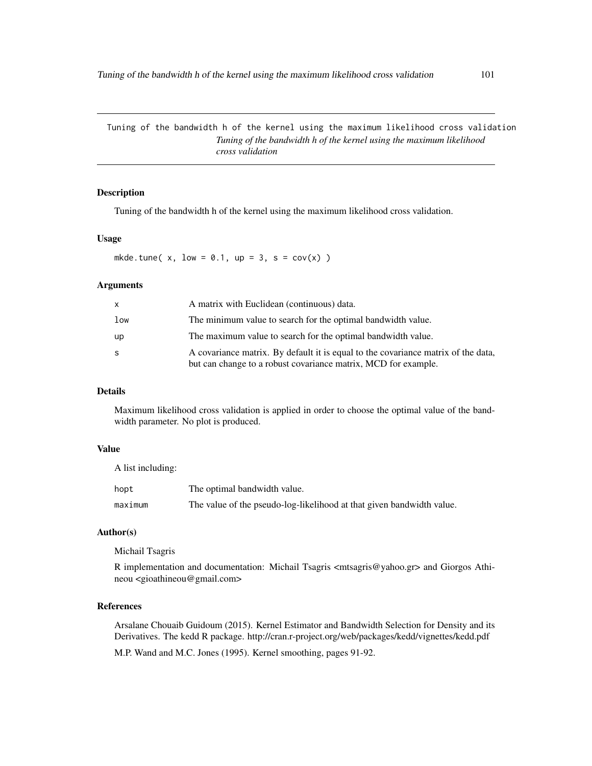Tuning of the bandwidth h of the kernel using the maximum likelihood cross validation *Tuning of the bandwidth h of the kernel using the maximum likelihood cross validation*

# Description

Tuning of the bandwidth h of the kernel using the maximum likelihood cross validation.

#### Usage

mkde.tune( $x$ , low = 0.1, up = 3, s = cov( $x$ ))

#### Arguments

| x.  | A matrix with Euclidean (continuous) data.                                                                                                          |
|-----|-----------------------------------------------------------------------------------------------------------------------------------------------------|
| low | The minimum value to search for the optimal bandwidth value.                                                                                        |
| up  | The maximum value to search for the optimal bandwidth value.                                                                                        |
| S   | A covariance matrix. By default it is equal to the covariance matrix of the data,<br>but can change to a robust covariance matrix, MCD for example. |

# Details

Maximum likelihood cross validation is applied in order to choose the optimal value of the bandwidth parameter. No plot is produced.

### Value

A list including:

| hopt    | The optimal bandwidth value.                                          |
|---------|-----------------------------------------------------------------------|
| maximum | The value of the pseudo-log-likelihood at that given bandwidth value. |

# Author(s)

Michail Tsagris

R implementation and documentation: Michail Tsagris <mtsagris@yahoo.gr> and Giorgos Athineou <gioathineou@gmail.com>

# References

Arsalane Chouaib Guidoum (2015). Kernel Estimator and Bandwidth Selection for Density and its Derivatives. The kedd R package. http://cran.r-project.org/web/packages/kedd/vignettes/kedd.pdf

M.P. Wand and M.C. Jones (1995). Kernel smoothing, pages 91-92.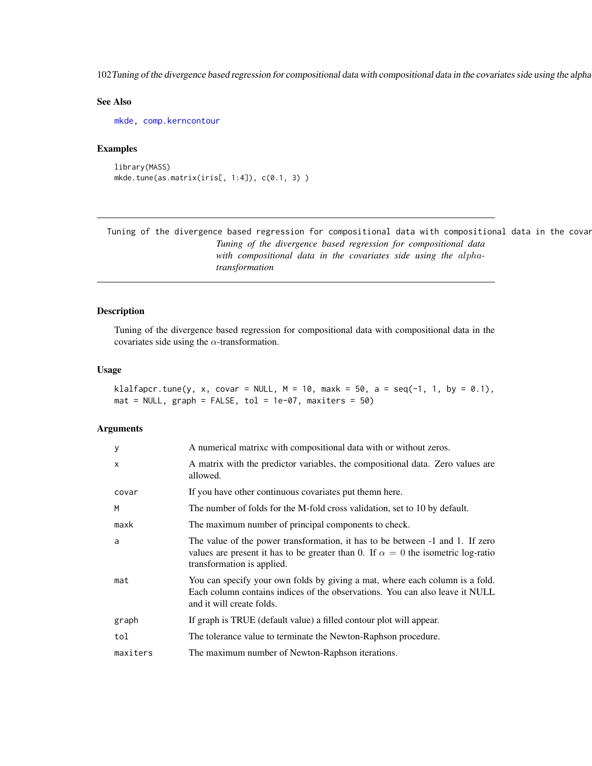102 Tuning of the divergence based regression for compositional data with compositional data in the covariates side using the alpha

# See Also

[mkde,](#page-58-0) [comp.kerncontour](#page-6-0)

# Examples

```
library(MASS)
mkde.tune(as.matrix(iris[, 1:4]), c(0.1, 3) )
```
Tuning of the divergence based regression for compositional data with compositional data in the covar *Tuning of the divergence based regression for compositional data with compositional data in the covariates side using the* alpha*transformation*

### Description

Tuning of the divergence based regression for compositional data with compositional data in the covariates side using the  $\alpha$ -transformation.

#### Usage

```
klalfapcr.tune(y, x, covar = NULL, M = 10, maxk = 50, a = seq(-1, 1, by = 0.1),
mat = NULL, graph = FALSE, tol = 1e-07, maxiters = 50)
```
#### Arguments

| у        | A numerical matrixc with compositional data with or without zeros.                                                                                                                                     |
|----------|--------------------------------------------------------------------------------------------------------------------------------------------------------------------------------------------------------|
| X        | A matrix with the predictor variables, the compositional data. Zero values are<br>allowed.                                                                                                             |
| covar    | If you have other continuous covariates put them here.                                                                                                                                                 |
| M        | The number of folds for the M-fold cross validation, set to 10 by default.                                                                                                                             |
| maxk     | The maximum number of principal components to check.                                                                                                                                                   |
| a        | The value of the power transformation, it has to be between -1 and 1. If zero<br>values are present it has to be greater than 0. If $\alpha = 0$ the isometric log-ratio<br>transformation is applied. |
| mat      | You can specify your own folds by giving a mat, where each column is a fold.<br>Each column contains indices of the observations. You can also leave it NULL<br>and it will create folds.              |
| graph    | If graph is TRUE (default value) a filled contour plot will appear.                                                                                                                                    |
| tol      | The tolerance value to terminate the Newton-Raphson procedure.                                                                                                                                         |
| maxiters | The maximum number of Newton-Raphson iterations.                                                                                                                                                       |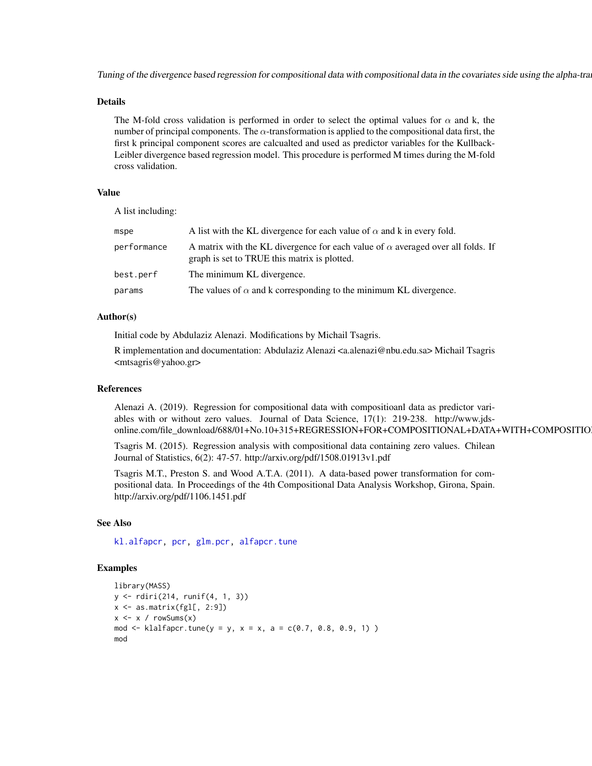Tuning of the divergence based regression for compositional data with compositional data in the covariates side using the alpha-tra

#### Details

The M-fold cross validation is performed in order to select the optimal values for  $\alpha$  and k, the number of principal components. The  $\alpha$ -transformation is applied to the compositional data first, the first k principal component scores are calcualted and used as predictor variables for the Kullback-Leibler divergence based regression model. This procedure is performed M times during the M-fold cross validation.

# Value

A list including:

| mspe        | A list with the KL divergence for each value of $\alpha$ and k in every fold.                                                          |
|-------------|----------------------------------------------------------------------------------------------------------------------------------------|
| performance | A matrix with the KL divergence for each value of $\alpha$ averaged over all folds. If<br>graph is set to TRUE this matrix is plotted. |
| best.perf   | The minimum KL divergence.                                                                                                             |
| params      | The values of $\alpha$ and k corresponding to the minimum KL divergence.                                                               |

### Author(s)

Initial code by Abdulaziz Alenazi. Modifications by Michail Tsagris.

R implementation and documentation: Abdulaziz Alenazi <a.alenazi@nbu.edu.sa> Michail Tsagris <mtsagris@yahoo.gr>

# References

Alenazi A. (2019). Regression for compositional data with compositioanl data as predictor variables with or without zero values. Journal of Data Science, 17(1): 219-238. http://www.jdsonline.com/file\_download/688/01+No.10+315+REGRESSION+FOR+COMPOSITIONAL+DATA+WITH+COMPOSITIO

Tsagris M. (2015). Regression analysis with compositional data containing zero values. Chilean Journal of Statistics, 6(2): 47-57. http://arxiv.org/pdf/1508.01913v1.pdf

Tsagris M.T., Preston S. and Wood A.T.A. (2011). A data-based power transformation for compositional data. In Proceedings of the 4th Compositional Data Analysis Workshop, Girona, Spain. http://arxiv.org/pdf/1106.1451.pdf

### See Also

[kl.alfapcr,](#page-20-0) [pcr,](#page-72-0) [glm.pcr,](#page-71-0) [alfapcr.tune](#page-106-0)

```
library(MASS)
y <- rdiri(214, runif(4, 1, 3))
x \leftarrow as_matrix(fgl[, 2:9])x \le -x / \text{rowsums}(x)mod <- klalfapcr.tune(y = y, x = x, a = c(0.7, 0.8, 0.9, 1))
mod
```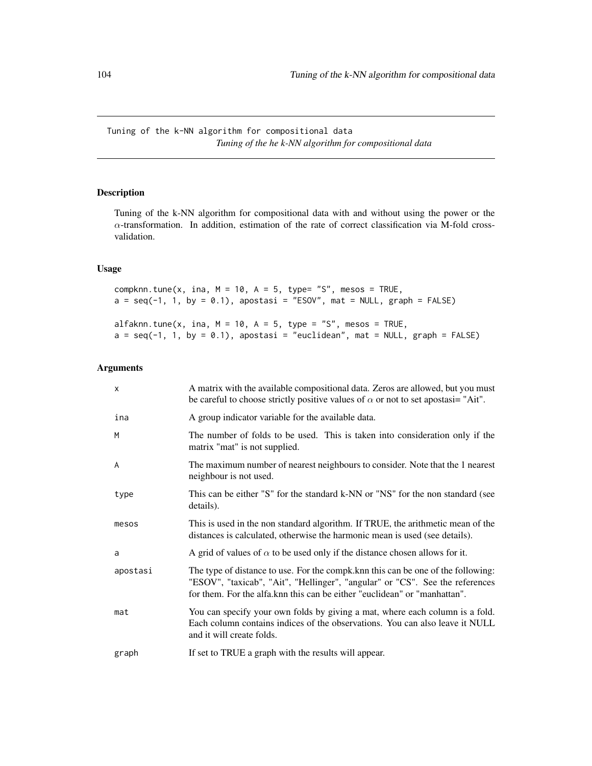Tuning of the k-NN algorithm for compositional data *Tuning of the he k-NN algorithm for compositional data*

# <span id="page-103-0"></span>Description

Tuning of the k-NN algorithm for compositional data with and without using the power or the  $\alpha$ -transformation. In addition, estimation of the rate of correct classification via M-fold crossvalidation.

# Usage

compknn.tune(x, ina,  $M = 10$ ,  $A = 5$ , type= "S", mesos = TRUE,  $a = seq(-1, 1, by = 0.1)$ , apostasi = "ESOV", mat = NULL, graph = FALSE) alfaknn.tune(x, ina,  $M = 10$ ,  $A = 5$ , type = "S", mesos = TRUE,  $a = seq(-1, 1, by = 0.1)$ , apostasi = "euclidean", mat = NULL, graph = FALSE)

# Arguments

| $\times$ | A matrix with the available compositional data. Zeros are allowed, but you must<br>be careful to choose strictly positive values of $\alpha$ or not to set apostasi= "Ait".                                                                    |
|----------|------------------------------------------------------------------------------------------------------------------------------------------------------------------------------------------------------------------------------------------------|
| ina      | A group indicator variable for the available data.                                                                                                                                                                                             |
| M        | The number of folds to be used. This is taken into consideration only if the<br>matrix "mat" is not supplied.                                                                                                                                  |
| A        | The maximum number of nearest neighbours to consider. Note that the 1 nearest<br>neighbour is not used.                                                                                                                                        |
| type     | This can be either "S" for the standard k-NN or "NS" for the non standard (see<br>details).                                                                                                                                                    |
| mesos    | This is used in the non standard algorithm. If TRUE, the arithmetic mean of the<br>distances is calculated, otherwise the harmonic mean is used (see details).                                                                                 |
| a        | A grid of values of $\alpha$ to be used only if the distance chosen allows for it.                                                                                                                                                             |
| apostasi | The type of distance to use. For the compk. knn this can be one of the following:<br>"ESOV", "taxicab", "Ait", "Hellinger", "angular" or "CS". See the references<br>for them. For the alfa.knn this can be either "euclidean" or "manhattan". |
| mat      | You can specify your own folds by giving a mat, where each column is a fold.<br>Each column contains indices of the observations. You can also leave it NULL<br>and it will create folds.                                                      |
| graph    | If set to TRUE a graph with the results will appear.                                                                                                                                                                                           |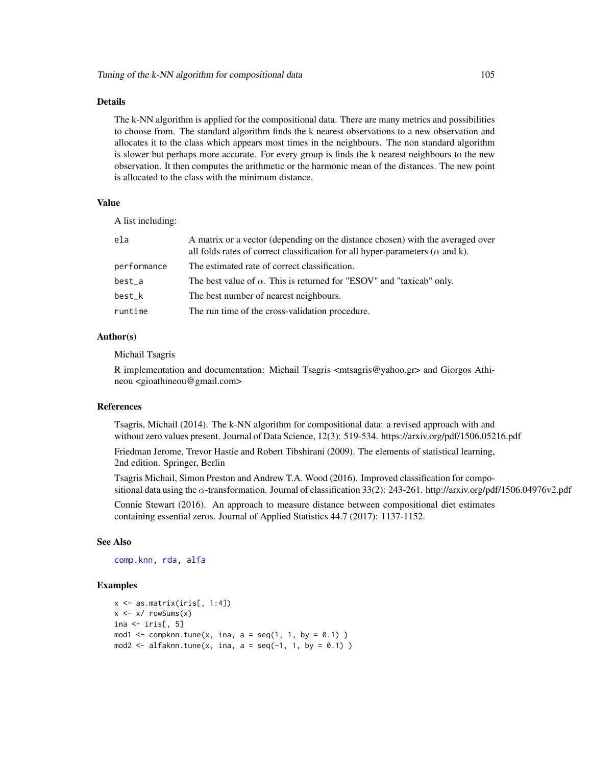### Details

The k-NN algorithm is applied for the compositional data. There are many metrics and possibilities to choose from. The standard algorithm finds the k nearest observations to a new observation and allocates it to the class which appears most times in the neighbours. The non standard algorithm is slower but perhaps more accurate. For every group is finds the k nearest neighbours to the new observation. It then computes the arithmetic or the harmonic mean of the distances. The new point is allocated to the class with the minimum distance.

# Value

A list including:

| ela         | A matrix or a vector (depending on the distance chosen) with the averaged over<br>all folds rates of correct classification for all hyper-parameters ( $\alpha$ and k). |
|-------------|-------------------------------------------------------------------------------------------------------------------------------------------------------------------------|
| performance | The estimated rate of correct classification.                                                                                                                           |
| best_a      | The best value of $\alpha$ . This is returned for "ESOV" and "taxicab" only.                                                                                            |
| best_k      | The best number of nearest neighbours.                                                                                                                                  |
| runtime     | The run time of the cross-validation procedure.                                                                                                                         |

### Author(s)

Michail Tsagris

R implementation and documentation: Michail Tsagris <mtsagris@yahoo.gr> and Giorgos Athineou <gioathineou@gmail.com>

### References

Tsagris, Michail (2014). The k-NN algorithm for compositional data: a revised approach with and without zero values present. Journal of Data Science, 12(3): 519-534. https://arxiv.org/pdf/1506.05216.pdf

Friedman Jerome, Trevor Hastie and Robert Tibshirani (2009). The elements of statistical learning, 2nd edition. Springer, Berlin

Tsagris Michail, Simon Preston and Andrew T.A. Wood (2016). Improved classification for compositional data using the  $\alpha$ -transformation. Journal of classification 33(2): 243-261. http://arxiv.org/pdf/1506.04976v2.pdf

Connie Stewart (2016). An approach to measure distance between compositional diet estimates containing essential zeros. Journal of Applied Statistics 44.7 (2017): 1137-1152.

# See Also

[comp.knn,](#page-97-0) [rda,](#page-79-0) [alfa](#page-93-0)

```
x \leftarrow as_matrix(iris[, 1:4])x \leftarrow x / \text{rowsums}(x)ina \le iris[, 5]
mod1 \leq compknn.tune(x, ina, a = seq(1, 1, by = 0.1) )
mod2 \leq alfaknn.tune(x, ina, a = seq(-1, 1, by = 0.1) )
```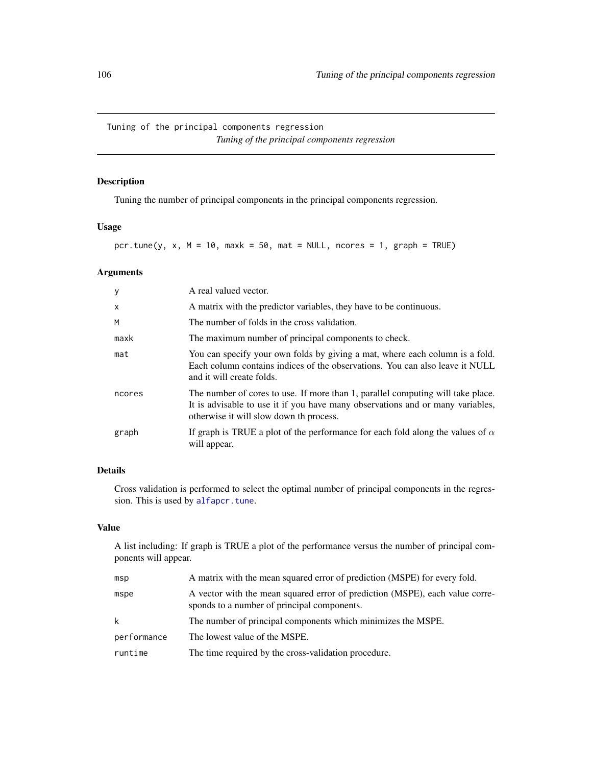Tuning of the principal components regression *Tuning of the principal components regression*

# <span id="page-105-0"></span>Description

Tuning the number of principal components in the principal components regression.

### Usage

pcr.tune(y, x,  $M = 10$ , maxk = 50, mat = NULL, ncores = 1, graph = TRUE)

# Arguments

| y            | A real valued vector.                                                                                                                                                                                        |
|--------------|--------------------------------------------------------------------------------------------------------------------------------------------------------------------------------------------------------------|
| $\mathsf{x}$ | A matrix with the predictor variables, they have to be continuous.                                                                                                                                           |
| M            | The number of folds in the cross validation.                                                                                                                                                                 |
| maxk         | The maximum number of principal components to check.                                                                                                                                                         |
| mat          | You can specify your own folds by giving a mat, where each column is a fold.<br>Each column contains indices of the observations. You can also leave it NULL<br>and it will create folds.                    |
| ncores       | The number of cores to use. If more than 1, parallel computing will take place.<br>It is advisable to use it if you have many observations and or many variables,<br>otherwise it will slow down th process. |
| graph        | If graph is TRUE a plot of the performance for each fold along the values of $\alpha$<br>will appear.                                                                                                        |

# Details

Cross validation is performed to select the optimal number of principal components in the regression. This is used by [alfapcr.tune](#page-106-0).

### Value

A list including: If graph is TRUE a plot of the performance versus the number of principal components will appear.

| msp         | A matrix with the mean squared error of prediction (MSPE) for every fold.                                                   |
|-------------|-----------------------------------------------------------------------------------------------------------------------------|
| mspe        | A vector with the mean squared error of prediction (MSPE), each value corre-<br>sponds to a number of principal components. |
| k           | The number of principal components which minimizes the MSPE.                                                                |
| performance | The lowest value of the MSPE.                                                                                               |
| runtime     | The time required by the cross-validation procedure.                                                                        |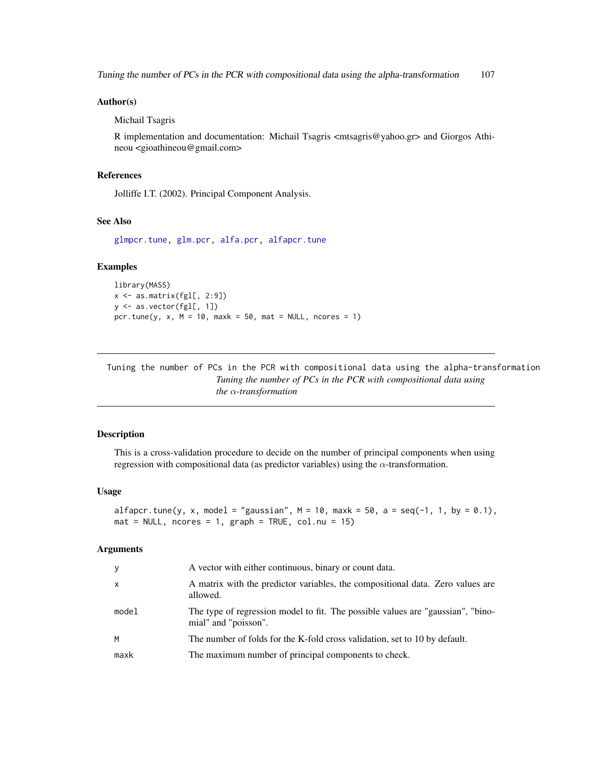Tuning the number of PCs in the PCR with compositional data using the alpha-transformation 107

#### Author(s)

Michail Tsagris

R implementation and documentation: Michail Tsagris <mtsagris@yahoo.gr> and Giorgos Athineou <gioathineou@gmail.com>

# References

Jolliffe I.T. (2002). Principal Component Analysis.

### See Also

[glmpcr.tune,](#page-110-0) [glm.pcr,](#page-71-0) [alfa.pcr,](#page-62-0) [alfapcr.tune](#page-106-0)

# Examples

```
library(MASS)
x \leftarrow as_matrix(fgl[, 2:9])y <- as.vector(fgl[, 1])
pcr.tune(y, x, M = 10, maxk = 50, mat = NULL, ncores = 1)
```
Tuning the number of PCs in the PCR with compositional data using the alpha-transformation *Tuning the number of PCs in the PCR with compositional data using the* α*-transformation*

# <span id="page-106-0"></span>Description

This is a cross-validation procedure to decide on the number of principal components when using regression with compositional data (as predictor variables) using the  $\alpha$ -transformation.

#### Usage

alfapcr.tune(y, x, model = "gaussian",  $M = 10$ , maxk = 50, a = seq(-1, 1, by = 0.1),  $mat = NULL$ , ncores = 1, graph = TRUE, col.nu = 15)

#### Arguments

| У            | A vector with either continuous, binary or count data.                                                  |
|--------------|---------------------------------------------------------------------------------------------------------|
| $\mathsf{x}$ | A matrix with the predictor variables, the compositional data. Zero values are<br>allowed.              |
| model        | The type of regression model to fit. The possible values are "gaussian", "bino-<br>mial" and "poisson". |
| M            | The number of folds for the K-fold cross validation, set to 10 by default.                              |
| maxk         | The maximum number of principal components to check.                                                    |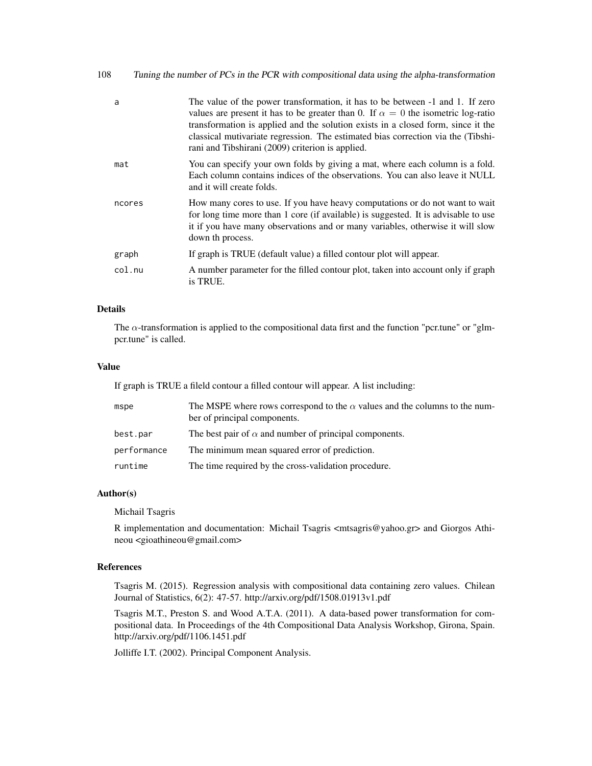| 108<br>Tuning the number of PCs in the PCR with compositional data using the alpha-transformation |  |  |  |
|---------------------------------------------------------------------------------------------------|--|--|--|
|---------------------------------------------------------------------------------------------------|--|--|--|

| a      | The value of the power transformation, it has to be between -1 and 1. If zero<br>values are present it has to be greater than 0. If $\alpha = 0$ the isometric log-ratio<br>transformation is applied and the solution exists in a closed form, since it the<br>classical mutivariate regression. The estimated bias correction via the (Tibshi-<br>rani and Tibshirani (2009) criterion is applied. |
|--------|------------------------------------------------------------------------------------------------------------------------------------------------------------------------------------------------------------------------------------------------------------------------------------------------------------------------------------------------------------------------------------------------------|
| mat    | You can specify your own folds by giving a mat, where each column is a fold.<br>Each column contains indices of the observations. You can also leave it NULL<br>and it will create folds.                                                                                                                                                                                                            |
| ncores | How many cores to use. If you have heavy computations or do not want to wait<br>for long time more than 1 core (if available) is suggested. It is advisable to use<br>it if you have many observations and or many variables, otherwise it will slow<br>down th process.                                                                                                                             |
| graph  | If graph is TRUE (default value) a filled contour plot will appear.                                                                                                                                                                                                                                                                                                                                  |
| col.nu | A number parameter for the filled contour plot, taken into account only if graph<br>is TRUE.                                                                                                                                                                                                                                                                                                         |

# Details

The  $\alpha$ -transformation is applied to the compositional data first and the function "pcr.tune" or "glmpcr.tune" is called.

# Value

If graph is TRUE a fileld contour a filled contour will appear. A list including:

| mspe        | The MSPE where rows correspond to the $\alpha$ values and the columns to the num-<br>ber of principal components. |
|-------------|-------------------------------------------------------------------------------------------------------------------|
| best.par    | The best pair of $\alpha$ and number of principal components.                                                     |
| performance | The minimum mean squared error of prediction.                                                                     |
| runtime     | The time required by the cross-validation procedure.                                                              |

# Author(s)

Michail Tsagris

R implementation and documentation: Michail Tsagris  $\langle$ mtsagris@yahoo.gr> and Giorgos Athineou <gioathineou@gmail.com>

# References

Tsagris M. (2015). Regression analysis with compositional data containing zero values. Chilean Journal of Statistics, 6(2): 47-57. http://arxiv.org/pdf/1508.01913v1.pdf

Tsagris M.T., Preston S. and Wood A.T.A. (2011). A data-based power transformation for compositional data. In Proceedings of the 4th Compositional Data Analysis Workshop, Girona, Spain. http://arxiv.org/pdf/1106.1451.pdf

Jolliffe I.T. (2002). Principal Component Analysis.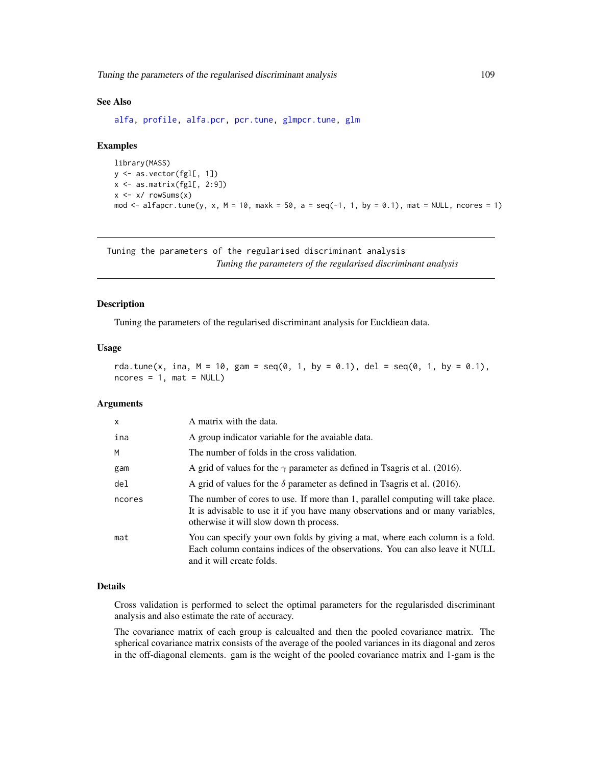<span id="page-108-0"></span>Tuning the parameters of the regularised discriminant analysis 109

#### See Also

[alfa,](#page-93-0) [profile,](#page-0-0) [alfa.pcr,](#page-62-0) [pcr.tune,](#page-105-0) [glmpcr.tune,](#page-110-0) [glm](#page-0-0)

#### Examples

```
library(MASS)
y <- as.vector(fgl[, 1])
x <- as.matrix(fgl[, 2:9])
x \le -x / \text{rowsums}(x)mod \le alfapcr.tune(y, x, M = 10, maxk = 50, a = seq(-1, 1, by = 0.1), mat = NULL, ncores = 1)
```
Tuning the parameters of the regularised discriminant analysis *Tuning the parameters of the regularised discriminant analysis*

#### Description

Tuning the parameters of the regularised discriminant analysis for Eucldiean data.

#### Usage

rda.tune(x, ina,  $M = 10$ , gam = seq(0, 1, by = 0.1), del = seq(0, 1, by = 0.1),  $ncores = 1$ ,  $mat = NULL$ 

# Arguments

| $\mathsf{x}$ | A matrix with the data.                                                                                                                                                                                      |
|--------------|--------------------------------------------------------------------------------------------------------------------------------------------------------------------------------------------------------------|
| ina          | A group indicator variable for the avaiable data.                                                                                                                                                            |
| M            | The number of folds in the cross validation.                                                                                                                                                                 |
| gam          | A grid of values for the $\gamma$ parameter as defined in Tsagris et al. (2016).                                                                                                                             |
| del          | A grid of values for the $\delta$ parameter as defined in Tsagris et al. (2016).                                                                                                                             |
| ncores       | The number of cores to use. If more than 1, parallel computing will take place.<br>It is advisable to use it if you have many observations and or many variables,<br>otherwise it will slow down th process. |
| mat          | You can specify your own folds by giving a mat, where each column is a fold.<br>Each column contains indices of the observations. You can also leave it NULL<br>and it will create folds.                    |

#### Details

Cross validation is performed to select the optimal parameters for the regularisded discriminant analysis and also estimate the rate of accuracy.

The covariance matrix of each group is calcualted and then the pooled covariance matrix. The spherical covariance matrix consists of the average of the pooled variances in its diagonal and zeros in the off-diagonal elements. gam is the weight of the pooled covariance matrix and 1-gam is the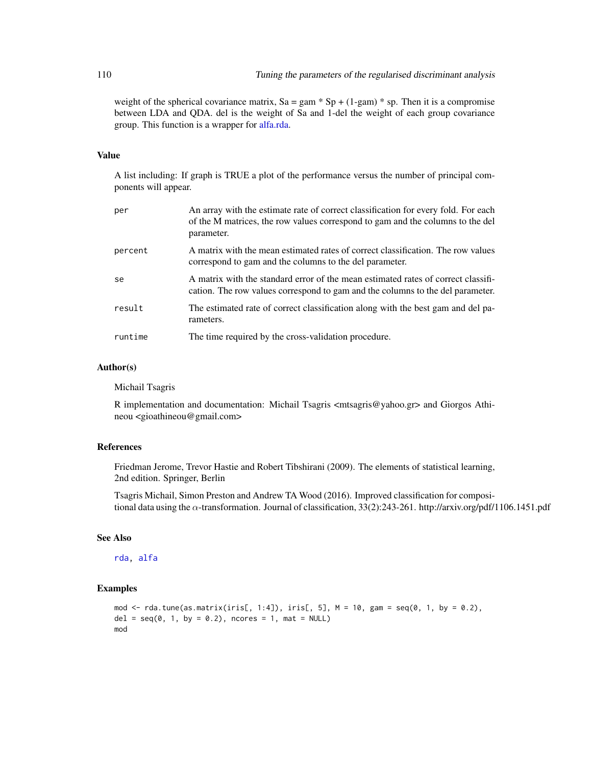weight of the spherical covariance matrix,  $Sa = gam * Sp + (1-gam) * sp$ . Then it is a compromise between LDA and QDA. del is the weight of Sa and 1-del the weight of each group covariance group. This function is a wrapper for [alfa.rda.](#page-78-0)

#### Value

A list including: If graph is TRUE a plot of the performance versus the number of principal components will appear.

| per     | An array with the estimate rate of correct classification for every fold. For each<br>of the M matrices, the row values correspond to gam and the columns to the del<br>parameter. |
|---------|------------------------------------------------------------------------------------------------------------------------------------------------------------------------------------|
| percent | A matrix with the mean estimated rates of correct classification. The row values<br>correspond to gam and the columns to the del parameter.                                        |
| se      | A matrix with the standard error of the mean estimated rates of correct classifi-<br>cation. The row values correspond to gam and the columns to the del parameter.                |
| result  | The estimated rate of correct classification along with the best gam and del pa-<br>rameters.                                                                                      |
| runtime | The time required by the cross-validation procedure.                                                                                                                               |

#### Author(s)

Michail Tsagris

R implementation and documentation: Michail Tsagris  $\langle \text{mtsagris}\,\text{@yahoo.gr}\rangle$  and Giorgos Athineou <gioathineou@gmail.com>

# References

Friedman Jerome, Trevor Hastie and Robert Tibshirani (2009). The elements of statistical learning, 2nd edition. Springer, Berlin

Tsagris Michail, Simon Preston and Andrew TA Wood (2016). Improved classification for compositional data using the α-transformation. Journal of classification, 33(2):243-261. http://arxiv.org/pdf/1106.1451.pdf

# See Also

[rda,](#page-79-0) [alfa](#page-93-0)

#### Examples

```
mod \leq rda.tune(as.matrix(iris[, 1:4]), iris[, 5], M = 10, gam = seq(0, 1, by = 0.2),
del = seq(0, 1, by = 0.2), ncores = 1, mat = NULL)
mod
```
<span id="page-109-0"></span>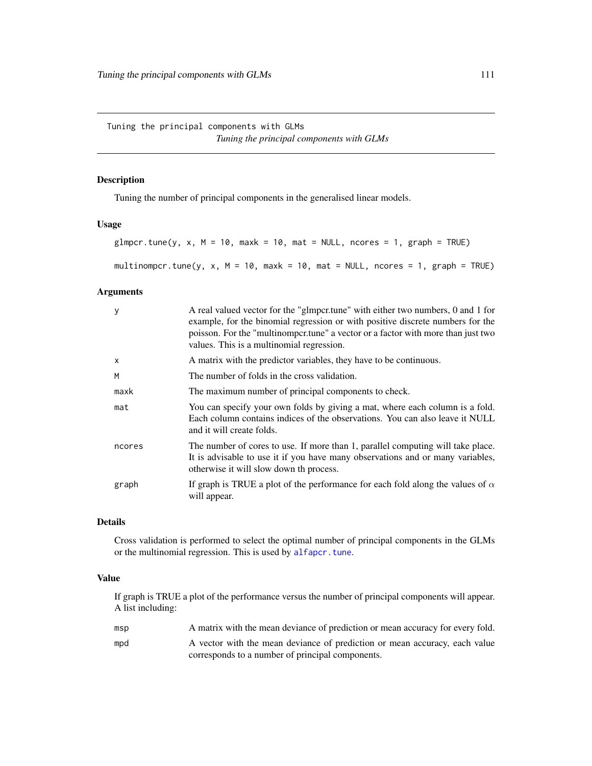<span id="page-110-1"></span>Tuning the principal components with GLMs *Tuning the principal components with GLMs*

# <span id="page-110-0"></span>Description

Tuning the number of principal components in the generalised linear models.

# Usage

```
glmpcr.tune(y, x, M = 10, maxk = 10, mat = NULL, ncores = 1, graph = TRUE)
multinompcr.tune(y, x, M = 10, maxk = 10, mat = NULL, ncores = 1, graph = TRUE)
```
#### Arguments

| y      | A real valued vector for the "glmpcritune" with either two numbers, 0 and 1 for<br>example, for the binomial regression or with positive discrete numbers for the<br>poisson. For the "multinompertune" a vector or a factor with more than just two<br>values. This is a multinomial regression. |
|--------|---------------------------------------------------------------------------------------------------------------------------------------------------------------------------------------------------------------------------------------------------------------------------------------------------|
| X      | A matrix with the predictor variables, they have to be continuous.                                                                                                                                                                                                                                |
| M      | The number of folds in the cross validation.                                                                                                                                                                                                                                                      |
| maxk   | The maximum number of principal components to check.                                                                                                                                                                                                                                              |
| mat    | You can specify your own folds by giving a mat, where each column is a fold.<br>Each column contains indices of the observations. You can also leave it NULL<br>and it will create folds.                                                                                                         |
| ncores | The number of cores to use. If more than 1, parallel computing will take place.<br>It is advisable to use it if you have many observations and or many variables,<br>otherwise it will slow down th process.                                                                                      |
| graph  | If graph is TRUE a plot of the performance for each fold along the values of $\alpha$<br>will appear.                                                                                                                                                                                             |

# Details

Cross validation is performed to select the optimal number of principal components in the GLMs or the multinomial regression. This is used by [alfapcr.tune](#page-106-0).

# Value

If graph is TRUE a plot of the performance versus the number of principal components will appear. A list including:

| msp | A matrix with the mean deviance of prediction or mean accuracy for every fold. |
|-----|--------------------------------------------------------------------------------|
| mpd | A vector with the mean deviance of prediction or mean accuracy, each value     |
|     | corresponds to a number of principal components.                               |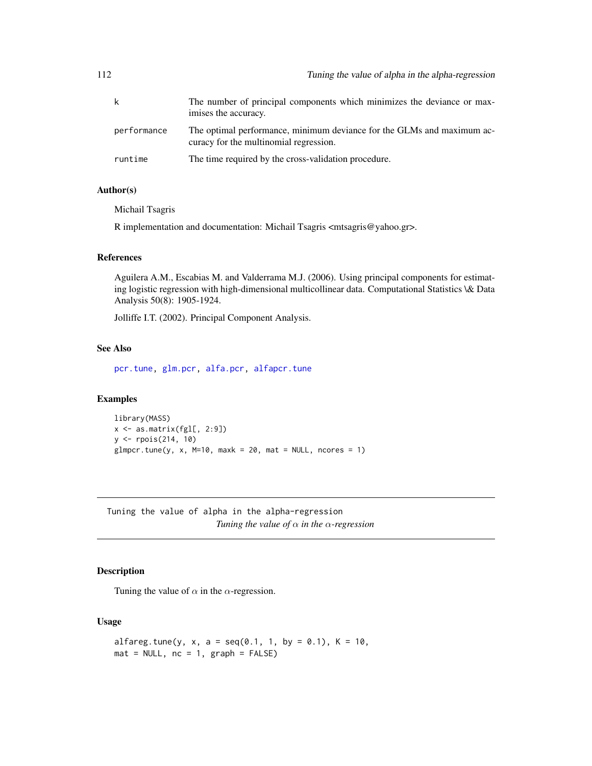<span id="page-111-0"></span>

|             | The number of principal components which minimizes the deviance or max-<br>imises the accuracy.                  |
|-------------|------------------------------------------------------------------------------------------------------------------|
| performance | The optimal performance, minimum deviance for the GLMs and maximum ac-<br>curacy for the multinomial regression. |
| runtime     | The time required by the cross-validation procedure.                                                             |

# Author(s)

Michail Tsagris

R implementation and documentation: Michail Tsagris <mtsagris@yahoo.gr>.

#### References

Aguilera A.M., Escabias M. and Valderrama M.J. (2006). Using principal components for estimating logistic regression with high-dimensional multicollinear data. Computational Statistics \& Data Analysis 50(8): 1905-1924.

Jolliffe I.T. (2002). Principal Component Analysis.

#### See Also

[pcr.tune,](#page-105-0) [glm.pcr,](#page-71-0) [alfa.pcr,](#page-62-0) [alfapcr.tune](#page-106-0)

# Examples

```
library(MASS)
x \leftarrow as_matrix(fgl[, 2:9])y <- rpois(214, 10)
glmpcr.tune(y, x, M=10, maxk = 20, mat = NULL, ncores = 1)
```
Tuning the value of alpha in the alpha-regression *Tuning the value of* α *in the* α*-regression*

#### Description

Tuning the value of  $\alpha$  in the  $\alpha$ -regression.

# Usage

```
alfareg.tune(y, x, a = seq(0.1, 1, by = 0.1), K = 10,
mat = NULL, nc = 1, graph = FALSE)
```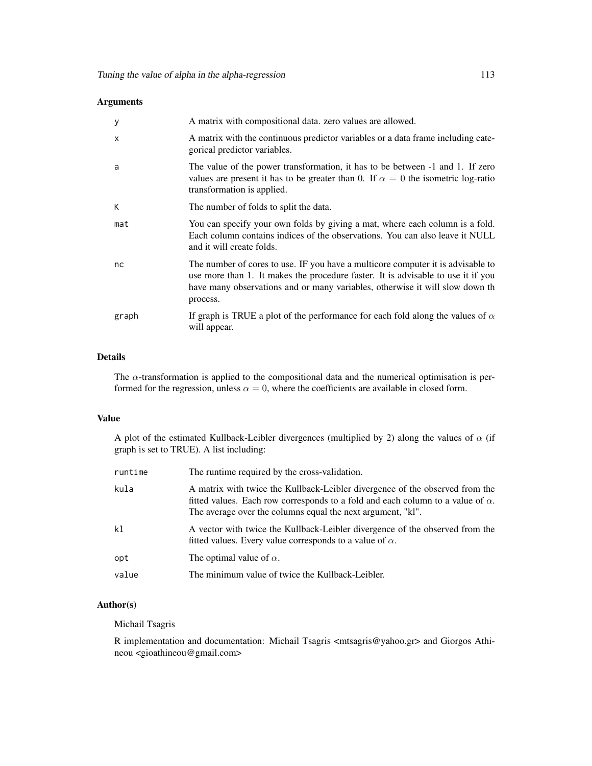# Arguments

| y            | A matrix with compositional data. zero values are allowed.                                                                                                                                                                                                      |
|--------------|-----------------------------------------------------------------------------------------------------------------------------------------------------------------------------------------------------------------------------------------------------------------|
| $\mathsf{x}$ | A matrix with the continuous predictor variables or a data frame including cate-<br>gorical predictor variables.                                                                                                                                                |
| a            | The value of the power transformation, it has to be between -1 and 1. If zero<br>values are present it has to be greater than 0. If $\alpha = 0$ the isometric log-ratio<br>transformation is applied.                                                          |
| К            | The number of folds to split the data.                                                                                                                                                                                                                          |
| mat          | You can specify your own folds by giving a mat, where each column is a fold.<br>Each column contains indices of the observations. You can also leave it NULL<br>and it will create folds.                                                                       |
| nc           | The number of cores to use. IF you have a multicore computer it is advisable to<br>use more than 1. It makes the procedure faster. It is advisable to use it if you<br>have many observations and or many variables, otherwise it will slow down th<br>process. |
| graph        | If graph is TRUE a plot of the performance for each fold along the values of $\alpha$<br>will appear.                                                                                                                                                           |

# Details

The  $\alpha$ -transformation is applied to the compositional data and the numerical optimisation is performed for the regression, unless  $\alpha = 0$ , where the coefficients are available in closed form.

# Value

A plot of the estimated Kullback-Leibler divergences (multiplied by 2) along the values of  $\alpha$  (if graph is set to TRUE). A list including:

| runtime | The runtime required by the cross-validation.                                                                                                                                                                                         |
|---------|---------------------------------------------------------------------------------------------------------------------------------------------------------------------------------------------------------------------------------------|
| kula    | A matrix with twice the Kullback-Leibler divergence of the observed from the<br>fitted values. Each row corresponds to a fold and each column to a value of $\alpha$ .<br>The average over the columns equal the next argument, "kl". |
| k1      | A vector with twice the Kullback-Leibler divergence of the observed from the<br>fitted values. Every value corresponds to a value of $\alpha$ .                                                                                       |
| opt     | The optimal value of $\alpha$ .                                                                                                                                                                                                       |
| value   | The minimum value of twice the Kullback-Leibler.                                                                                                                                                                                      |

# Author(s)

Michail Tsagris

R implementation and documentation: Michail Tsagris <mtsagris@yahoo.gr> and Giorgos Athineou <gioathineou@gmail.com>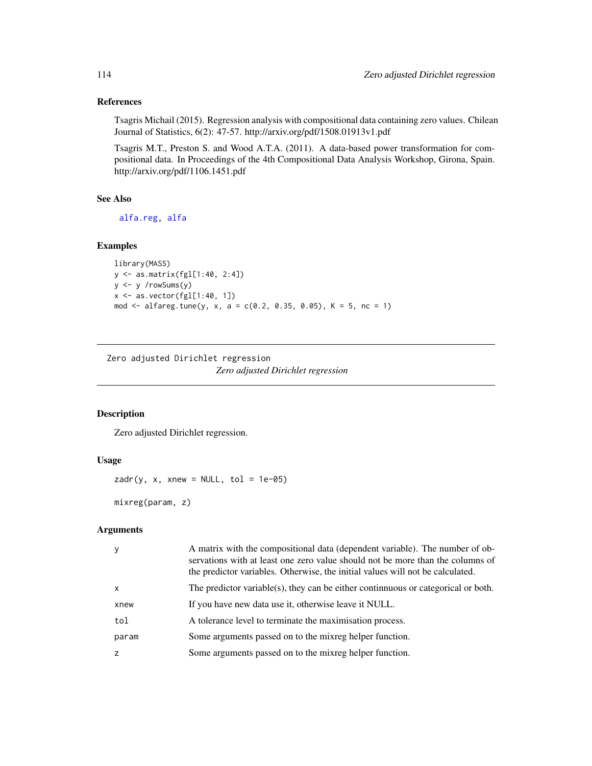# References

Tsagris Michail (2015). Regression analysis with compositional data containing zero values. Chilean Journal of Statistics, 6(2): 47-57. http://arxiv.org/pdf/1508.01913v1.pdf

Tsagris M.T., Preston S. and Wood A.T.A. (2011). A data-based power transformation for compositional data. In Proceedings of the 4th Compositional Data Analysis Workshop, Girona, Spain. http://arxiv.org/pdf/1106.1451.pdf

#### See Also

[alfa.reg,](#page-76-0) [alfa](#page-93-0)

# Examples

```
library(MASS)
y <- as.matrix(fgl[1:40, 2:4])
y <- y /rowSums(y)
x \leftarrow as-vector(fgl[1:40, 1])mod <- alfareg.tune(y, x, a = c(0.2, 0.35, 0.05), K = 5, nc = 1)
```
Zero adjusted Dirichlet regression *Zero adjusted Dirichlet regression*

# Description

Zero adjusted Dirichlet regression.

#### Usage

```
zadr(y, x, xnew = NULL, tol = 1e-05)
```
mixreg(param, z)

#### Arguments

| y            | A matrix with the compositional data (dependent variable). The number of ob-<br>servations with at least one zero value should not be more than the columns of<br>the predictor variables. Otherwise, the initial values will not be calculated. |
|--------------|--------------------------------------------------------------------------------------------------------------------------------------------------------------------------------------------------------------------------------------------------|
| $\mathsf{x}$ | The predictor variable(s), they can be either continuous or categorical or both.                                                                                                                                                                 |
| xnew         | If you have new data use it, otherwise leave it NULL.                                                                                                                                                                                            |
| tol          | A tolerance level to terminate the maximisation process.                                                                                                                                                                                         |
| param        | Some arguments passed on to the mixreg helper function.                                                                                                                                                                                          |
| z            | Some arguments passed on to the mixreg helper function.                                                                                                                                                                                          |

<span id="page-113-0"></span>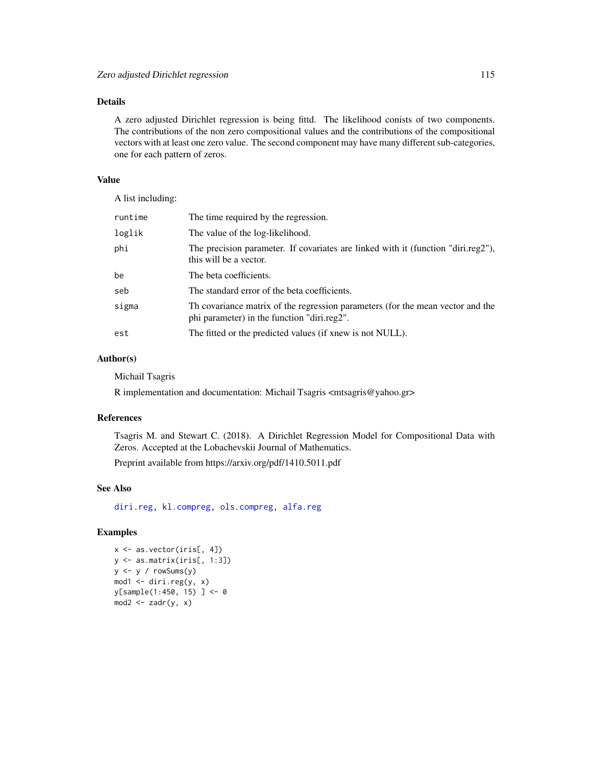# <span id="page-114-0"></span>Details

A zero adjusted Dirichlet regression is being fittd. The likelihood conists of two components. The contributions of the non zero compositional values and the contributions of the compositional vectors with at least one zero value. The second component may have many different sub-categories, one for each pattern of zeros.

# Value

A list including:

| runtime | The time required by the regression.                                                                                          |
|---------|-------------------------------------------------------------------------------------------------------------------------------|
| loglik  | The value of the log-likelihood.                                                                                              |
| phi     | The precision parameter. If covariates are linked with it (function "diri.reg2"),<br>this will be a vector.                   |
| be      | The beta coefficients.                                                                                                        |
| seb     | The standard error of the beta coefficients.                                                                                  |
| sigma   | Th covariance matrix of the regression parameters (for the mean vector and the<br>phi parameter) in the function "diri.reg2". |
| est     | The fitted or the predicted values (if xnew is not NULL).                                                                     |

### Author(s)

Michail Tsagris

R implementation and documentation: Michail Tsagris <mtsagris@yahoo.gr>

#### References

Tsagris M. and Stewart C. (2018). A Dirichlet Regression Model for Compositional Data with Zeros. Accepted at the Lobachevskii Journal of Mathematics.

Preprint available from https://arxiv.org/pdf/1410.5011.pdf

# See Also

[diri.reg,](#page-17-0) [kl.compreg,](#page-19-0) [ols.compreg,](#page-68-0) [alfa.reg](#page-76-0)

# Examples

```
x <- as.vector(iris[, 4])
y <- as.matrix(iris[, 1:3])
y \leftarrow y / \text{rowsums}(y)mod1 <- diri.reg(y, x)
y[sample(1:450, 15)] <- 0
mod2 \leq zadr(y, x)
```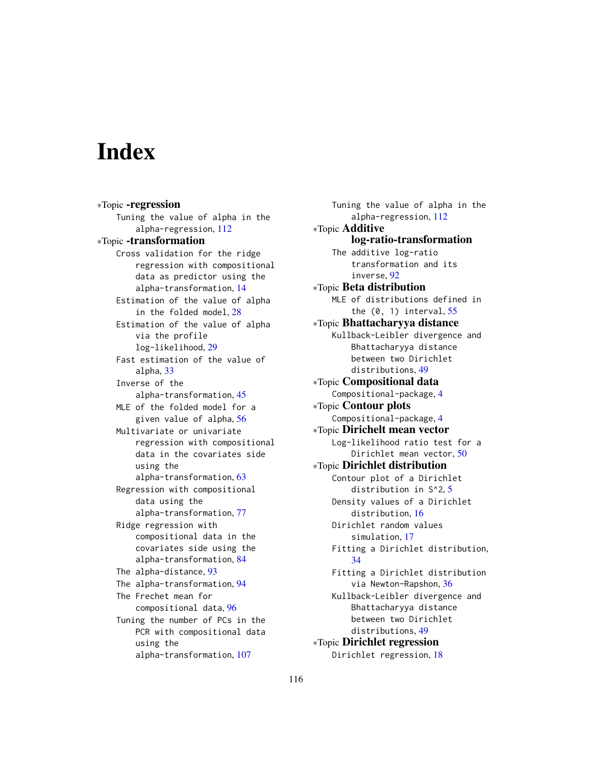# Index

∗Topic -regression Tuning the value of alpha in the alpha-regression, [112](#page-111-0) ∗Topic -transformation Cross validation for the ridge regression with compositional data as predictor using the alpha-transformation, [14](#page-13-0) Estimation of the value of alpha in the folded model, [28](#page-27-0) Estimation of the value of alpha via the profile log-likelihood, [29](#page-28-0) Fast estimation of the value of alpha, [33](#page-32-0) Inverse of the alpha-transformation, [45](#page-44-0) MLE of the folded model for a given value of alpha, [56](#page-55-0) Multivariate or univariate regression with compositional data in the covariates side using the alpha-transformation, [63](#page-62-1) Regression with compositional data using the alpha-transformation, [77](#page-76-1) Ridge regression with compositional data in the covariates side using the alpha-transformation, [84](#page-83-0) The alpha-distance, [93](#page-92-0) The alpha-transformation, [94](#page-93-1) The Frechet mean for compositional data, [96](#page-95-0) Tuning the number of PCs in the PCR with compositional data using the alpha-transformation, [107](#page-106-1)

Tuning the value of alpha in the alpha-regression, [112](#page-111-0) ∗Topic Additive log-ratio-transformation The additive log-ratio transformation and its inverse, [92](#page-91-0) ∗Topic Beta distribution MLE of distributions defined in the  $(0, 1)$  interval,  $55$ ∗Topic Bhattacharyya distance Kullback-Leibler divergence and Bhattacharyya distance between two Dirichlet distributions, [49](#page-48-0) ∗Topic Compositional data Compositional-package, [4](#page-3-0) ∗Topic Contour plots Compositional-package, [4](#page-3-0) ∗Topic Dirichelt mean vector Log-likelihood ratio test for a Dirichlet mean vector, [50](#page-49-0) ∗Topic Dirichlet distribution Contour plot of a Dirichlet distribution in S^2, [5](#page-4-0) Density values of a Dirichlet distribution, [16](#page-15-0) Dirichlet random values simulation, [17](#page-16-0) Fitting a Dirichlet distribution, [34](#page-33-0) Fitting a Dirichlet distribution via Newton-Rapshon, [36](#page-35-0) Kullback-Leibler divergence and Bhattacharyya distance between two Dirichlet distributions, [49](#page-48-0) ∗Topic Dirichlet regression Dirichlet regression, [18](#page-17-1)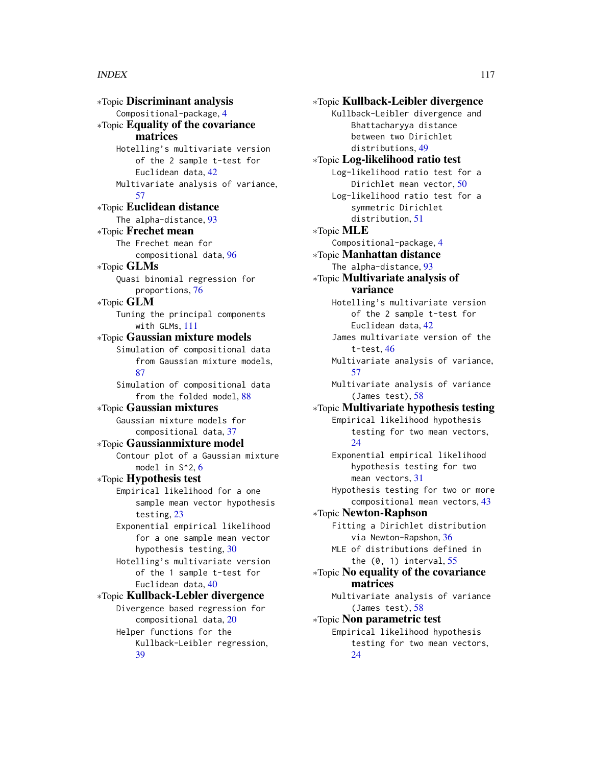∗Topic Discriminant analysis Compositional-package, [4](#page-3-0) ∗Topic Equality of the covariance matrices Hotelling's multivariate version of the 2 sample t-test for Euclidean data, [42](#page-41-0) Multivariate analysis of variance, [57](#page-56-0) ∗Topic Euclidean distance The alpha-distance, [93](#page-92-0) ∗Topic Frechet mean The Frechet mean for compositional data, [96](#page-95-0) ∗Topic GLMs Quasi binomial regression for proportions, [76](#page-75-0) ∗Topic GLM Tuning the principal components with GLMs, [111](#page-110-1) ∗Topic Gaussian mixture models Simulation of compositional data from Gaussian mixture models, [87](#page-86-0) Simulation of compositional data from the folded model, [88](#page-87-0) ∗Topic Gaussian mixtures Gaussian mixture models for compositional data, [37](#page-36-0) ∗Topic Gaussianmixture model Contour plot of a Gaussian mixture model in S^2, [6](#page-5-0) ∗Topic Hypothesis test Empirical likelihood for a one sample mean vector hypothesis testing, [23](#page-22-0) Exponential empirical likelihood for a one sample mean vector hypothesis testing, [30](#page-29-0) Hotelling's multivariate version of the 1 sample t-test for Euclidean data, [40](#page-39-0) ∗Topic Kullback-Lebler divergence Divergence based regression for compositional data, [20](#page-19-1) Helper functions for the Kullback-Leibler regression, [39](#page-38-0)

∗Topic Kullback-Leibler divergence Kullback-Leibler divergence and Bhattacharyya distance between two Dirichlet distributions, [49](#page-48-0) ∗Topic Log-likelihood ratio test Log-likelihood ratio test for a Dirichlet mean vector, [50](#page-49-0) Log-likelihood ratio test for a symmetric Dirichlet distribution, [51](#page-50-0) ∗Topic MLE Compositional-package, [4](#page-3-0) ∗Topic Manhattan distance The alpha-distance, [93](#page-92-0) ∗Topic Multivariate analysis of variance Hotelling's multivariate version of the 2 sample t-test for Euclidean data, [42](#page-41-0) James multivariate version of the t-test, [46](#page-45-0) Multivariate analysis of variance, [57](#page-56-0) Multivariate analysis of variance (James test), [58](#page-57-0) ∗Topic Multivariate hypothesis testing Empirical likelihood hypothesis testing for two mean vectors,  $24$ Exponential empirical likelihood hypothesis testing for two mean vectors, [31](#page-30-0) Hypothesis testing for two or more compositional mean vectors, [43](#page-42-0) ∗Topic Newton-Raphson Fitting a Dirichlet distribution via Newton-Rapshon, [36](#page-35-0) MLE of distributions defined in the (0, 1) interval, [55](#page-54-0) ∗Topic No equality of the covariance matrices Multivariate analysis of variance (James test), [58](#page-57-0) ∗Topic Non parametric test Empirical likelihood hypothesis testing for two mean vectors, [24](#page-23-0)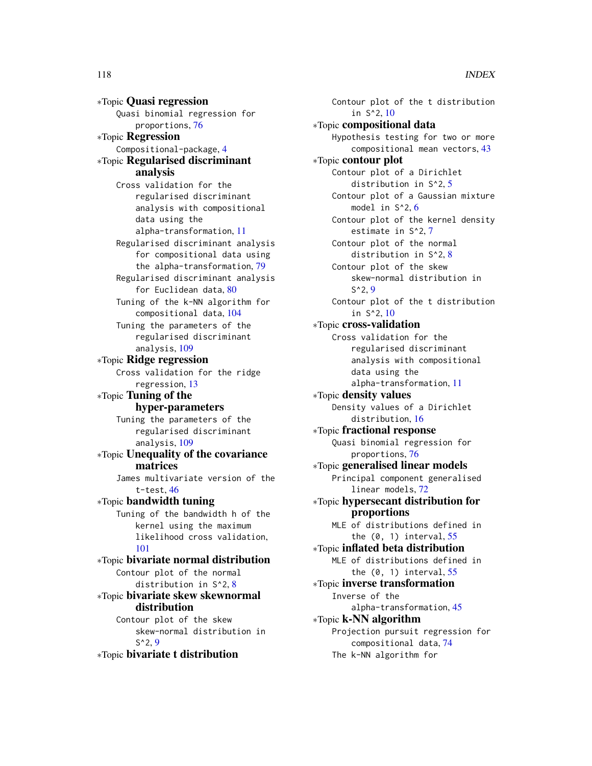∗Topic Quasi regression Quasi binomial regression for proportions, [76](#page-75-0) ∗Topic Regression Compositional-package, [4](#page-3-0) ∗Topic Regularised discriminant analysis Cross validation for the regularised discriminant analysis with compositional data using the alpha-transformation, [11](#page-10-0) Regularised discriminant analysis for compositional data using the alpha-transformation, [79](#page-78-1) Regularised discriminant analysis for Euclidean data, [80](#page-79-1) Tuning of the k-NN algorithm for compositional data, [104](#page-103-0) Tuning the parameters of the regularised discriminant analysis, [109](#page-108-0) ∗Topic Ridge regression Cross validation for the ridge regression, [13](#page-12-0) ∗Topic Tuning of the hyper-parameters Tuning the parameters of the regularised discriminant analysis, [109](#page-108-0) ∗Topic Unequality of the covariance matrices James multivariate version of the t-test, [46](#page-45-0) ∗Topic bandwidth tuning Tuning of the bandwidth h of the kernel using the maximum likelihood cross validation, [101](#page-100-0) ∗Topic bivariate normal distribution Contour plot of the normal distribution in S^2, [8](#page-7-0) ∗Topic bivariate skew skewnormal distribution Contour plot of the skew skew-normal distribution in  $S^2$ , [9](#page-8-0)

∗Topic bivariate t distribution

Contour plot of the t distribution in S^2, [10](#page-9-0) ∗Topic compositional data Hypothesis testing for two or more compositional mean vectors, [43](#page-42-0) ∗Topic contour plot Contour plot of a Dirichlet distribution in S^2, [5](#page-4-0) Contour plot of a Gaussian mixture model in  $S^2$ , [6](#page-5-0) Contour plot of the kernel density estimate in S^2, [7](#page-6-0) Contour plot of the normal distribution in S^2, [8](#page-7-0) Contour plot of the skew skew-normal distribution in  $S^2$ , [9](#page-8-0) Contour plot of the t distribution in S^2, [10](#page-9-0) ∗Topic cross-validation Cross validation for the regularised discriminant analysis with compositional data using the alpha-transformation, [11](#page-10-0) ∗Topic density values Density values of a Dirichlet distribution, [16](#page-15-0) ∗Topic fractional response Quasi binomial regression for proportions, [76](#page-75-0) ∗Topic generalised linear models Principal component generalised linear models, [72](#page-71-1) ∗Topic hypersecant distribution for proportions MLE of distributions defined in the  $(0, 1)$  interval,  $55$ ∗Topic inflated beta distribution MLE of distributions defined in the  $(0, 1)$  interval,  $55$ ∗Topic inverse transformation Inverse of the alpha-transformation, [45](#page-44-0) ∗Topic k-NN algorithm Projection pursuit regression for compositional data, [74](#page-73-0) The k-NN algorithm for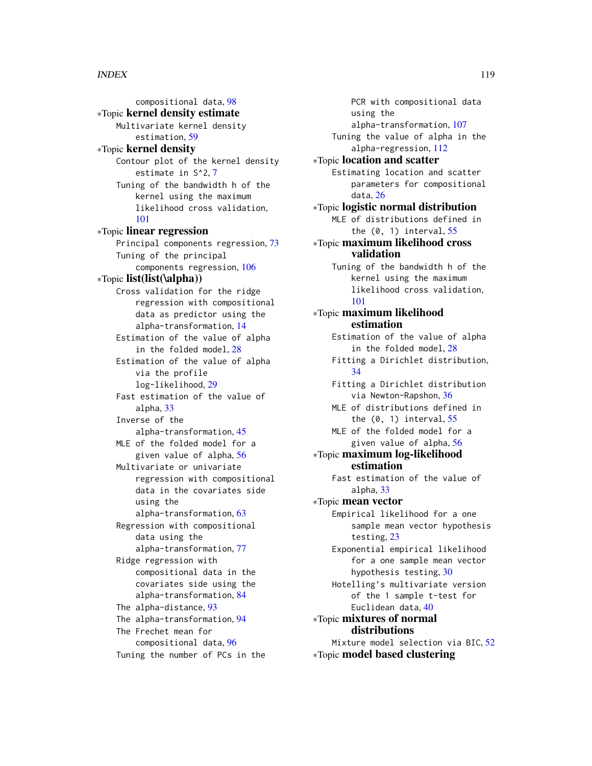compositional data, [98](#page-97-0) ∗Topic kernel density estimate Multivariate kernel density estimation, [59](#page-58-0) ∗Topic kernel density Contour plot of the kernel density estimate in S^2, [7](#page-6-0) Tuning of the bandwidth h of the kernel using the maximum likelihood cross validation, [101](#page-100-0) ∗Topic linear regression Principal components regression, [73](#page-72-0) Tuning of the principal components regression, [106](#page-105-1) ∗Topic list(list(\alpha)) Cross validation for the ridge regression with compositional data as predictor using the alpha-transformation, [14](#page-13-0) Estimation of the value of alpha in the folded model, [28](#page-27-0) Estimation of the value of alpha via the profile log-likelihood, [29](#page-28-0) Fast estimation of the value of alpha, [33](#page-32-0) Inverse of the alpha-transformation, [45](#page-44-0) MLE of the folded model for a given value of alpha, [56](#page-55-0) Multivariate or univariate regression with compositional data in the covariates side using the alpha-transformation, [63](#page-62-1) Regression with compositional data using the alpha-transformation, [77](#page-76-1) Ridge regression with compositional data in the covariates side using the alpha-transformation, [84](#page-83-0) The alpha-distance, [93](#page-92-0) The alpha-transformation, [94](#page-93-1) The Frechet mean for compositional data, [96](#page-95-0) Tuning the number of PCs in the

PCR with compositional data using the alpha-transformation, [107](#page-106-1) Tuning the value of alpha in the alpha-regression, [112](#page-111-0) ∗Topic location and scatter Estimating location and scatter parameters for compositional data, [26](#page-25-0) ∗Topic logistic normal distribution MLE of distributions defined in the  $(0, 1)$  interval,  $55$ ∗Topic maximum likelihood cross validation Tuning of the bandwidth h of the kernel using the maximum likelihood cross validation, [101](#page-100-0) ∗Topic maximum likelihood estimation Estimation of the value of alpha in the folded model, [28](#page-27-0) Fitting a Dirichlet distribution, [34](#page-33-0) Fitting a Dirichlet distribution via Newton-Rapshon, [36](#page-35-0) MLE of distributions defined in the  $(0, 1)$  interval,  $55$ MLE of the folded model for a given value of alpha, [56](#page-55-0) ∗Topic maximum log-likelihood estimation Fast estimation of the value of alpha, [33](#page-32-0) ∗Topic mean vector Empirical likelihood for a one sample mean vector hypothesis testing, [23](#page-22-0) Exponential empirical likelihood for a one sample mean vector hypothesis testing, [30](#page-29-0) Hotelling's multivariate version of the 1 sample t-test for Euclidean data, [40](#page-39-0) ∗Topic mixtures of normal distributions Mixture model selection via BIC, [52](#page-51-0) ∗Topic model based clustering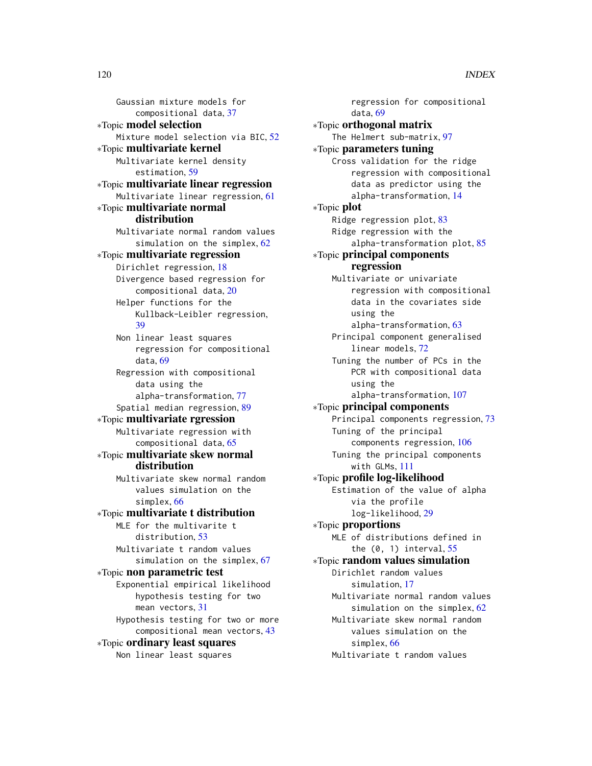Gaussian mixture models for compositional data, [37](#page-36-0) ∗Topic model selection Mixture model selection via BIC, [52](#page-51-0) ∗Topic multivariate kernel Multivariate kernel density estimation, [59](#page-58-0) ∗Topic multivariate linear regression Multivariate linear regression, [61](#page-60-0) ∗Topic multivariate normal distribution Multivariate normal random values simulation on the simplex, [62](#page-61-0) ∗Topic multivariate regression Dirichlet regression, [18](#page-17-1) Divergence based regression for compositional data, [20](#page-19-1) Helper functions for the Kullback-Leibler regression, [39](#page-38-0) Non linear least squares regression for compositional data, [69](#page-68-1) Regression with compositional data using the alpha-transformation, [77](#page-76-1) Spatial median regression, [89](#page-88-0) ∗Topic multivariate rgression Multivariate regression with compositional data, [65](#page-64-0) ∗Topic multivariate skew normal distribution Multivariate skew normal random values simulation on the simplex, [66](#page-65-0) ∗Topic multivariate t distribution MLE for the multivarite t distribution, [53](#page-52-0) Multivariate t random values simulation on the simplex, [67](#page-66-0) ∗Topic non parametric test Exponential empirical likelihood hypothesis testing for two mean vectors, [31](#page-30-0) Hypothesis testing for two or more compositional mean vectors, [43](#page-42-0) ∗Topic ordinary least squares

Non linear least squares

regression for compositional data, [69](#page-68-1) ∗Topic orthogonal matrix The Helmert sub-matrix, [97](#page-96-0) ∗Topic parameters tuning Cross validation for the ridge regression with compositional data as predictor using the alpha-transformation, [14](#page-13-0) ∗Topic plot Ridge regression plot, [83](#page-82-0) Ridge regression with the alpha-transformation plot, [85](#page-84-0) ∗Topic principal components regression Multivariate or univariate regression with compositional data in the covariates side using the alpha-transformation, [63](#page-62-1) Principal component generalised linear models, [72](#page-71-1) Tuning the number of PCs in the PCR with compositional data using the alpha-transformation, [107](#page-106-1) ∗Topic principal components Principal components regression, [73](#page-72-0) Tuning of the principal components regression, [106](#page-105-1) Tuning the principal components with GLMs, [111](#page-110-1) ∗Topic profile log-likelihood Estimation of the value of alpha via the profile log-likelihood, [29](#page-28-0) ∗Topic proportions MLE of distributions defined in the  $(0, 1)$  interval,  $55$ ∗Topic random values simulation Dirichlet random values simulation, [17](#page-16-0) Multivariate normal random values simulation on the simplex, [62](#page-61-0) Multivariate skew normal random values simulation on the simplex, [66](#page-65-0) Multivariate t random values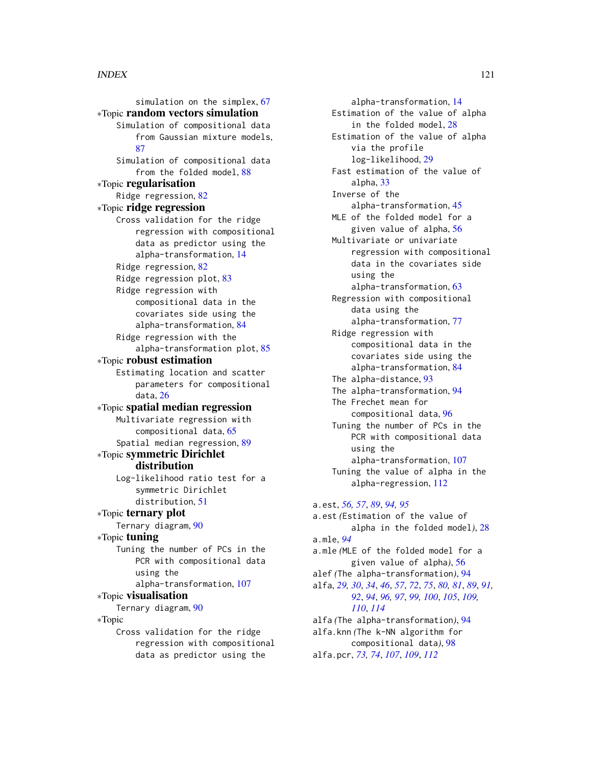simulation on the simplex, [67](#page-66-0) ∗Topic random vectors simulation Simulation of compositional data from Gaussian mixture models, [87](#page-86-0) Simulation of compositional data from the folded model, [88](#page-87-0) ∗Topic regularisation Ridge regression, [82](#page-81-0) ∗Topic ridge regression Cross validation for the ridge regression with compositional data as predictor using the alpha-transformation, [14](#page-13-0) Ridge regression, [82](#page-81-0) Ridge regression plot, [83](#page-82-0) Ridge regression with compositional data in the covariates side using the alpha-transformation, [84](#page-83-0) Ridge regression with the alpha-transformation plot, [85](#page-84-0) ∗Topic robust estimation Estimating location and scatter parameters for compositional data, [26](#page-25-0) ∗Topic spatial median regression Multivariate regression with compositional data, [65](#page-64-0) Spatial median regression, [89](#page-88-0) ∗Topic symmetric Dirichlet distribution Log-likelihood ratio test for a symmetric Dirichlet distribution, [51](#page-50-0) ∗Topic ternary plot Ternary diagram, [90](#page-89-0) ∗Topic tuning Tuning the number of PCs in the PCR with compositional data using the alpha-transformation, [107](#page-106-1) ∗Topic visualisation Ternary diagram, [90](#page-89-0) ∗Topic Cross validation for the ridge regression with compositional data as predictor using the

alpha-transformation, [14](#page-13-0) Estimation of the value of alpha in the folded model, [28](#page-27-0) Estimation of the value of alpha via the profile log-likelihood, [29](#page-28-0) Fast estimation of the value of alpha, [33](#page-32-0) Inverse of the alpha-transformation, [45](#page-44-0) MLE of the folded model for a given value of alpha, [56](#page-55-0) Multivariate or univariate regression with compositional data in the covariates side using the alpha-transformation, [63](#page-62-1) Regression with compositional data using the alpha-transformation, [77](#page-76-1) Ridge regression with compositional data in the covariates side using the alpha-transformation, [84](#page-83-0) The alpha-distance, [93](#page-92-0) The alpha-transformation, [94](#page-93-1) The Frechet mean for compositional data, [96](#page-95-0) Tuning the number of PCs in the PCR with compositional data using the alpha-transformation, [107](#page-106-1) Tuning the value of alpha in the alpha-regression, [112](#page-111-0) a.est, *[56,](#page-55-0) [57](#page-56-0)*, *[89](#page-88-0)*, *[94,](#page-93-1) [95](#page-94-0)* a.est *(*Estimation of the value of alpha in the folded model*)*, [28](#page-27-0) a.mle, *[94](#page-93-1)* a.mle *(*MLE of the folded model for a given value of alpha*)*, [56](#page-55-0) alef *(*The alpha-transformation*)*, [94](#page-93-1) alfa, *[29,](#page-28-0) [30](#page-29-0)*, *[34](#page-33-0)*, *[46](#page-45-0)*, *[57](#page-56-0)*, *[72](#page-71-1)*, *[75](#page-74-0)*, *[80,](#page-79-1) [81](#page-80-0)*, *[89](#page-88-0)*, *[91,](#page-90-0) [92](#page-91-0)*, *[94](#page-93-1)*, *[96,](#page-95-0) [97](#page-96-0)*, *[99,](#page-98-0) [100](#page-99-0)*, *[105](#page-104-0)*, *[109,](#page-108-0) [110](#page-109-0)*, *[114](#page-113-0)* alfa *(*The alpha-transformation*)*, [94](#page-93-1) alfa.knn *(*The k-NN algorithm for compositional data*)*, [98](#page-97-0) alfa.pcr, *[73,](#page-72-0) [74](#page-73-0)*, *[107](#page-106-1)*, *[109](#page-108-0)*, *[112](#page-111-0)*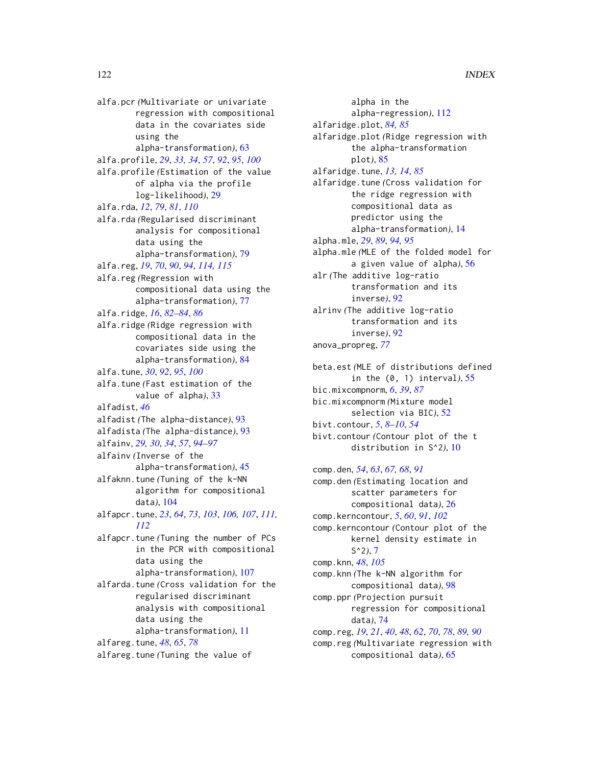alfa.pcr *(*Multivariate or univariate regression with compositional data in the covariates side using the alpha-transformation*)*, [63](#page-62-1) alfa.profile, *[29](#page-28-0)*, *[33,](#page-32-0) [34](#page-33-0)*, *[57](#page-56-0)*, *[92](#page-91-0)*, *[95](#page-94-0)*, *[100](#page-99-0)* alfa.profile *(*Estimation of the value of alpha via the profile log-likelihood*)*, [29](#page-28-0) alfa.rda, *[12](#page-11-0)*, *[79](#page-78-1)*, *[81](#page-80-0)*, *[110](#page-109-0)* alfa.rda *(*Regularised discriminant analysis for compositional data using the alpha-transformation*)*, [79](#page-78-1) alfa.reg, *[19](#page-18-0)*, *[70](#page-69-0)*, *[90](#page-89-0)*, *[94](#page-93-1)*, *[114,](#page-113-0) [115](#page-114-0)* alfa.reg *(*Regression with compositional data using the alpha-transformation*)*, [77](#page-76-1) alfa.ridge, *[16](#page-15-0)*, *[82](#page-81-0)[–84](#page-83-0)*, *[86](#page-85-0)* alfa.ridge *(*Ridge regression with compositional data in the covariates side using the alpha-transformation*)*, [84](#page-83-0) alfa.tune, *[30](#page-29-0)*, *[92](#page-91-0)*, *[95](#page-94-0)*, *[100](#page-99-0)* alfa.tune *(*Fast estimation of the value of alpha*)*, [33](#page-32-0) alfadist, *[46](#page-45-0)* alfadist *(*The alpha-distance*)*, [93](#page-92-0) alfadista *(*The alpha-distance*)*, [93](#page-92-0)

alfainv, *[29,](#page-28-0) [30](#page-29-0)*, *[34](#page-33-0)*, *[57](#page-56-0)*, *[94–](#page-93-1)[97](#page-96-0)* alfainv *(*Inverse of the alpha-transformation*)*, [45](#page-44-0)

alfaknn.tune *(*Tuning of the k-NN algorithm for compositional data*)*, [104](#page-103-0)

alfapcr.tune, *[23](#page-22-0)*, *[64](#page-63-0)*, *[73](#page-72-0)*, *[103](#page-102-0)*, *[106,](#page-105-1) [107](#page-106-1)*, *[111,](#page-110-1) [112](#page-111-0)*

alfapcr.tune *(*Tuning the number of PCs in the PCR with compositional data using the alpha-transformation*)*, [107](#page-106-1)

alfarda.tune *(*Cross validation for the regularised discriminant analysis with compositional data using the alpha-transformation*)*, [11](#page-10-0) alfareg.tune, *[48](#page-47-0)*, *[65](#page-64-0)*, *[78](#page-77-0)*

alfareg.tune *(*Tuning the value of

alpha in the alpha-regression*)*, [112](#page-111-0) alfaridge.plot, *[84,](#page-83-0) [85](#page-84-0)* alfaridge.plot *(*Ridge regression with the alpha-transformation plot*)*, [85](#page-84-0) alfaridge.tune, *[13,](#page-12-0) [14](#page-13-0)*, *[85](#page-84-0)* alfaridge.tune *(*Cross validation for the ridge regression with compositional data as predictor using the alpha-transformation*)*, [14](#page-13-0) alpha.mle, *[29](#page-28-0)*, *[89](#page-88-0)*, *[94,](#page-93-1) [95](#page-94-0)* alpha.mle *(*MLE of the folded model for a given value of alpha*)*, [56](#page-55-0) alr *(*The additive log-ratio transformation and its inverse*)*, [92](#page-91-0) alrinv *(*The additive log-ratio transformation and its inverse*)*, [92](#page-91-0) anova\_propreg, *[77](#page-76-1)*

beta.est *(*MLE of distributions defined in the (0, 1) interval*)*, [55](#page-54-0) bic.mixcompnorm, *[6](#page-5-0)*, *[39](#page-38-0)*, *[87](#page-86-0)* bic.mixcompnorm *(*Mixture model selection via BIC*)*, [52](#page-51-0) bivt.contour, *[5](#page-4-0)*, *[8](#page-7-0)[–10](#page-9-0)*, *[54](#page-53-0)* bivt.contour *(*Contour plot of the t distribution in S^2*)*, [10](#page-9-0)

comp.den, *[54](#page-53-0)*, *[63](#page-62-1)*, *[67,](#page-66-0) [68](#page-67-0)*, *[91](#page-90-0)* comp.den *(*Estimating location and scatter parameters for compositional data*)*, [26](#page-25-0) comp.kerncontour, *[5](#page-4-0)*, *[60](#page-59-0)*, *[91](#page-90-0)*, *[102](#page-101-0)* comp.kerncontour *(*Contour plot of the kernel density estimate in S^2*)*, [7](#page-6-0) comp.knn, *[48](#page-47-0)*, *[105](#page-104-0)* comp.knn *(*The k-NN algorithm for compositional data*)*, [98](#page-97-0) comp.ppr *(*Projection pursuit regression for compositional data*)*, [74](#page-73-0) comp.reg, *[19](#page-18-0)*, *[21](#page-20-0)*, *[40](#page-39-0)*, *[48](#page-47-0)*, *[62](#page-61-0)*, *[70](#page-69-0)*, *[78](#page-77-0)*, *[89,](#page-88-0) [90](#page-89-0)* comp.reg *(*Multivariate regression with compositional data*)*, [65](#page-64-0)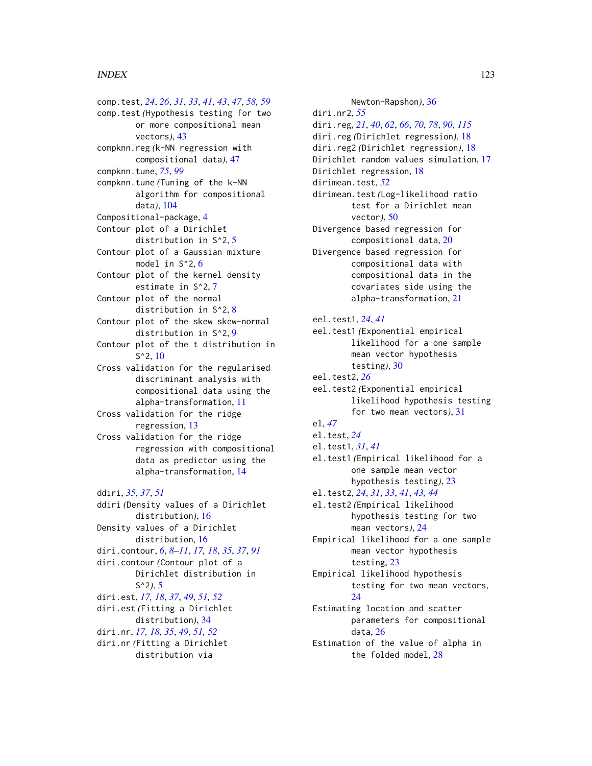comp.test, *[24](#page-23-0)*, *[26](#page-25-0)*, *[31](#page-30-0)*, *[33](#page-32-0)*, *[41](#page-40-0)*, *[43](#page-42-0)*, *[47](#page-46-0)*, *[58,](#page-57-0) [59](#page-58-0)* comp.test *(*Hypothesis testing for two or more compositional mean vectors*)*, [43](#page-42-0) compknn.reg *(*k-NN regression with compositional data*)*, [47](#page-46-0) compknn.tune, *[75](#page-74-0)*, *[99](#page-98-0)* compknn.tune *(*Tuning of the k-NN algorithm for compositional data*)*, [104](#page-103-0) Compositional-package, [4](#page-3-0) Contour plot of a Dirichlet distribution in S^2, [5](#page-4-0) Contour plot of a Gaussian mixture model in S^2, [6](#page-5-0) Contour plot of the kernel density estimate in S^2, [7](#page-6-0) Contour plot of the normal distribution in S^2, [8](#page-7-0) Contour plot of the skew skew-normal distribution in S^2, [9](#page-8-0) Contour plot of the t distribution in  $S^2$ , [10](#page-9-0) Cross validation for the regularised discriminant analysis with compositional data using the alpha-transformation, [11](#page-10-0) Cross validation for the ridge regression, [13](#page-12-0) Cross validation for the ridge regression with compositional data as predictor using the alpha-transformation, [14](#page-13-0) ddiri, *[35](#page-34-0)*, *[37](#page-36-0)*, *[51](#page-50-0)* ddiri *(*Density values of a Dirichlet distribution*)*, [16](#page-15-0) Density values of a Dirichlet distribution, [16](#page-15-0) diri.contour, *[6](#page-5-0)*, *[8](#page-7-0)[–11](#page-10-0)*, *[17,](#page-16-0) [18](#page-17-1)*, *[35](#page-34-0)*, *[37](#page-36-0)*, *[91](#page-90-0)* diri.contour *(*Contour plot of a Dirichlet distribution in S^2*)*, [5](#page-4-0) diri.est, *[17,](#page-16-0) [18](#page-17-1)*, *[37](#page-36-0)*, *[49](#page-48-0)*, *[51,](#page-50-0) [52](#page-51-0)* diri.est *(*Fitting a Dirichlet distribution*)*, [34](#page-33-0) diri.nr, *[17,](#page-16-0) [18](#page-17-1)*, *[35](#page-34-0)*, *[49](#page-48-0)*, *[51,](#page-50-0) [52](#page-51-0)* diri.nr *(*Fitting a Dirichlet distribution via

Newton-Rapshon*)*, [36](#page-35-0) diri.nr2, *[55](#page-54-0)* diri.reg, *[21](#page-20-0)*, *[40](#page-39-0)*, *[62](#page-61-0)*, *[66](#page-65-0)*, *[70](#page-69-0)*, *[78](#page-77-0)*, *[90](#page-89-0)*, *[115](#page-114-0)* diri.reg *(*Dirichlet regression*)*, [18](#page-17-1) diri.reg2 *(*Dirichlet regression*)*, [18](#page-17-1) Dirichlet random values simulation, [17](#page-16-0) Dirichlet regression, [18](#page-17-1) dirimean.test, *[52](#page-51-0)* dirimean.test *(*Log-likelihood ratio test for a Dirichlet mean vector*)*, [50](#page-49-0) Divergence based regression for compositional data, [20](#page-19-1) Divergence based regression for compositional data with compositional data in the covariates side using the alpha-transformation, [21](#page-20-0) eel.test1, *[24](#page-23-0)*, *[41](#page-40-0)* eel.test1 *(*Exponential empirical likelihood for a one sample mean vector hypothesis testing*)*, [30](#page-29-0) eel.test2, *[26](#page-25-0)* eel.test2 *(*Exponential empirical likelihood hypothesis testing for two mean vectors*)*, [31](#page-30-0) el, *[47](#page-46-0)* el.test, *[24](#page-23-0)* el.test1, *[31](#page-30-0)*, *[41](#page-40-0)* el.test1 *(*Empirical likelihood for a one sample mean vector hypothesis testing*)*, [23](#page-22-0) el.test2, *[24](#page-23-0)*, *[31](#page-30-0)*, *[33](#page-32-0)*, *[41](#page-40-0)*, *[43,](#page-42-0) [44](#page-43-0)* el.test2 *(*Empirical likelihood hypothesis testing for two mean vectors*)*, [24](#page-23-0) Empirical likelihood for a one sample mean vector hypothesis testing, [23](#page-22-0) Empirical likelihood hypothesis testing for two mean vectors, [24](#page-23-0) Estimating location and scatter parameters for compositional data, [26](#page-25-0) Estimation of the value of alpha in the folded model, [28](#page-27-0)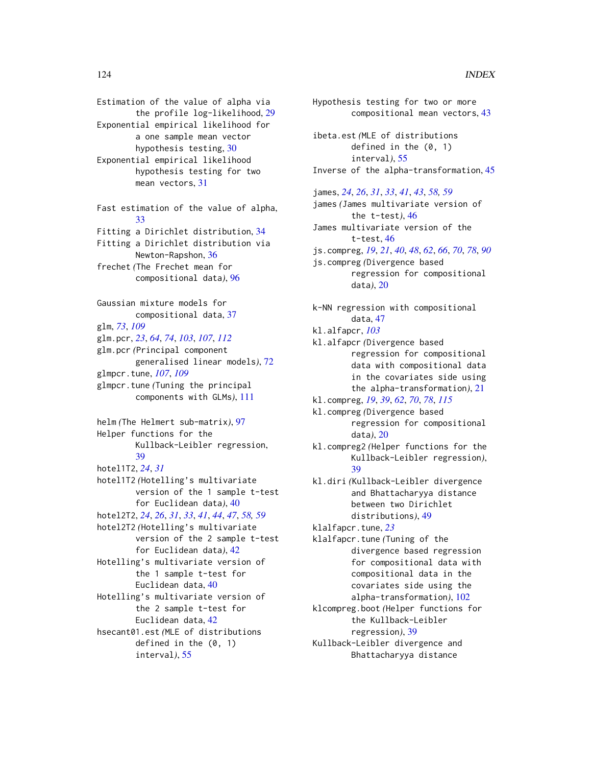Estimation of the value of alpha via the profile log-likelihood, [29](#page-28-0) Exponential empirical likelihood for a one sample mean vector hypothesis testing, [30](#page-29-0) Exponential empirical likelihood hypothesis testing for two mean vectors, [31](#page-30-0) Fast estimation of the value of alpha,

[33](#page-32-0) Fitting a Dirichlet distribution, [34](#page-33-0) Fitting a Dirichlet distribution via Newton-Rapshon, [36](#page-35-0) frechet *(*The Frechet mean for compositional data*)*, [96](#page-95-0)

Gaussian mixture models for compositional data, [37](#page-36-0) glm, *[73](#page-72-0)*, *[109](#page-108-0)* glm.pcr, *[23](#page-22-0)*, *[64](#page-63-0)*, *[74](#page-73-0)*, *[103](#page-102-0)*, *[107](#page-106-1)*, *[112](#page-111-0)* glm.pcr *(*Principal component generalised linear models*)*, [72](#page-71-1) glmpcr.tune, *[107](#page-106-1)*, *[109](#page-108-0)* glmpcr.tune *(*Tuning the principal components with GLMs*)*, [111](#page-110-1)

helm *(*The Helmert sub-matrix*)*, [97](#page-96-0) Helper functions for the Kullback-Leibler regression, [39](#page-38-0) hotel1T2, *[24](#page-23-0)*, *[31](#page-30-0)* hotel1T2 *(*Hotelling's multivariate version of the 1 sample t-test for Euclidean data*)*, [40](#page-39-0) hotel2T2, *[24](#page-23-0)*, *[26](#page-25-0)*, *[31](#page-30-0)*, *[33](#page-32-0)*, *[41](#page-40-0)*, *[44](#page-43-0)*, *[47](#page-46-0)*, *[58,](#page-57-0) [59](#page-58-0)* hotel2T2 *(*Hotelling's multivariate version of the 2 sample t-test for Euclidean data*)*, [42](#page-41-0) Hotelling's multivariate version of the 1 sample t-test for Euclidean data, [40](#page-39-0) Hotelling's multivariate version of the 2 sample t-test for Euclidean data, [42](#page-41-0) hsecant01.est *(*MLE of distributions defined in the (0, 1) interval*)*, [55](#page-54-0)

Hypothesis testing for two or more compositional mean vectors, [43](#page-42-0) ibeta.est *(*MLE of distributions defined in the (0, 1) interval*)*, [55](#page-54-0) Inverse of the alpha-transformation, [45](#page-44-0) james, *[24](#page-23-0)*, *[26](#page-25-0)*, *[31](#page-30-0)*, *[33](#page-32-0)*, *[41](#page-40-0)*, *[43](#page-42-0)*, *[58,](#page-57-0) [59](#page-58-0)* james *(*James multivariate version of the t-test*)*, [46](#page-45-0) James multivariate version of the t-test, [46](#page-45-0) js.compreg, *[19](#page-18-0)*, *[21](#page-20-0)*, *[40](#page-39-0)*, *[48](#page-47-0)*, *[62](#page-61-0)*, *[66](#page-65-0)*, *[70](#page-69-0)*, *[78](#page-77-0)*, *[90](#page-89-0)* js.compreg *(*Divergence based regression for compositional data*)*, [20](#page-19-1) k-NN regression with compositional data, [47](#page-46-0) kl.alfapcr, *[103](#page-102-0)* kl.alfapcr *(*Divergence based regression for compositional data with compositional data in the covariates side using the alpha-transformation*)*, [21](#page-20-0) kl.compreg, *[19](#page-18-0)*, *[39](#page-38-0)*, *[62](#page-61-0)*, *[70](#page-69-0)*, *[78](#page-77-0)*, *[115](#page-114-0)* kl.compreg *(*Divergence based regression for compositional data*)*, [20](#page-19-1) kl.compreg2 *(*Helper functions for the Kullback-Leibler regression*)*, [39](#page-38-0) kl.diri *(*Kullback-Leibler divergence and Bhattacharyya distance between two Dirichlet distributions*)*, [49](#page-48-0) klalfapcr.tune, *[23](#page-22-0)* klalfapcr.tune *(*Tuning of the divergence based regression for compositional data with compositional data in the covariates side using the alpha-transformation*)*, [102](#page-101-0) klcompreg.boot *(*Helper functions for the Kullback-Leibler regression*)*, [39](#page-38-0) Kullback-Leibler divergence and

Bhattacharyya distance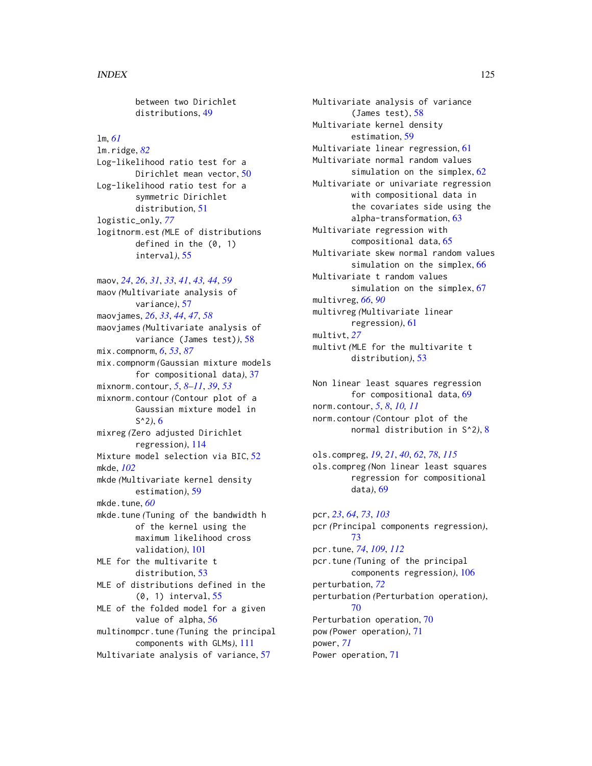between two Dirichlet distributions, [49](#page-48-0)

# lm, *[61](#page-60-0)*

lm.ridge, *[82](#page-81-0)* Log-likelihood ratio test for a Dirichlet mean vector, [50](#page-49-0) Log-likelihood ratio test for a symmetric Dirichlet distribution, [51](#page-50-0) logistic\_only, *[77](#page-76-1)* logitnorm.est *(*MLE of distributions defined in the (0, 1) interval*)*, [55](#page-54-0)

maov, *[24](#page-23-0)*, *[26](#page-25-0)*, *[31](#page-30-0)*, *[33](#page-32-0)*, *[41](#page-40-0)*, *[43,](#page-42-0) [44](#page-43-0)*, *[59](#page-58-0)* maov *(*Multivariate analysis of variance*)*, [57](#page-56-0) maovjames, *[26](#page-25-0)*, *[33](#page-32-0)*, *[44](#page-43-0)*, *[47](#page-46-0)*, *[58](#page-57-0)* maovjames *(*Multivariate analysis of variance (James test)*)*, [58](#page-57-0) mix.compnorm, *[6](#page-5-0)*, *[53](#page-52-0)*, *[87](#page-86-0)* mix.compnorm *(*Gaussian mixture models for compositional data*)*, [37](#page-36-0) mixnorm.contour, *[5](#page-4-0)*, *[8–](#page-7-0)[11](#page-10-0)*, *[39](#page-38-0)*, *[53](#page-52-0)* mixnorm.contour *(*Contour plot of a Gaussian mixture model in S^2*)*, [6](#page-5-0) mixreg *(*Zero adjusted Dirichlet regression*)*, [114](#page-113-0) Mixture model selection via BIC, [52](#page-51-0) mkde, *[102](#page-101-0)* mkde *(*Multivariate kernel density estimation*)*, [59](#page-58-0) mkde.tune, *[60](#page-59-0)* mkde.tune *(*Tuning of the bandwidth h of the kernel using the maximum likelihood cross validation*)*, [101](#page-100-0) MLE for the multivarite t distribution, [53](#page-52-0) MLE of distributions defined in the (0, 1) interval, [55](#page-54-0) MLE of the folded model for a given value of alpha, [56](#page-55-0) multinompcr.tune *(*Tuning the principal components with GLMs*)*, [111](#page-110-1) Multivariate analysis of variance, [57](#page-56-0)

Multivariate analysis of variance (James test), [58](#page-57-0) Multivariate kernel density estimation, [59](#page-58-0) Multivariate linear regression, [61](#page-60-0) Multivariate normal random values simulation on the simplex, [62](#page-61-0) Multivariate or univariate regression with compositional data in the covariates side using the alpha-transformation, [63](#page-62-1) Multivariate regression with compositional data, [65](#page-64-0) Multivariate skew normal random values simulation on the simplex, [66](#page-65-0) Multivariate t random values simulation on the simplex, [67](#page-66-0) multivreg, *[66](#page-65-0)*, *[90](#page-89-0)* multivreg *(*Multivariate linear regression*)*, [61](#page-60-0) multivt, *[27](#page-26-0)* multivt *(*MLE for the multivarite t distribution*)*, [53](#page-52-0)

Non linear least squares regression for compositional data, [69](#page-68-1) norm.contour, *[5](#page-4-0)*, *[8](#page-7-0)*, *[10,](#page-9-0) [11](#page-10-0)* norm.contour *(*Contour plot of the normal distribution in S^2*)*, [8](#page-7-0)

ols.compreg, *[19](#page-18-0)*, *[21](#page-20-0)*, *[40](#page-39-0)*, *[62](#page-61-0)*, *[78](#page-77-0)*, *[115](#page-114-0)* ols.compreg *(*Non linear least squares regression for compositional data*)*, [69](#page-68-1)

pcr, *[23](#page-22-0)*, *[64](#page-63-0)*, *[73](#page-72-0)*, *[103](#page-102-0)* pcr *(*Principal components regression*)*, [73](#page-72-0) pcr.tune, *[74](#page-73-0)*, *[109](#page-108-0)*, *[112](#page-111-0)* pcr.tune *(*Tuning of the principal components regression*)*, [106](#page-105-1) perturbation, *[72](#page-71-1)* perturbation *(*Perturbation operation*)*, [70](#page-69-0) Perturbation operation, [70](#page-69-0) pow *(*Power operation*)*, [71](#page-70-0) power, *[71](#page-70-0)* Power operation, [71](#page-70-0)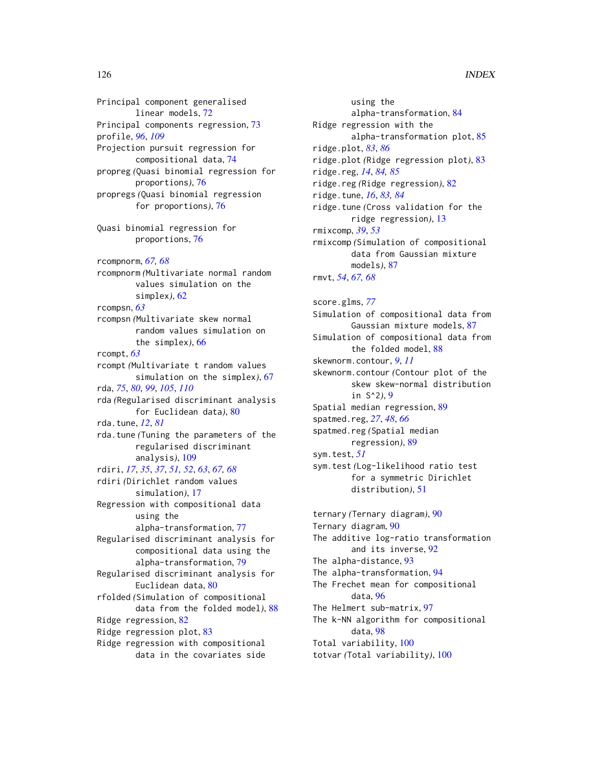Principal component generalised linear models, [72](#page-71-1) Principal components regression, [73](#page-72-0) profile, *[96](#page-95-0)*, *[109](#page-108-0)* Projection pursuit regression for compositional data, [74](#page-73-0) propreg *(*Quasi binomial regression for proportions*)*, [76](#page-75-0) propregs *(*Quasi binomial regression for proportions*)*, [76](#page-75-0) Quasi binomial regression for proportions, [76](#page-75-0) rcompnorm, *[67,](#page-66-0) [68](#page-67-0)* rcompnorm *(*Multivariate normal random values simulation on the simplex*)*, [62](#page-61-0) rcompsn, *[63](#page-62-1)* rcompsn *(*Multivariate skew normal random values simulation on the simplex*)*, [66](#page-65-0) rcompt, *[63](#page-62-1)* rcompt *(*Multivariate t random values simulation on the simplex*)*, [67](#page-66-0) rda, *[75](#page-74-0)*, *[80](#page-79-1)*, *[99](#page-98-0)*, *[105](#page-104-0)*, *[110](#page-109-0)* rda *(*Regularised discriminant analysis for Euclidean data*)*, [80](#page-79-1) rda.tune, *[12](#page-11-0)*, *[81](#page-80-0)* rda.tune *(*Tuning the parameters of the regularised discriminant analysis*)*, [109](#page-108-0) rdiri, *[17](#page-16-0)*, *[35](#page-34-0)*, *[37](#page-36-0)*, *[51,](#page-50-0) [52](#page-51-0)*, *[63](#page-62-1)*, *[67,](#page-66-0) [68](#page-67-0)* rdiri *(*Dirichlet random values simulation*)*, [17](#page-16-0) Regression with compositional data using the alpha-transformation, [77](#page-76-1) Regularised discriminant analysis for compositional data using the alpha-transformation, [79](#page-78-1) Regularised discriminant analysis for Euclidean data, [80](#page-79-1) rfolded *(*Simulation of compositional data from the folded model*)*, [88](#page-87-0) Ridge regression, [82](#page-81-0) Ridge regression plot, [83](#page-82-0) Ridge regression with compositional data in the covariates side

using the alpha-transformation, [84](#page-83-0) Ridge regression with the alpha-transformation plot, [85](#page-84-0) ridge.plot, *[83](#page-82-0)*, *[86](#page-85-0)* ridge.plot *(*Ridge regression plot*)*, [83](#page-82-0) ridge.reg, *[14](#page-13-0)*, *[84,](#page-83-0) [85](#page-84-0)* ridge.reg *(*Ridge regression*)*, [82](#page-81-0) ridge.tune, *[16](#page-15-0)*, *[83,](#page-82-0) [84](#page-83-0)* ridge.tune *(*Cross validation for the ridge regression*)*, [13](#page-12-0) rmixcomp, *[39](#page-38-0)*, *[53](#page-52-0)* rmixcomp *(*Simulation of compositional data from Gaussian mixture models*)*, [87](#page-86-0) rmvt, *[54](#page-53-0)*, *[67,](#page-66-0) [68](#page-67-0)* score.glms, *[77](#page-76-1)* Simulation of compositional data from Gaussian mixture models, [87](#page-86-0) Simulation of compositional data from the folded model, [88](#page-87-0) skewnorm.contour, *[9](#page-8-0)*, *[11](#page-10-0)*

skewnorm.contour *(*Contour plot of the skew skew-normal distribution in S^2*)*, [9](#page-8-0) Spatial median regression, [89](#page-88-0) spatmed.reg, *[27](#page-26-0)*, *[48](#page-47-0)*, *[66](#page-65-0)*

spatmed.reg *(*Spatial median regression*)*, [89](#page-88-0) sym.test, *[51](#page-50-0)*

sym.test *(*Log-likelihood ratio test for a symmetric Dirichlet distribution*)*, [51](#page-50-0)

ternary *(*Ternary diagram*)*, [90](#page-89-0) Ternary diagram, [90](#page-89-0) The additive log-ratio transformation and its inverse, [92](#page-91-0) The alpha-distance, [93](#page-92-0) The alpha-transformation, [94](#page-93-1) The Frechet mean for compositional data, [96](#page-95-0) The Helmert sub-matrix, [97](#page-96-0) The k-NN algorithm for compositional data, [98](#page-97-0) Total variability, [100](#page-99-0) totvar *(*Total variability*)*, [100](#page-99-0)